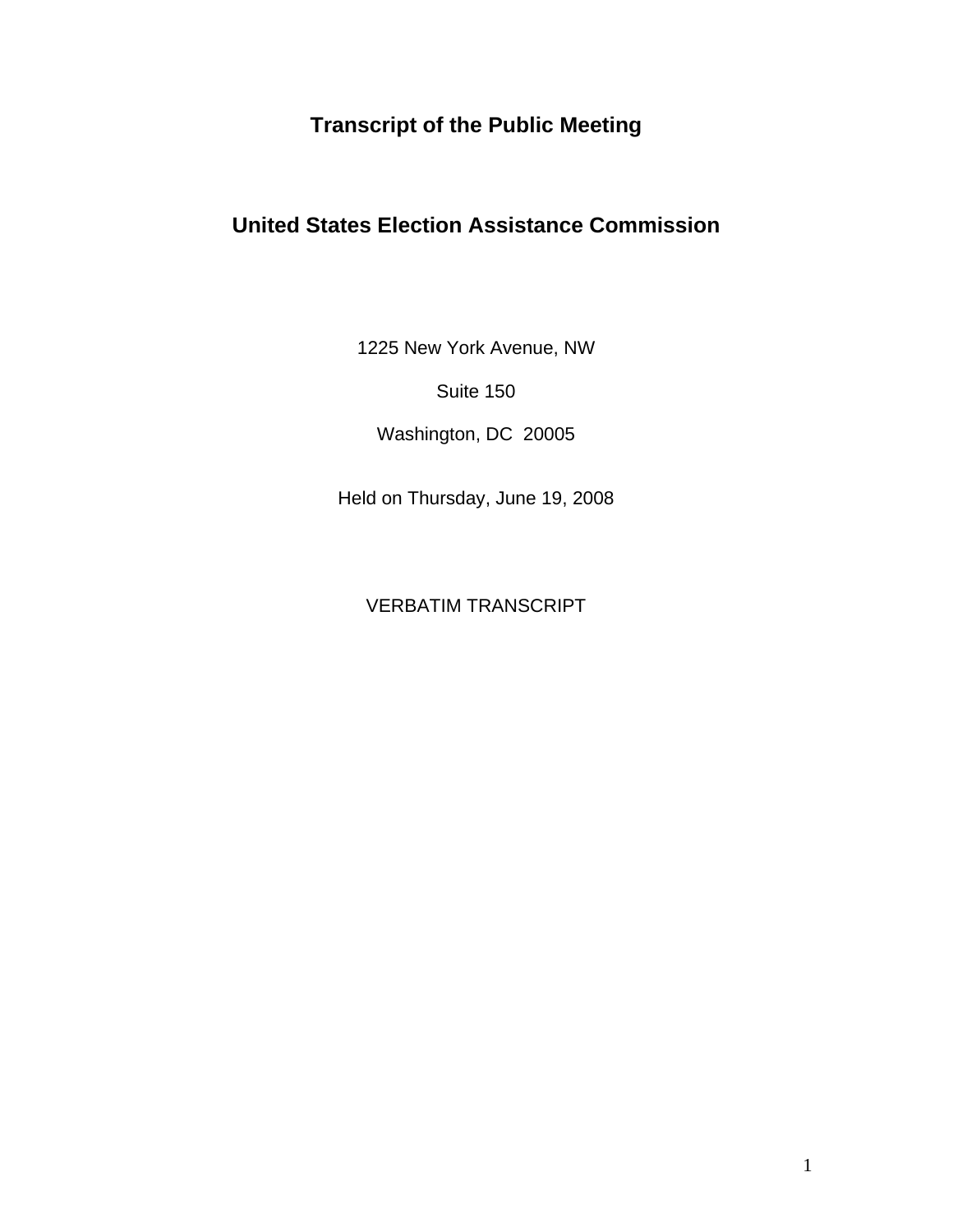# **Transcript of the Public Meeting**

# **United States Election Assistance Commission**

1225 New York Avenue, NW

Suite 150

Washington, DC 20005

Held on Thursday, June 19, 2008

VERBATIM TRANSCRIPT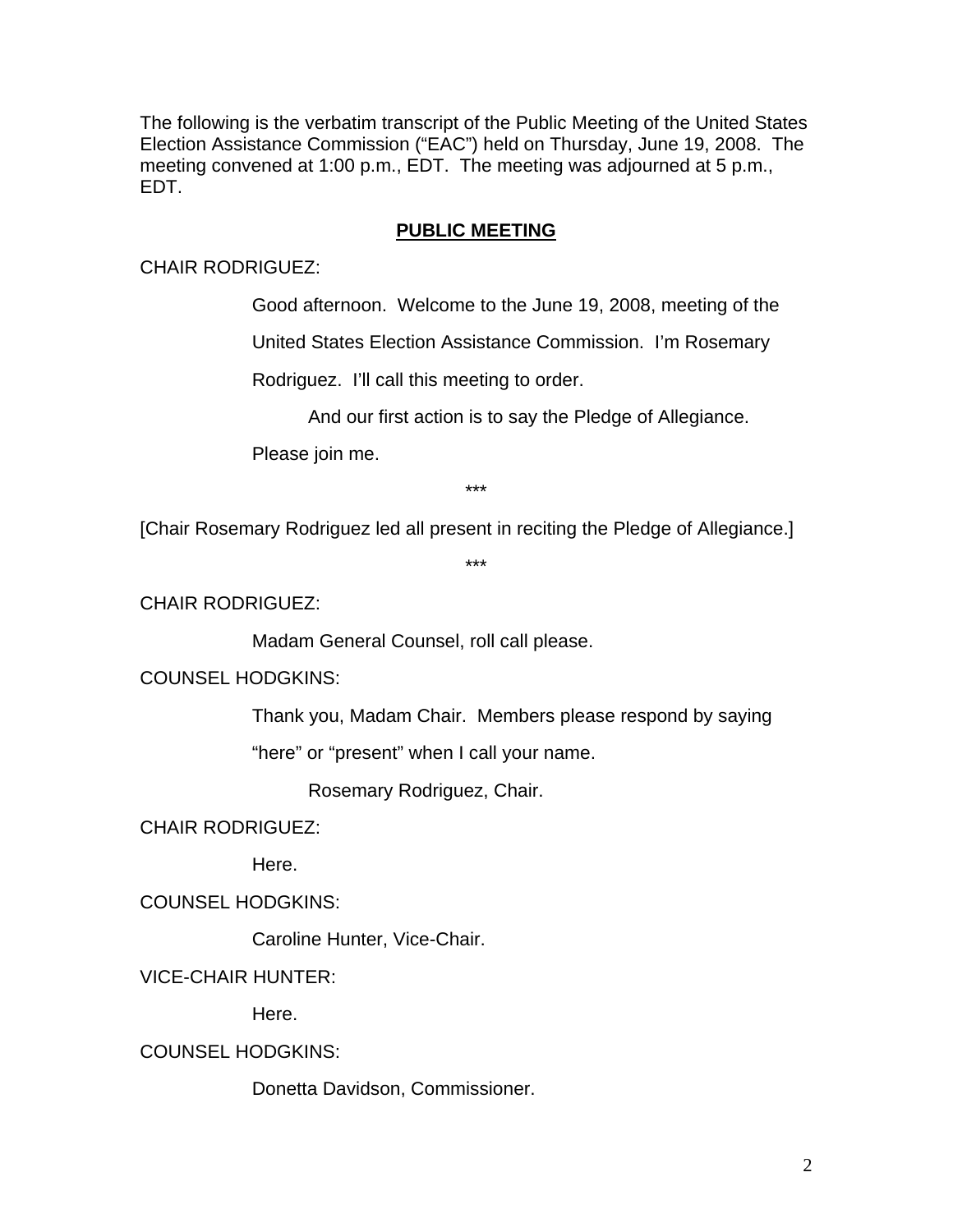The following is the verbatim transcript of the Public Meeting of the United States Election Assistance Commission ("EAC") held on Thursday, June 19, 2008. The meeting convened at 1:00 p.m., EDT. The meeting was adjourned at 5 p.m., EDT.

# **PUBLIC MEETING**

CHAIR RODRIGUEZ:

Good afternoon. Welcome to the June 19, 2008, meeting of the

United States Election Assistance Commission. I'm Rosemary

Rodriguez. I'll call this meeting to order.

And our first action is to say the Pledge of Allegiance.

Please join me.

\*\*\*

[Chair Rosemary Rodriguez led all present in reciting the Pledge of Allegiance.]

\*\*\*

CHAIR RODRIGUEZ:

Madam General Counsel, roll call please.

COUNSEL HODGKINS:

Thank you, Madam Chair. Members please respond by saying

"here" or "present" when I call your name.

Rosemary Rodriguez, Chair.

CHAIR RODRIGUEZ:

Here.

COUNSEL HODGKINS:

Caroline Hunter, Vice-Chair.

VICE-CHAIR HUNTER:

Here.

COUNSEL HODGKINS:

Donetta Davidson, Commissioner.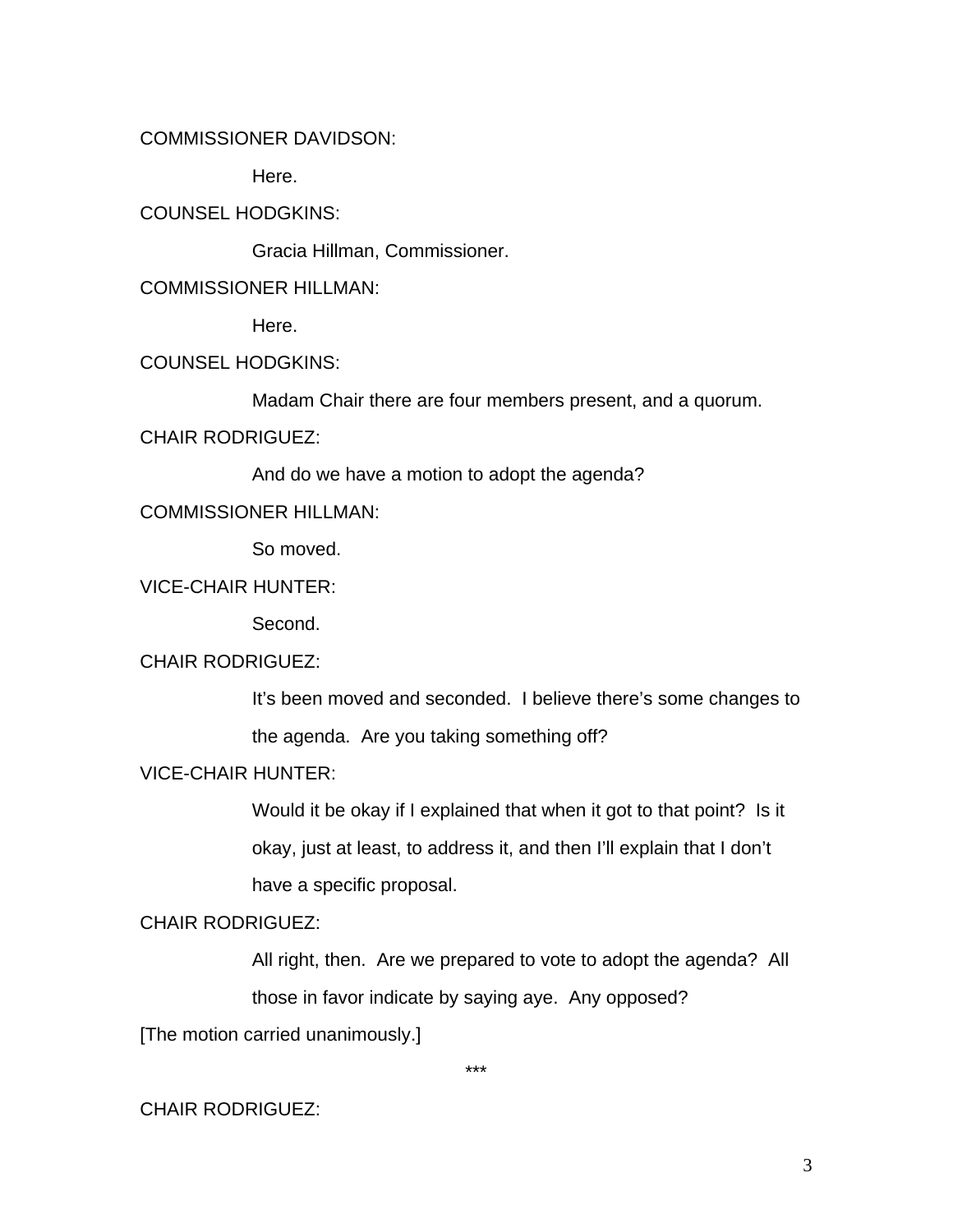## COMMISSIONER DAVIDSON:

Here.

## COUNSEL HODGKINS:

Gracia Hillman, Commissioner.

## COMMISSIONER HILLMAN:

Here.

# COUNSEL HODGKINS:

Madam Chair there are four members present, and a quorum.

# CHAIR RODRIGUEZ:

And do we have a motion to adopt the agenda?

## COMMISSIONER HILLMAN:

So moved.

# VICE-CHAIR HUNTER:

Second.

## CHAIR RODRIGUEZ:

It's been moved and seconded. I believe there's some changes to the agenda. Are you taking something off?

# VICE-CHAIR HUNTER:

Would it be okay if I explained that when it got to that point? Is it okay, just at least, to address it, and then I'll explain that I don't have a specific proposal.

## CHAIR RODRIGUEZ:

All right, then. Are we prepared to vote to adopt the agenda? All those in favor indicate by saying aye. Any opposed?

[The motion carried unanimously.]

\*\*\*

# CHAIR RODRIGUEZ: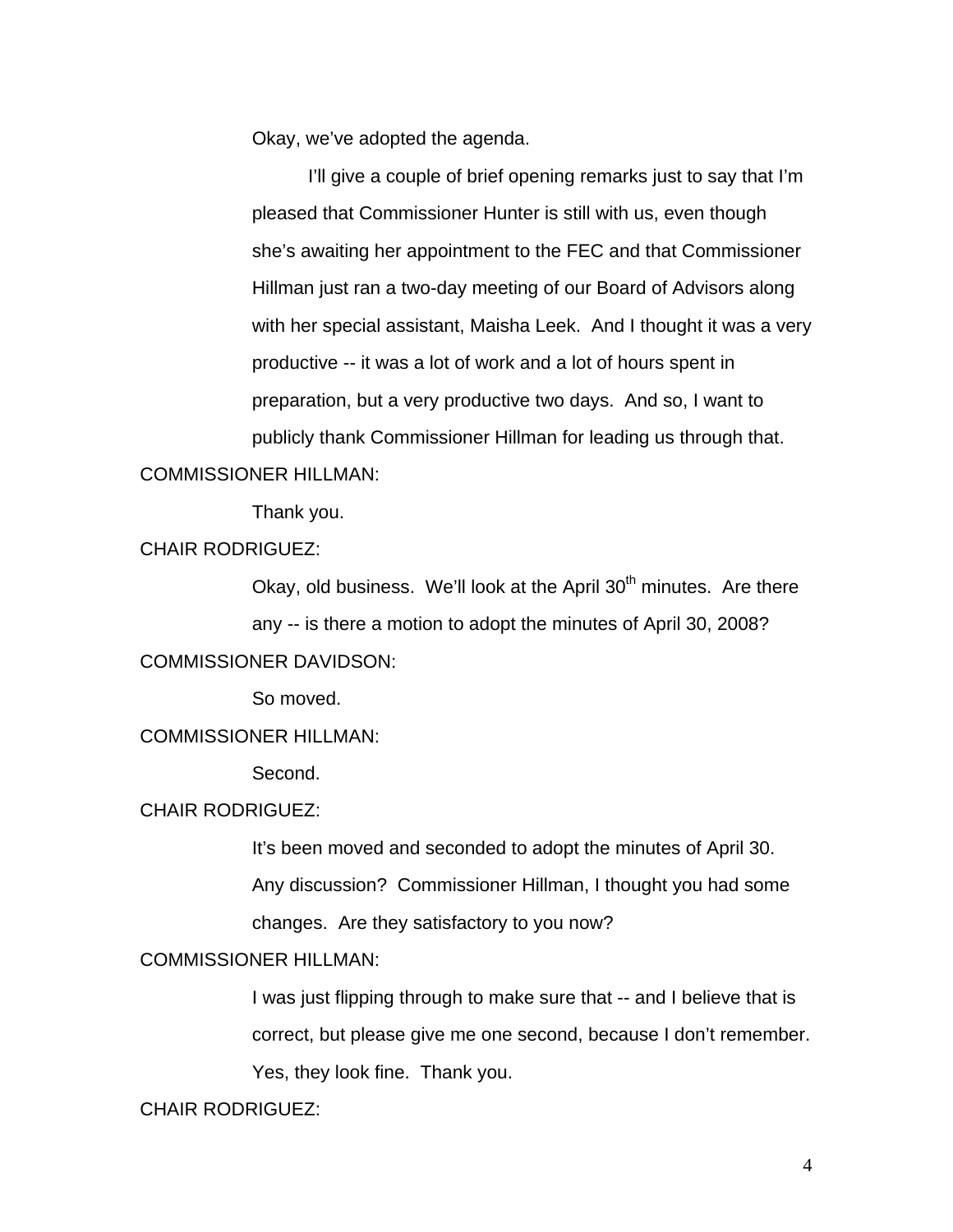Okay, we've adopted the agenda.

I'll give a couple of brief opening remarks just to say that I'm pleased that Commissioner Hunter is still with us, even though she's awaiting her appointment to the FEC and that Commissioner Hillman just ran a two-day meeting of our Board of Advisors along with her special assistant, Maisha Leek. And I thought it was a very productive -- it was a lot of work and a lot of hours spent in preparation, but a very productive two days. And so, I want to publicly thank Commissioner Hillman for leading us through that.

## COMMISSIONER HILLMAN:

Thank you.

## CHAIR RODRIGUEZ:

Okay, old business. We'll look at the April  $30<sup>th</sup>$  minutes. Are there any -- is there a motion to adopt the minutes of April 30, 2008? COMMISSIONER DAVIDSON:

So moved.

#### COMMISSIONER HILLMAN:

Second.

#### CHAIR RODRIGUEZ:

It's been moved and seconded to adopt the minutes of April 30. Any discussion? Commissioner Hillman, I thought you had some changes. Are they satisfactory to you now?

# COMMISSIONER HILLMAN:

I was just flipping through to make sure that -- and I believe that is correct, but please give me one second, because I don't remember. Yes, they look fine. Thank you.

CHAIR RODRIGUEZ: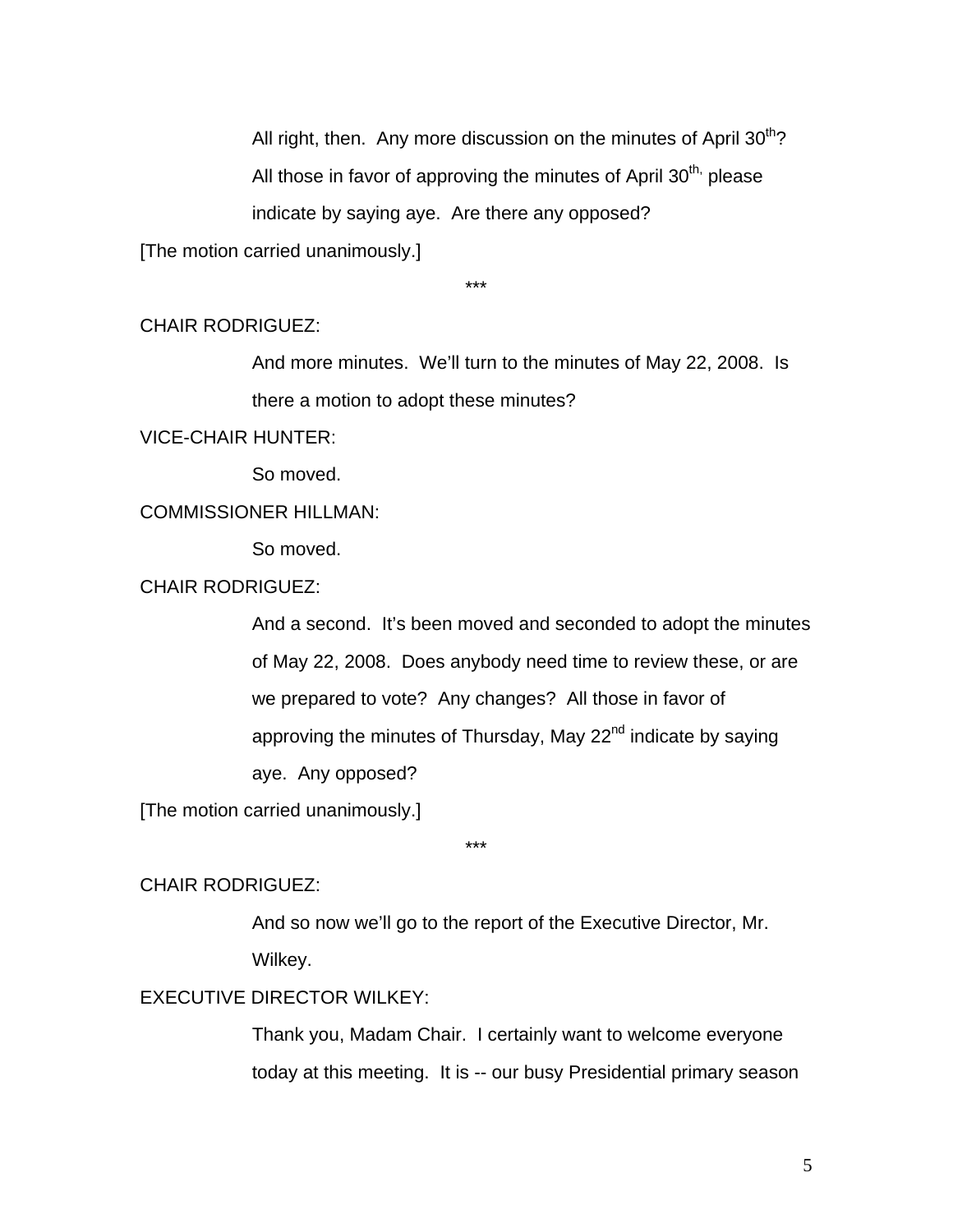All right, then. Any more discussion on the minutes of April  $30<sup>th</sup>$ ? All those in favor of approving the minutes of April  $30<sup>th</sup>$ , please indicate by saying aye. Are there any opposed?

[The motion carried unanimously.]

\*\*\*

### CHAIR RODRIGUEZ:

And more minutes. We'll turn to the minutes of May 22, 2008. Is there a motion to adopt these minutes?

VICE-CHAIR HUNTER:

So moved.

# COMMISSIONER HILLMAN:

So moved.

CHAIR RODRIGUEZ:

And a second. It's been moved and seconded to adopt the minutes of May 22, 2008. Does anybody need time to review these, or are we prepared to vote? Any changes? All those in favor of approving the minutes of Thursday, May 22<sup>nd</sup> indicate by saying aye. Any opposed?

[The motion carried unanimously.]

\*\*\*

### CHAIR RODRIGUEZ:

And so now we'll go to the report of the Executive Director, Mr. Wilkey.

## EXECUTIVE DIRECTOR WILKEY:

Thank you, Madam Chair. I certainly want to welcome everyone today at this meeting. It is -- our busy Presidential primary season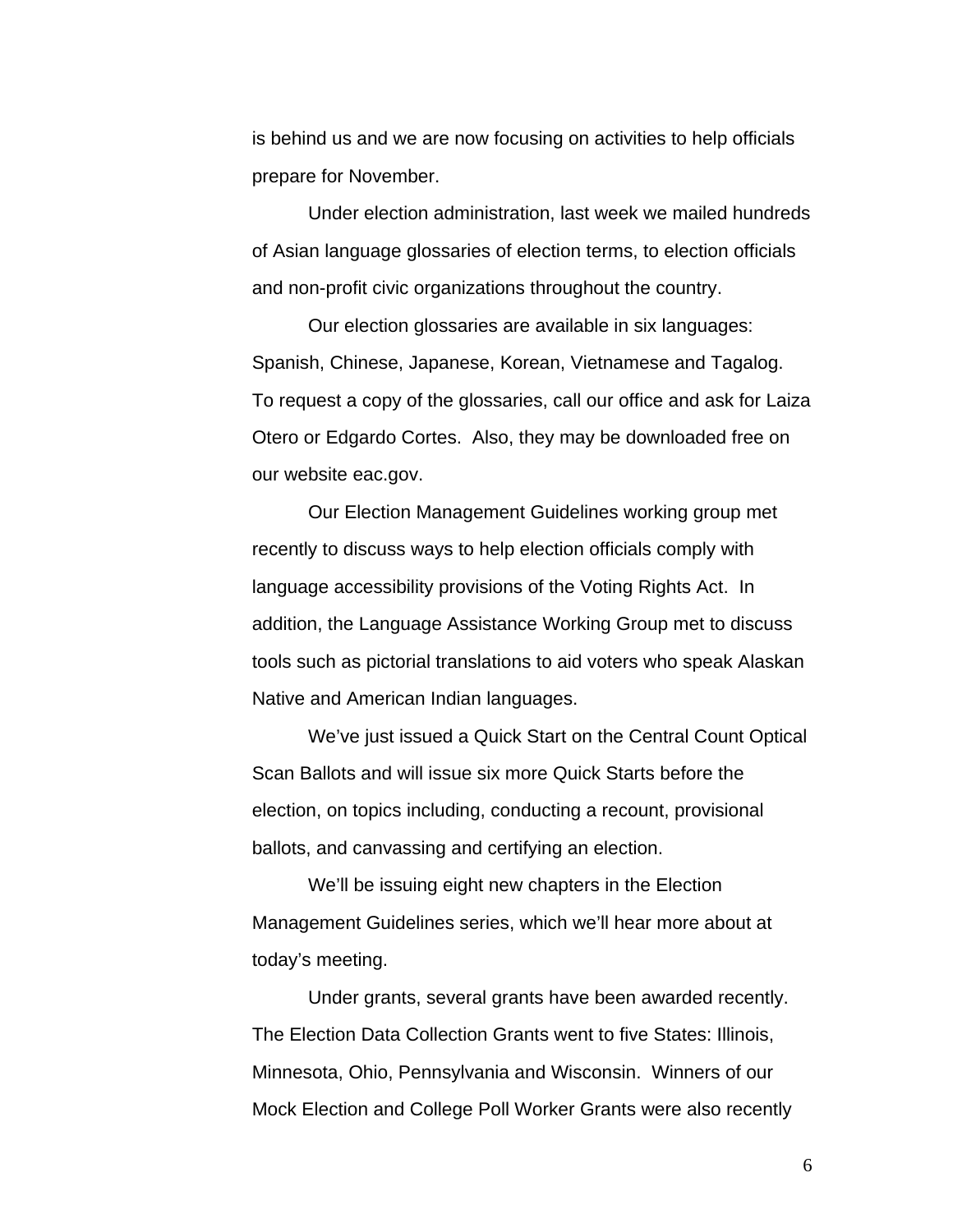is behind us and we are now focusing on activities to help officials prepare for November.

 Under election administration, last week we mailed hundreds of Asian language glossaries of election terms, to election officials and non-profit civic organizations throughout the country.

 Our election glossaries are available in six languages: Spanish, Chinese, Japanese, Korean, Vietnamese and Tagalog. To request a copy of the glossaries, call our office and ask for Laiza Otero or Edgardo Cortes. Also, they may be downloaded free on our website eac.gov.

 Our Election Management Guidelines working group met recently to discuss ways to help election officials comply with language accessibility provisions of the Voting Rights Act. In addition, the Language Assistance Working Group met to discuss tools such as pictorial translations to aid voters who speak Alaskan Native and American Indian languages.

 We've just issued a Quick Start on the Central Count Optical Scan Ballots and will issue six more Quick Starts before the election, on topics including, conducting a recount, provisional ballots, and canvassing and certifying an election.

 We'll be issuing eight new chapters in the Election Management Guidelines series, which we'll hear more about at today's meeting.

 Under grants, several grants have been awarded recently. The Election Data Collection Grants went to five States: Illinois, Minnesota, Ohio, Pennsylvania and Wisconsin. Winners of our Mock Election and College Poll Worker Grants were also recently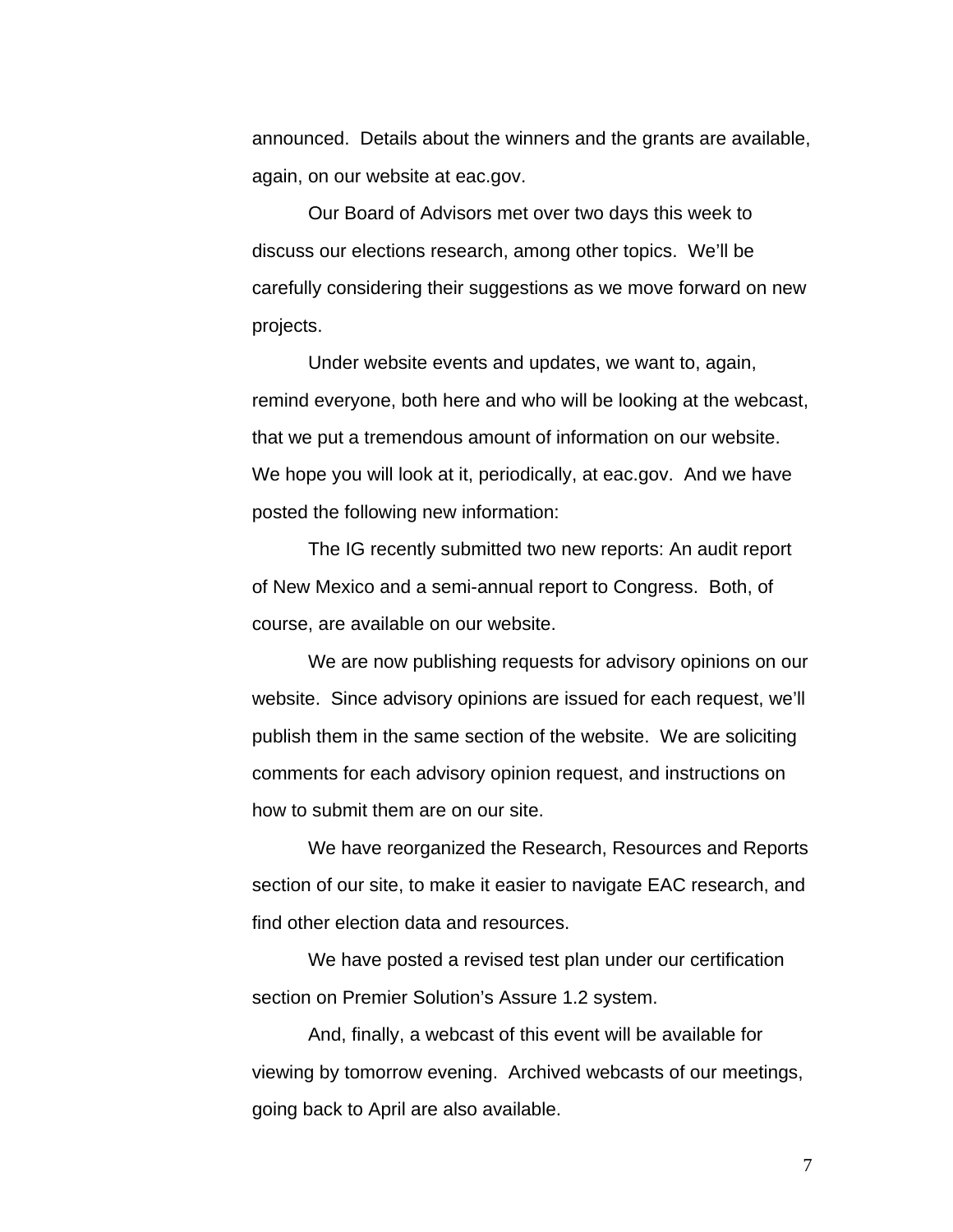announced. Details about the winners and the grants are available, again, on our website at eac.gov.

 Our Board of Advisors met over two days this week to discuss our elections research, among other topics. We'll be carefully considering their suggestions as we move forward on new projects.

 Under website events and updates, we want to, again, remind everyone, both here and who will be looking at the webcast, that we put a tremendous amount of information on our website. We hope you will look at it, periodically, at eac.gov. And we have posted the following new information:

 The IG recently submitted two new reports: An audit report of New Mexico and a semi-annual report to Congress. Both, of course, are available on our website.

 We are now publishing requests for advisory opinions on our website. Since advisory opinions are issued for each request, we'll publish them in the same section of the website. We are soliciting comments for each advisory opinion request, and instructions on how to submit them are on our site.

 We have reorganized the Research, Resources and Reports section of our site, to make it easier to navigate EAC research, and find other election data and resources.

 We have posted a revised test plan under our certification section on Premier Solution's Assure 1.2 system.

 And, finally, a webcast of this event will be available for viewing by tomorrow evening. Archived webcasts of our meetings, going back to April are also available.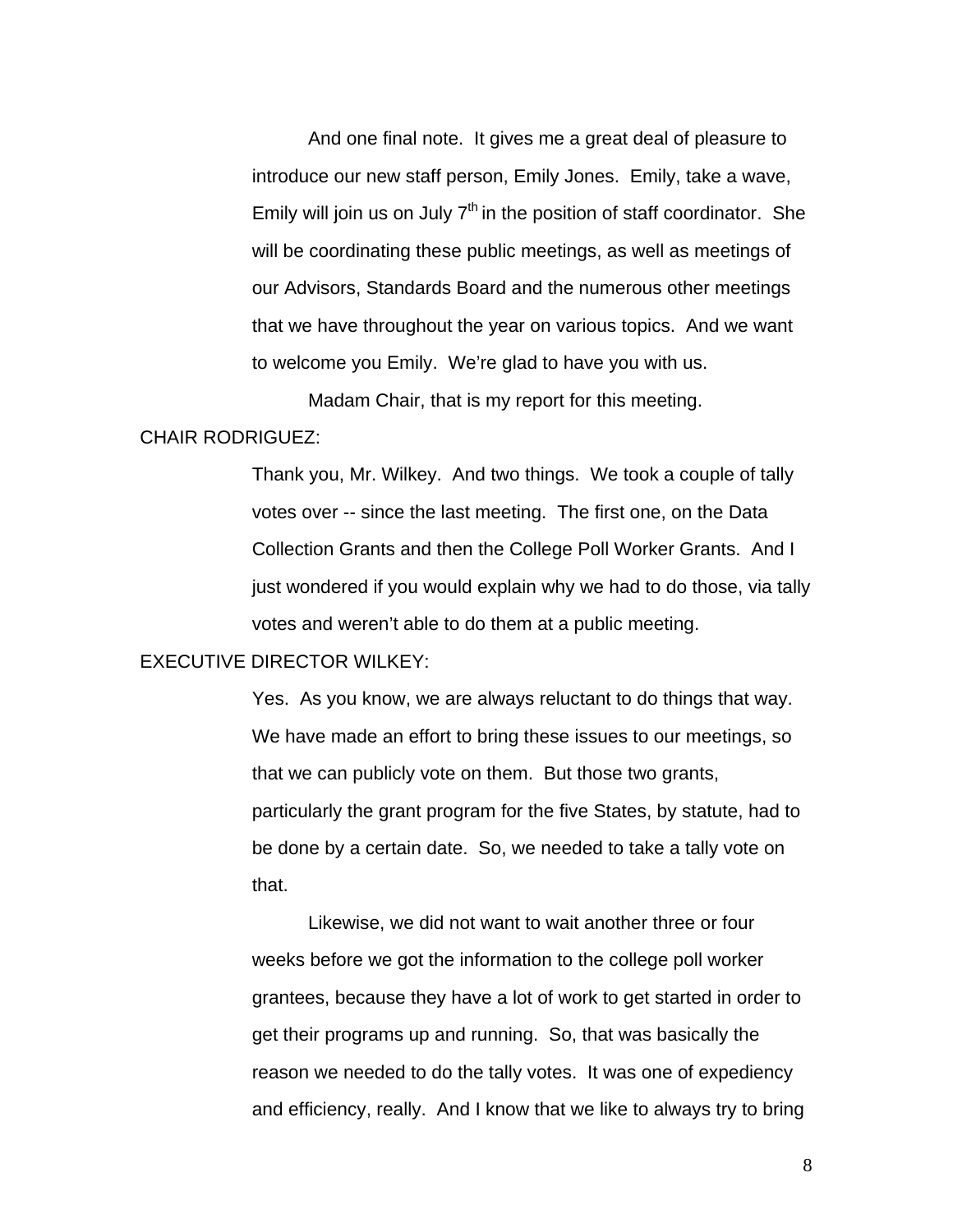And one final note. It gives me a great deal of pleasure to introduce our new staff person, Emily Jones. Emily, take a wave, Emily will join us on July  $7<sup>th</sup>$  in the position of staff coordinator. She will be coordinating these public meetings, as well as meetings of our Advisors, Standards Board and the numerous other meetings that we have throughout the year on various topics. And we want to welcome you Emily. We're glad to have you with us.

Madam Chair, that is my report for this meeting.

## CHAIR RODRIGUEZ:

Thank you, Mr. Wilkey. And two things. We took a couple of tally votes over -- since the last meeting. The first one, on the Data Collection Grants and then the College Poll Worker Grants. And I just wondered if you would explain why we had to do those, via tally votes and weren't able to do them at a public meeting.

#### EXECUTIVE DIRECTOR WILKEY:

Yes. As you know, we are always reluctant to do things that way. We have made an effort to bring these issues to our meetings, so that we can publicly vote on them. But those two grants, particularly the grant program for the five States, by statute, had to be done by a certain date. So, we needed to take a tally vote on that.

 Likewise, we did not want to wait another three or four weeks before we got the information to the college poll worker grantees, because they have a lot of work to get started in order to get their programs up and running. So, that was basically the reason we needed to do the tally votes. It was one of expediency and efficiency, really. And I know that we like to always try to bring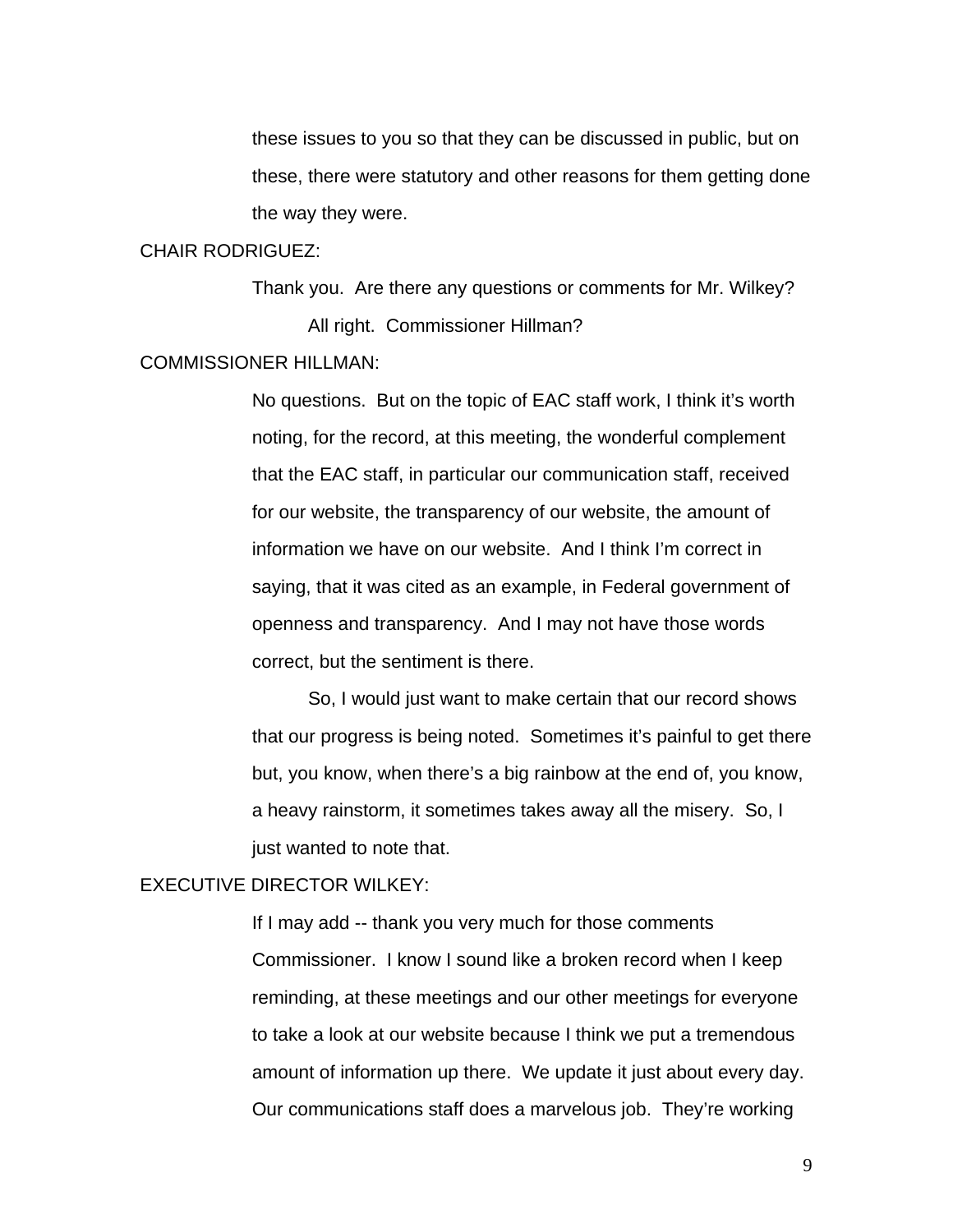these issues to you so that they can be discussed in public, but on these, there were statutory and other reasons for them getting done the way they were.

#### CHAIR RODRIGUEZ:

Thank you. Are there any questions or comments for Mr. Wilkey? All right. Commissioner Hillman?

#### COMMISSIONER HILLMAN:

No questions. But on the topic of EAC staff work, I think it's worth noting, for the record, at this meeting, the wonderful complement that the EAC staff, in particular our communication staff, received for our website, the transparency of our website, the amount of information we have on our website. And I think I'm correct in saying, that it was cited as an example, in Federal government of openness and transparency. And I may not have those words correct, but the sentiment is there.

So, I would just want to make certain that our record shows that our progress is being noted. Sometimes it's painful to get there but, you know, when there's a big rainbow at the end of, you know, a heavy rainstorm, it sometimes takes away all the misery. So, I just wanted to note that.

## EXECUTIVE DIRECTOR WILKEY:

If I may add -- thank you very much for those comments Commissioner. I know I sound like a broken record when I keep reminding, at these meetings and our other meetings for everyone to take a look at our website because I think we put a tremendous amount of information up there. We update it just about every day. Our communications staff does a marvelous job. They're working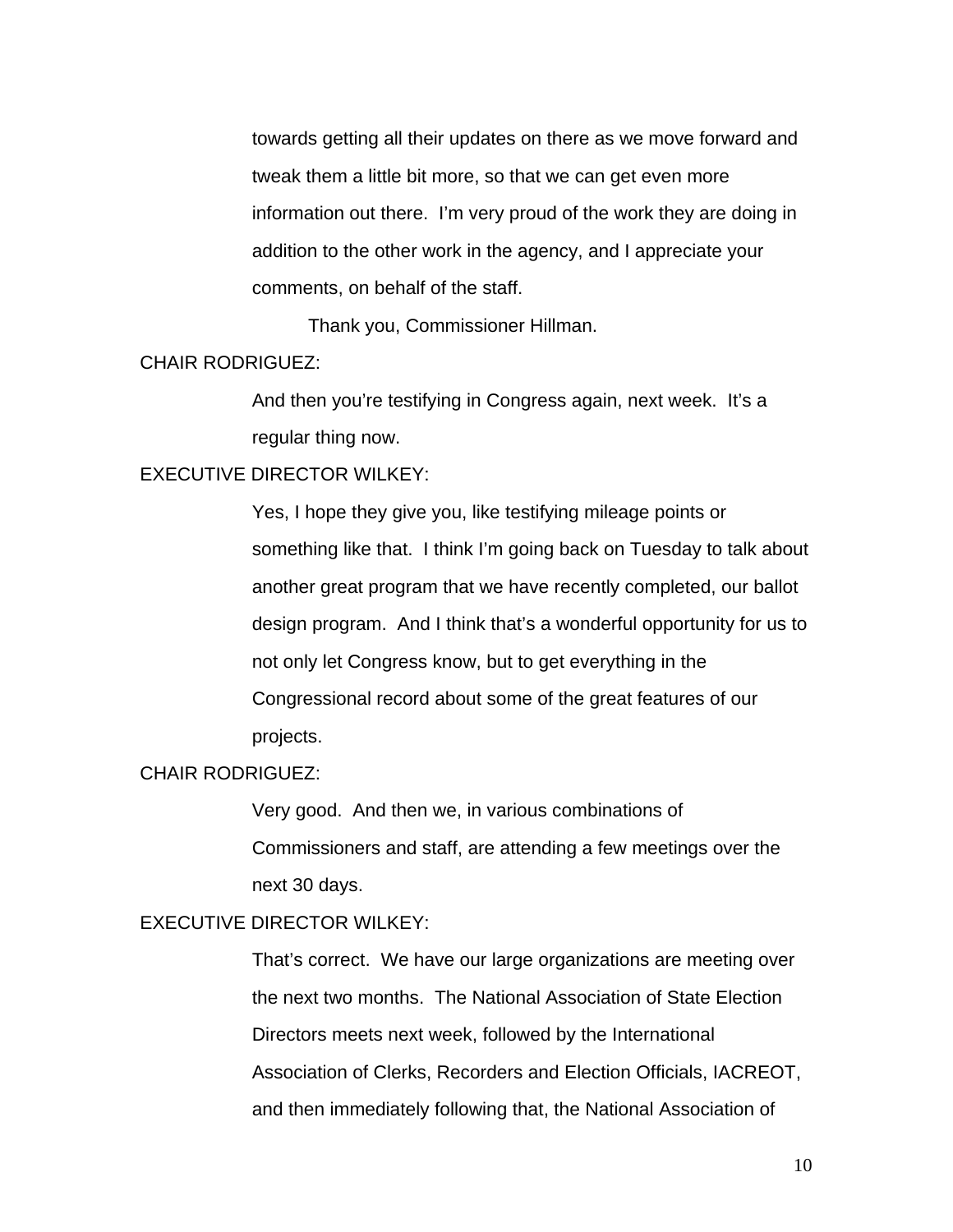towards getting all their updates on there as we move forward and tweak them a little bit more, so that we can get even more information out there. I'm very proud of the work they are doing in addition to the other work in the agency, and I appreciate your comments, on behalf of the staff.

Thank you, Commissioner Hillman.

## CHAIR RODRIGUEZ:

And then you're testifying in Congress again, next week. It's a regular thing now.

## EXECUTIVE DIRECTOR WILKEY:

Yes, I hope they give you, like testifying mileage points or something like that. I think I'm going back on Tuesday to talk about another great program that we have recently completed, our ballot design program. And I think that's a wonderful opportunity for us to not only let Congress know, but to get everything in the Congressional record about some of the great features of our projects.

## CHAIR RODRIGUEZ:

Very good. And then we, in various combinations of Commissioners and staff, are attending a few meetings over the next 30 days.

## EXECUTIVE DIRECTOR WILKEY:

That's correct. We have our large organizations are meeting over the next two months. The National Association of State Election Directors meets next week, followed by the International Association of Clerks, Recorders and Election Officials, IACREOT, and then immediately following that, the National Association of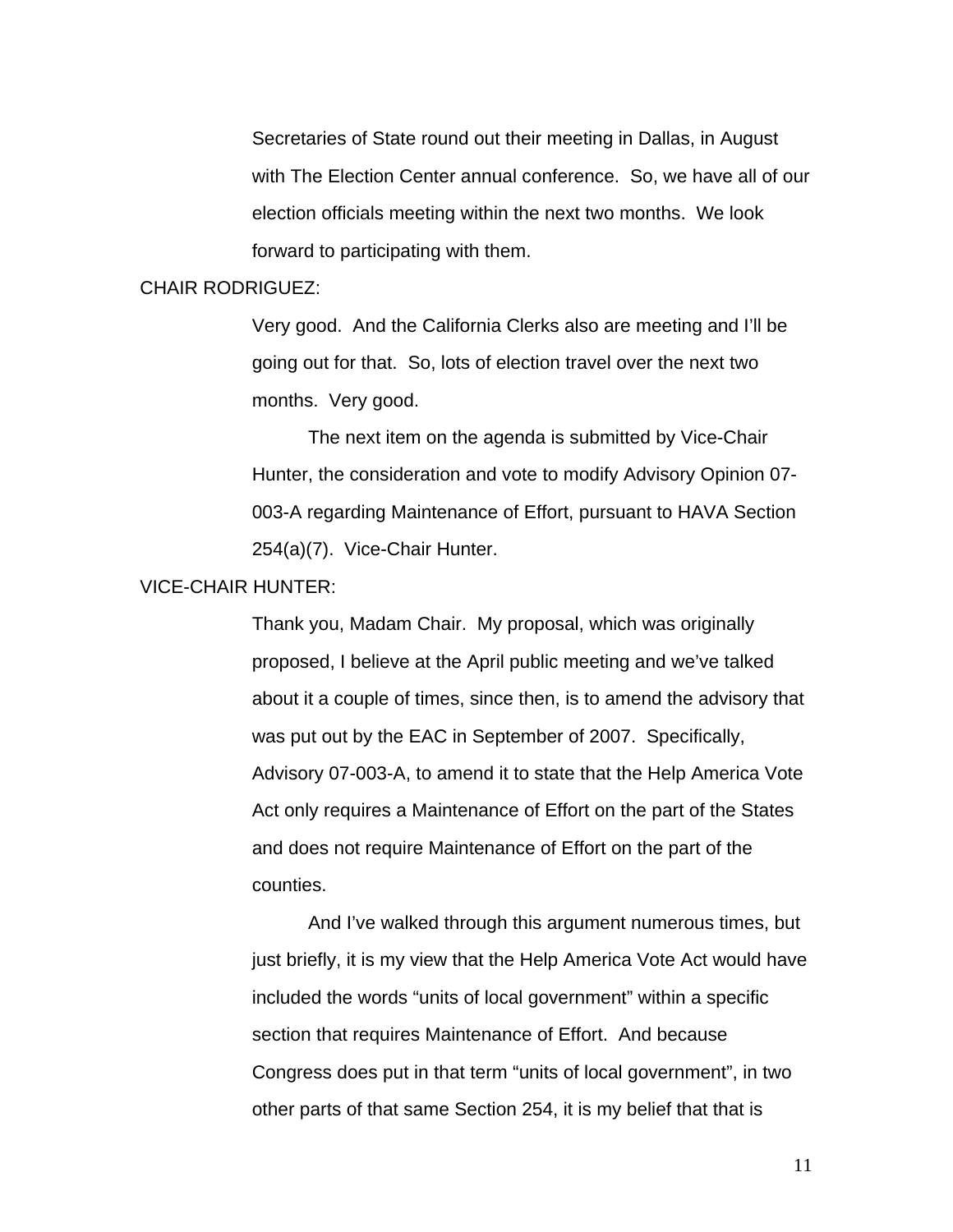Secretaries of State round out their meeting in Dallas, in August with The Election Center annual conference. So, we have all of our election officials meeting within the next two months. We look forward to participating with them.

### CHAIR RODRIGUEZ:

Very good. And the California Clerks also are meeting and I'll be going out for that. So, lots of election travel over the next two months. Very good.

 The next item on the agenda is submitted by Vice-Chair Hunter, the consideration and vote to modify Advisory Opinion 07- 003-A regarding Maintenance of Effort, pursuant to HAVA Section 254(a)(7). Vice-Chair Hunter.

## VICE-CHAIR HUNTER:

Thank you, Madam Chair. My proposal, which was originally proposed, I believe at the April public meeting and we've talked about it a couple of times, since then, is to amend the advisory that was put out by the EAC in September of 2007. Specifically, Advisory 07-003-A, to amend it to state that the Help America Vote Act only requires a Maintenance of Effort on the part of the States and does not require Maintenance of Effort on the part of the counties.

And I've walked through this argument numerous times, but just briefly, it is my view that the Help America Vote Act would have included the words "units of local government" within a specific section that requires Maintenance of Effort. And because Congress does put in that term "units of local government", in two other parts of that same Section 254, it is my belief that that is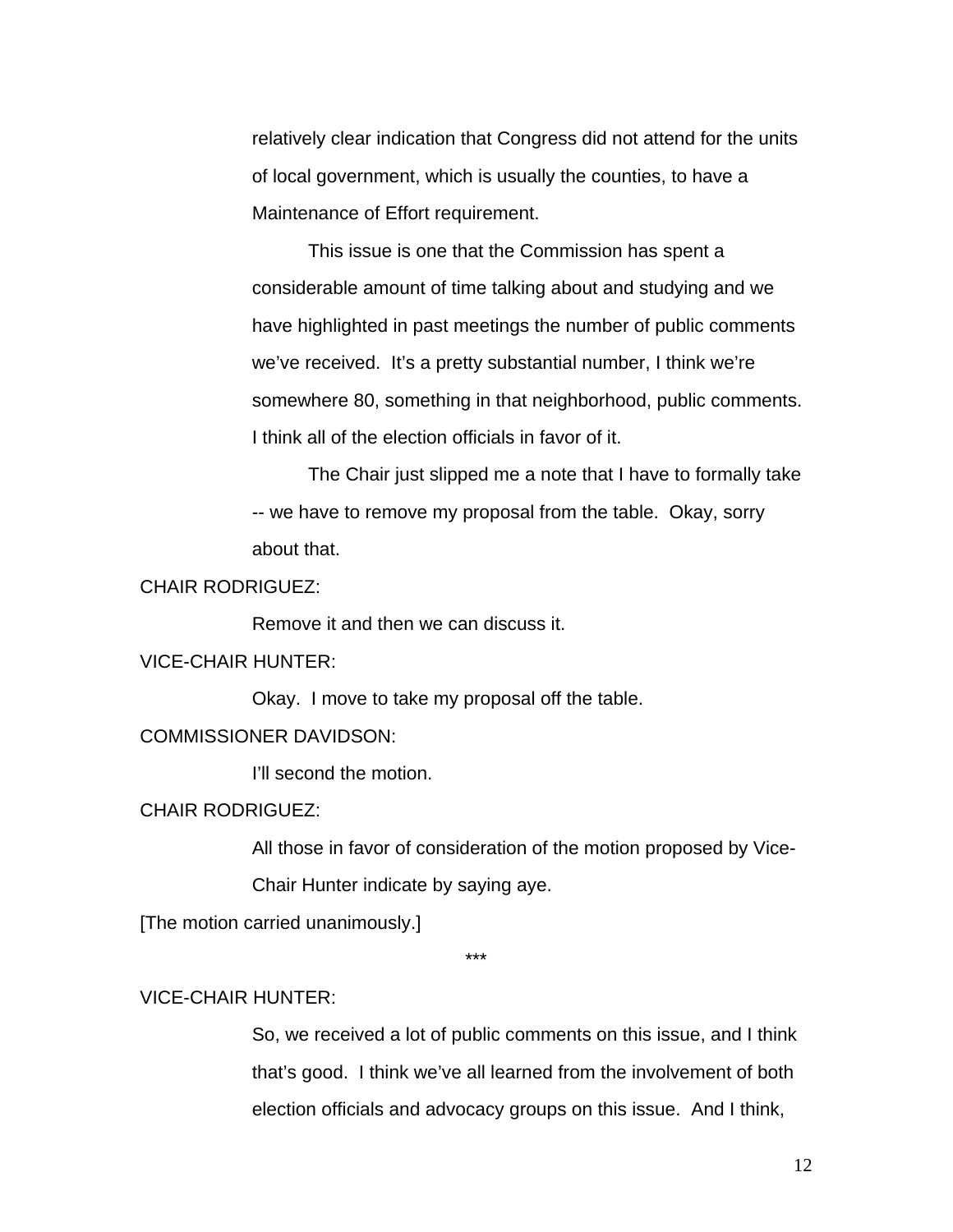relatively clear indication that Congress did not attend for the units of local government, which is usually the counties, to have a Maintenance of Effort requirement.

This issue is one that the Commission has spent a considerable amount of time talking about and studying and we have highlighted in past meetings the number of public comments we've received. It's a pretty substantial number, I think we're somewhere 80, something in that neighborhood, public comments. I think all of the election officials in favor of it.

The Chair just slipped me a note that I have to formally take -- we have to remove my proposal from the table. Okay, sorry about that.

## CHAIR RODRIGUEZ:

Remove it and then we can discuss it.

## VICE-CHAIR HUNTER:

Okay. I move to take my proposal off the table.

#### COMMISSIONER DAVIDSON:

I'll second the motion.

#### CHAIR RODRIGUEZ:

All those in favor of consideration of the motion proposed by Vice-

Chair Hunter indicate by saying aye.

[The motion carried unanimously.]

\*\*\*

## VICE-CHAIR HUNTER:

So, we received a lot of public comments on this issue, and I think that's good. I think we've all learned from the involvement of both election officials and advocacy groups on this issue. And I think,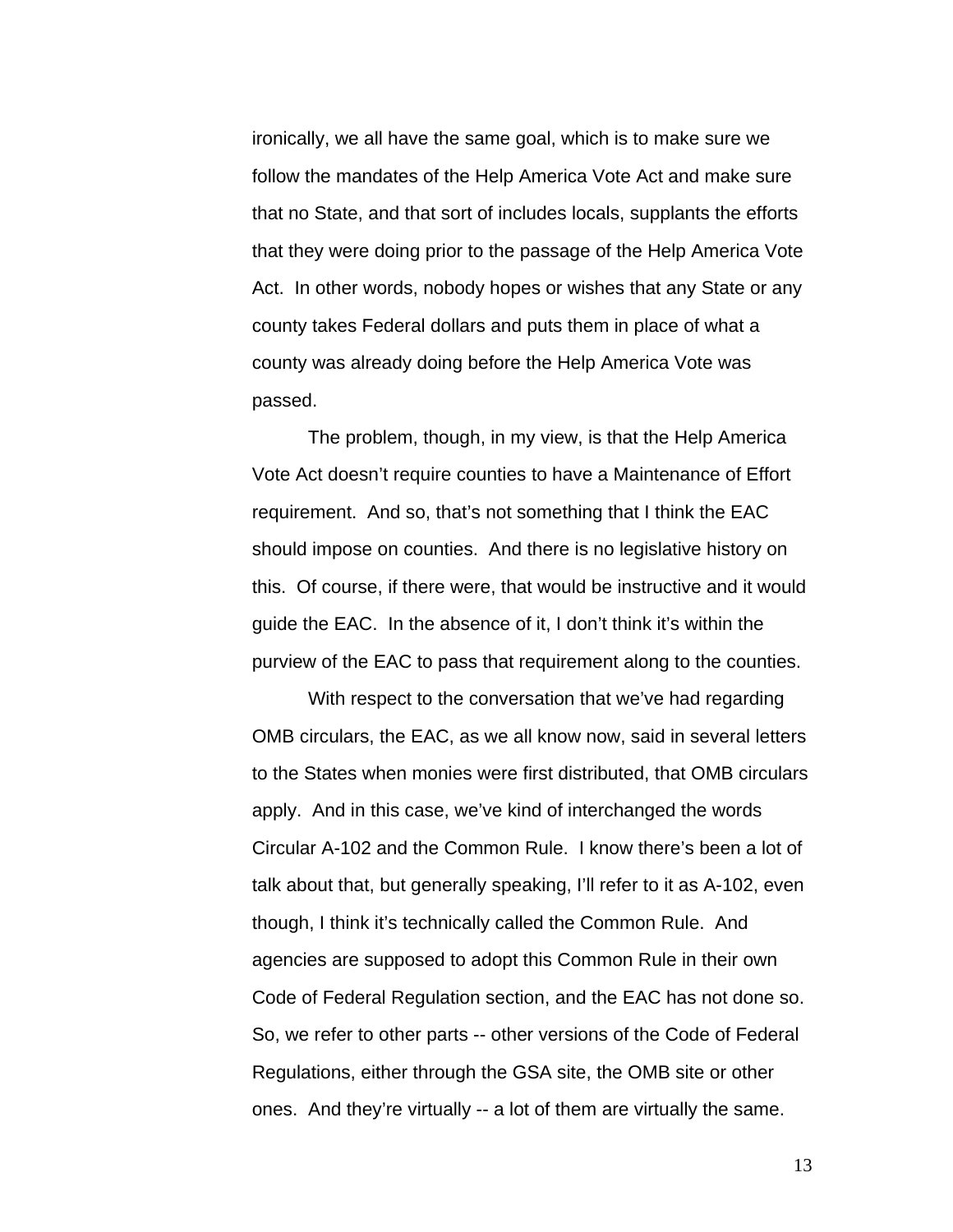ironically, we all have the same goal, which is to make sure we follow the mandates of the Help America Vote Act and make sure that no State, and that sort of includes locals, supplants the efforts that they were doing prior to the passage of the Help America Vote Act. In other words, nobody hopes or wishes that any State or any county takes Federal dollars and puts them in place of what a county was already doing before the Help America Vote was passed.

The problem, though, in my view, is that the Help America Vote Act doesn't require counties to have a Maintenance of Effort requirement. And so, that's not something that I think the EAC should impose on counties. And there is no legislative history on this. Of course, if there were, that would be instructive and it would guide the EAC. In the absence of it, I don't think it's within the purview of the EAC to pass that requirement along to the counties.

 With respect to the conversation that we've had regarding OMB circulars, the EAC, as we all know now, said in several letters to the States when monies were first distributed, that OMB circulars apply. And in this case, we've kind of interchanged the words Circular A-102 and the Common Rule. I know there's been a lot of talk about that, but generally speaking, I'll refer to it as A-102, even though, I think it's technically called the Common Rule. And agencies are supposed to adopt this Common Rule in their own Code of Federal Regulation section, and the EAC has not done so. So, we refer to other parts -- other versions of the Code of Federal Regulations, either through the GSA site, the OMB site or other ones. And they're virtually -- a lot of them are virtually the same.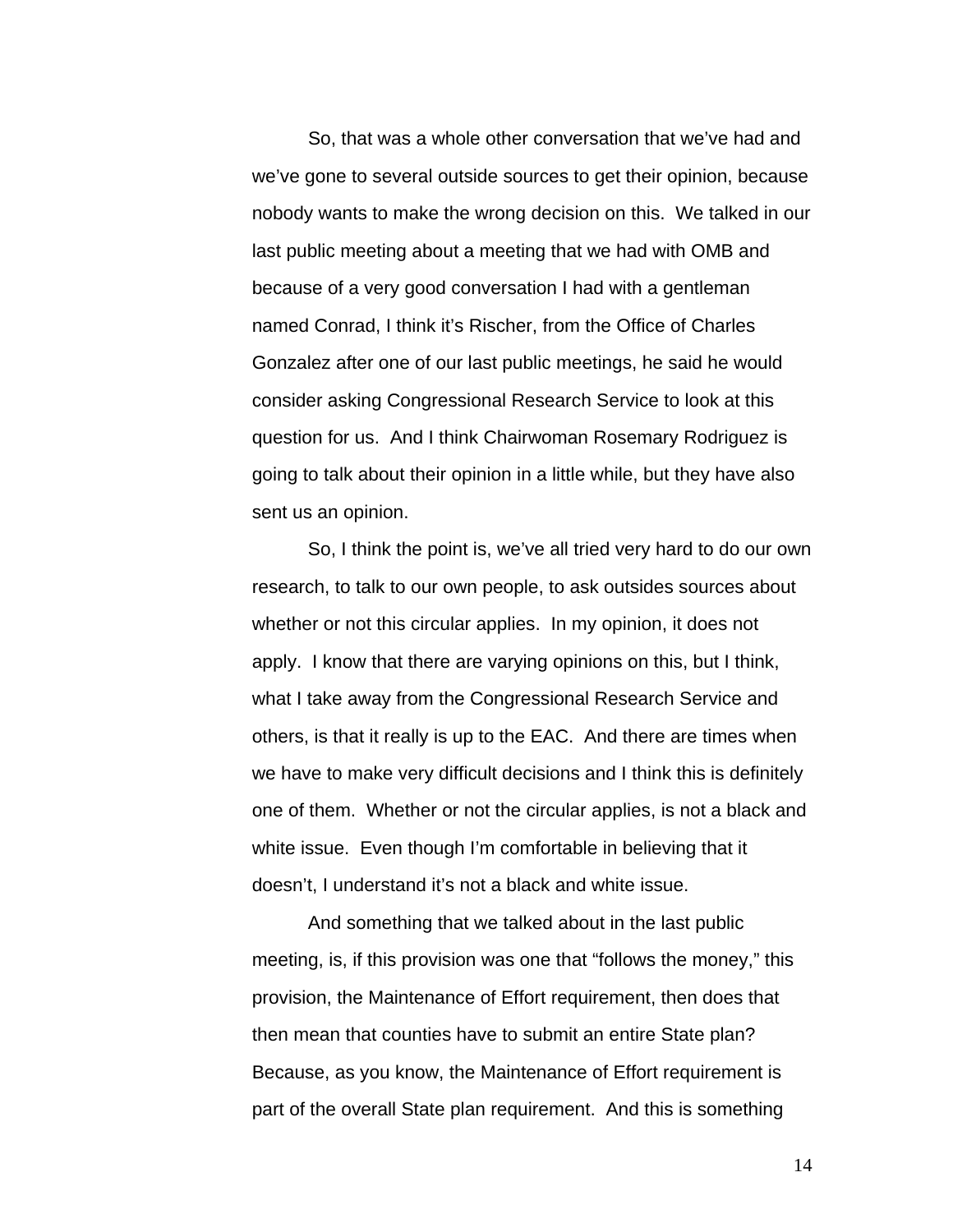So, that was a whole other conversation that we've had and we've gone to several outside sources to get their opinion, because nobody wants to make the wrong decision on this. We talked in our last public meeting about a meeting that we had with OMB and because of a very good conversation I had with a gentleman named Conrad, I think it's Rischer, from the Office of Charles Gonzalez after one of our last public meetings, he said he would consider asking Congressional Research Service to look at this question for us. And I think Chairwoman Rosemary Rodriguez is going to talk about their opinion in a little while, but they have also sent us an opinion.

So, I think the point is, we've all tried very hard to do our own research, to talk to our own people, to ask outsides sources about whether or not this circular applies. In my opinion, it does not apply. I know that there are varying opinions on this, but I think, what I take away from the Congressional Research Service and others, is that it really is up to the EAC. And there are times when we have to make very difficult decisions and I think this is definitely one of them. Whether or not the circular applies, is not a black and white issue. Even though I'm comfortable in believing that it doesn't, I understand it's not a black and white issue.

And something that we talked about in the last public meeting, is, if this provision was one that "follows the money," this provision, the Maintenance of Effort requirement, then does that then mean that counties have to submit an entire State plan? Because, as you know, the Maintenance of Effort requirement is part of the overall State plan requirement. And this is something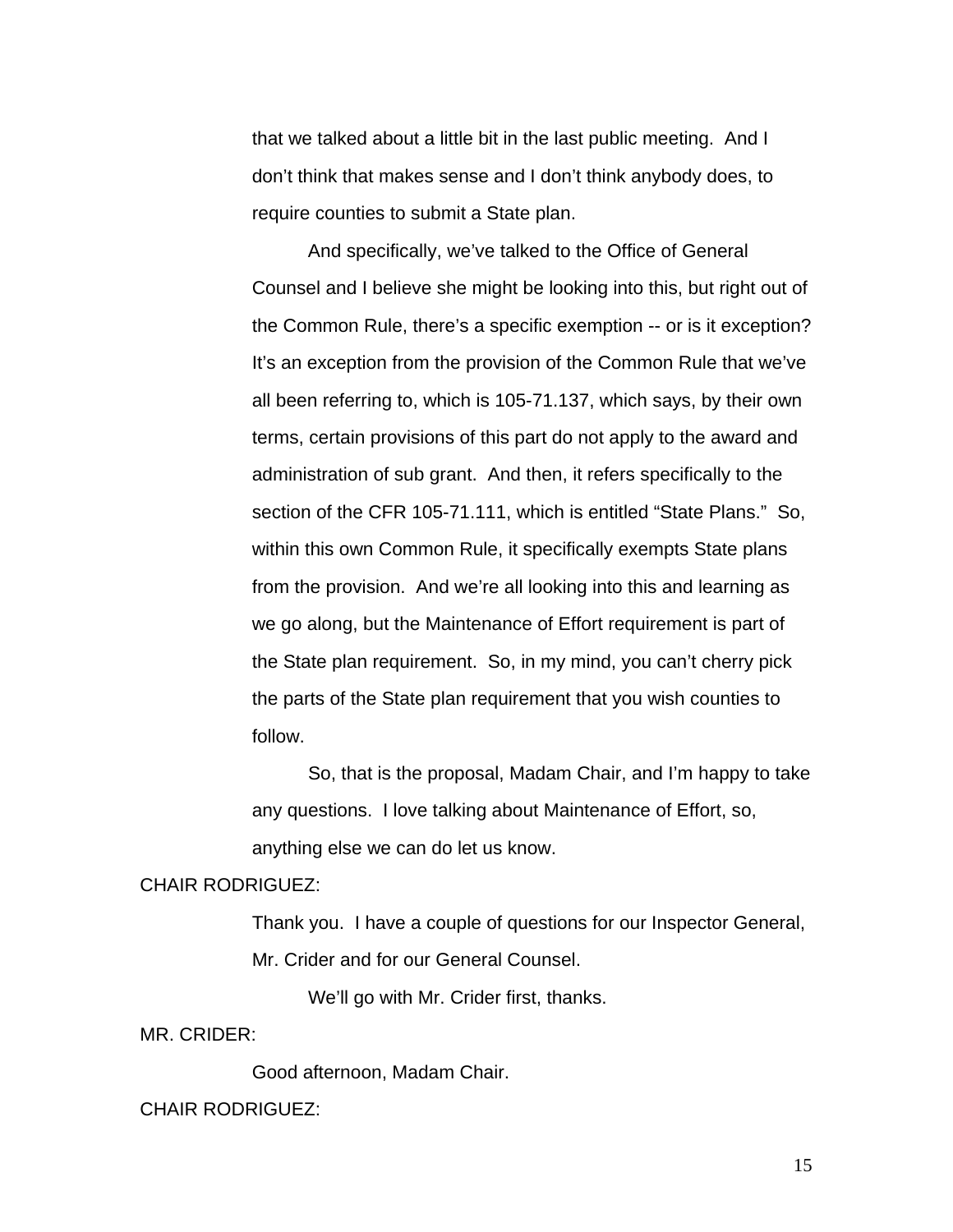that we talked about a little bit in the last public meeting. And I don't think that makes sense and I don't think anybody does, to require counties to submit a State plan.

And specifically, we've talked to the Office of General Counsel and I believe she might be looking into this, but right out of the Common Rule, there's a specific exemption -- or is it exception? It's an exception from the provision of the Common Rule that we've all been referring to, which is 105-71.137, which says, by their own terms, certain provisions of this part do not apply to the award and administration of sub grant. And then, it refers specifically to the section of the CFR 105-71.111, which is entitled "State Plans." So, within this own Common Rule, it specifically exempts State plans from the provision. And we're all looking into this and learning as we go along, but the Maintenance of Effort requirement is part of the State plan requirement. So, in my mind, you can't cherry pick the parts of the State plan requirement that you wish counties to follow.

 So, that is the proposal, Madam Chair, and I'm happy to take any questions. I love talking about Maintenance of Effort, so, anything else we can do let us know.

### CHAIR RODRIGUEZ:

Thank you. I have a couple of questions for our Inspector General, Mr. Crider and for our General Counsel.

We'll go with Mr. Crider first, thanks.

MR. CRIDER:

Good afternoon, Madam Chair.

#### CHAIR RODRIGUEZ: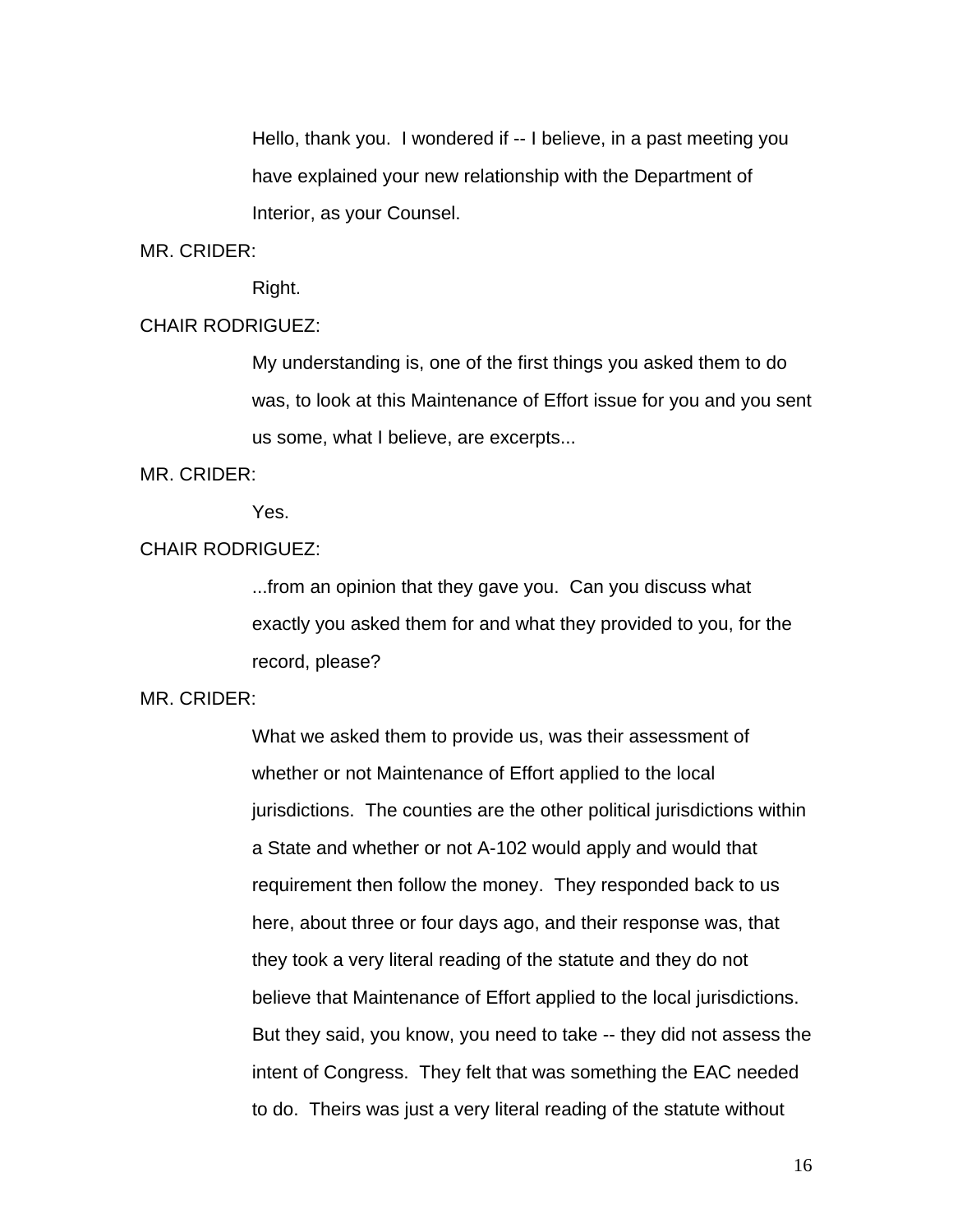Hello, thank you. I wondered if -- I believe, in a past meeting you have explained your new relationship with the Department of Interior, as your Counsel.

#### MR. CRIDER:

Right.

## CHAIR RODRIGUEZ:

My understanding is, one of the first things you asked them to do was, to look at this Maintenance of Effort issue for you and you sent us some, what I believe, are excerpts...

#### MR. CRIDER:

Yes.

## CHAIR RODRIGUEZ:

...from an opinion that they gave you. Can you discuss what exactly you asked them for and what they provided to you, for the record, please?

## MR. CRIDER:

What we asked them to provide us, was their assessment of whether or not Maintenance of Effort applied to the local jurisdictions. The counties are the other political jurisdictions within a State and whether or not A-102 would apply and would that requirement then follow the money. They responded back to us here, about three or four days ago, and their response was, that they took a very literal reading of the statute and they do not believe that Maintenance of Effort applied to the local jurisdictions. But they said, you know, you need to take -- they did not assess the intent of Congress. They felt that was something the EAC needed to do. Theirs was just a very literal reading of the statute without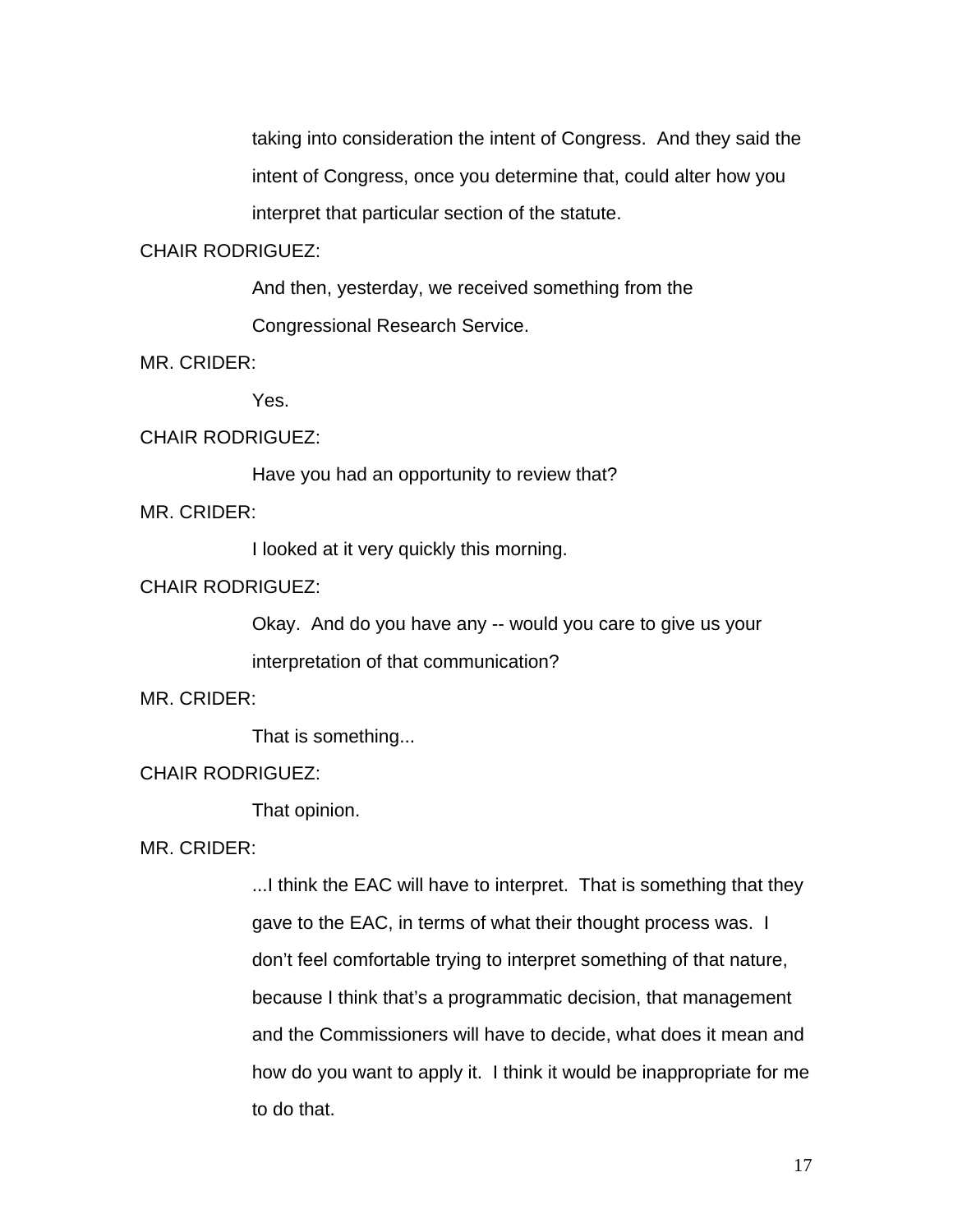taking into consideration the intent of Congress. And they said the intent of Congress, once you determine that, could alter how you interpret that particular section of the statute.

# CHAIR RODRIGUEZ:

And then, yesterday, we received something from the Congressional Research Service.

MR. CRIDER:

Yes.

#### CHAIR RODRIGUEZ:

Have you had an opportunity to review that?

MR. CRIDER:

I looked at it very quickly this morning.

### CHAIR RODRIGUEZ:

Okay. And do you have any -- would you care to give us your

interpretation of that communication?

MR. CRIDER:

That is something...

## CHAIR RODRIGUEZ:

That opinion.

MR. CRIDER:

...I think the EAC will have to interpret. That is something that they gave to the EAC, in terms of what their thought process was. I don't feel comfortable trying to interpret something of that nature, because I think that's a programmatic decision, that management and the Commissioners will have to decide, what does it mean and how do you want to apply it. I think it would be inappropriate for me to do that.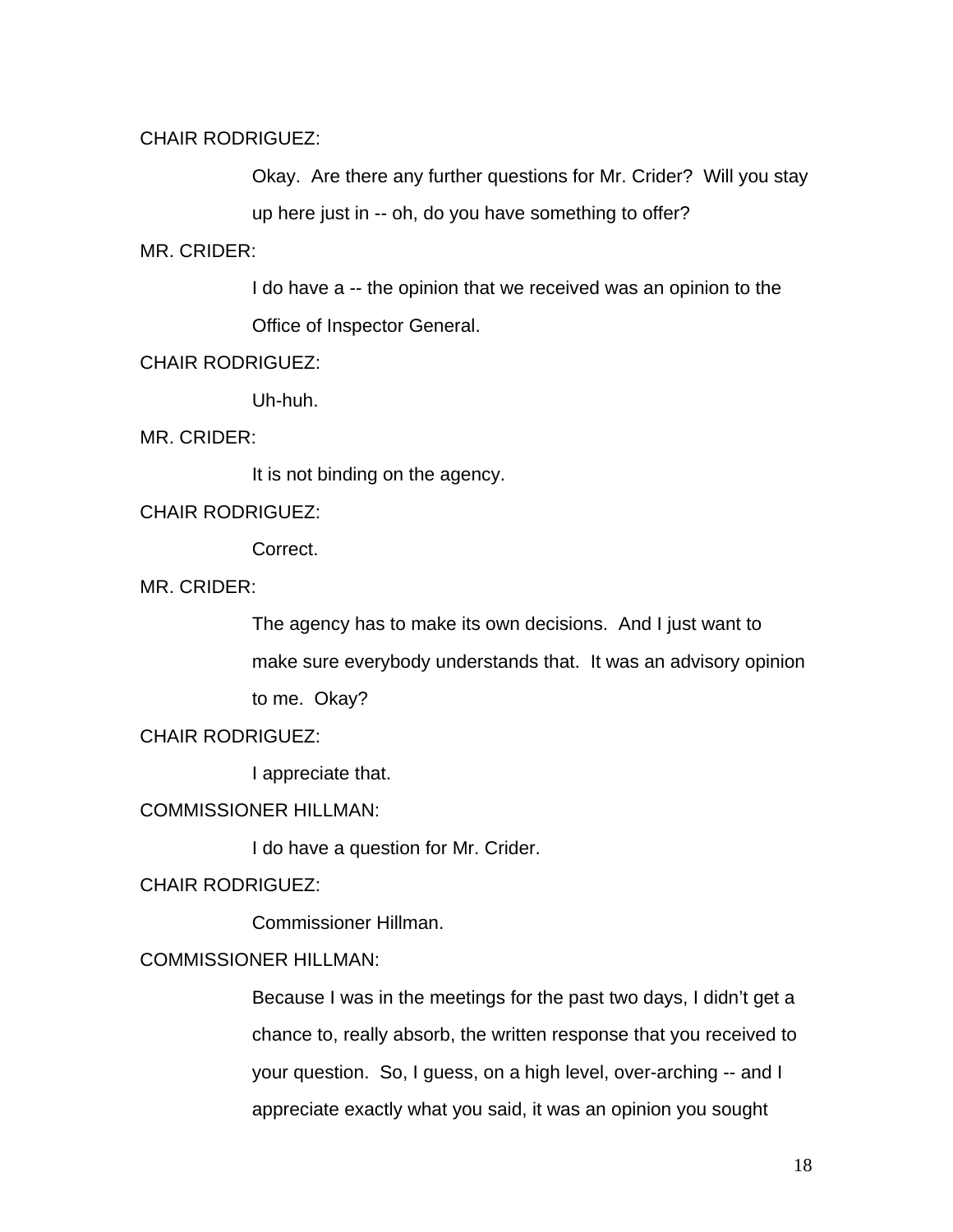# CHAIR RODRIGUEZ:

Okay. Are there any further questions for Mr. Crider? Will you stay

up here just in -- oh, do you have something to offer?

#### MR. CRIDER:

I do have a -- the opinion that we received was an opinion to the

Office of Inspector General.

# CHAIR RODRIGUEZ:

Uh-huh.

MR. CRIDER:

It is not binding on the agency.

## CHAIR RODRIGUEZ:

Correct.

MR. CRIDER:

The agency has to make its own decisions. And I just want to make sure everybody understands that. It was an advisory opinion to me. Okay?

CHAIR RODRIGUEZ:

I appreciate that.

COMMISSIONER HILLMAN:

I do have a question for Mr. Crider.

CHAIR RODRIGUEZ:

Commissioner Hillman.

# COMMISSIONER HILLMAN:

Because I was in the meetings for the past two days, I didn't get a chance to, really absorb, the written response that you received to your question. So, I guess, on a high level, over-arching -- and I appreciate exactly what you said, it was an opinion you sought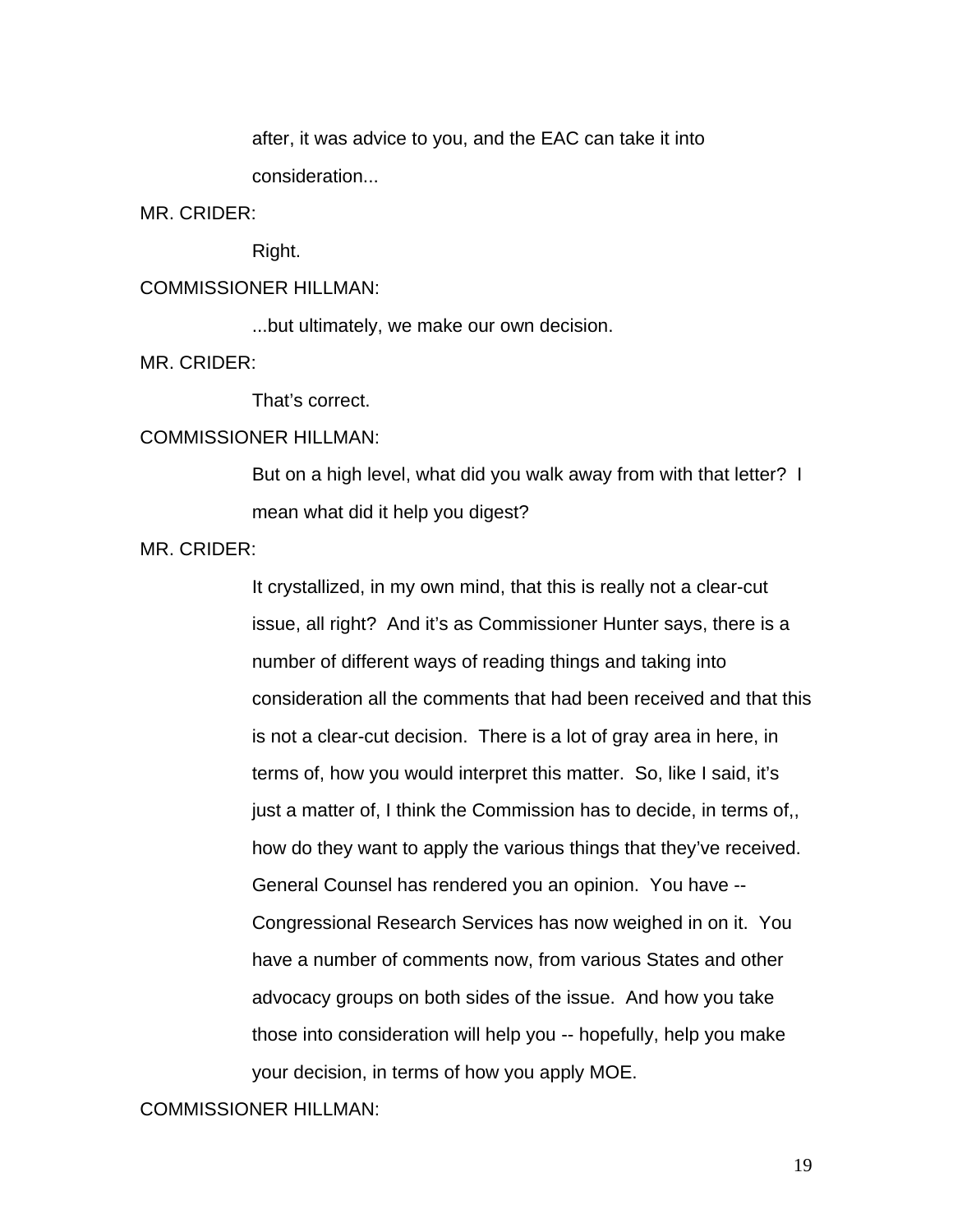after, it was advice to you, and the EAC can take it into consideration...

MR. CRIDER:

Right.

## COMMISSIONER HILLMAN:

...but ultimately, we make our own decision.

MR. CRIDER:

That's correct.

## COMMISSIONER HILLMAN:

But on a high level, what did you walk away from with that letter? I mean what did it help you digest?

MR. CRIDER:

It crystallized, in my own mind, that this is really not a clear-cut issue, all right? And it's as Commissioner Hunter says, there is a number of different ways of reading things and taking into consideration all the comments that had been received and that this is not a clear-cut decision. There is a lot of gray area in here, in terms of, how you would interpret this matter. So, like I said, it's just a matter of, I think the Commission has to decide, in terms of,, how do they want to apply the various things that they've received. General Counsel has rendered you an opinion. You have -- Congressional Research Services has now weighed in on it. You have a number of comments now, from various States and other advocacy groups on both sides of the issue. And how you take those into consideration will help you -- hopefully, help you make your decision, in terms of how you apply MOE.

## COMMISSIONER HILLMAN: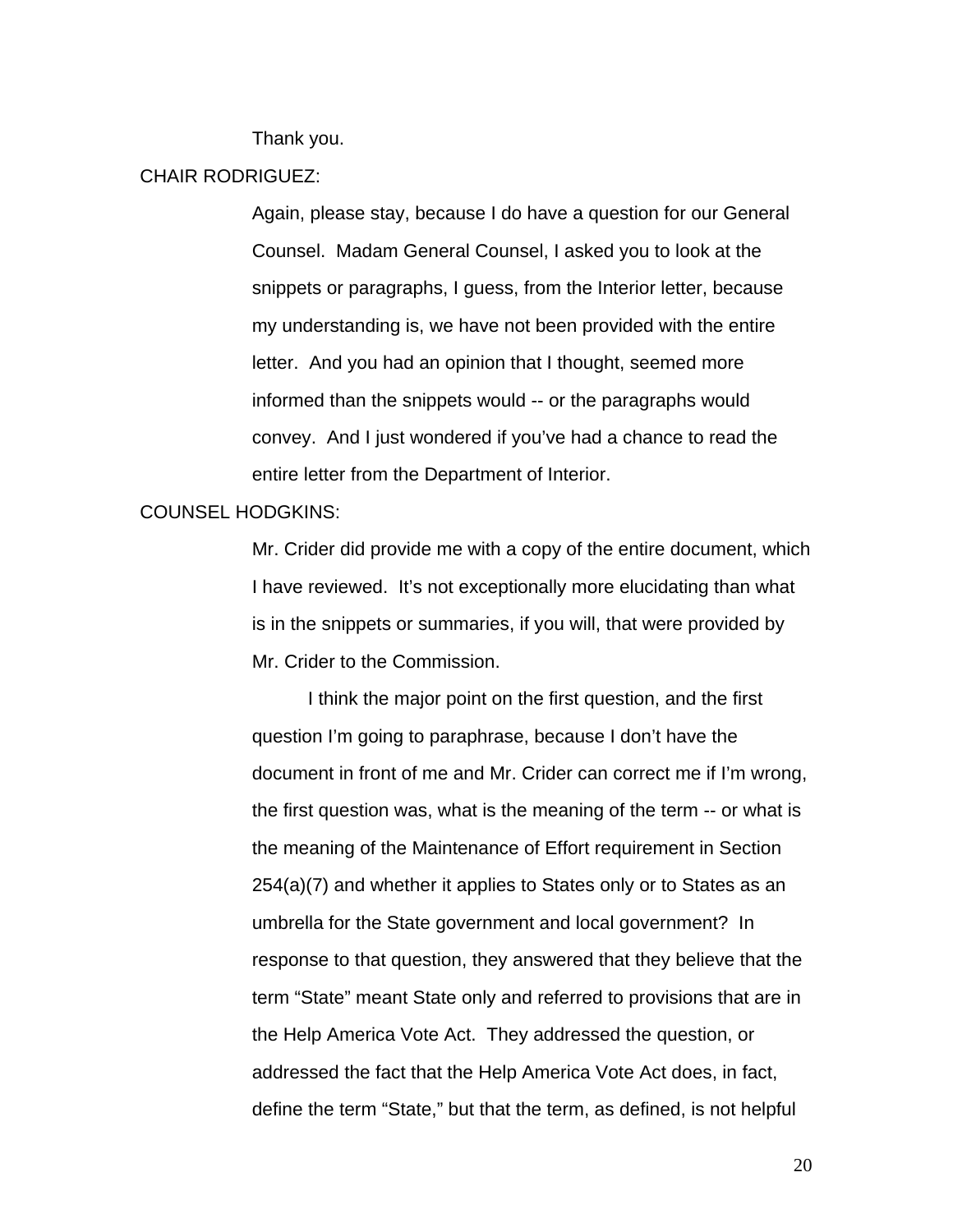Thank you.

## CHAIR RODRIGUEZ:

Again, please stay, because I do have a question for our General Counsel. Madam General Counsel, I asked you to look at the snippets or paragraphs, I guess, from the Interior letter, because my understanding is, we have not been provided with the entire letter. And you had an opinion that I thought, seemed more informed than the snippets would -- or the paragraphs would convey. And I just wondered if you've had a chance to read the entire letter from the Department of Interior.

#### COUNSEL HODGKINS:

Mr. Crider did provide me with a copy of the entire document, which I have reviewed. It's not exceptionally more elucidating than what is in the snippets or summaries, if you will, that were provided by Mr. Crider to the Commission.

I think the major point on the first question, and the first question I'm going to paraphrase, because I don't have the document in front of me and Mr. Crider can correct me if I'm wrong, the first question was, what is the meaning of the term -- or what is the meaning of the Maintenance of Effort requirement in Section 254(a)(7) and whether it applies to States only or to States as an umbrella for the State government and local government? In response to that question, they answered that they believe that the term "State" meant State only and referred to provisions that are in the Help America Vote Act. They addressed the question, or addressed the fact that the Help America Vote Act does, in fact, define the term "State," but that the term, as defined, is not helpful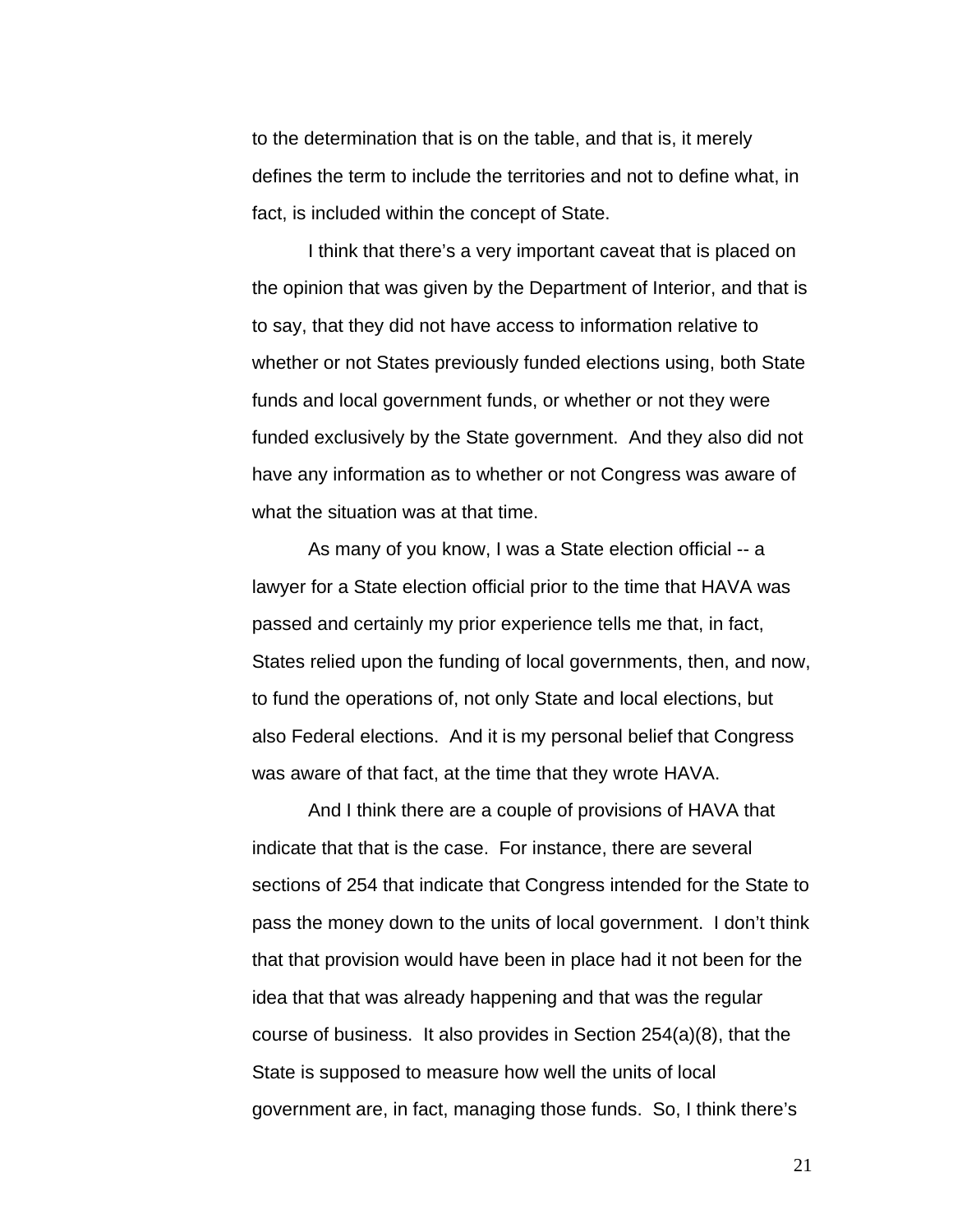to the determination that is on the table, and that is, it merely defines the term to include the territories and not to define what, in fact, is included within the concept of State.

 I think that there's a very important caveat that is placed on the opinion that was given by the Department of Interior, and that is to say, that they did not have access to information relative to whether or not States previously funded elections using, both State funds and local government funds, or whether or not they were funded exclusively by the State government. And they also did not have any information as to whether or not Congress was aware of what the situation was at that time.

As many of you know, I was a State election official -- a lawyer for a State election official prior to the time that HAVA was passed and certainly my prior experience tells me that, in fact, States relied upon the funding of local governments, then, and now, to fund the operations of, not only State and local elections, but also Federal elections. And it is my personal belief that Congress was aware of that fact, at the time that they wrote HAVA.

And I think there are a couple of provisions of HAVA that indicate that that is the case. For instance, there are several sections of 254 that indicate that Congress intended for the State to pass the money down to the units of local government. I don't think that that provision would have been in place had it not been for the idea that that was already happening and that was the regular course of business. It also provides in Section 254(a)(8), that the State is supposed to measure how well the units of local government are, in fact, managing those funds. So, I think there's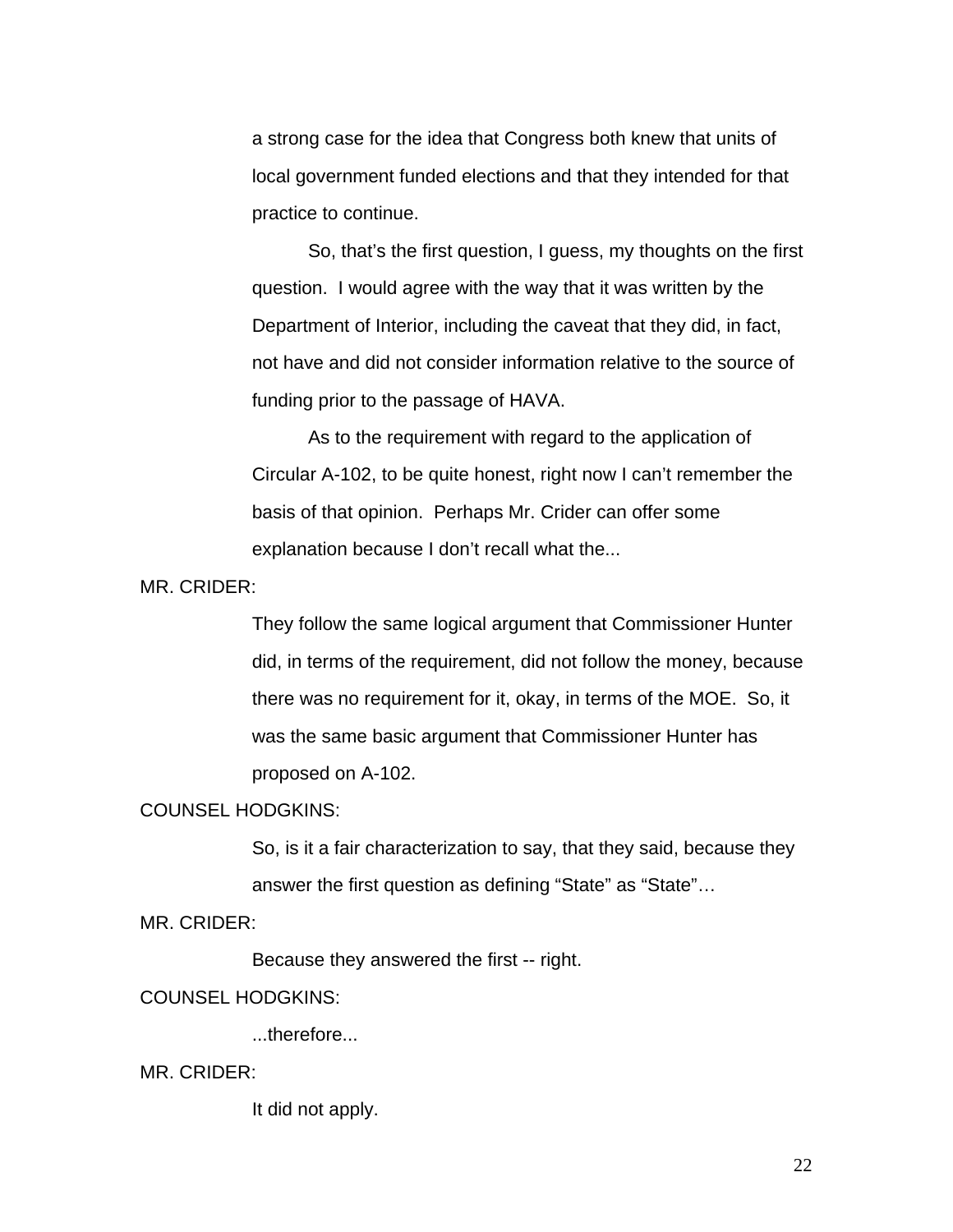a strong case for the idea that Congress both knew that units of local government funded elections and that they intended for that practice to continue.

 So, that's the first question, I guess, my thoughts on the first question. I would agree with the way that it was written by the Department of Interior, including the caveat that they did, in fact, not have and did not consider information relative to the source of funding prior to the passage of HAVA.

 As to the requirement with regard to the application of Circular A-102, to be quite honest, right now I can't remember the basis of that opinion. Perhaps Mr. Crider can offer some explanation because I don't recall what the...

MR. CRIDER:

They follow the same logical argument that Commissioner Hunter did, in terms of the requirement, did not follow the money, because there was no requirement for it, okay, in terms of the MOE. So, it was the same basic argument that Commissioner Hunter has proposed on A-102.

#### COUNSEL HODGKINS:

So, is it a fair characterization to say, that they said, because they answer the first question as defining "State" as "State"...

MR. CRIDER:

Because they answered the first -- right.

#### COUNSEL HODGKINS:

...therefore...

#### MR. CRIDER:

It did not apply.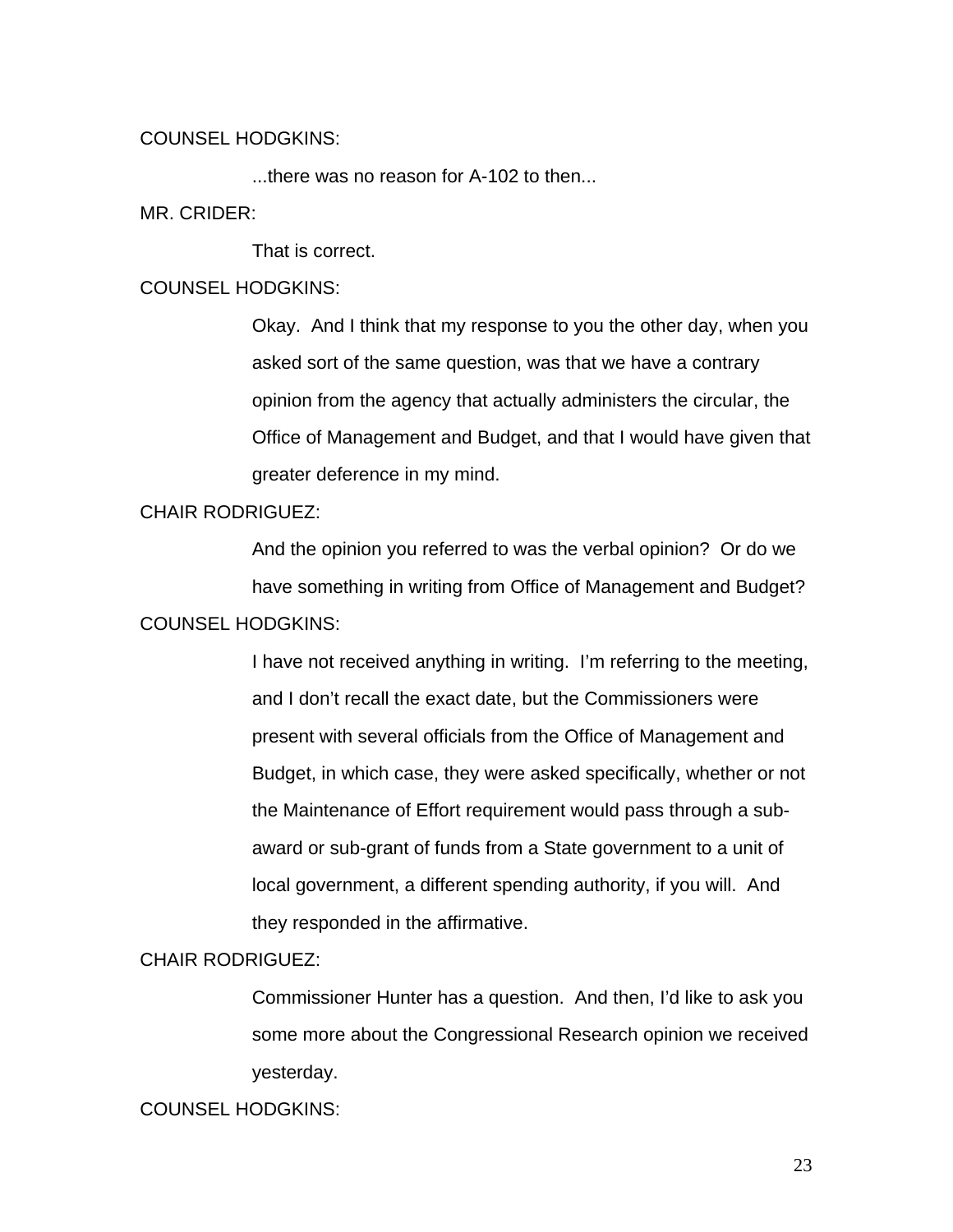#### COUNSEL HODGKINS:

...there was no reason for A-102 to then...

#### MR. CRIDER:

That is correct.

## COUNSEL HODGKINS:

Okay. And I think that my response to you the other day, when you asked sort of the same question, was that we have a contrary opinion from the agency that actually administers the circular, the Office of Management and Budget, and that I would have given that greater deference in my mind.

## CHAIR RODRIGUEZ:

And the opinion you referred to was the verbal opinion? Or do we have something in writing from Office of Management and Budget? COUNSEL HODGKINS:

> I have not received anything in writing. I'm referring to the meeting, and I don't recall the exact date, but the Commissioners were present with several officials from the Office of Management and Budget, in which case, they were asked specifically, whether or not the Maintenance of Effort requirement would pass through a subaward or sub-grant of funds from a State government to a unit of local government, a different spending authority, if you will. And they responded in the affirmative.

# CHAIR RODRIGUEZ:

Commissioner Hunter has a question. And then, I'd like to ask you some more about the Congressional Research opinion we received yesterday.

## COUNSEL HODGKINS: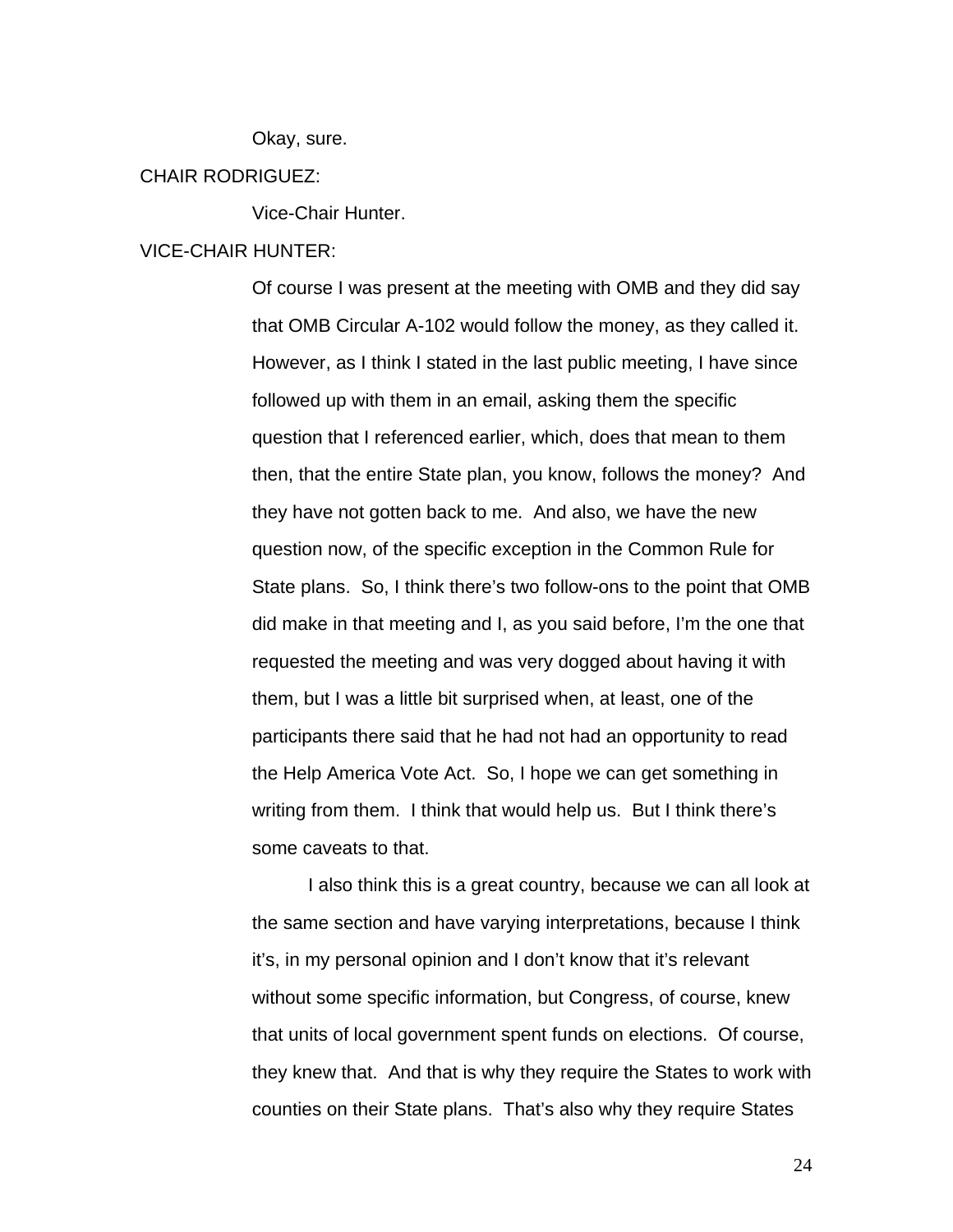Okay, sure.

## CHAIR RODRIGUEZ:

Vice-Chair Hunter.

#### VICE-CHAIR HUNTER:

Of course I was present at the meeting with OMB and they did say that OMB Circular A-102 would follow the money, as they called it. However, as I think I stated in the last public meeting, I have since followed up with them in an email, asking them the specific question that I referenced earlier, which, does that mean to them then, that the entire State plan, you know, follows the money? And they have not gotten back to me. And also, we have the new question now, of the specific exception in the Common Rule for State plans. So, I think there's two follow-ons to the point that OMB did make in that meeting and I, as you said before, I'm the one that requested the meeting and was very dogged about having it with them, but I was a little bit surprised when, at least, one of the participants there said that he had not had an opportunity to read the Help America Vote Act. So, I hope we can get something in writing from them. I think that would help us. But I think there's some caveats to that.

 I also think this is a great country, because we can all look at the same section and have varying interpretations, because I think it's, in my personal opinion and I don't know that it's relevant without some specific information, but Congress, of course, knew that units of local government spent funds on elections. Of course, they knew that. And that is why they require the States to work with counties on their State plans. That's also why they require States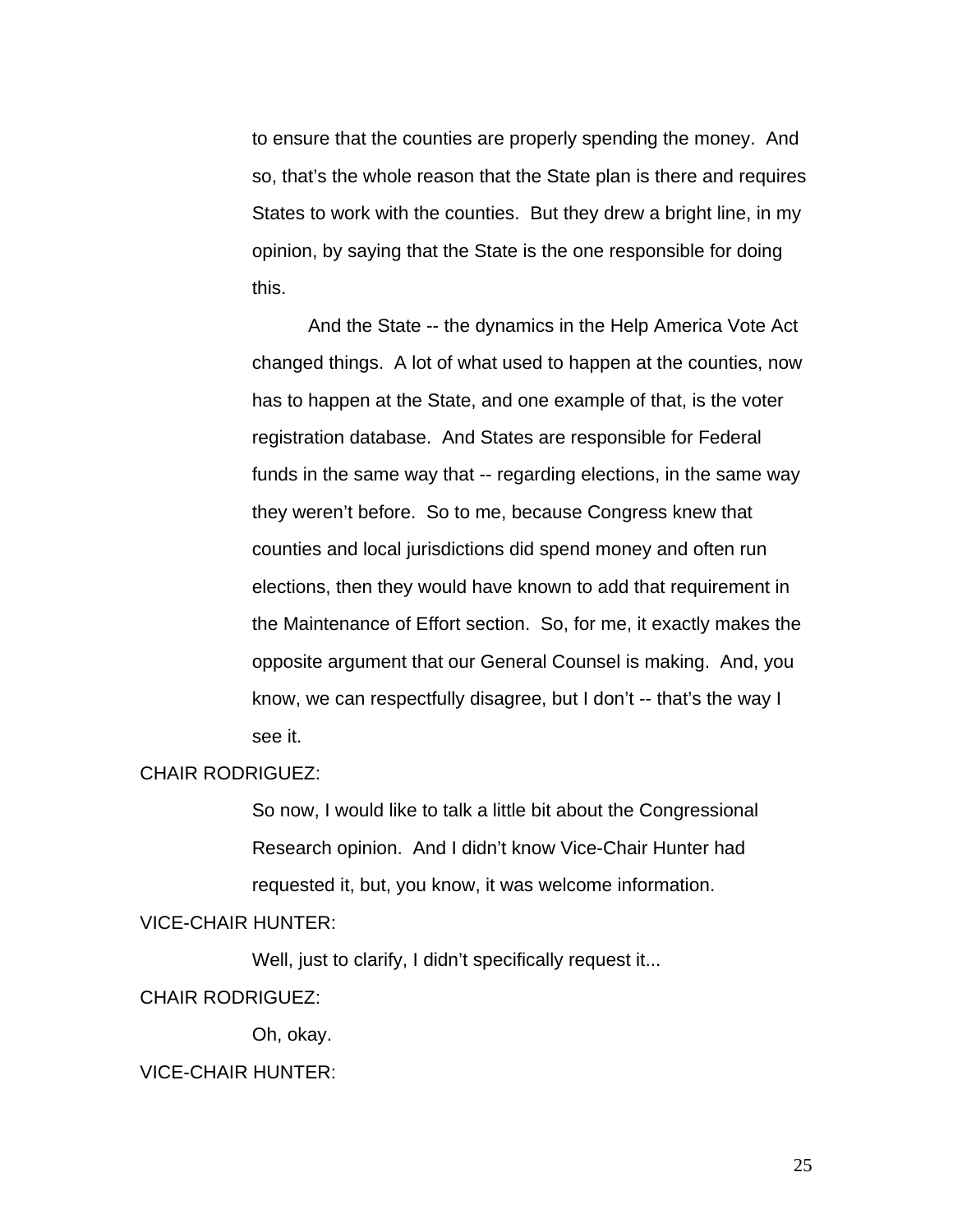to ensure that the counties are properly spending the money. And so, that's the whole reason that the State plan is there and requires States to work with the counties. But they drew a bright line, in my opinion, by saying that the State is the one responsible for doing this.

And the State -- the dynamics in the Help America Vote Act changed things. A lot of what used to happen at the counties, now has to happen at the State, and one example of that, is the voter registration database. And States are responsible for Federal funds in the same way that -- regarding elections, in the same way they weren't before. So to me, because Congress knew that counties and local jurisdictions did spend money and often run elections, then they would have known to add that requirement in the Maintenance of Effort section. So, for me, it exactly makes the opposite argument that our General Counsel is making. And, you know, we can respectfully disagree, but I don't -- that's the way I see it.

#### CHAIR RODRIGUEZ:

So now, I would like to talk a little bit about the Congressional Research opinion. And I didn't know Vice-Chair Hunter had requested it, but, you know, it was welcome information.

### VICE-CHAIR HUNTER:

Well, just to clarify, I didn't specifically request it...

#### CHAIR RODRIGUEZ:

Oh, okay.

#### VICE-CHAIR HUNTER: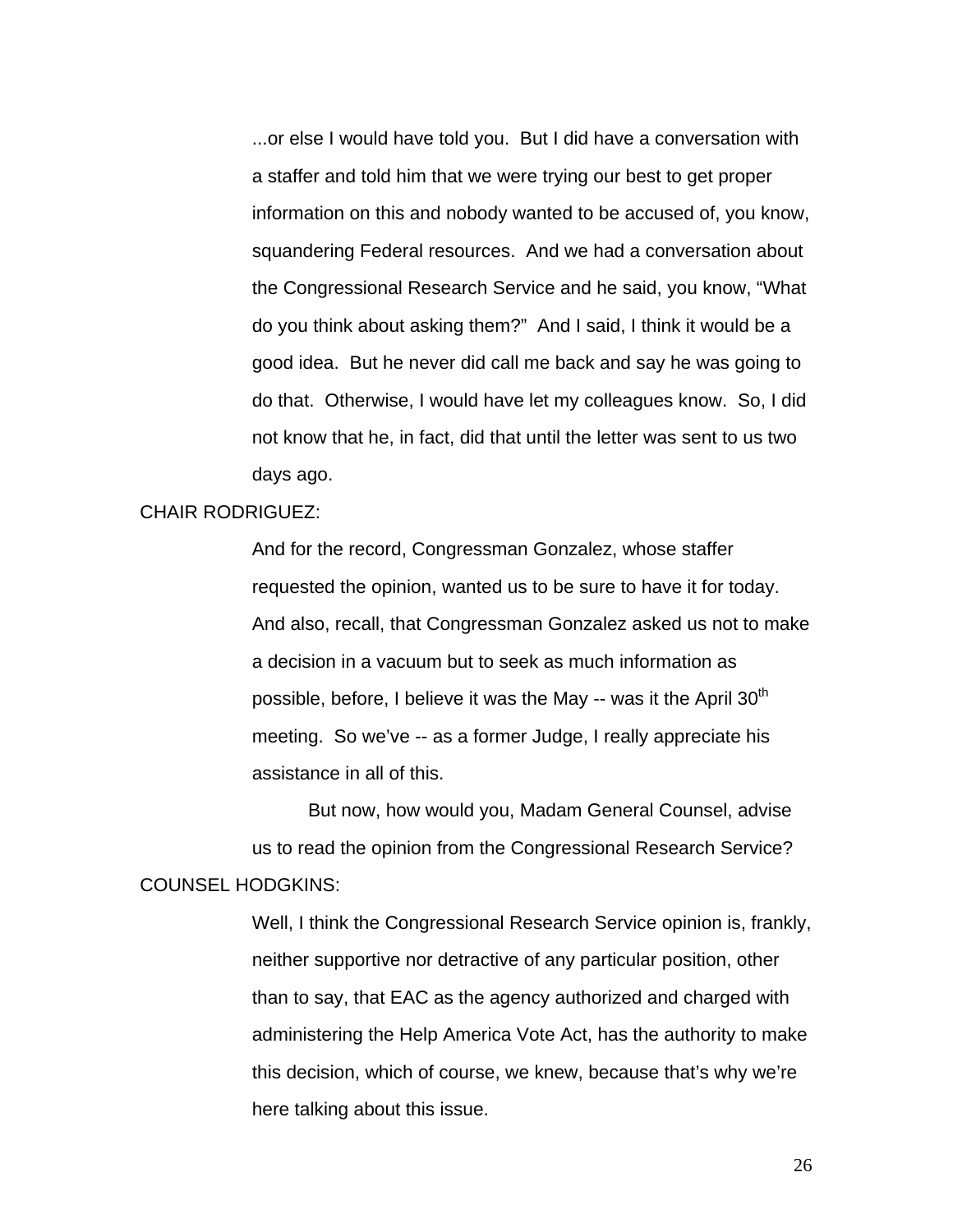...or else I would have told you. But I did have a conversation with a staffer and told him that we were trying our best to get proper information on this and nobody wanted to be accused of, you know, squandering Federal resources. And we had a conversation about the Congressional Research Service and he said, you know, "What do you think about asking them?" And I said, I think it would be a good idea. But he never did call me back and say he was going to do that. Otherwise, I would have let my colleagues know. So, I did not know that he, in fact, did that until the letter was sent to us two days ago.

#### CHAIR RODRIGUEZ:

And for the record, Congressman Gonzalez, whose staffer requested the opinion, wanted us to be sure to have it for today. And also, recall, that Congressman Gonzalez asked us not to make a decision in a vacuum but to seek as much information as possible, before, I believe it was the May  $-$  was it the April 30<sup>th</sup> meeting. So we've -- as a former Judge, I really appreciate his assistance in all of this.

 But now, how would you, Madam General Counsel, advise us to read the opinion from the Congressional Research Service? COUNSEL HODGKINS:

> Well, I think the Congressional Research Service opinion is, frankly, neither supportive nor detractive of any particular position, other than to say, that EAC as the agency authorized and charged with administering the Help America Vote Act, has the authority to make this decision, which of course, we knew, because that's why we're here talking about this issue.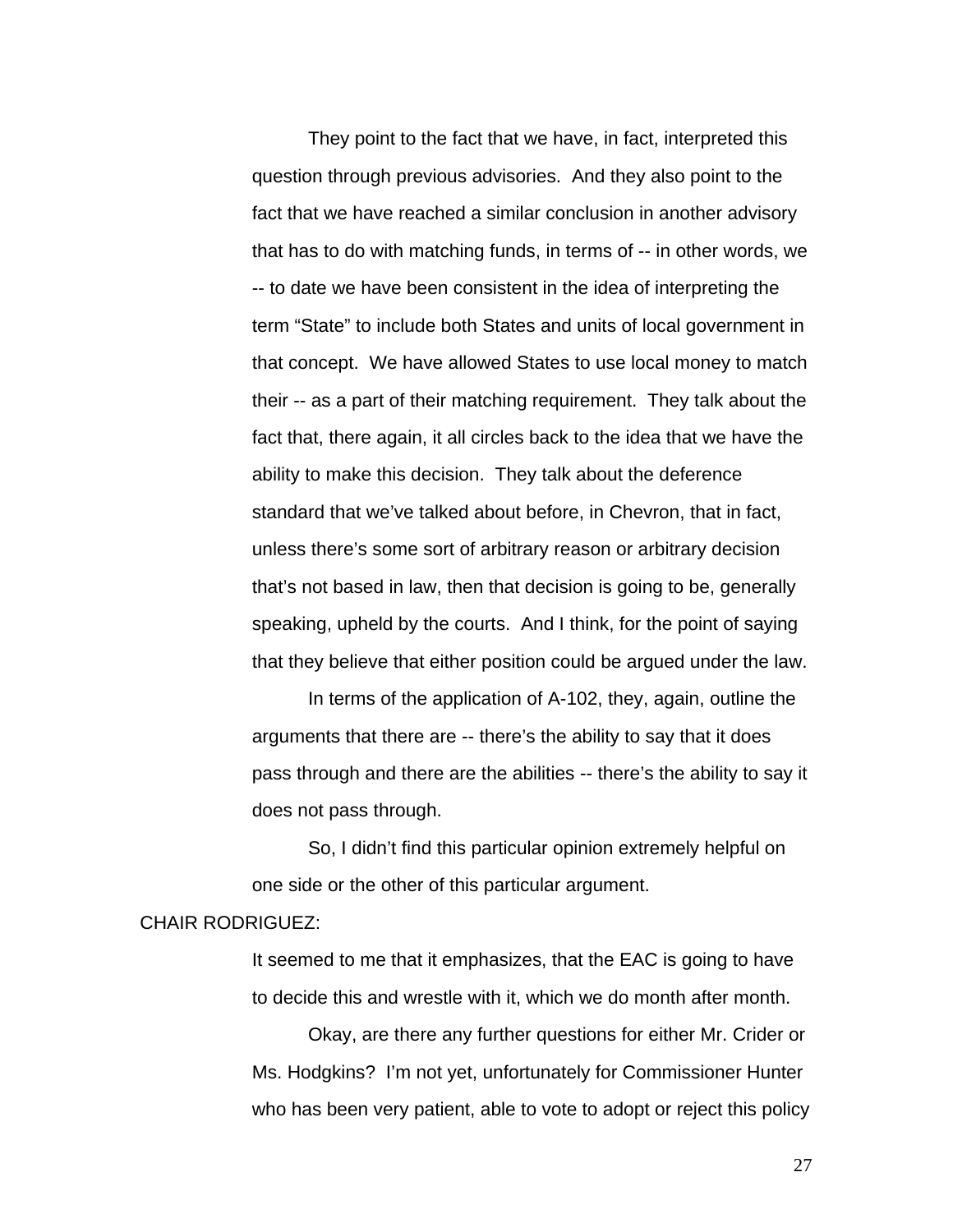They point to the fact that we have, in fact, interpreted this question through previous advisories. And they also point to the fact that we have reached a similar conclusion in another advisory that has to do with matching funds, in terms of -- in other words, we -- to date we have been consistent in the idea of interpreting the term "State" to include both States and units of local government in that concept. We have allowed States to use local money to match their -- as a part of their matching requirement. They talk about the fact that, there again, it all circles back to the idea that we have the ability to make this decision. They talk about the deference standard that we've talked about before, in Chevron, that in fact, unless there's some sort of arbitrary reason or arbitrary decision that's not based in law, then that decision is going to be, generally speaking, upheld by the courts. And I think, for the point of saying that they believe that either position could be argued under the law.

 In terms of the application of A-102, they, again, outline the arguments that there are -- there's the ability to say that it does pass through and there are the abilities -- there's the ability to say it does not pass through.

So, I didn't find this particular opinion extremely helpful on one side or the other of this particular argument.

#### CHAIR RODRIGUEZ:

It seemed to me that it emphasizes, that the EAC is going to have to decide this and wrestle with it, which we do month after month.

 Okay, are there any further questions for either Mr. Crider or Ms. Hodgkins? I'm not yet, unfortunately for Commissioner Hunter who has been very patient, able to vote to adopt or reject this policy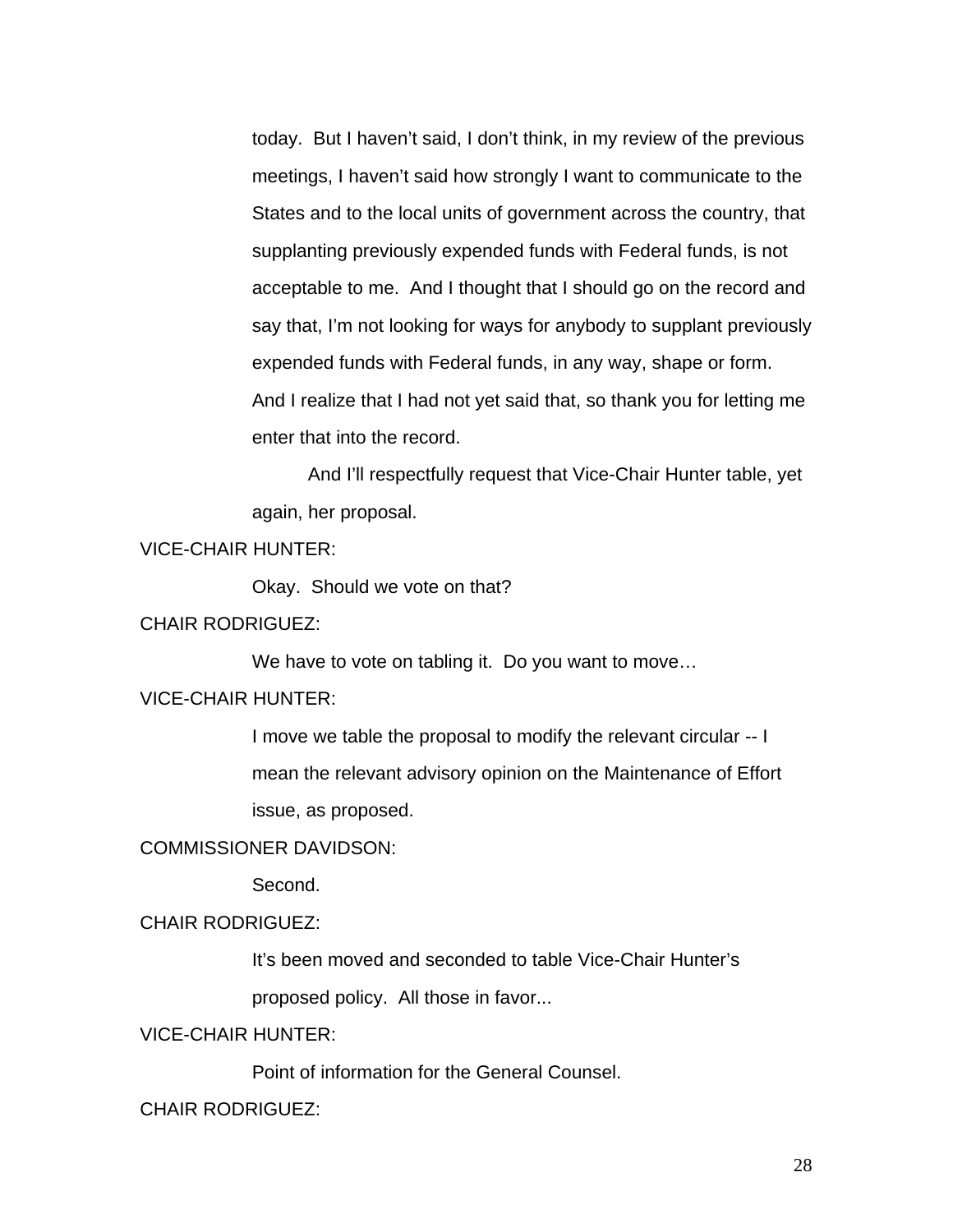today. But I haven't said, I don't think, in my review of the previous meetings, I haven't said how strongly I want to communicate to the States and to the local units of government across the country, that supplanting previously expended funds with Federal funds, is not acceptable to me. And I thought that I should go on the record and say that, I'm not looking for ways for anybody to supplant previously expended funds with Federal funds, in any way, shape or form. And I realize that I had not yet said that, so thank you for letting me enter that into the record.

And I'll respectfully request that Vice-Chair Hunter table, yet again, her proposal.

# VICE-CHAIR HUNTER:

Okay. Should we vote on that?

## CHAIR RODRIGUEZ:

We have to vote on tabling it. Do you want to move…

# VICE-CHAIR HUNTER:

I move we table the proposal to modify the relevant circular -- I mean the relevant advisory opinion on the Maintenance of Effort issue, as proposed.

## COMMISSIONER DAVIDSON:

Second.

## CHAIR RODRIGUEZ:

It's been moved and seconded to table Vice-Chair Hunter's

proposed policy. All those in favor...

# VICE-CHAIR HUNTER:

Point of information for the General Counsel.

#### CHAIR RODRIGUEZ: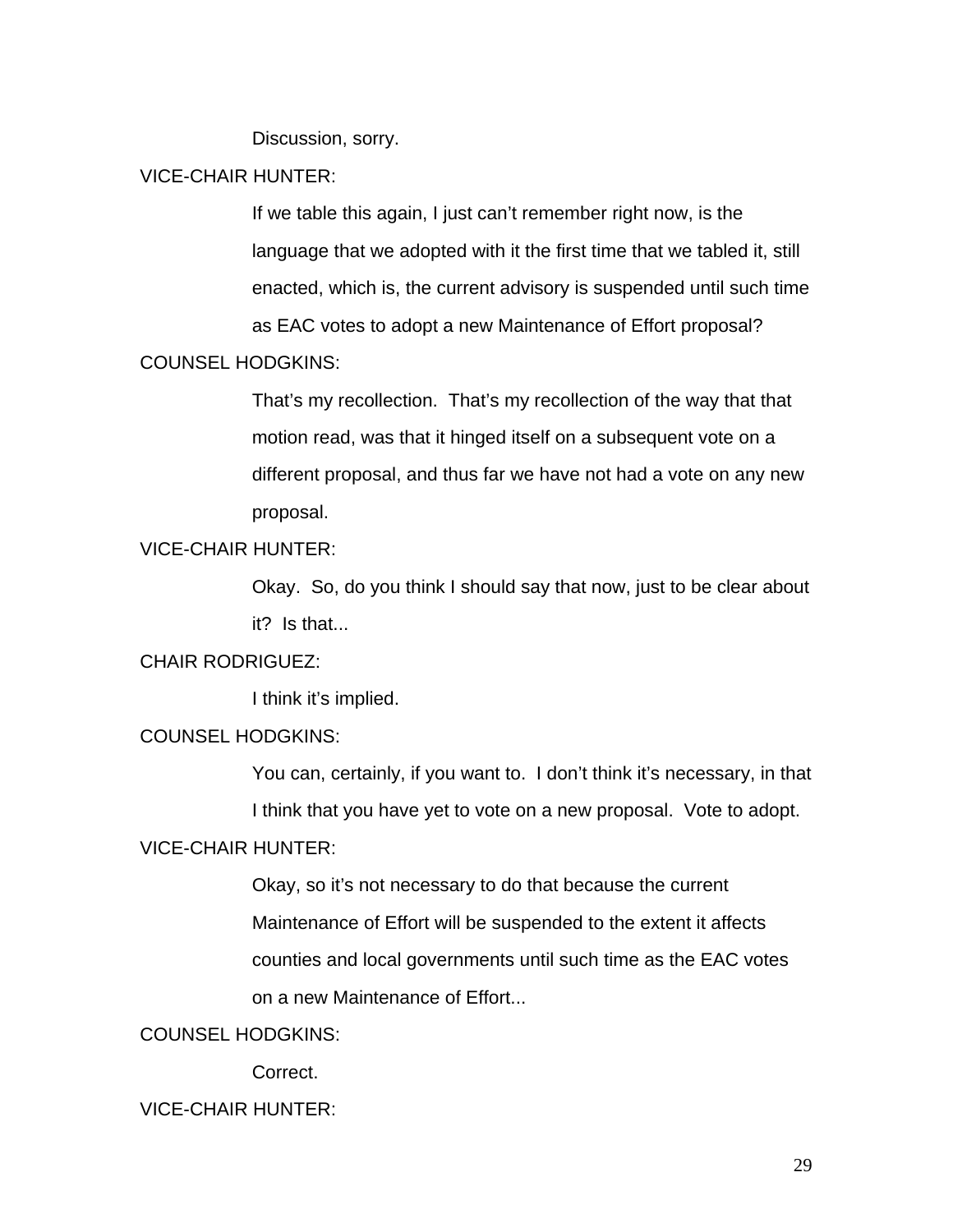Discussion, sorry.

## VICE-CHAIR HUNTER:

If we table this again, I just can't remember right now, is the language that we adopted with it the first time that we tabled it, still enacted, which is, the current advisory is suspended until such time as EAC votes to adopt a new Maintenance of Effort proposal?

## COUNSEL HODGKINS:

That's my recollection. That's my recollection of the way that that motion read, was that it hinged itself on a subsequent vote on a different proposal, and thus far we have not had a vote on any new proposal.

# VICE-CHAIR HUNTER:

Okay. So, do you think I should say that now, just to be clear about it? Is that...

## CHAIR RODRIGUEZ:

I think it's implied.

## COUNSEL HODGKINS:

You can, certainly, if you want to. I don't think it's necessary, in that I think that you have yet to vote on a new proposal. Vote to adopt.

#### VICE-CHAIR HUNTER:

Okay, so it's not necessary to do that because the current Maintenance of Effort will be suspended to the extent it affects counties and local governments until such time as the EAC votes on a new Maintenance of Effort...

# COUNSEL HODGKINS:

Correct.

## VICE-CHAIR HUNTER: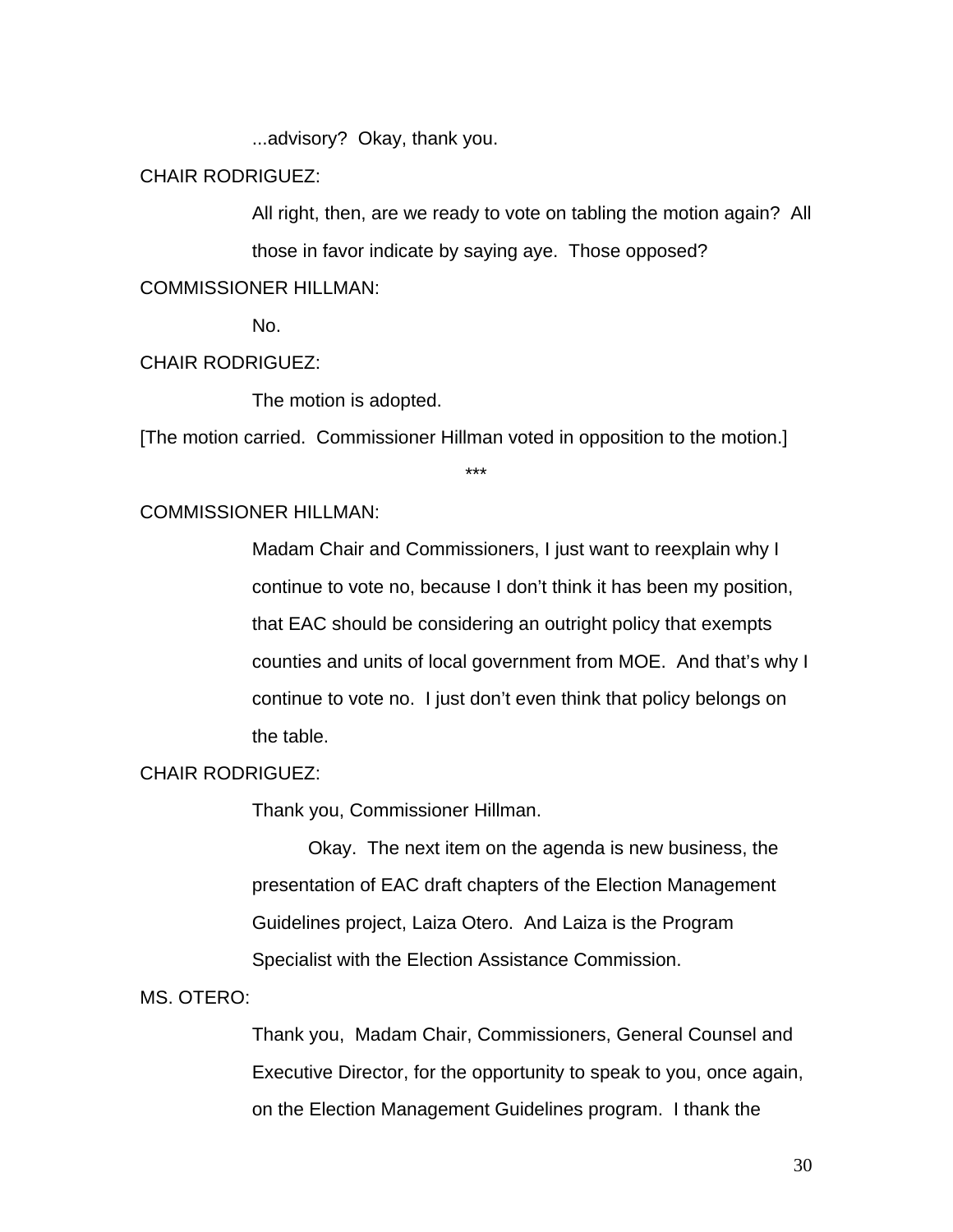...advisory? Okay, thank you.

CHAIR RODRIGUEZ:

All right, then, are we ready to vote on tabling the motion again? All those in favor indicate by saying aye. Those opposed?

COMMISSIONER HILLMAN:

No.

## CHAIR RODRIGUEZ:

The motion is adopted.

[The motion carried. Commissioner Hillman voted in opposition to the motion.]

\*\*\*

#### COMMISSIONER HILLMAN:

Madam Chair and Commissioners, I just want to reexplain why I continue to vote no, because I don't think it has been my position, that EAC should be considering an outright policy that exempts counties and units of local government from MOE. And that's why I continue to vote no. I just don't even think that policy belongs on the table.

## CHAIR RODRIGUEZ:

Thank you, Commissioner Hillman.

Okay. The next item on the agenda is new business, the presentation of EAC draft chapters of the Election Management Guidelines project, Laiza Otero. And Laiza is the Program Specialist with the Election Assistance Commission.

MS. OTERO:

Thank you, Madam Chair, Commissioners, General Counsel and Executive Director, for the opportunity to speak to you, once again, on the Election Management Guidelines program. I thank the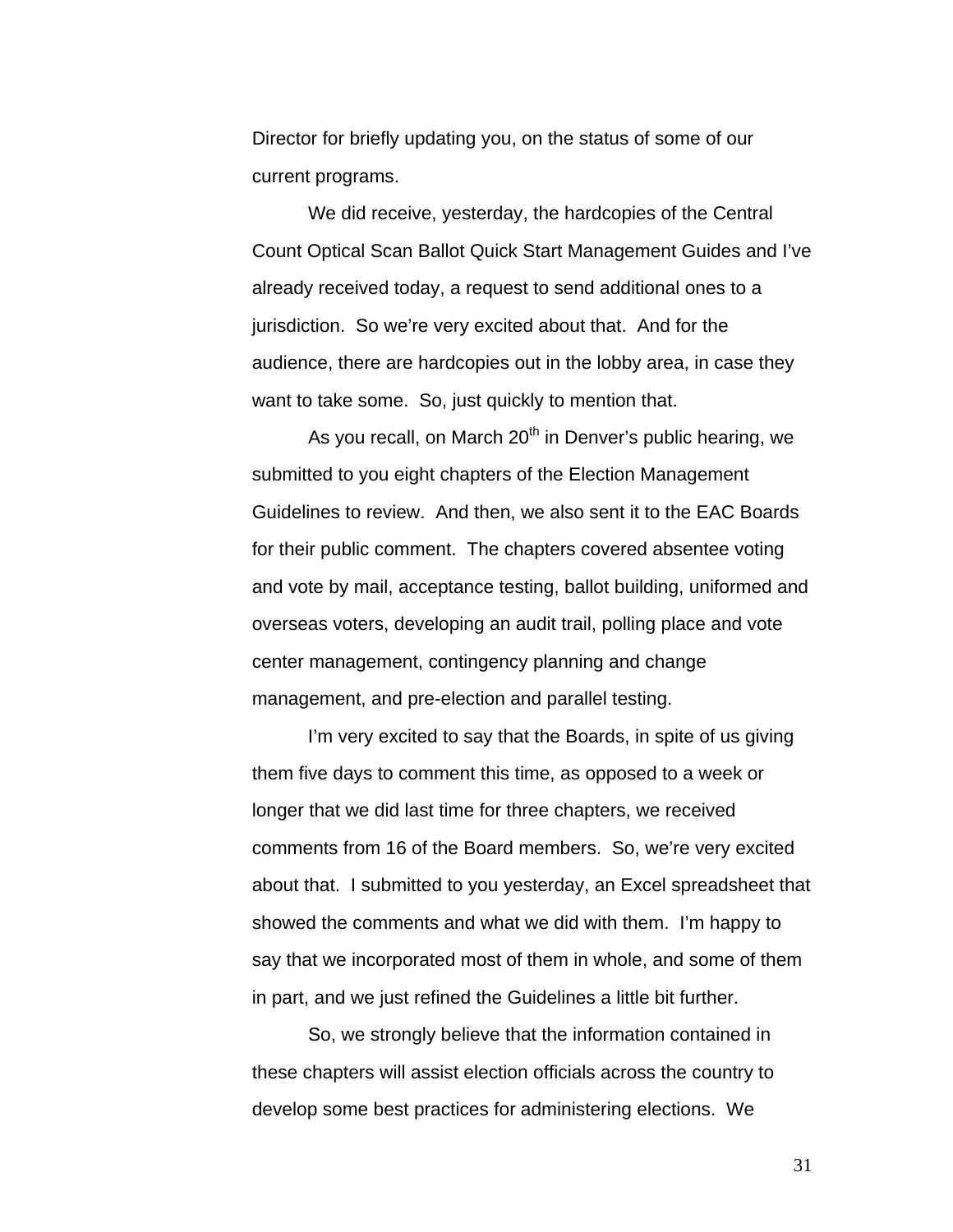Director for briefly updating you, on the status of some of our current programs.

 We did receive, yesterday, the hardcopies of the Central Count Optical Scan Ballot Quick Start Management Guides and I've already received today, a request to send additional ones to a jurisdiction. So we're very excited about that. And for the audience, there are hardcopies out in the lobby area, in case they want to take some. So, just quickly to mention that.

As you recall, on March  $20<sup>th</sup>$  in Denver's public hearing, we submitted to you eight chapters of the Election Management Guidelines to review. And then, we also sent it to the EAC Boards for their public comment. The chapters covered absentee voting and vote by mail, acceptance testing, ballot building, uniformed and overseas voters, developing an audit trail, polling place and vote center management, contingency planning and change management, and pre-election and parallel testing.

I'm very excited to say that the Boards, in spite of us giving them five days to comment this time, as opposed to a week or longer that we did last time for three chapters, we received comments from 16 of the Board members. So, we're very excited about that. I submitted to you yesterday, an Excel spreadsheet that showed the comments and what we did with them. I'm happy to say that we incorporated most of them in whole, and some of them in part, and we just refined the Guidelines a little bit further.

 So, we strongly believe that the information contained in these chapters will assist election officials across the country to develop some best practices for administering elections. We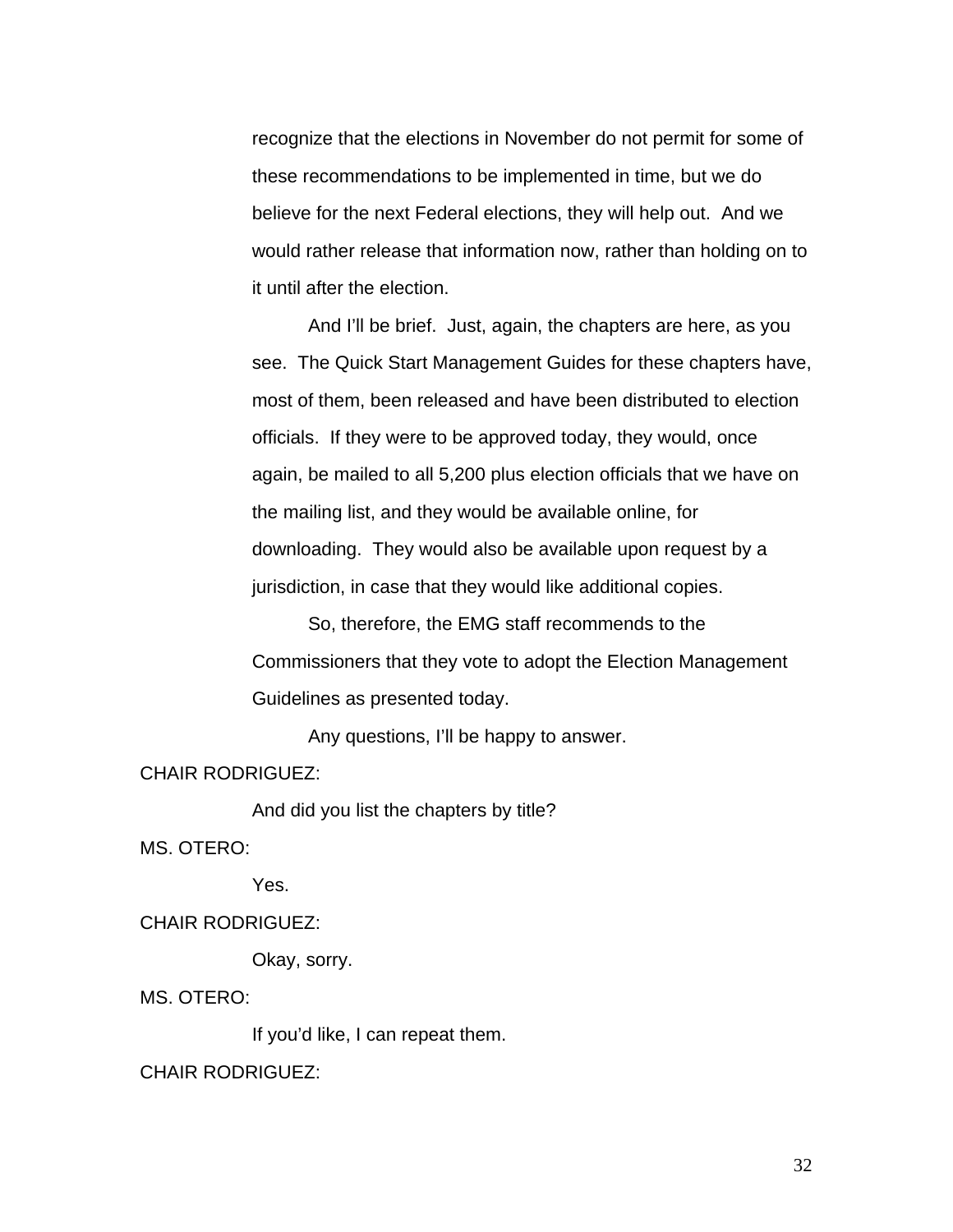recognize that the elections in November do not permit for some of these recommendations to be implemented in time, but we do believe for the next Federal elections, they will help out. And we would rather release that information now, rather than holding on to it until after the election.

 And I'll be brief. Just, again, the chapters are here, as you see. The Quick Start Management Guides for these chapters have, most of them, been released and have been distributed to election officials. If they were to be approved today, they would, once again, be mailed to all 5,200 plus election officials that we have on the mailing list, and they would be available online, for downloading. They would also be available upon request by a jurisdiction, in case that they would like additional copies.

 So, therefore, the EMG staff recommends to the Commissioners that they vote to adopt the Election Management Guidelines as presented today.

Any questions, I'll be happy to answer.

CHAIR RODRIGUEZ:

And did you list the chapters by title?

MS. OTERO:

Yes.

CHAIR RODRIGUEZ:

Okay, sorry.

MS. OTERO:

If you'd like, I can repeat them.

CHAIR RODRIGUEZ: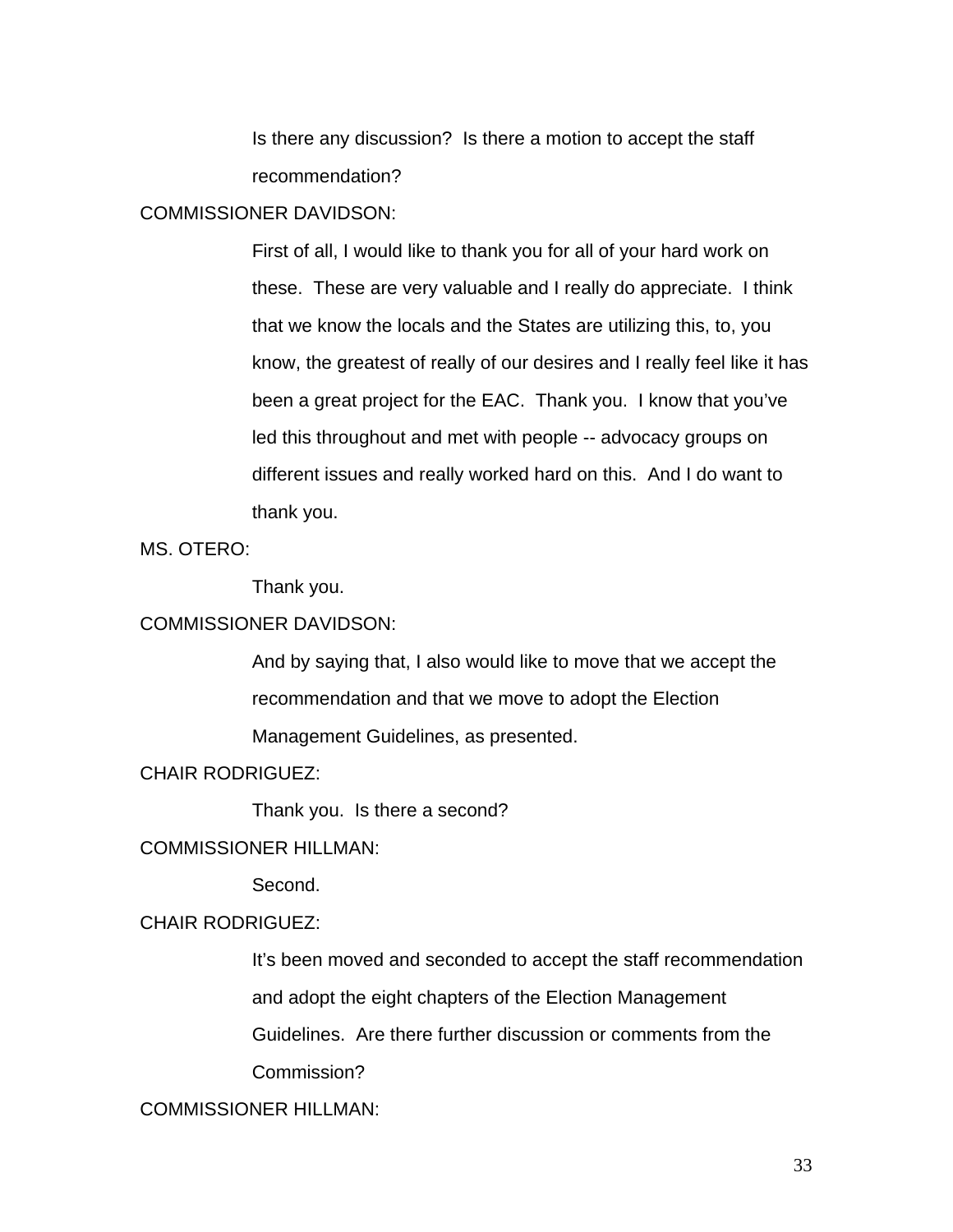Is there any discussion? Is there a motion to accept the staff recommendation?

## COMMISSIONER DAVIDSON:

First of all, I would like to thank you for all of your hard work on these. These are very valuable and I really do appreciate. I think that we know the locals and the States are utilizing this, to, you know, the greatest of really of our desires and I really feel like it has been a great project for the EAC. Thank you. I know that you've led this throughout and met with people -- advocacy groups on different issues and really worked hard on this. And I do want to thank you.

MS. OTERO:

Thank you.

## COMMISSIONER DAVIDSON:

And by saying that, I also would like to move that we accept the recommendation and that we move to adopt the Election Management Guidelines, as presented.

CHAIR RODRIGUEZ:

Thank you. Is there a second?

## COMMISSIONER HILLMAN:

Second.

## CHAIR RODRIGUEZ:

It's been moved and seconded to accept the staff recommendation and adopt the eight chapters of the Election Management Guidelines. Are there further discussion or comments from the

Commission?

# COMMISSIONER HILLMAN: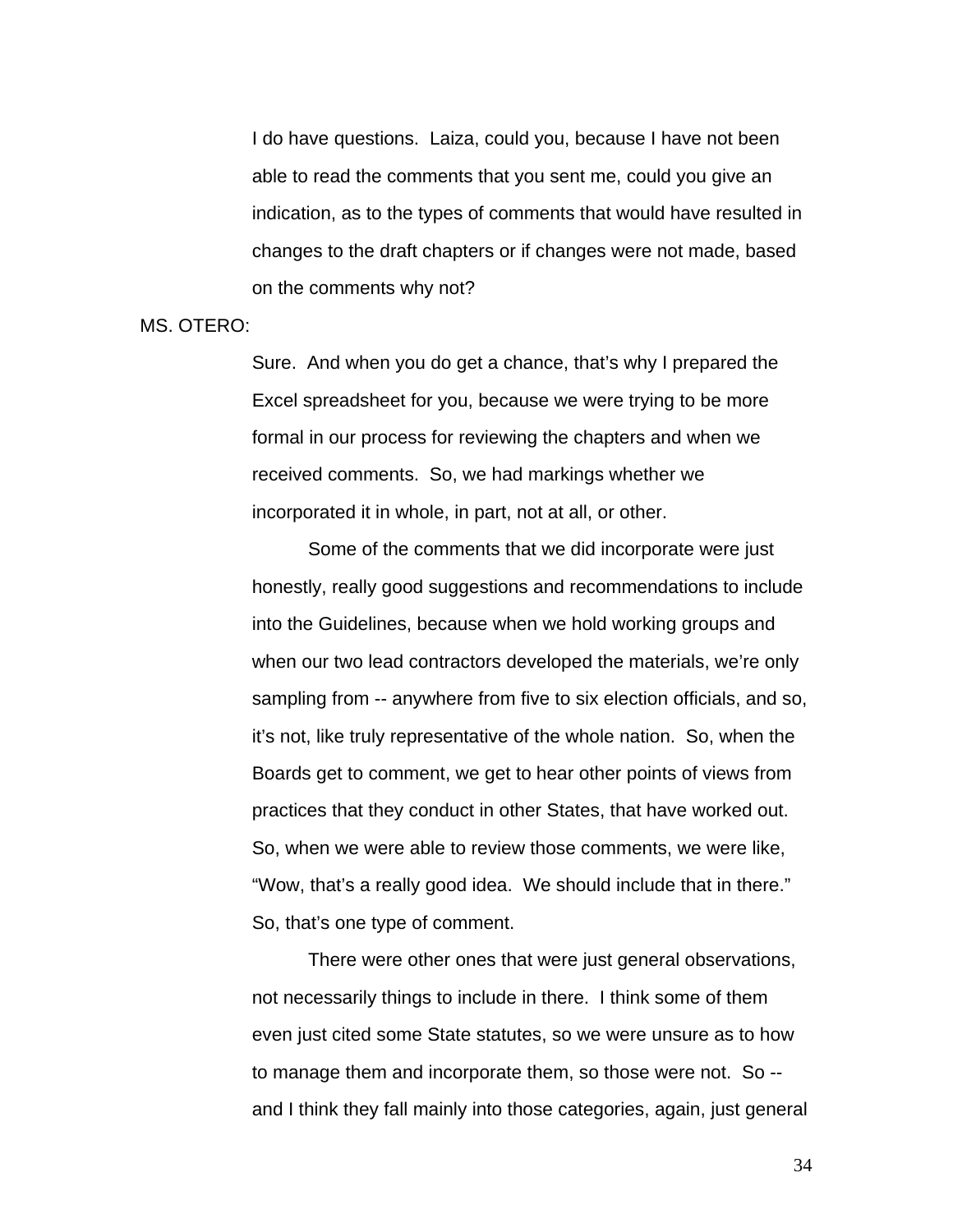I do have questions. Laiza, could you, because I have not been able to read the comments that you sent me, could you give an indication, as to the types of comments that would have resulted in changes to the draft chapters or if changes were not made, based on the comments why not?

MS. OTERO:

Sure. And when you do get a chance, that's why I prepared the Excel spreadsheet for you, because we were trying to be more formal in our process for reviewing the chapters and when we received comments. So, we had markings whether we incorporated it in whole, in part, not at all, or other.

 Some of the comments that we did incorporate were just honestly, really good suggestions and recommendations to include into the Guidelines, because when we hold working groups and when our two lead contractors developed the materials, we're only sampling from -- anywhere from five to six election officials, and so, it's not, like truly representative of the whole nation. So, when the Boards get to comment, we get to hear other points of views from practices that they conduct in other States, that have worked out. So, when we were able to review those comments, we were like, "Wow, that's a really good idea. We should include that in there." So, that's one type of comment.

 There were other ones that were just general observations, not necessarily things to include in there. I think some of them even just cited some State statutes, so we were unsure as to how to manage them and incorporate them, so those were not. So - and I think they fall mainly into those categories, again, just general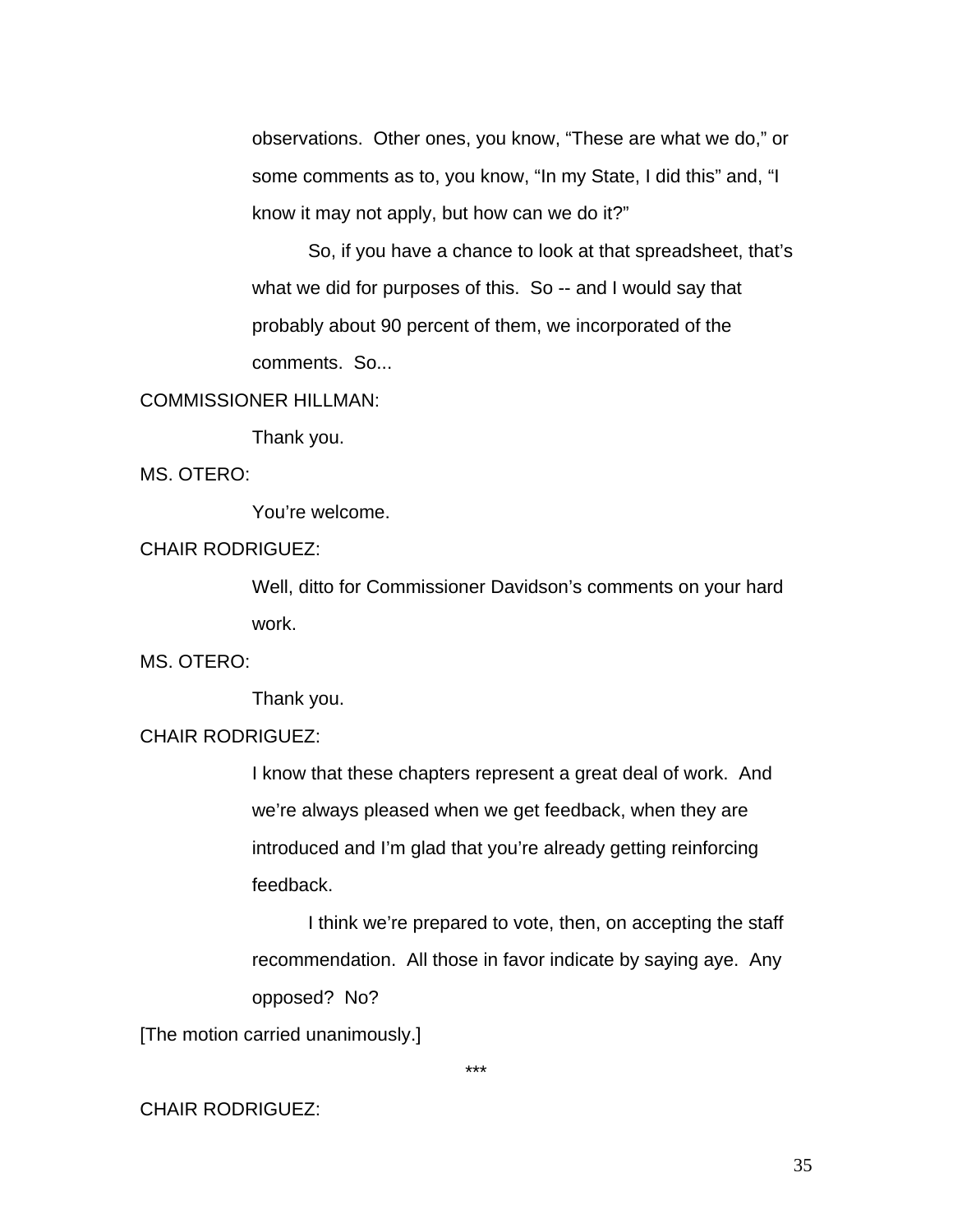observations. Other ones, you know, "These are what we do," or some comments as to, you know, "In my State, I did this" and, "I know it may not apply, but how can we do it?"

 So, if you have a chance to look at that spreadsheet, that's what we did for purposes of this. So -- and I would say that probably about 90 percent of them, we incorporated of the comments. So...

#### COMMISSIONER HILLMAN:

Thank you.

MS. OTERO:

You're welcome.

#### CHAIR RODRIGUEZ:

Well, ditto for Commissioner Davidson's comments on your hard work.

MS. OTERO:

Thank you.

## CHAIR RODRIGUEZ:

I know that these chapters represent a great deal of work. And we're always pleased when we get feedback, when they are introduced and I'm glad that you're already getting reinforcing feedback.

 I think we're prepared to vote, then, on accepting the staff recommendation. All those in favor indicate by saying aye. Any opposed? No?

[The motion carried unanimously.]

\*\*\*

# CHAIR RODRIGUEZ: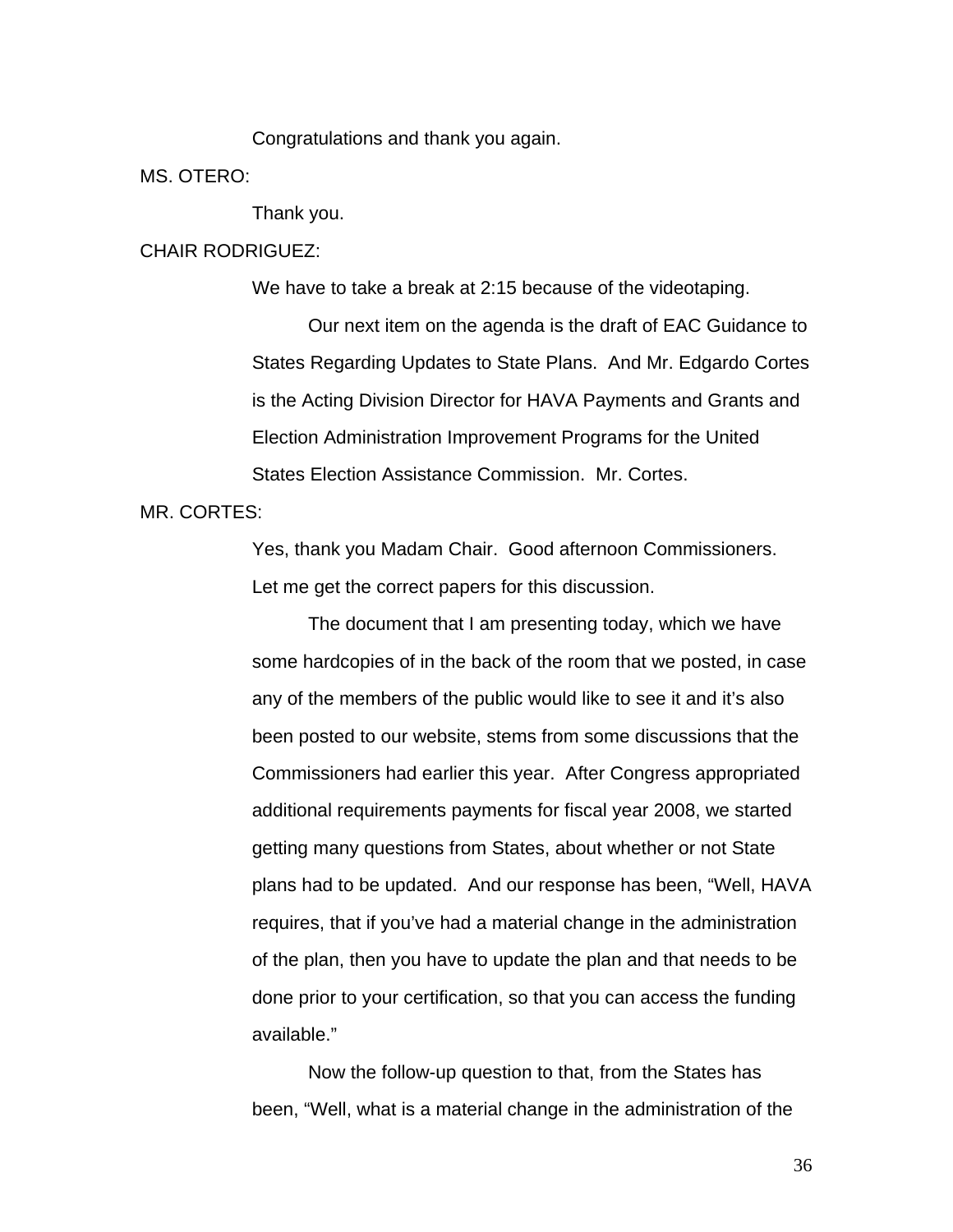Congratulations and thank you again.

MS. OTERO:

Thank you.

#### CHAIR RODRIGUEZ:

We have to take a break at 2:15 because of the videotaping.

 Our next item on the agenda is the draft of EAC Guidance to States Regarding Updates to State Plans. And Mr. Edgardo Cortes is the Acting Division Director for HAVA Payments and Grants and Election Administration Improvement Programs for the United States Election Assistance Commission. Mr. Cortes.

#### MR. CORTES:

Yes, thank you Madam Chair. Good afternoon Commissioners. Let me get the correct papers for this discussion.

 The document that I am presenting today, which we have some hardcopies of in the back of the room that we posted, in case any of the members of the public would like to see it and it's also been posted to our website, stems from some discussions that the Commissioners had earlier this year. After Congress appropriated additional requirements payments for fiscal year 2008, we started getting many questions from States, about whether or not State plans had to be updated. And our response has been, "Well, HAVA requires, that if you've had a material change in the administration of the plan, then you have to update the plan and that needs to be done prior to your certification, so that you can access the funding available."

Now the follow-up question to that, from the States has been, "Well, what is a material change in the administration of the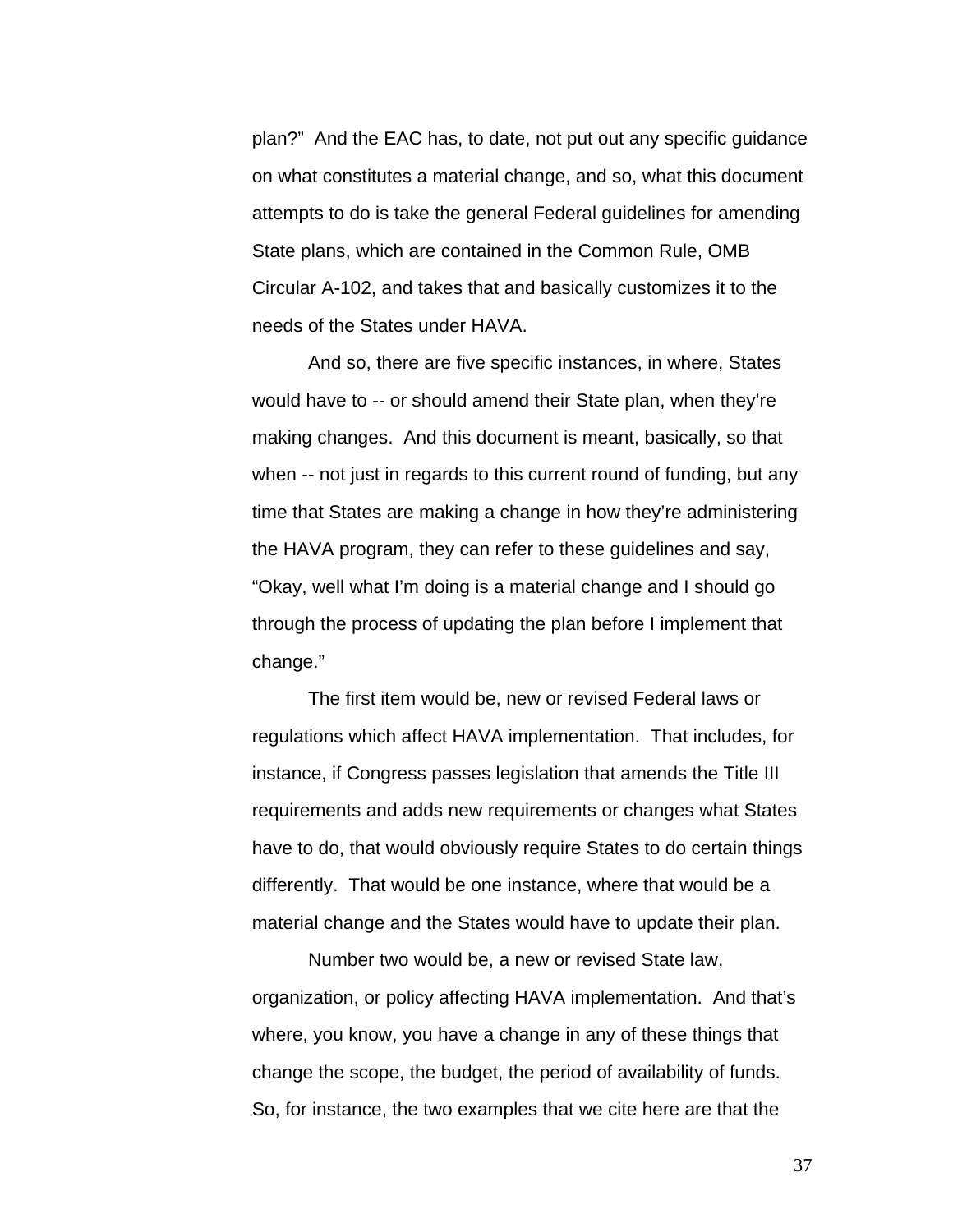plan?" And the EAC has, to date, not put out any specific guidance on what constitutes a material change, and so, what this document attempts to do is take the general Federal guidelines for amending State plans, which are contained in the Common Rule, OMB Circular A-102, and takes that and basically customizes it to the needs of the States under HAVA.

And so, there are five specific instances, in where, States would have to -- or should amend their State plan, when they're making changes. And this document is meant, basically, so that when -- not just in regards to this current round of funding, but any time that States are making a change in how they're administering the HAVA program, they can refer to these guidelines and say, "Okay, well what I'm doing is a material change and I should go through the process of updating the plan before I implement that change."

 The first item would be, new or revised Federal laws or regulations which affect HAVA implementation. That includes, for instance, if Congress passes legislation that amends the Title III requirements and adds new requirements or changes what States have to do, that would obviously require States to do certain things differently. That would be one instance, where that would be a material change and the States would have to update their plan.

 Number two would be, a new or revised State law, organization, or policy affecting HAVA implementation. And that's where, you know, you have a change in any of these things that change the scope, the budget, the period of availability of funds. So, for instance, the two examples that we cite here are that the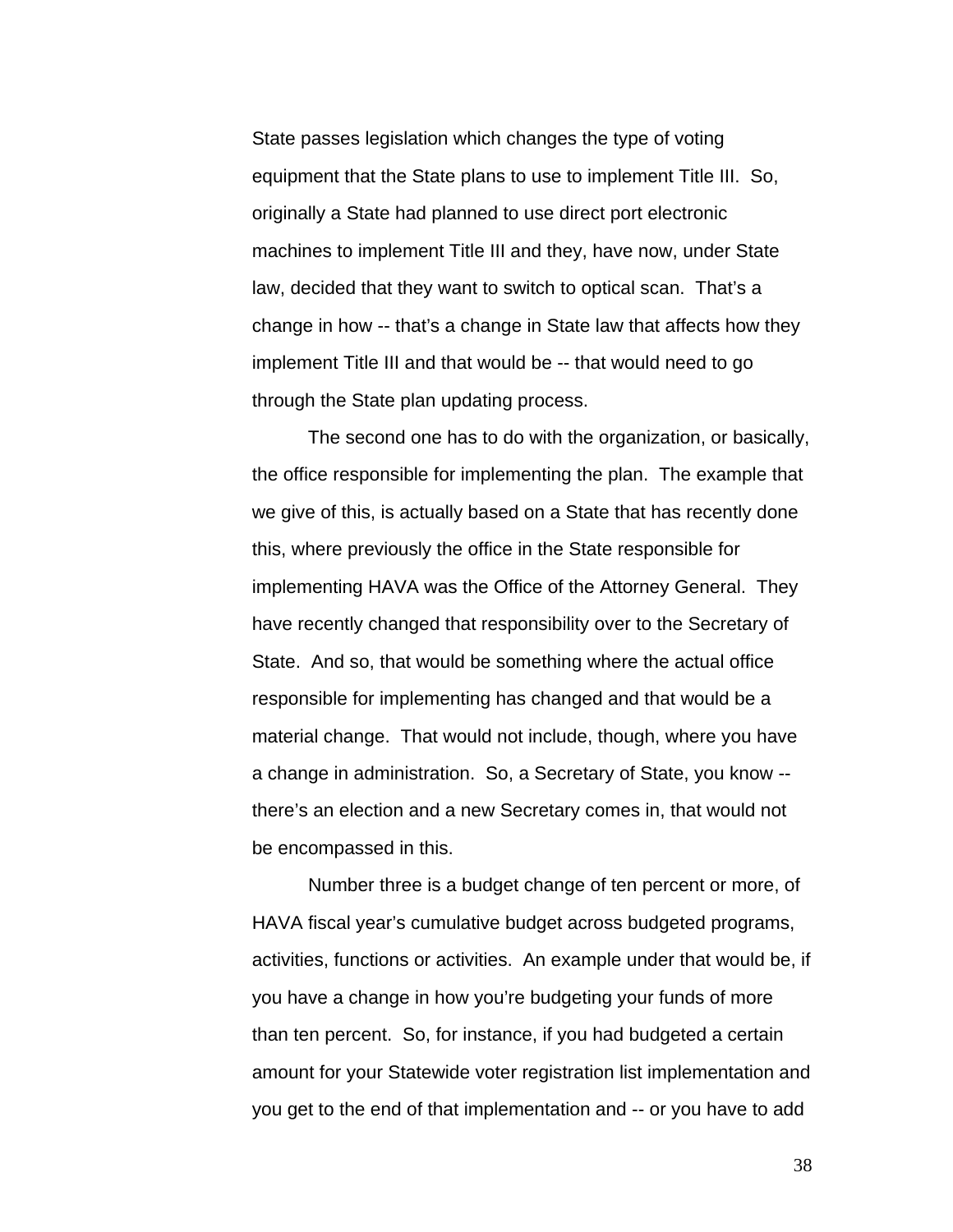State passes legislation which changes the type of voting equipment that the State plans to use to implement Title III. So, originally a State had planned to use direct port electronic machines to implement Title III and they, have now, under State law, decided that they want to switch to optical scan. That's a change in how -- that's a change in State law that affects how they implement Title III and that would be -- that would need to go through the State plan updating process.

The second one has to do with the organization, or basically, the office responsible for implementing the plan. The example that we give of this, is actually based on a State that has recently done this, where previously the office in the State responsible for implementing HAVA was the Office of the Attorney General. They have recently changed that responsibility over to the Secretary of State. And so, that would be something where the actual office responsible for implementing has changed and that would be a material change. That would not include, though, where you have a change in administration. So, a Secretary of State, you know - there's an election and a new Secretary comes in, that would not be encompassed in this.

 Number three is a budget change of ten percent or more, of HAVA fiscal year's cumulative budget across budgeted programs, activities, functions or activities. An example under that would be, if you have a change in how you're budgeting your funds of more than ten percent. So, for instance, if you had budgeted a certain amount for your Statewide voter registration list implementation and you get to the end of that implementation and -- or you have to add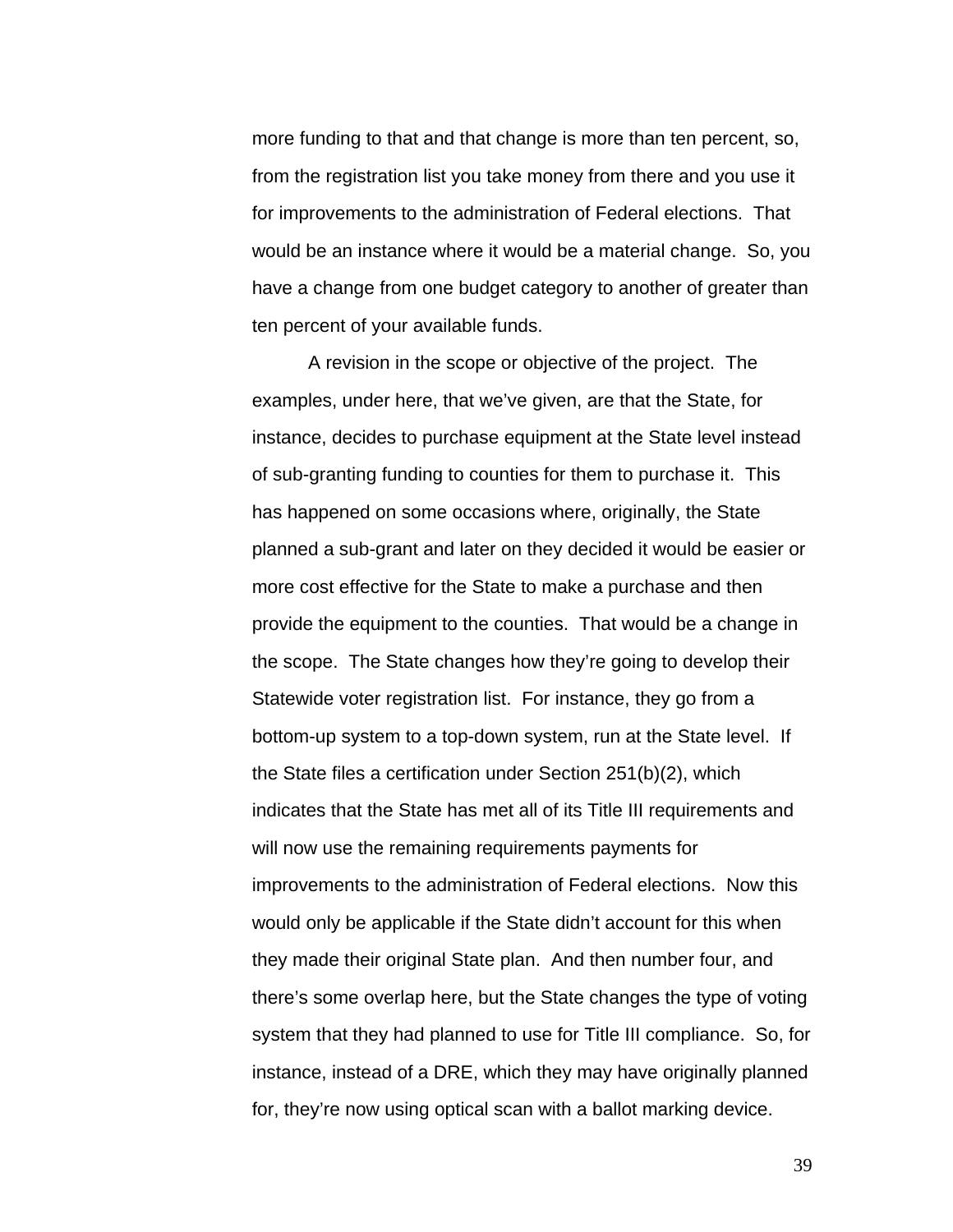more funding to that and that change is more than ten percent, so, from the registration list you take money from there and you use it for improvements to the administration of Federal elections. That would be an instance where it would be a material change. So, you have a change from one budget category to another of greater than ten percent of your available funds.

 A revision in the scope or objective of the project. The examples, under here, that we've given, are that the State, for instance, decides to purchase equipment at the State level instead of sub-granting funding to counties for them to purchase it. This has happened on some occasions where, originally, the State planned a sub-grant and later on they decided it would be easier or more cost effective for the State to make a purchase and then provide the equipment to the counties. That would be a change in the scope. The State changes how they're going to develop their Statewide voter registration list. For instance, they go from a bottom-up system to a top-down system, run at the State level. If the State files a certification under Section 251(b)(2), which indicates that the State has met all of its Title III requirements and will now use the remaining requirements payments for improvements to the administration of Federal elections. Now this would only be applicable if the State didn't account for this when they made their original State plan. And then number four, and there's some overlap here, but the State changes the type of voting system that they had planned to use for Title III compliance. So, for instance, instead of a DRE, which they may have originally planned for, they're now using optical scan with a ballot marking device.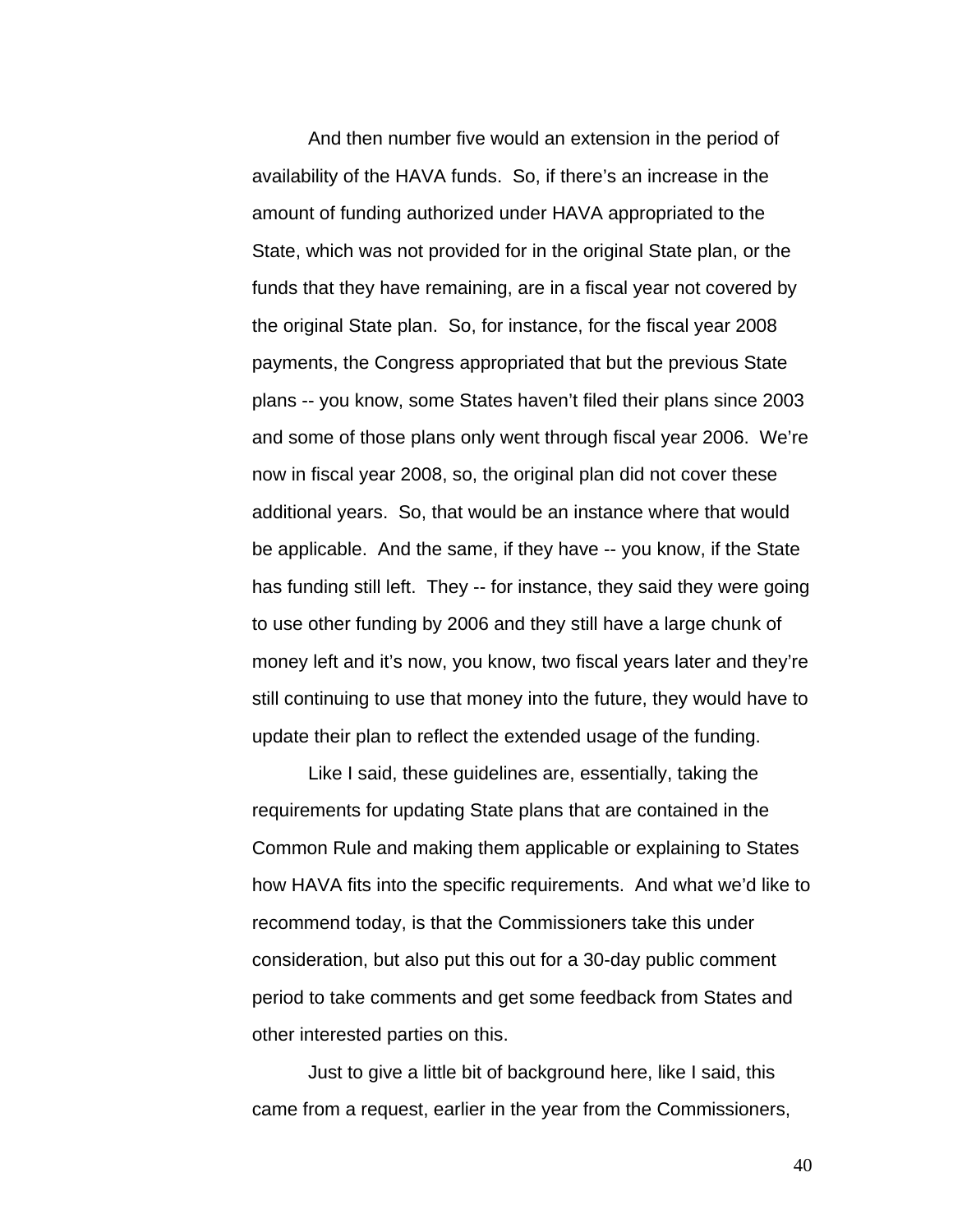And then number five would an extension in the period of availability of the HAVA funds. So, if there's an increase in the amount of funding authorized under HAVA appropriated to the State, which was not provided for in the original State plan, or the funds that they have remaining, are in a fiscal year not covered by the original State plan. So, for instance, for the fiscal year 2008 payments, the Congress appropriated that but the previous State plans -- you know, some States haven't filed their plans since 2003 and some of those plans only went through fiscal year 2006. We're now in fiscal year 2008, so, the original plan did not cover these additional years. So, that would be an instance where that would be applicable. And the same, if they have -- you know, if the State has funding still left. They -- for instance, they said they were going to use other funding by 2006 and they still have a large chunk of money left and it's now, you know, two fiscal years later and they're still continuing to use that money into the future, they would have to update their plan to reflect the extended usage of the funding.

 Like I said, these guidelines are, essentially, taking the requirements for updating State plans that are contained in the Common Rule and making them applicable or explaining to States how HAVA fits into the specific requirements. And what we'd like to recommend today, is that the Commissioners take this under consideration, but also put this out for a 30-day public comment period to take comments and get some feedback from States and other interested parties on this.

Just to give a little bit of background here, like I said, this came from a request, earlier in the year from the Commissioners,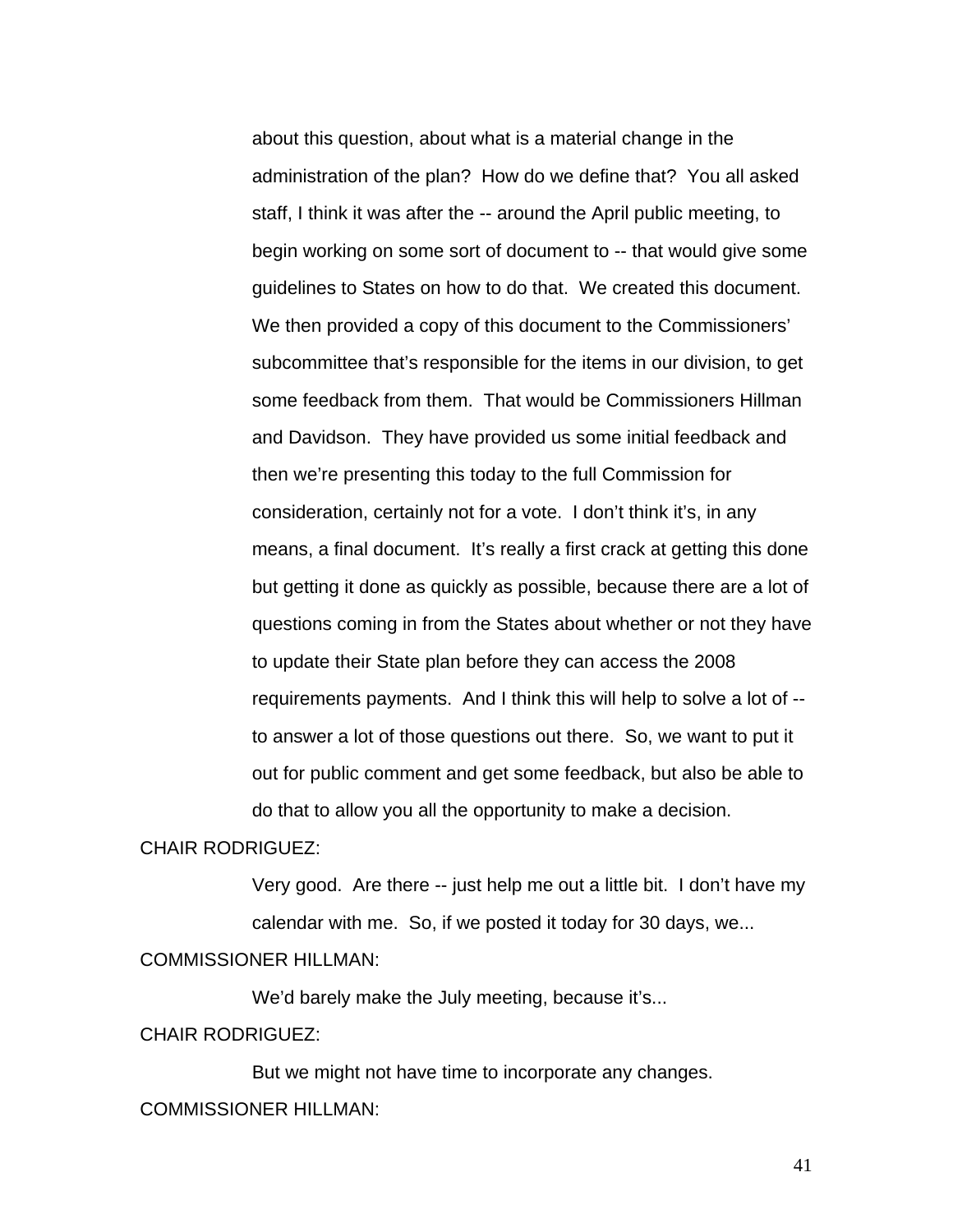about this question, about what is a material change in the administration of the plan? How do we define that? You all asked staff, I think it was after the -- around the April public meeting, to begin working on some sort of document to -- that would give some guidelines to States on how to do that. We created this document. We then provided a copy of this document to the Commissioners' subcommittee that's responsible for the items in our division, to get some feedback from them. That would be Commissioners Hillman and Davidson. They have provided us some initial feedback and then we're presenting this today to the full Commission for consideration, certainly not for a vote. I don't think it's, in any means, a final document. It's really a first crack at getting this done but getting it done as quickly as possible, because there are a lot of questions coming in from the States about whether or not they have to update their State plan before they can access the 2008 requirements payments. And I think this will help to solve a lot of - to answer a lot of those questions out there. So, we want to put it out for public comment and get some feedback, but also be able to do that to allow you all the opportunity to make a decision.

#### CHAIR RODRIGUEZ:

Very good. Are there -- just help me out a little bit. I don't have my calendar with me. So, if we posted it today for 30 days, we...

#### COMMISSIONER HILLMAN:

We'd barely make the July meeting, because it's...

#### CHAIR RODRIGUEZ:

 But we might not have time to incorporate any changes. COMMISSIONER HILLMAN: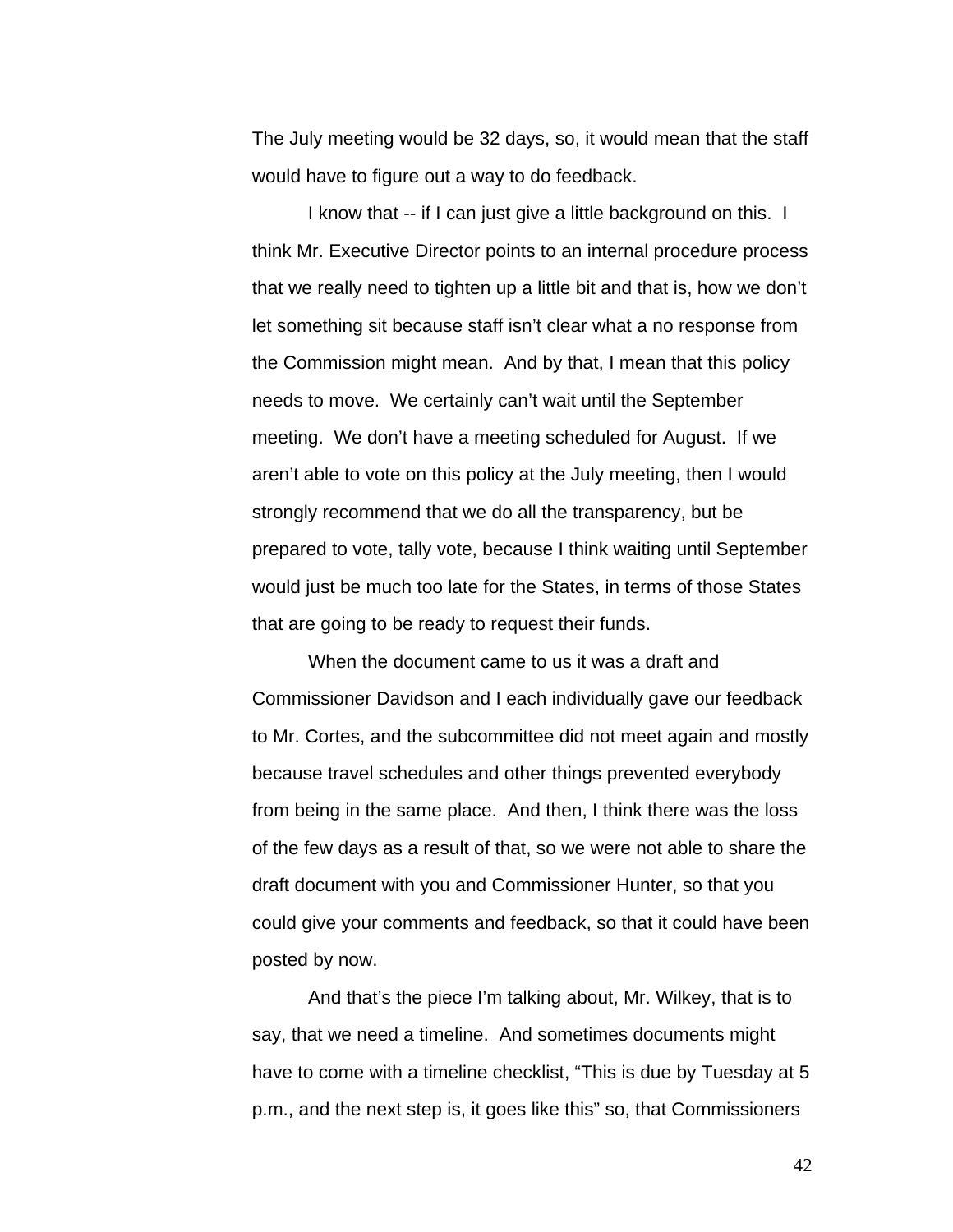The July meeting would be 32 days, so, it would mean that the staff would have to figure out a way to do feedback.

I know that -- if I can just give a little background on this. I think Mr. Executive Director points to an internal procedure process that we really need to tighten up a little bit and that is, how we don't let something sit because staff isn't clear what a no response from the Commission might mean. And by that, I mean that this policy needs to move. We certainly can't wait until the September meeting. We don't have a meeting scheduled for August. If we aren't able to vote on this policy at the July meeting, then I would strongly recommend that we do all the transparency, but be prepared to vote, tally vote, because I think waiting until September would just be much too late for the States, in terms of those States that are going to be ready to request their funds.

When the document came to us it was a draft and Commissioner Davidson and I each individually gave our feedback to Mr. Cortes, and the subcommittee did not meet again and mostly because travel schedules and other things prevented everybody from being in the same place. And then, I think there was the loss of the few days as a result of that, so we were not able to share the draft document with you and Commissioner Hunter, so that you could give your comments and feedback, so that it could have been posted by now.

And that's the piece I'm talking about, Mr. Wilkey, that is to say, that we need a timeline. And sometimes documents might have to come with a timeline checklist, "This is due by Tuesday at 5 p.m., and the next step is, it goes like this" so, that Commissioners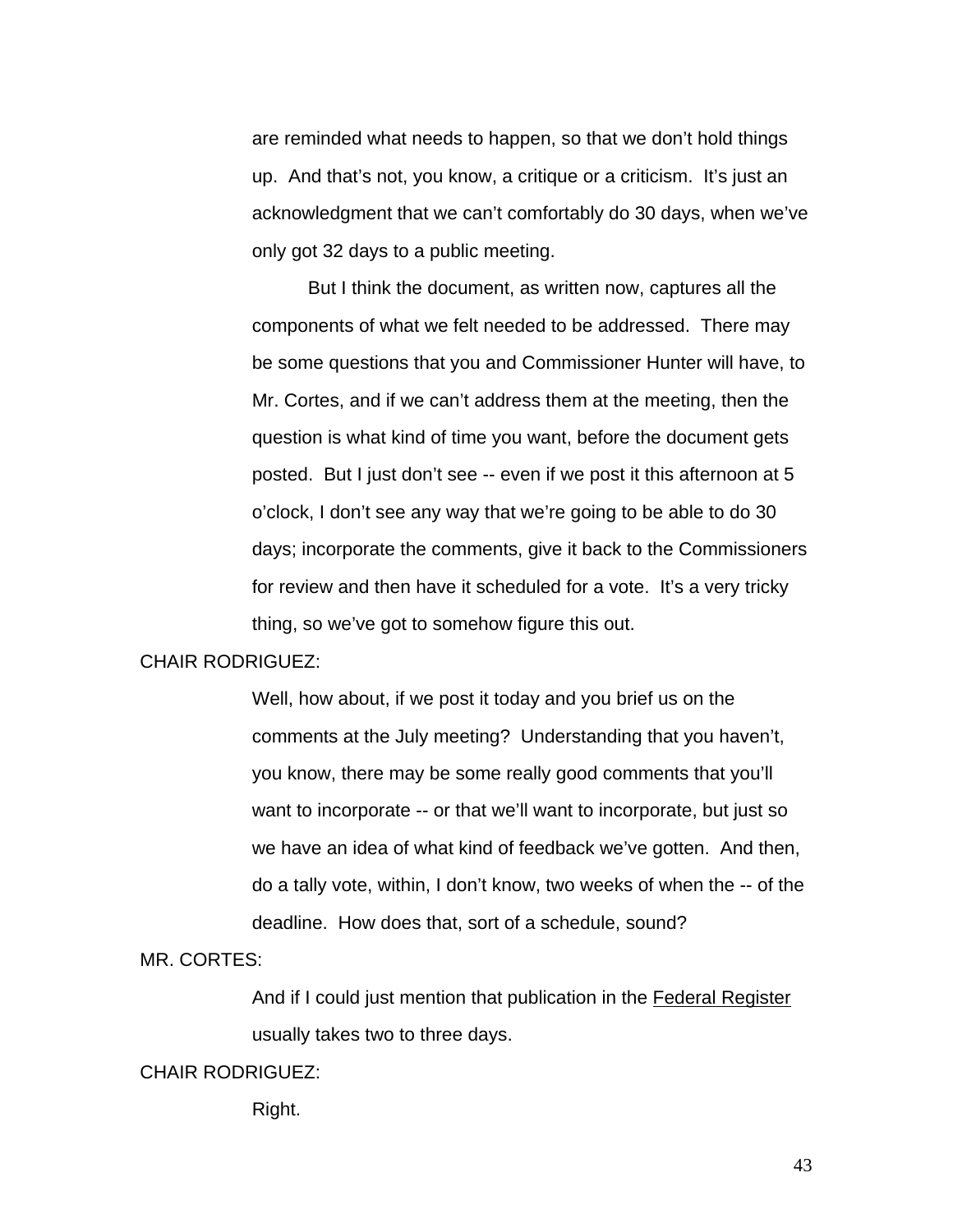are reminded what needs to happen, so that we don't hold things up. And that's not, you know, a critique or a criticism. It's just an acknowledgment that we can't comfortably do 30 days, when we've only got 32 days to a public meeting.

But I think the document, as written now, captures all the components of what we felt needed to be addressed. There may be some questions that you and Commissioner Hunter will have, to Mr. Cortes, and if we can't address them at the meeting, then the question is what kind of time you want, before the document gets posted. But I just don't see -- even if we post it this afternoon at 5 o'clock, I don't see any way that we're going to be able to do 30 days; incorporate the comments, give it back to the Commissioners for review and then have it scheduled for a vote. It's a very tricky thing, so we've got to somehow figure this out.

### CHAIR RODRIGUEZ:

Well, how about, if we post it today and you brief us on the comments at the July meeting? Understanding that you haven't, you know, there may be some really good comments that you'll want to incorporate -- or that we'll want to incorporate, but just so we have an idea of what kind of feedback we've gotten. And then, do a tally vote, within, I don't know, two weeks of when the -- of the deadline. How does that, sort of a schedule, sound?

### MR. CORTES:

And if I could just mention that publication in the Federal Register usually takes two to three days.

#### CHAIR RODRIGUEZ:

Right.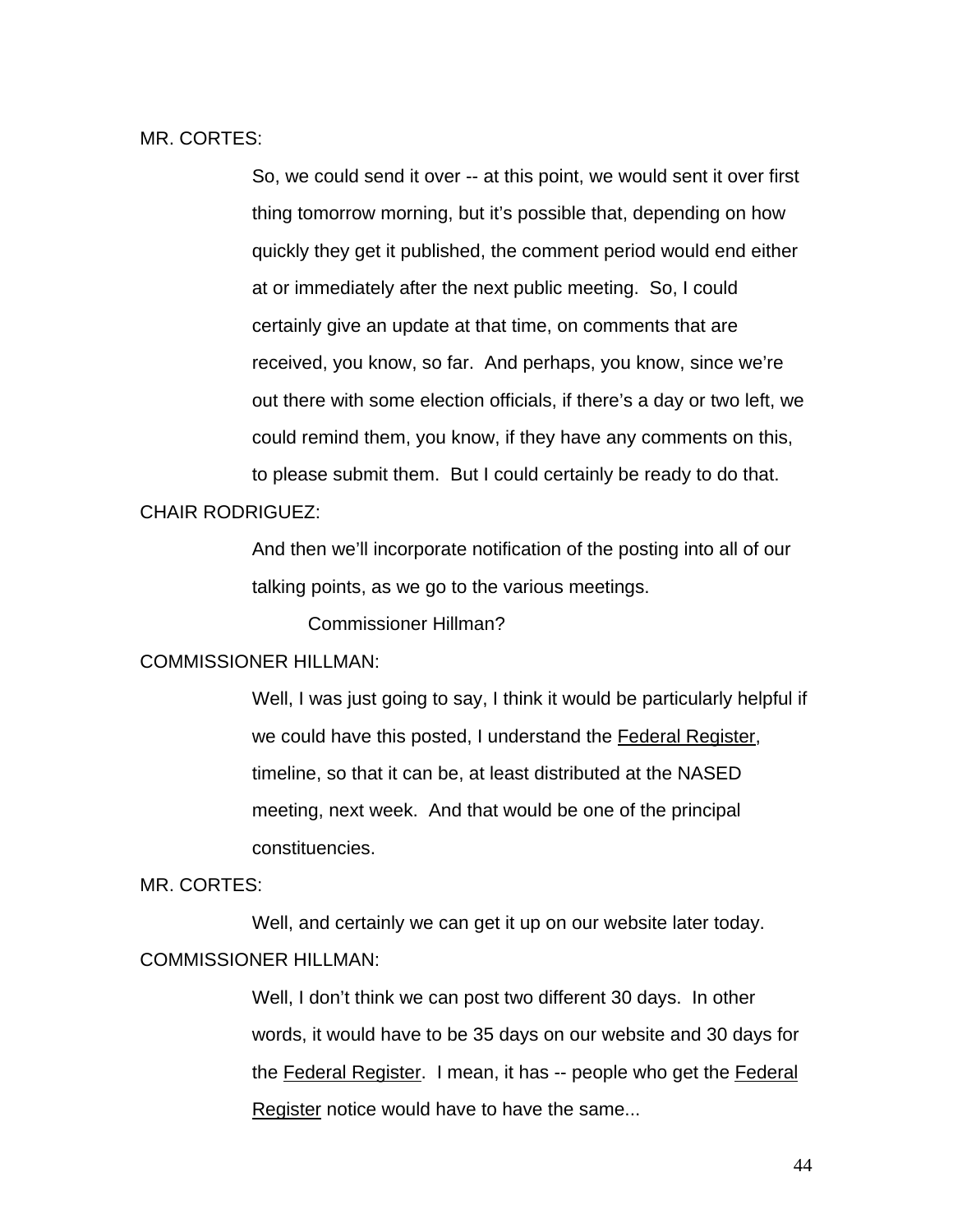MR. CORTES:

So, we could send it over -- at this point, we would sent it over first thing tomorrow morning, but it's possible that, depending on how quickly they get it published, the comment period would end either at or immediately after the next public meeting. So, I could certainly give an update at that time, on comments that are received, you know, so far. And perhaps, you know, since we're out there with some election officials, if there's a day or two left, we could remind them, you know, if they have any comments on this, to please submit them. But I could certainly be ready to do that.

#### CHAIR RODRIGUEZ:

And then we'll incorporate notification of the posting into all of our talking points, as we go to the various meetings.

Commissioner Hillman?

### COMMISSIONER HILLMAN:

Well, I was just going to say, I think it would be particularly helpful if we could have this posted, I understand the Federal Register, timeline, so that it can be, at least distributed at the NASED meeting, next week. And that would be one of the principal constituencies.

#### MR. CORTES:

 Well, and certainly we can get it up on our website later today. COMMISSIONER HILLMAN:

> Well, I don't think we can post two different 30 days. In other words, it would have to be 35 days on our website and 30 days for the Federal Register. I mean, it has -- people who get the Federal Register notice would have to have the same...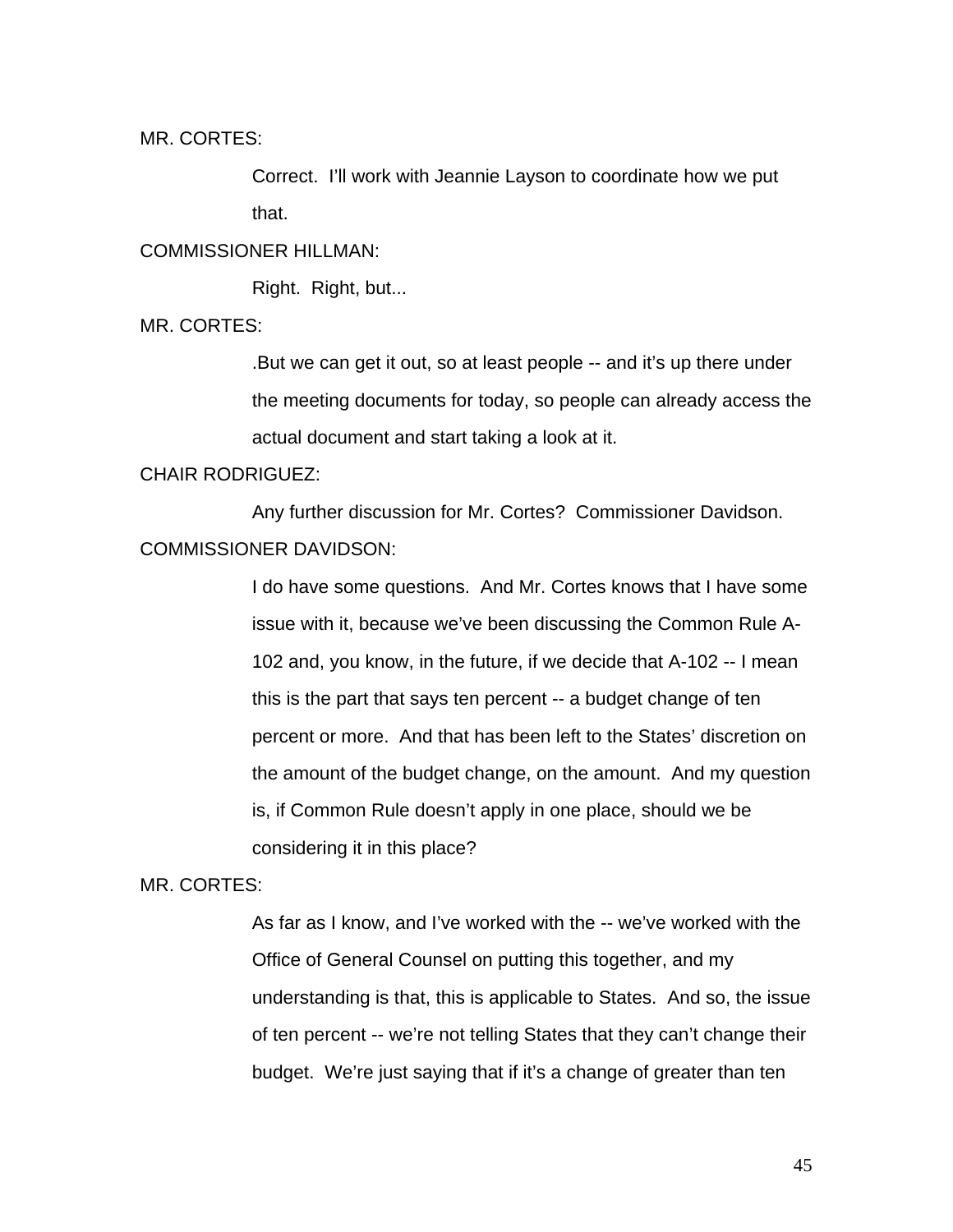MR. CORTES:

Correct. I'll work with Jeannie Layson to coordinate how we put that.

# COMMISSIONER HILLMAN:

Right. Right, but...

MR. CORTES:

.But we can get it out, so at least people -- and it's up there under the meeting documents for today, so people can already access the actual document and start taking a look at it.

### CHAIR RODRIGUEZ:

 Any further discussion for Mr. Cortes? Commissioner Davidson. COMMISSIONER DAVIDSON:

> I do have some questions. And Mr. Cortes knows that I have some issue with it, because we've been discussing the Common Rule A-102 and, you know, in the future, if we decide that A-102 -- I mean this is the part that says ten percent -- a budget change of ten percent or more. And that has been left to the States' discretion on the amount of the budget change, on the amount. And my question is, if Common Rule doesn't apply in one place, should we be considering it in this place?

### MR. CORTES:

As far as I know, and I've worked with the -- we've worked with the Office of General Counsel on putting this together, and my understanding is that, this is applicable to States. And so, the issue of ten percent -- we're not telling States that they can't change their budget. We're just saying that if it's a change of greater than ten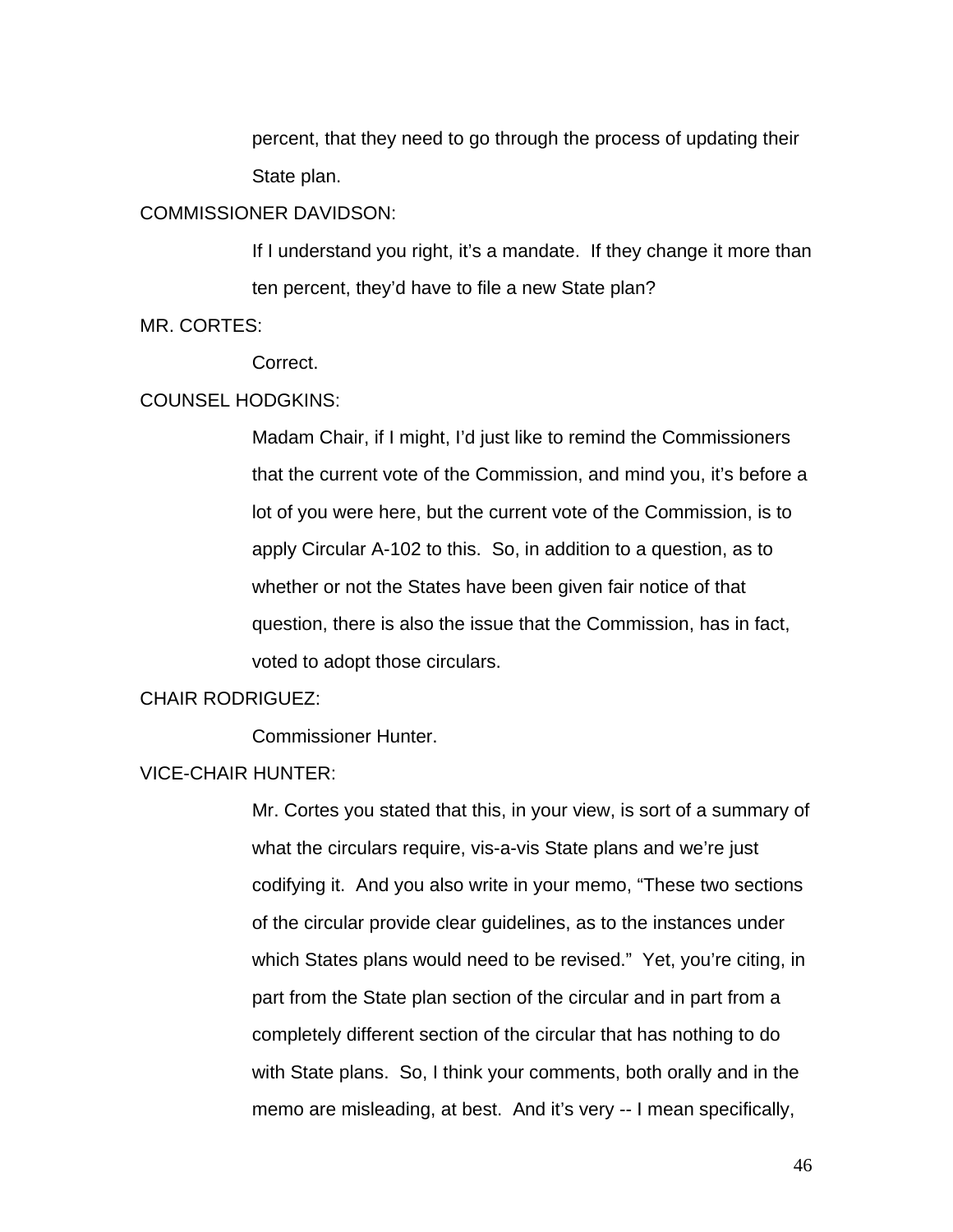percent, that they need to go through the process of updating their State plan.

#### COMMISSIONER DAVIDSON:

If I understand you right, it's a mandate. If they change it more than ten percent, they'd have to file a new State plan?

MR. CORTES:

Correct.

#### COUNSEL HODGKINS:

Madam Chair, if I might, I'd just like to remind the Commissioners that the current vote of the Commission, and mind you, it's before a lot of you were here, but the current vote of the Commission, is to apply Circular A-102 to this. So, in addition to a question, as to whether or not the States have been given fair notice of that question, there is also the issue that the Commission, has in fact, voted to adopt those circulars.

# CHAIR RODRIGUEZ:

Commissioner Hunter.

### VICE-CHAIR HUNTER:

Mr. Cortes you stated that this, in your view, is sort of a summary of what the circulars require, vis-a-vis State plans and we're just codifying it. And you also write in your memo, "These two sections of the circular provide clear guidelines, as to the instances under which States plans would need to be revised." Yet, you're citing, in part from the State plan section of the circular and in part from a completely different section of the circular that has nothing to do with State plans. So, I think your comments, both orally and in the memo are misleading, at best. And it's very -- I mean specifically,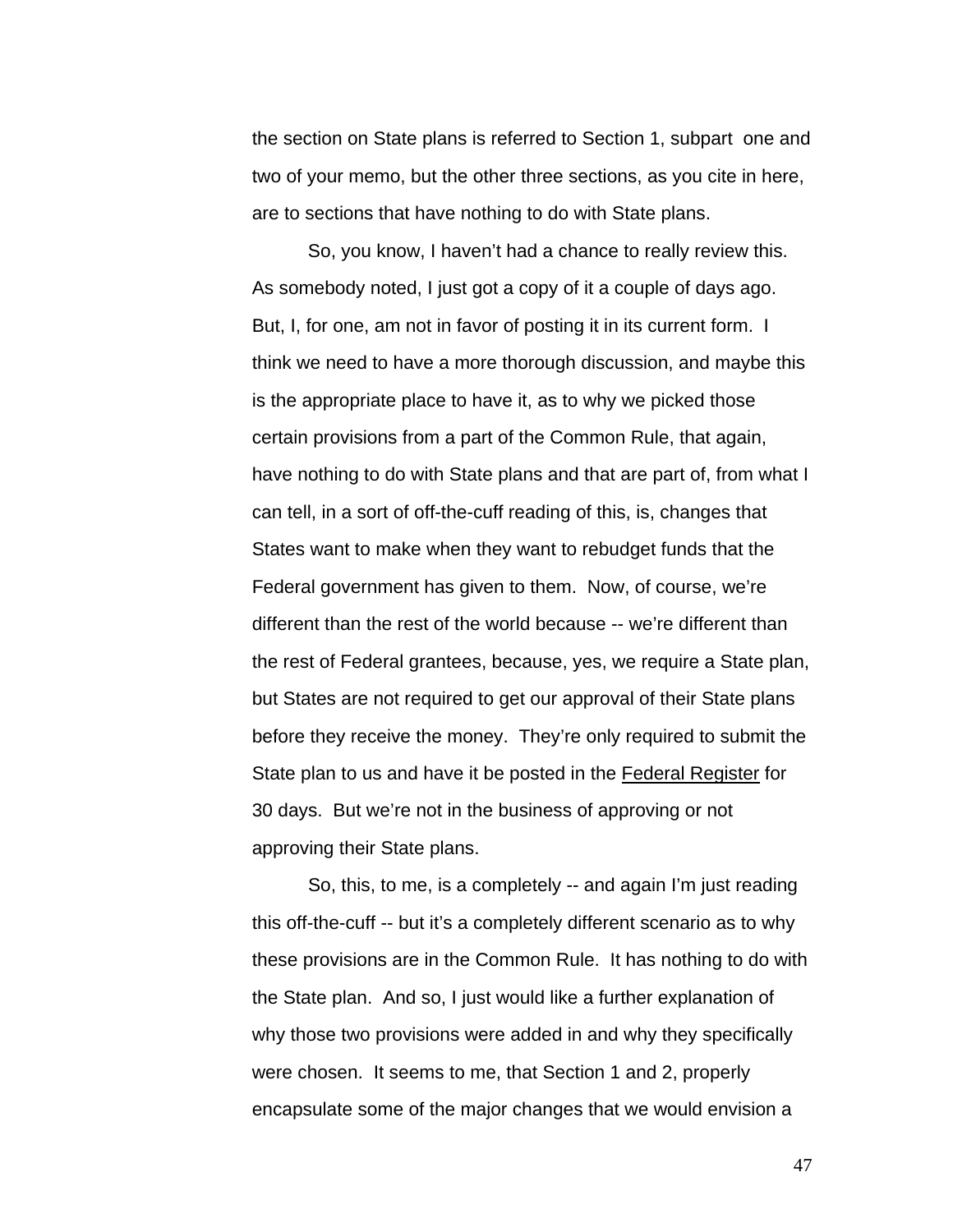the section on State plans is referred to Section 1, subpart one and two of your memo, but the other three sections, as you cite in here, are to sections that have nothing to do with State plans.

So, you know, I haven't had a chance to really review this. As somebody noted, I just got a copy of it a couple of days ago. But, I, for one, am not in favor of posting it in its current form. I think we need to have a more thorough discussion, and maybe this is the appropriate place to have it, as to why we picked those certain provisions from a part of the Common Rule, that again, have nothing to do with State plans and that are part of, from what I can tell, in a sort of off-the-cuff reading of this, is, changes that States want to make when they want to rebudget funds that the Federal government has given to them. Now, of course, we're different than the rest of the world because -- we're different than the rest of Federal grantees, because, yes, we require a State plan, but States are not required to get our approval of their State plans before they receive the money. They're only required to submit the State plan to us and have it be posted in the Federal Register for 30 days. But we're not in the business of approving or not approving their State plans.

So, this, to me, is a completely -- and again I'm just reading this off-the-cuff -- but it's a completely different scenario as to why these provisions are in the Common Rule. It has nothing to do with the State plan. And so, I just would like a further explanation of why those two provisions were added in and why they specifically were chosen. It seems to me, that Section 1 and 2, properly encapsulate some of the major changes that we would envision a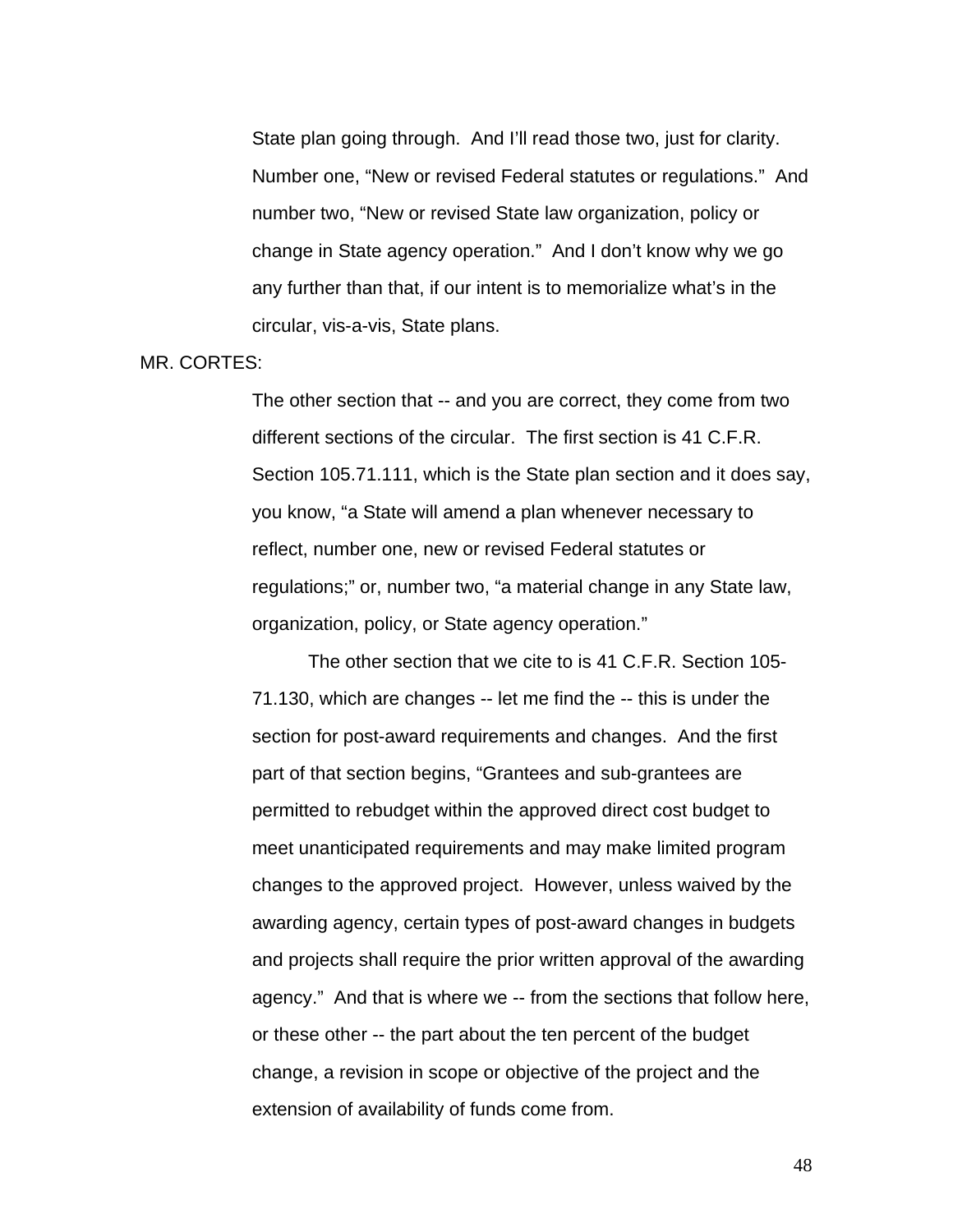State plan going through. And I'll read those two, just for clarity. Number one, "New or revised Federal statutes or regulations." And number two, "New or revised State law organization, policy or change in State agency operation." And I don't know why we go any further than that, if our intent is to memorialize what's in the circular, vis-a-vis, State plans.

### MR. CORTES:

The other section that -- and you are correct, they come from two different sections of the circular. The first section is 41 C.F.R. Section 105.71.111, which is the State plan section and it does say, you know, "a State will amend a plan whenever necessary to reflect, number one, new or revised Federal statutes or regulations;" or, number two, "a material change in any State law, organization, policy, or State agency operation."

The other section that we cite to is 41 C.F.R. Section 105- 71.130, which are changes -- let me find the -- this is under the section for post-award requirements and changes. And the first part of that section begins, "Grantees and sub-grantees are permitted to rebudget within the approved direct cost budget to meet unanticipated requirements and may make limited program changes to the approved project. However, unless waived by the awarding agency, certain types of post-award changes in budgets and projects shall require the prior written approval of the awarding agency." And that is where we -- from the sections that follow here, or these other -- the part about the ten percent of the budget change, a revision in scope or objective of the project and the extension of availability of funds come from.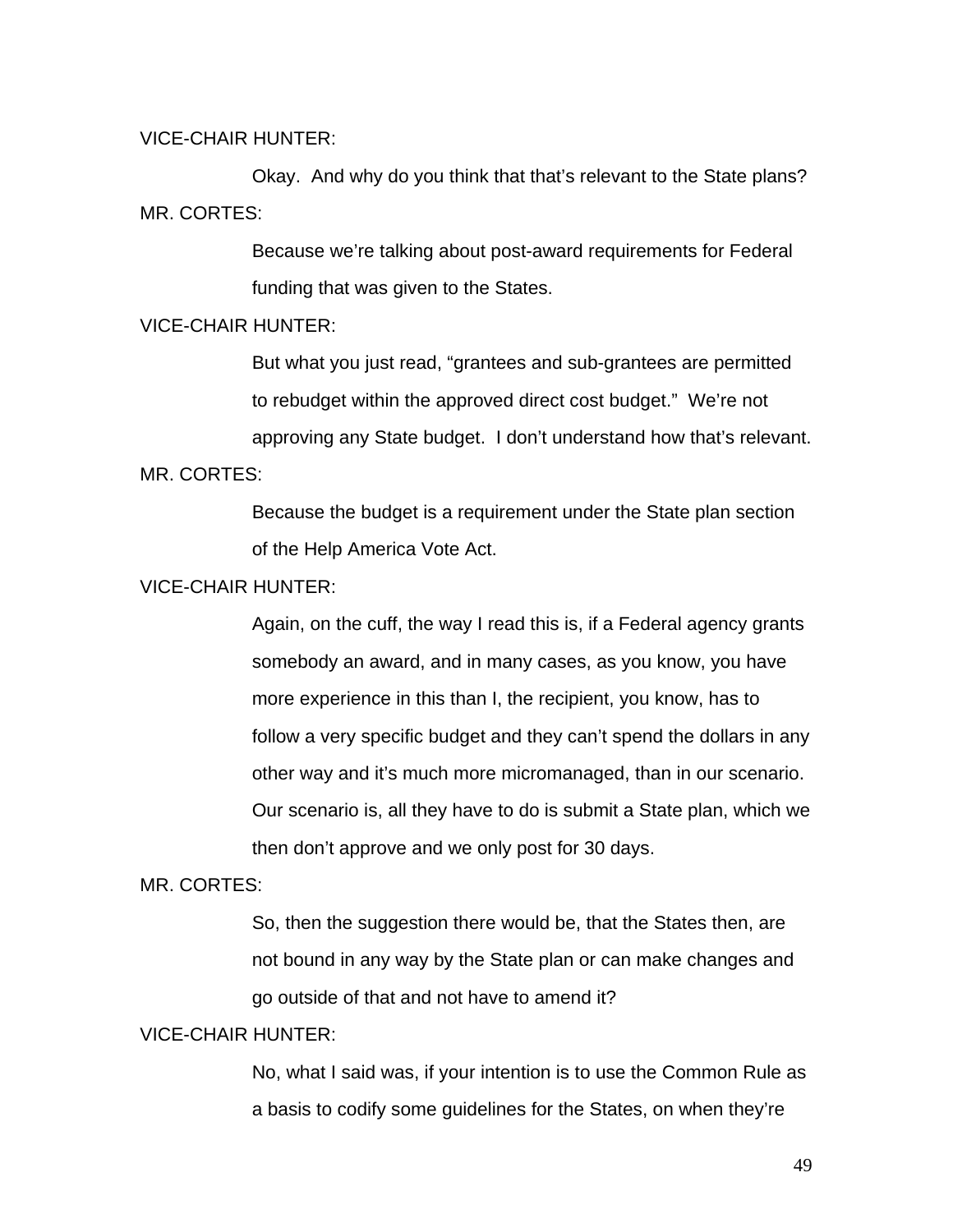### VICE-CHAIR HUNTER:

 Okay. And why do you think that that's relevant to the State plans? MR. CORTES:

> Because we're talking about post-award requirements for Federal funding that was given to the States.

#### VICE-CHAIR HUNTER:

But what you just read, "grantees and sub-grantees are permitted to rebudget within the approved direct cost budget." We're not approving any State budget. I don't understand how that's relevant. MR. CORTES:

> Because the budget is a requirement under the State plan section of the Help America Vote Act.

# VICE-CHAIR HUNTER:

Again, on the cuff, the way I read this is, if a Federal agency grants somebody an award, and in many cases, as you know, you have more experience in this than I, the recipient, you know, has to follow a very specific budget and they can't spend the dollars in any other way and it's much more micromanaged, than in our scenario. Our scenario is, all they have to do is submit a State plan, which we then don't approve and we only post for 30 days.

#### MR. CORTES:

So, then the suggestion there would be, that the States then, are not bound in any way by the State plan or can make changes and go outside of that and not have to amend it?

# VICE-CHAIR HUNTER:

No, what I said was, if your intention is to use the Common Rule as a basis to codify some guidelines for the States, on when they're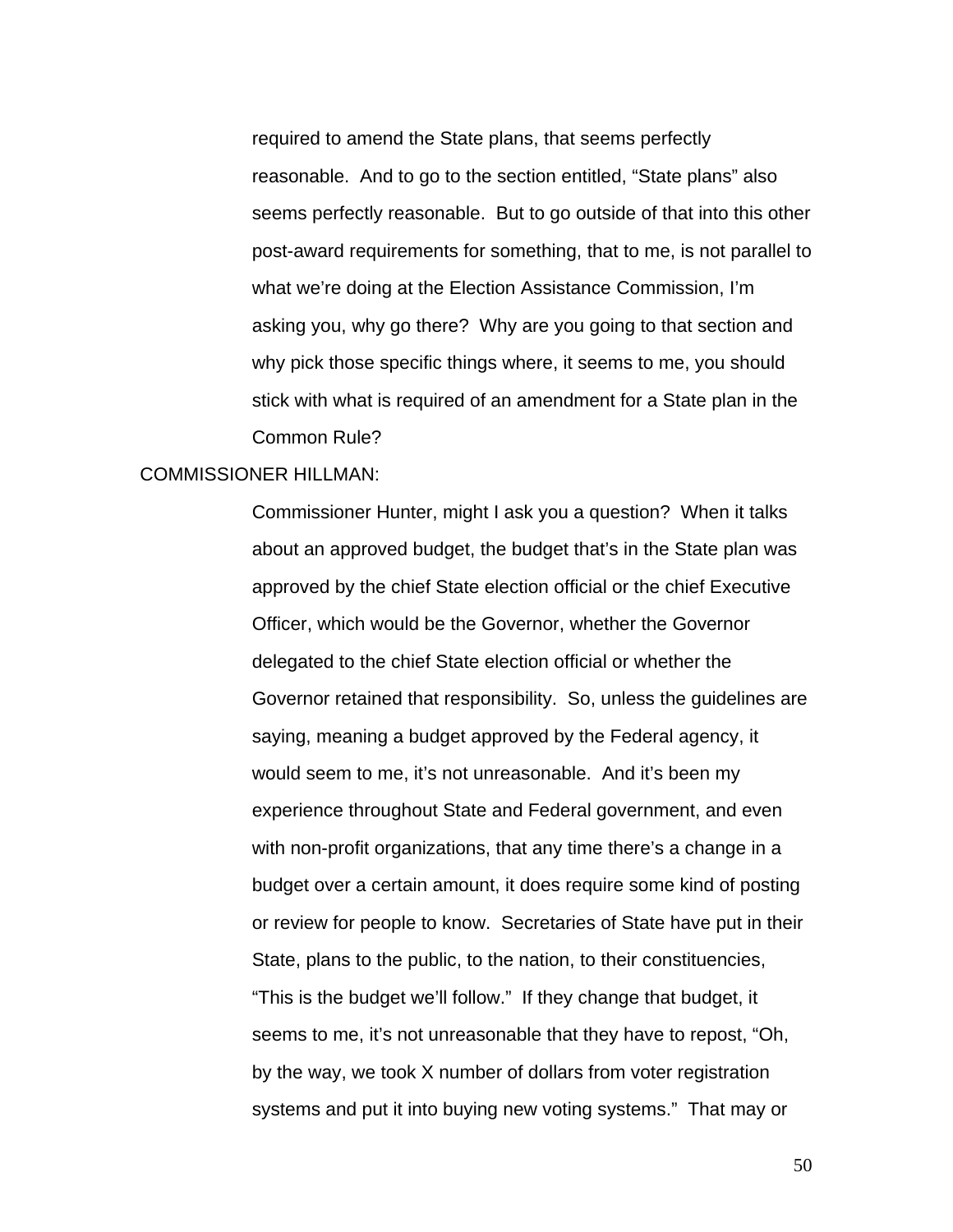required to amend the State plans, that seems perfectly reasonable. And to go to the section entitled, "State plans" also seems perfectly reasonable. But to go outside of that into this other post-award requirements for something, that to me, is not parallel to what we're doing at the Election Assistance Commission, I'm asking you, why go there? Why are you going to that section and why pick those specific things where, it seems to me, you should stick with what is required of an amendment for a State plan in the Common Rule?

### COMMISSIONER HILLMAN:

Commissioner Hunter, might I ask you a question? When it talks about an approved budget, the budget that's in the State plan was approved by the chief State election official or the chief Executive Officer, which would be the Governor, whether the Governor delegated to the chief State election official or whether the Governor retained that responsibility. So, unless the guidelines are saying, meaning a budget approved by the Federal agency, it would seem to me, it's not unreasonable. And it's been my experience throughout State and Federal government, and even with non-profit organizations, that any time there's a change in a budget over a certain amount, it does require some kind of posting or review for people to know. Secretaries of State have put in their State, plans to the public, to the nation, to their constituencies, "This is the budget we'll follow." If they change that budget, it seems to me, it's not unreasonable that they have to repost, "Oh, by the way, we took X number of dollars from voter registration systems and put it into buying new voting systems." That may or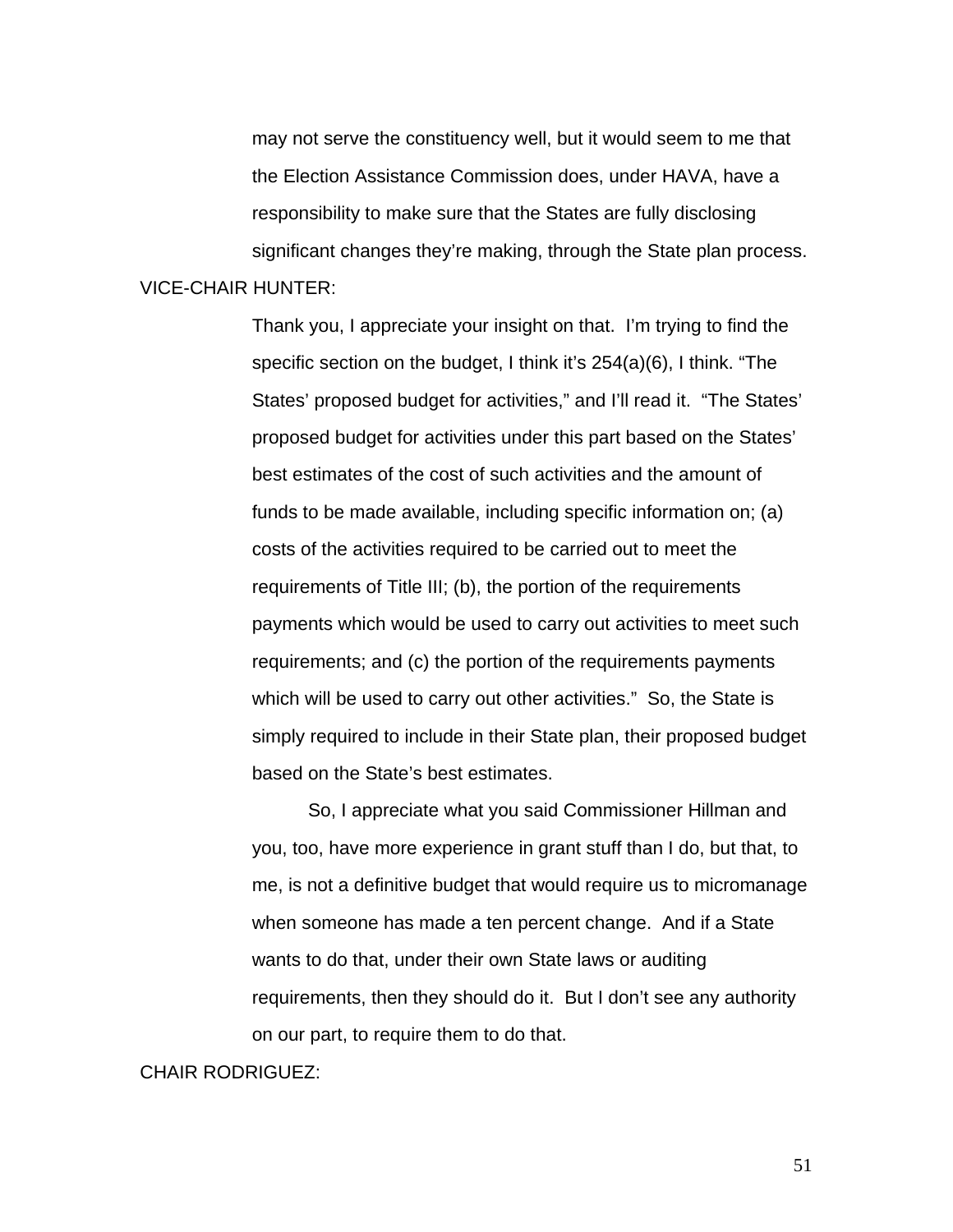may not serve the constituency well, but it would seem to me that the Election Assistance Commission does, under HAVA, have a responsibility to make sure that the States are fully disclosing significant changes they're making, through the State plan process. VICE-CHAIR HUNTER:

> Thank you, I appreciate your insight on that. I'm trying to find the specific section on the budget, I think it's 254(a)(6), I think. "The States' proposed budget for activities," and I'll read it. "The States' proposed budget for activities under this part based on the States' best estimates of the cost of such activities and the amount of funds to be made available, including specific information on; (a) costs of the activities required to be carried out to meet the requirements of Title III; (b), the portion of the requirements payments which would be used to carry out activities to meet such requirements; and (c) the portion of the requirements payments which will be used to carry out other activities." So, the State is simply required to include in their State plan, their proposed budget based on the State's best estimates.

> So, I appreciate what you said Commissioner Hillman and you, too, have more experience in grant stuff than I do, but that, to me, is not a definitive budget that would require us to micromanage when someone has made a ten percent change. And if a State wants to do that, under their own State laws or auditing requirements, then they should do it. But I don't see any authority on our part, to require them to do that.

#### CHAIR RODRIGUEZ: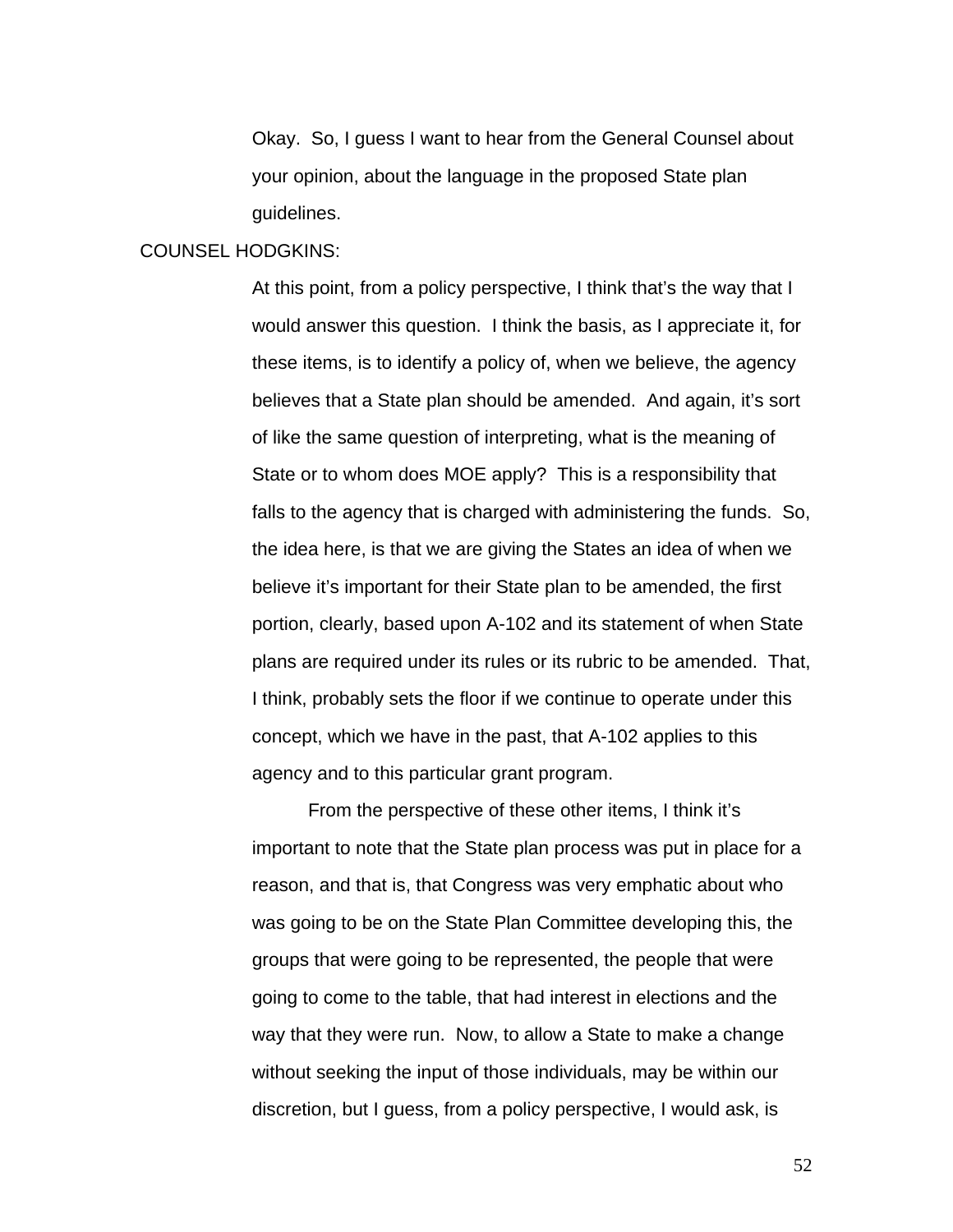Okay. So, I guess I want to hear from the General Counsel about your opinion, about the language in the proposed State plan guidelines.

#### COUNSEL HODGKINS:

At this point, from a policy perspective, I think that's the way that I would answer this question. I think the basis, as I appreciate it, for these items, is to identify a policy of, when we believe, the agency believes that a State plan should be amended. And again, it's sort of like the same question of interpreting, what is the meaning of State or to whom does MOE apply? This is a responsibility that falls to the agency that is charged with administering the funds. So, the idea here, is that we are giving the States an idea of when we believe it's important for their State plan to be amended, the first portion, clearly, based upon A-102 and its statement of when State plans are required under its rules or its rubric to be amended. That, I think, probably sets the floor if we continue to operate under this concept, which we have in the past, that A-102 applies to this agency and to this particular grant program.

 From the perspective of these other items, I think it's important to note that the State plan process was put in place for a reason, and that is, that Congress was very emphatic about who was going to be on the State Plan Committee developing this, the groups that were going to be represented, the people that were going to come to the table, that had interest in elections and the way that they were run. Now, to allow a State to make a change without seeking the input of those individuals, may be within our discretion, but I guess, from a policy perspective, I would ask, is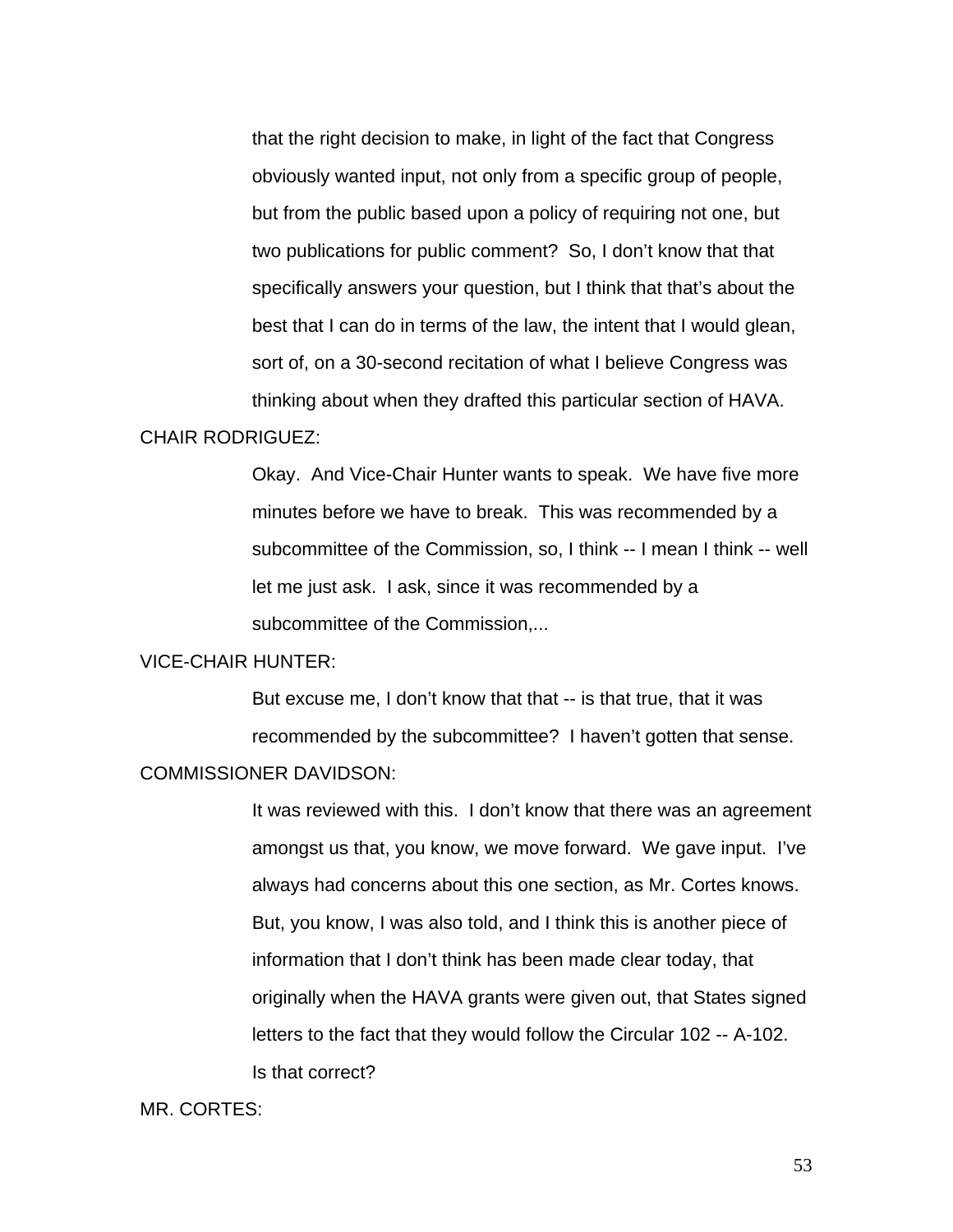that the right decision to make, in light of the fact that Congress obviously wanted input, not only from a specific group of people, but from the public based upon a policy of requiring not one, but two publications for public comment? So, I don't know that that specifically answers your question, but I think that that's about the best that I can do in terms of the law, the intent that I would glean, sort of, on a 30-second recitation of what I believe Congress was thinking about when they drafted this particular section of HAVA.

### CHAIR RODRIGUEZ:

Okay. And Vice-Chair Hunter wants to speak. We have five more minutes before we have to break. This was recommended by a subcommittee of the Commission, so, I think -- I mean I think -- well let me just ask. I ask, since it was recommended by a subcommittee of the Commission....

#### VICE-CHAIR HUNTER:

But excuse me, I don't know that that -- is that true, that it was recommended by the subcommittee? I haven't gotten that sense.

# COMMISSIONER DAVIDSON:

It was reviewed with this. I don't know that there was an agreement amongst us that, you know, we move forward. We gave input. I've always had concerns about this one section, as Mr. Cortes knows. But, you know, I was also told, and I think this is another piece of information that I don't think has been made clear today, that originally when the HAVA grants were given out, that States signed letters to the fact that they would follow the Circular 102 -- A-102. Is that correct?

#### MR. CORTES: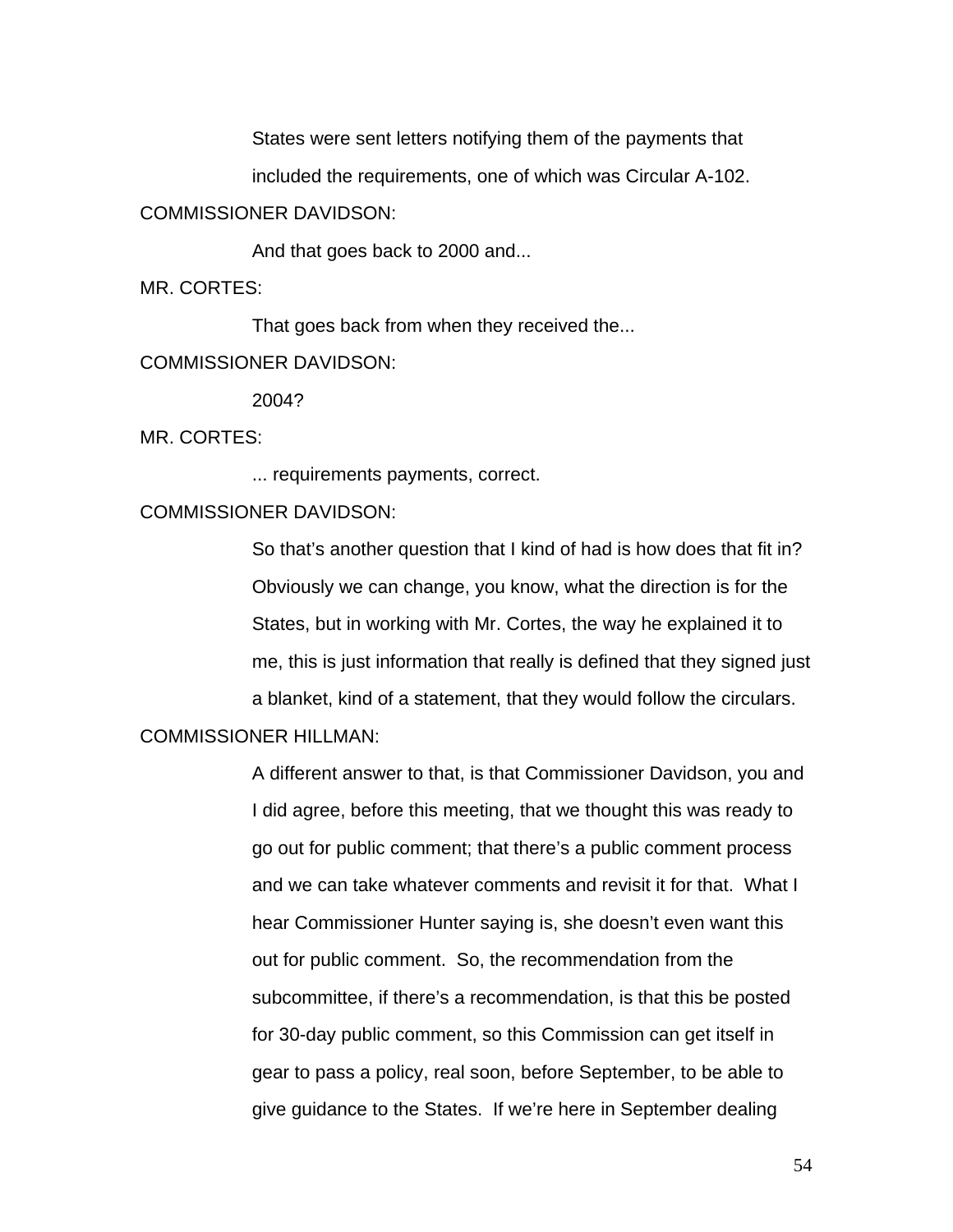States were sent letters notifying them of the payments that

included the requirements, one of which was Circular A-102.

### COMMISSIONER DAVIDSON:

And that goes back to 2000 and...

MR. CORTES:

That goes back from when they received the...

### COMMISSIONER DAVIDSON:

2004?

MR. CORTES:

... requirements payments, correct.

### COMMISSIONER DAVIDSON:

So that's another question that I kind of had is how does that fit in? Obviously we can change, you know, what the direction is for the States, but in working with Mr. Cortes, the way he explained it to me, this is just information that really is defined that they signed just a blanket, kind of a statement, that they would follow the circulars.

# COMMISSIONER HILLMAN:

A different answer to that, is that Commissioner Davidson, you and I did agree, before this meeting, that we thought this was ready to go out for public comment; that there's a public comment process and we can take whatever comments and revisit it for that. What I hear Commissioner Hunter saying is, she doesn't even want this out for public comment. So, the recommendation from the subcommittee, if there's a recommendation, is that this be posted for 30-day public comment, so this Commission can get itself in gear to pass a policy, real soon, before September, to be able to give guidance to the States. If we're here in September dealing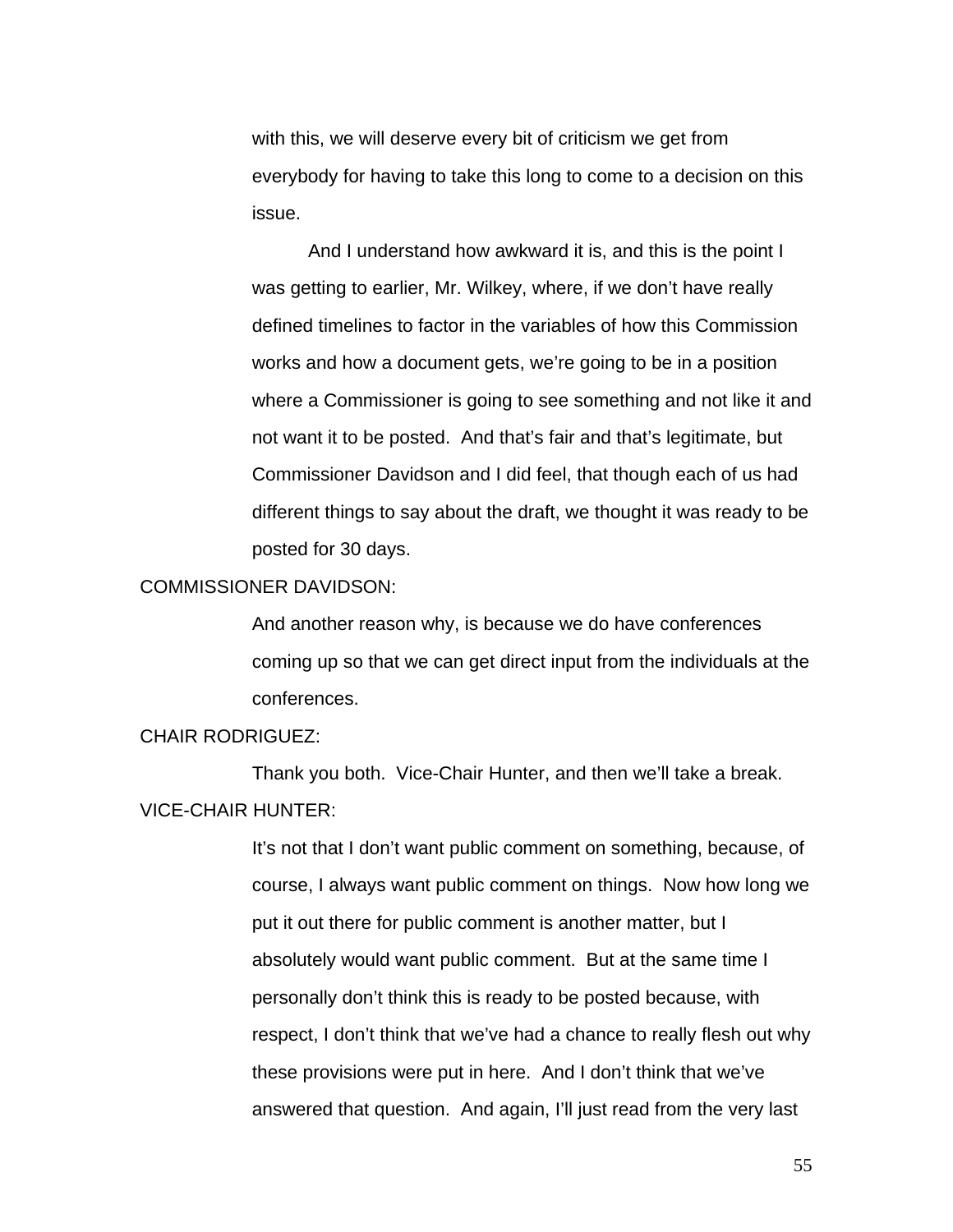with this, we will deserve every bit of criticism we get from everybody for having to take this long to come to a decision on this issue.

And I understand how awkward it is, and this is the point I was getting to earlier, Mr. Wilkey, where, if we don't have really defined timelines to factor in the variables of how this Commission works and how a document gets, we're going to be in a position where a Commissioner is going to see something and not like it and not want it to be posted. And that's fair and that's legitimate, but Commissioner Davidson and I did feel, that though each of us had different things to say about the draft, we thought it was ready to be posted for 30 days.

#### COMMISSIONER DAVIDSON:

And another reason why, is because we do have conferences coming up so that we can get direct input from the individuals at the conferences.

# CHAIR RODRIGUEZ:

 Thank you both. Vice-Chair Hunter, and then we'll take a break. VICE-CHAIR HUNTER:

> It's not that I don't want public comment on something, because, of course, I always want public comment on things. Now how long we put it out there for public comment is another matter, but I absolutely would want public comment. But at the same time I personally don't think this is ready to be posted because, with respect, I don't think that we've had a chance to really flesh out why these provisions were put in here. And I don't think that we've answered that question. And again, I'll just read from the very last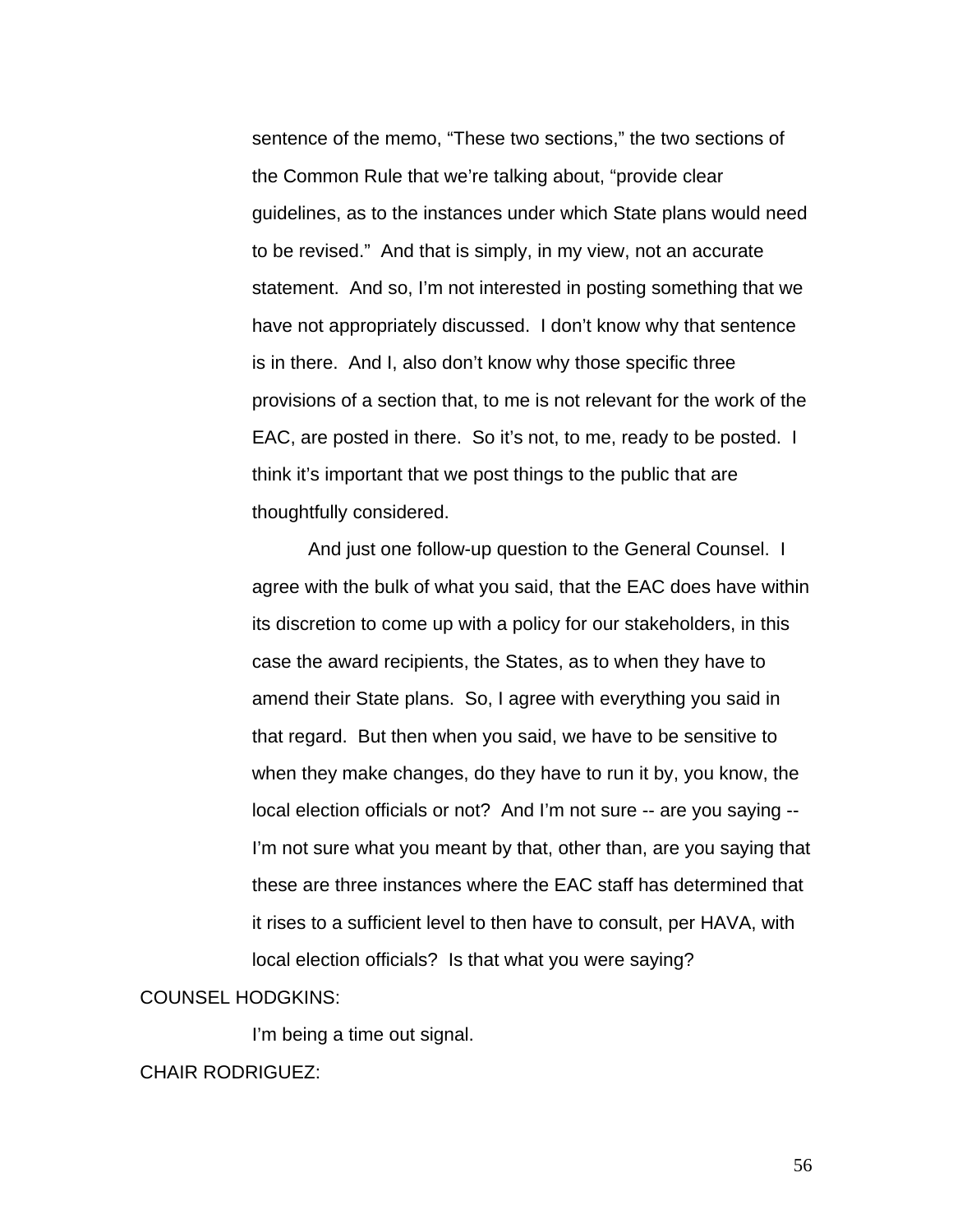sentence of the memo, "These two sections," the two sections of the Common Rule that we're talking about, "provide clear guidelines, as to the instances under which State plans would need to be revised." And that is simply, in my view, not an accurate statement. And so, I'm not interested in posting something that we have not appropriately discussed. I don't know why that sentence is in there. And I, also don't know why those specific three provisions of a section that, to me is not relevant for the work of the EAC, are posted in there. So it's not, to me, ready to be posted. I think it's important that we post things to the public that are thoughtfully considered.

 And just one follow-up question to the General Counsel. I agree with the bulk of what you said, that the EAC does have within its discretion to come up with a policy for our stakeholders, in this case the award recipients, the States, as to when they have to amend their State plans. So, I agree with everything you said in that regard. But then when you said, we have to be sensitive to when they make changes, do they have to run it by, you know, the local election officials or not? And I'm not sure -- are you saying -- I'm not sure what you meant by that, other than, are you saying that these are three instances where the EAC staff has determined that it rises to a sufficient level to then have to consult, per HAVA, with local election officials? Is that what you were saying?

### COUNSEL HODGKINS:

I'm being a time out signal.

#### CHAIR RODRIGUEZ: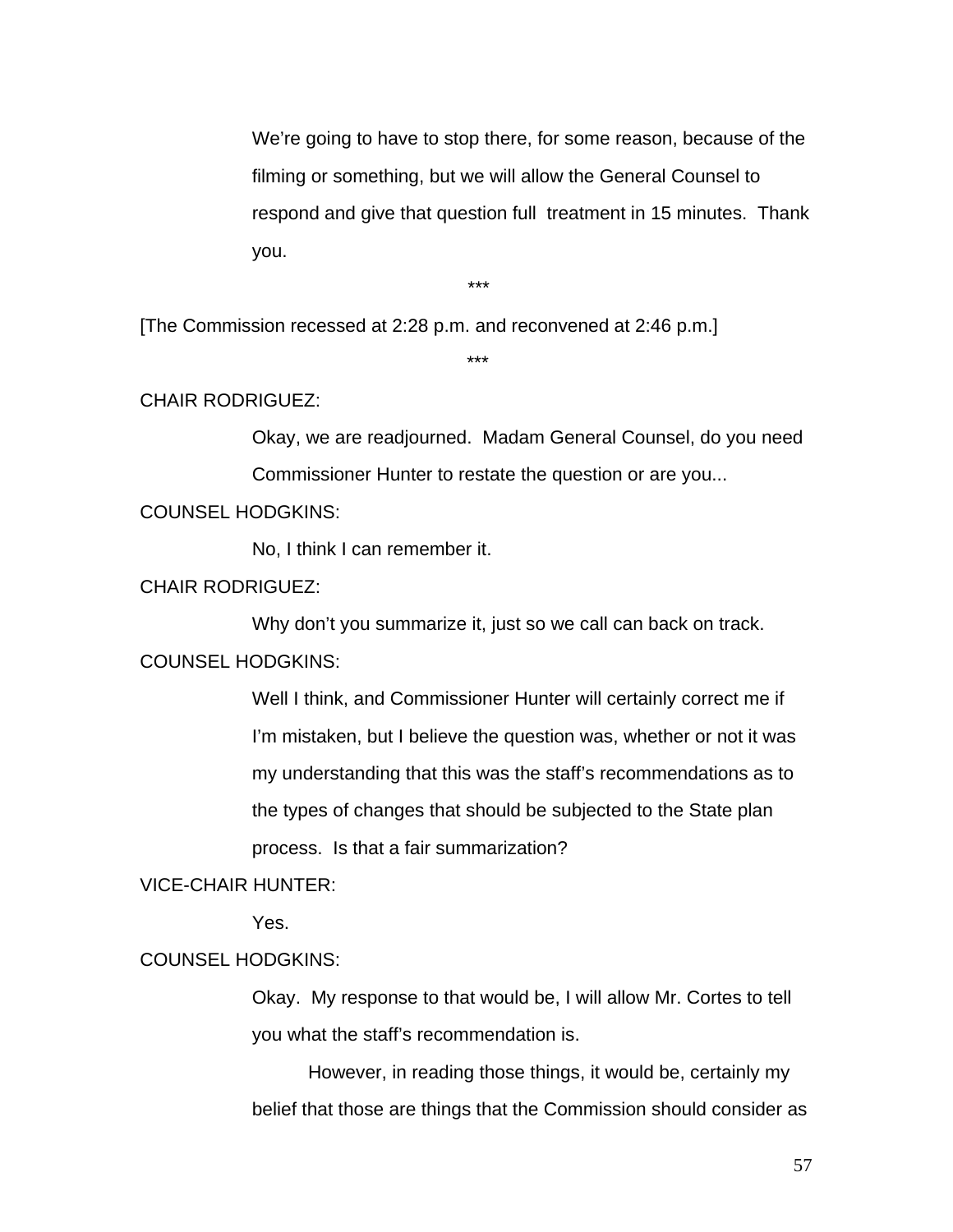We're going to have to stop there, for some reason, because of the filming or something, but we will allow the General Counsel to respond and give that question full treatment in 15 minutes. Thank you.

\*\*\*

[The Commission recessed at 2:28 p.m. and reconvened at 2:46 p.m.]

\*\*\*

#### CHAIR RODRIGUEZ:

Okay, we are readjourned. Madam General Counsel, do you need Commissioner Hunter to restate the question or are you...

### COUNSEL HODGKINS:

No, I think I can remember it.

# CHAIR RODRIGUEZ:

Why don't you summarize it, just so we call can back on track.

### COUNSEL HODGKINS:

Well I think, and Commissioner Hunter will certainly correct me if I'm mistaken, but I believe the question was, whether or not it was my understanding that this was the staff's recommendations as to the types of changes that should be subjected to the State plan process. Is that a fair summarization?

### VICE-CHAIR HUNTER:

Yes.

### COUNSEL HODGKINS:

Okay. My response to that would be, I will allow Mr. Cortes to tell you what the staff's recommendation is.

However, in reading those things, it would be, certainly my belief that those are things that the Commission should consider as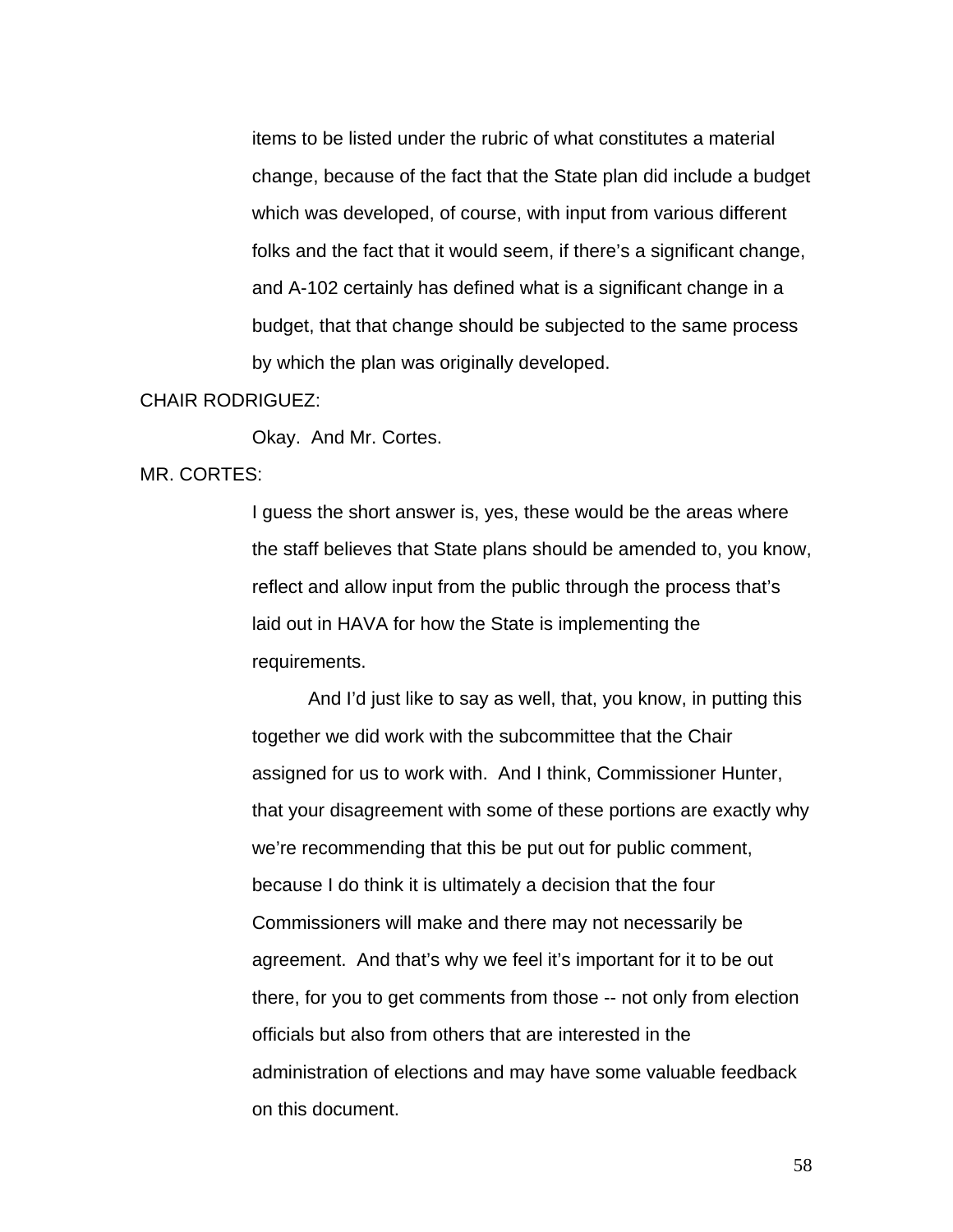items to be listed under the rubric of what constitutes a material change, because of the fact that the State plan did include a budget which was developed, of course, with input from various different folks and the fact that it would seem, if there's a significant change, and A-102 certainly has defined what is a significant change in a budget, that that change should be subjected to the same process by which the plan was originally developed.

#### CHAIR RODRIGUEZ:

Okay. And Mr. Cortes.

### MR. CORTES:

I guess the short answer is, yes, these would be the areas where the staff believes that State plans should be amended to, you know, reflect and allow input from the public through the process that's laid out in HAVA for how the State is implementing the requirements.

And I'd just like to say as well, that, you know, in putting this together we did work with the subcommittee that the Chair assigned for us to work with. And I think, Commissioner Hunter, that your disagreement with some of these portions are exactly why we're recommending that this be put out for public comment, because I do think it is ultimately a decision that the four Commissioners will make and there may not necessarily be agreement. And that's why we feel it's important for it to be out there, for you to get comments from those -- not only from election officials but also from others that are interested in the administration of elections and may have some valuable feedback on this document.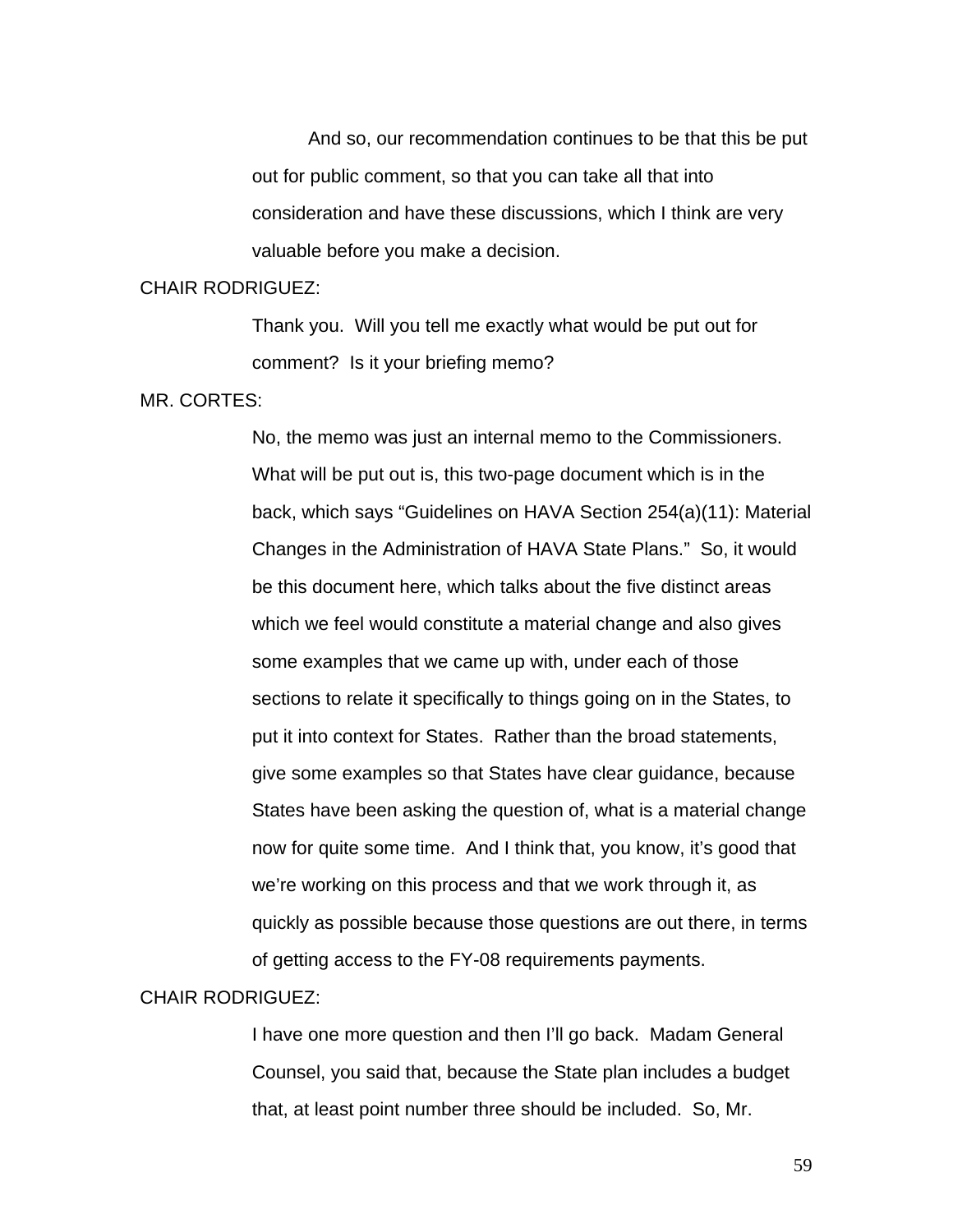And so, our recommendation continues to be that this be put out for public comment, so that you can take all that into consideration and have these discussions, which I think are very valuable before you make a decision.

#### CHAIR RODRIGUEZ:

Thank you. Will you tell me exactly what would be put out for comment? Is it your briefing memo?

#### MR. CORTES:

No, the memo was just an internal memo to the Commissioners. What will be put out is, this two-page document which is in the back, which says "Guidelines on HAVA Section 254(a)(11): Material Changes in the Administration of HAVA State Plans." So, it would be this document here, which talks about the five distinct areas which we feel would constitute a material change and also gives some examples that we came up with, under each of those sections to relate it specifically to things going on in the States, to put it into context for States. Rather than the broad statements, give some examples so that States have clear guidance, because States have been asking the question of, what is a material change now for quite some time. And I think that, you know, it's good that we're working on this process and that we work through it, as quickly as possible because those questions are out there, in terms of getting access to the FY-08 requirements payments.

#### CHAIR RODRIGUEZ:

I have one more question and then I'll go back. Madam General Counsel, you said that, because the State plan includes a budget that, at least point number three should be included. So, Mr.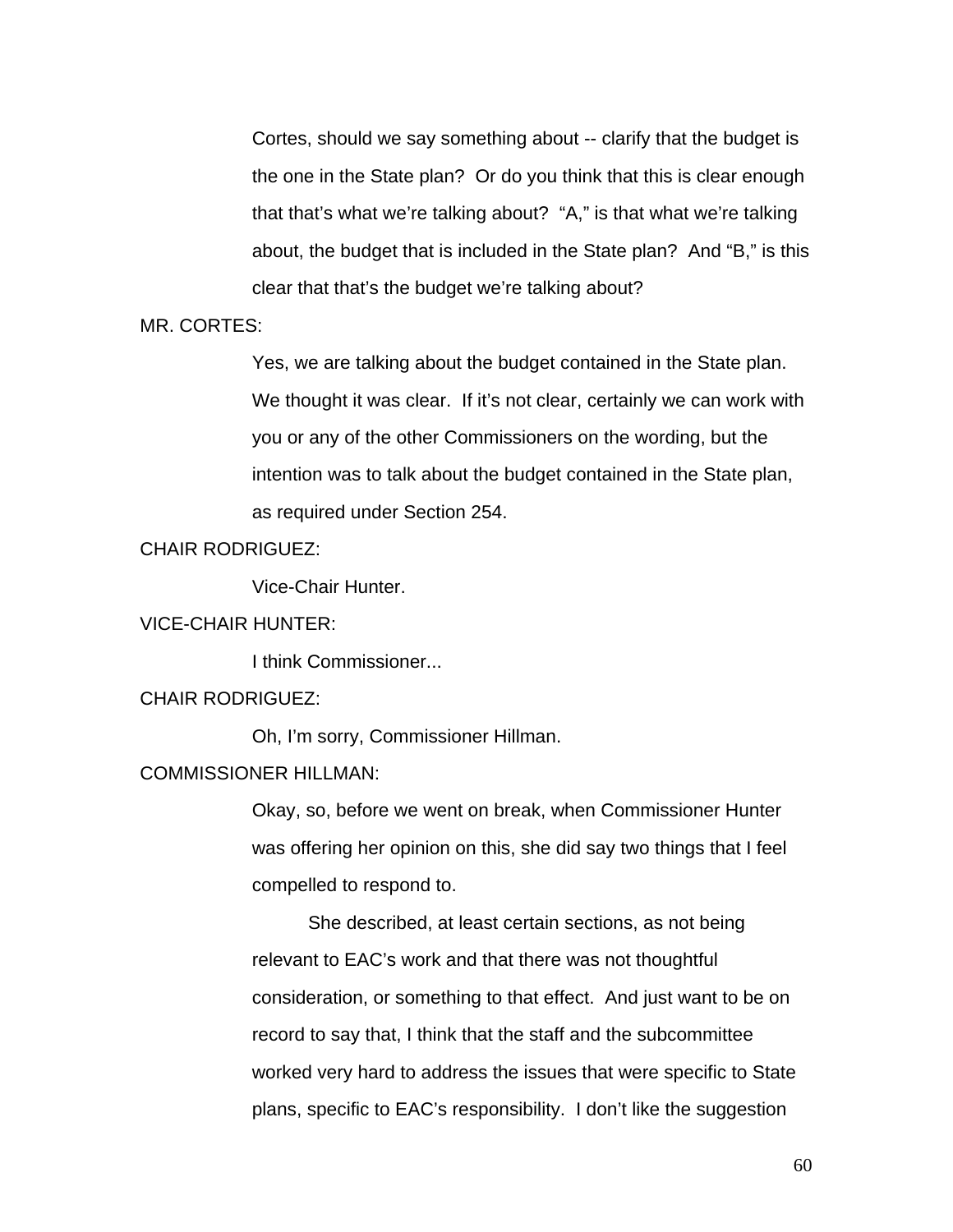Cortes, should we say something about -- clarify that the budget is the one in the State plan? Or do you think that this is clear enough that that's what we're talking about? "A," is that what we're talking about, the budget that is included in the State plan? And "B," is this clear that that's the budget we're talking about?

MR. CORTES:

Yes, we are talking about the budget contained in the State plan. We thought it was clear. If it's not clear, certainly we can work with you or any of the other Commissioners on the wording, but the intention was to talk about the budget contained in the State plan, as required under Section 254.

### CHAIR RODRIGUEZ:

Vice-Chair Hunter.

#### VICE-CHAIR HUNTER:

I think Commissioner...

# CHAIR RODRIGUEZ:

Oh, I'm sorry, Commissioner Hillman.

# COMMISSIONER HILLMAN:

Okay, so, before we went on break, when Commissioner Hunter was offering her opinion on this, she did say two things that I feel compelled to respond to.

 She described, at least certain sections, as not being relevant to EAC's work and that there was not thoughtful consideration, or something to that effect. And just want to be on record to say that, I think that the staff and the subcommittee worked very hard to address the issues that were specific to State plans, specific to EAC's responsibility. I don't like the suggestion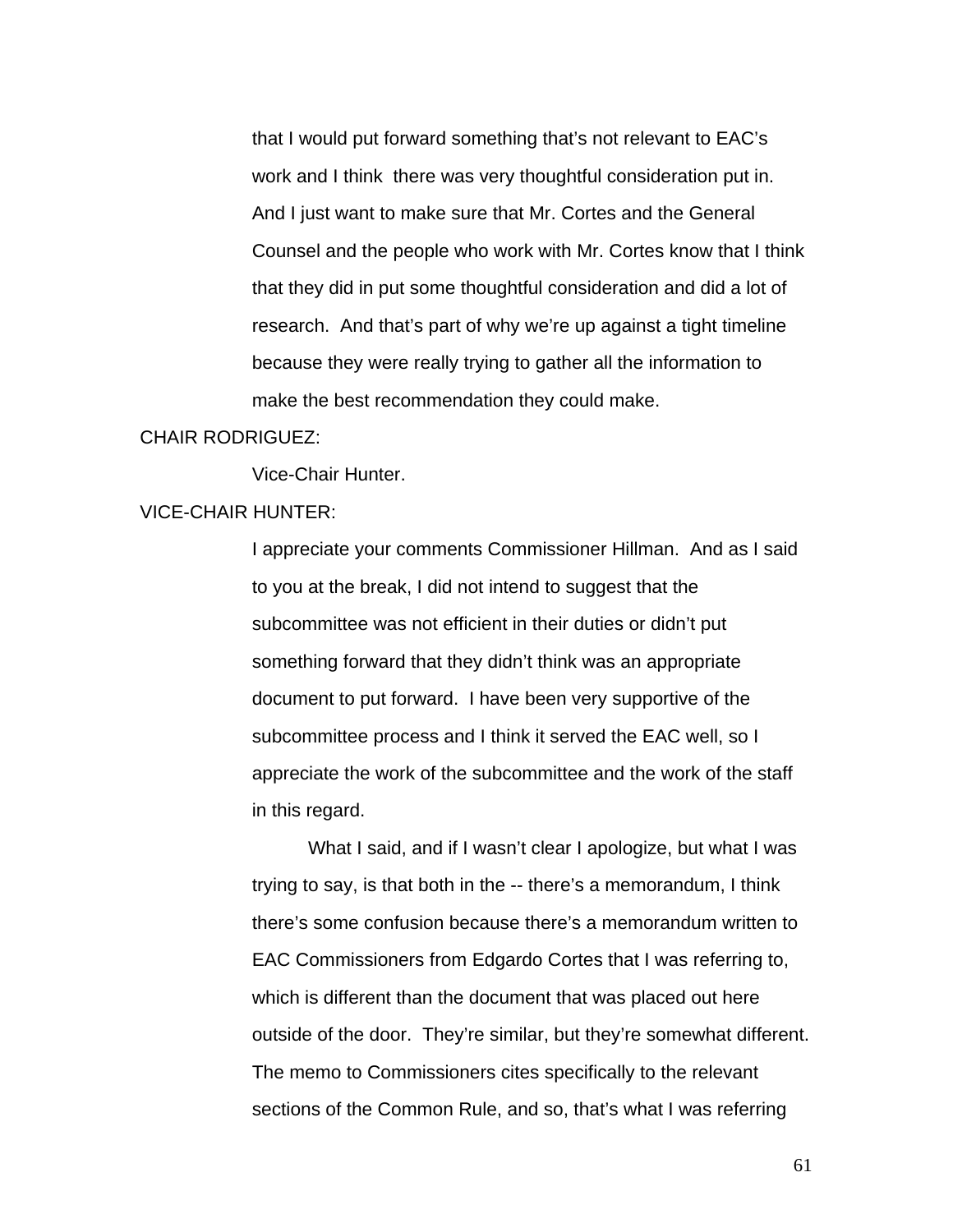that I would put forward something that's not relevant to EAC's work and I think there was very thoughtful consideration put in. And I just want to make sure that Mr. Cortes and the General Counsel and the people who work with Mr. Cortes know that I think that they did in put some thoughtful consideration and did a lot of research. And that's part of why we're up against a tight timeline because they were really trying to gather all the information to make the best recommendation they could make.

### CHAIR RODRIGUEZ:

Vice-Chair Hunter.

#### VICE-CHAIR HUNTER:

I appreciate your comments Commissioner Hillman. And as I said to you at the break, I did not intend to suggest that the subcommittee was not efficient in their duties or didn't put something forward that they didn't think was an appropriate document to put forward. I have been very supportive of the subcommittee process and I think it served the EAC well, so I appreciate the work of the subcommittee and the work of the staff in this regard.

 What I said, and if I wasn't clear I apologize, but what I was trying to say, is that both in the -- there's a memorandum, I think there's some confusion because there's a memorandum written to EAC Commissioners from Edgardo Cortes that I was referring to, which is different than the document that was placed out here outside of the door. They're similar, but they're somewhat different. The memo to Commissioners cites specifically to the relevant sections of the Common Rule, and so, that's what I was referring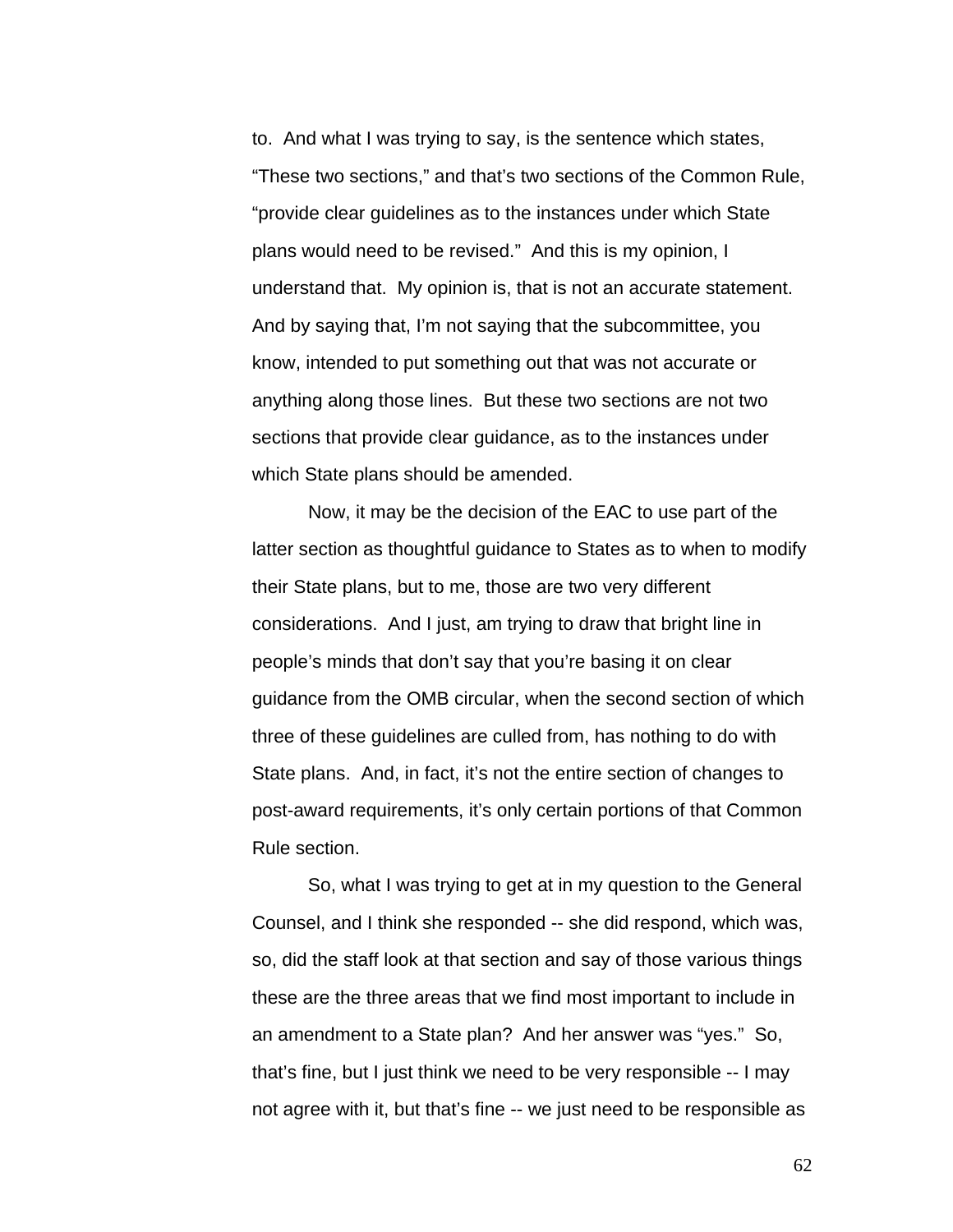to. And what I was trying to say, is the sentence which states, "These two sections," and that's two sections of the Common Rule, "provide clear guidelines as to the instances under which State plans would need to be revised." And this is my opinion, I understand that. My opinion is, that is not an accurate statement. And by saying that, I'm not saying that the subcommittee, you know, intended to put something out that was not accurate or anything along those lines. But these two sections are not two sections that provide clear guidance, as to the instances under which State plans should be amended.

Now, it may be the decision of the EAC to use part of the latter section as thoughtful guidance to States as to when to modify their State plans, but to me, those are two very different considerations. And I just, am trying to draw that bright line in people's minds that don't say that you're basing it on clear guidance from the OMB circular, when the second section of which three of these guidelines are culled from, has nothing to do with State plans. And, in fact, it's not the entire section of changes to post-award requirements, it's only certain portions of that Common Rule section.

So, what I was trying to get at in my question to the General Counsel, and I think she responded -- she did respond, which was, so, did the staff look at that section and say of those various things these are the three areas that we find most important to include in an amendment to a State plan? And her answer was "yes." So, that's fine, but I just think we need to be very responsible -- I may not agree with it, but that's fine -- we just need to be responsible as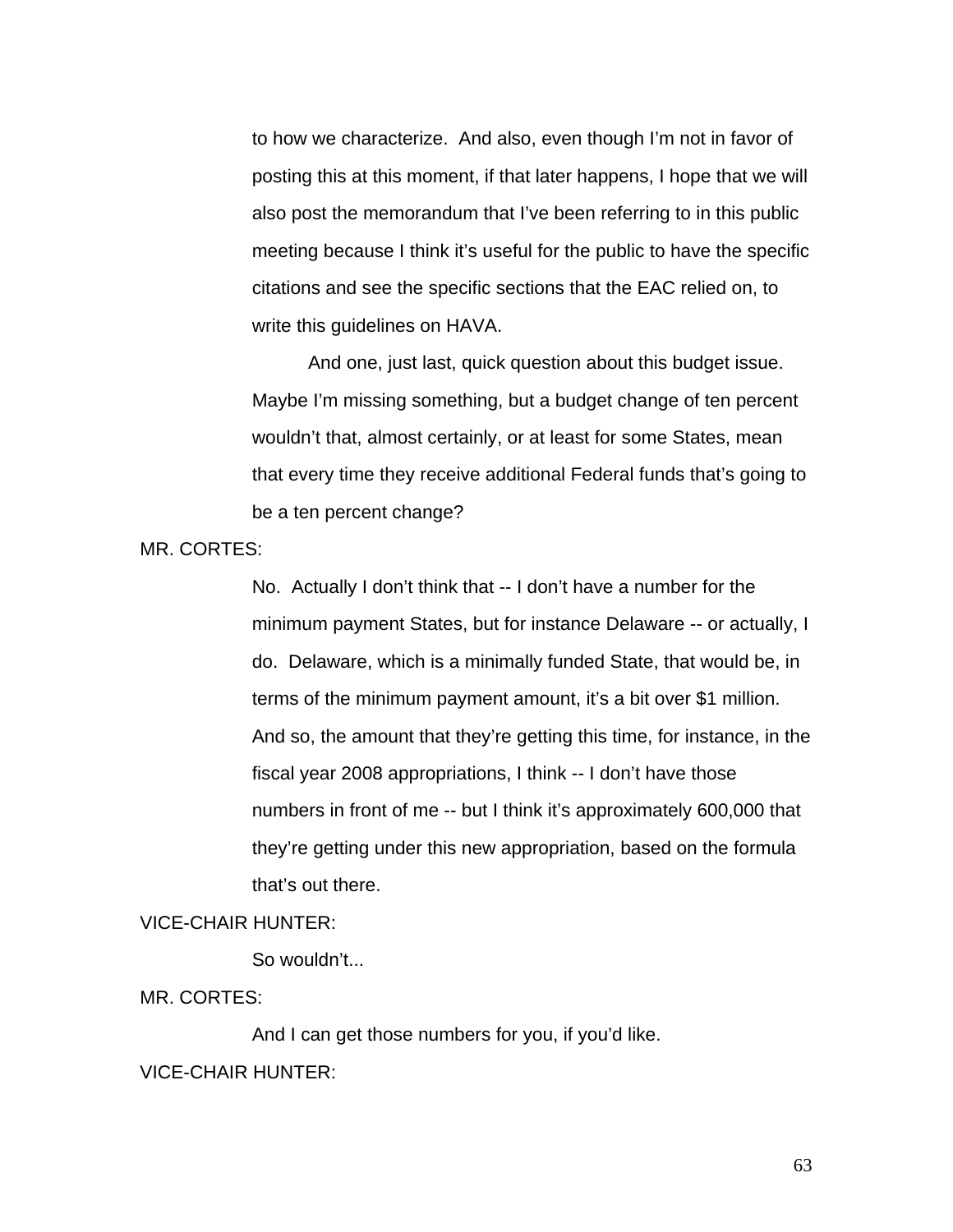to how we characterize. And also, even though I'm not in favor of posting this at this moment, if that later happens, I hope that we will also post the memorandum that I've been referring to in this public meeting because I think it's useful for the public to have the specific citations and see the specific sections that the EAC relied on, to write this guidelines on HAVA.

 And one, just last, quick question about this budget issue. Maybe I'm missing something, but a budget change of ten percent wouldn't that, almost certainly, or at least for some States, mean that every time they receive additional Federal funds that's going to be a ten percent change?

MR. CORTES:

No. Actually I don't think that -- I don't have a number for the minimum payment States, but for instance Delaware -- or actually, I do. Delaware, which is a minimally funded State, that would be, in terms of the minimum payment amount, it's a bit over \$1 million. And so, the amount that they're getting this time, for instance, in the fiscal year 2008 appropriations, I think -- I don't have those numbers in front of me -- but I think it's approximately 600,000 that they're getting under this new appropriation, based on the formula that's out there.

#### VICE-CHAIR HUNTER:

So wouldn't...

MR. CORTES:

And I can get those numbers for you, if you'd like.

### VICE-CHAIR HUNTER: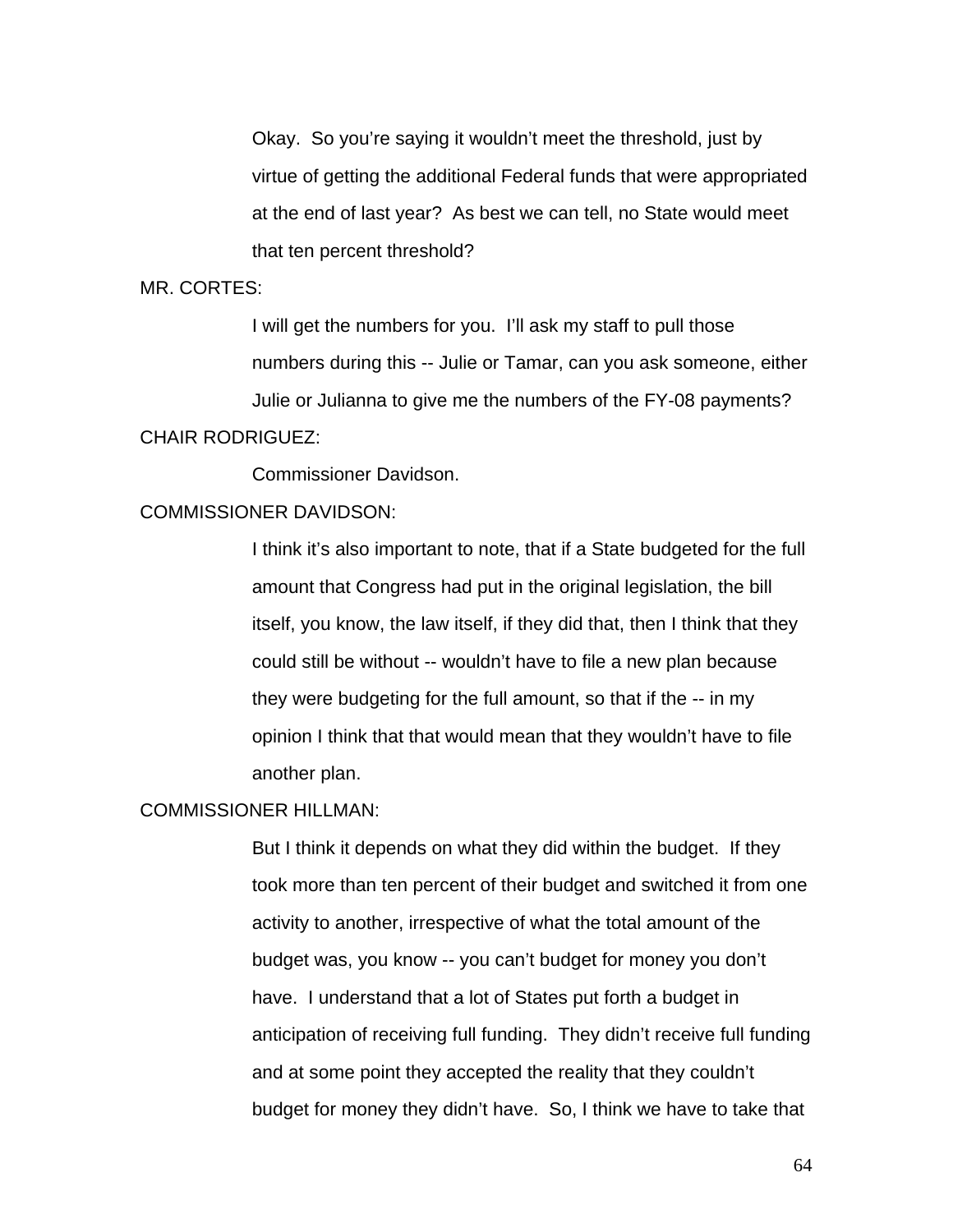Okay. So you're saying it wouldn't meet the threshold, just by virtue of getting the additional Federal funds that were appropriated at the end of last year? As best we can tell, no State would meet that ten percent threshold?

#### MR. CORTES:

I will get the numbers for you. I'll ask my staff to pull those numbers during this -- Julie or Tamar, can you ask someone, either Julie or Julianna to give me the numbers of the FY-08 payments?

# CHAIR RODRIGUEZ:

Commissioner Davidson.

### COMMISSIONER DAVIDSON:

I think it's also important to note, that if a State budgeted for the full amount that Congress had put in the original legislation, the bill itself, you know, the law itself, if they did that, then I think that they could still be without -- wouldn't have to file a new plan because they were budgeting for the full amount, so that if the -- in my opinion I think that that would mean that they wouldn't have to file another plan.

#### COMMISSIONER HILLMAN:

But I think it depends on what they did within the budget. If they took more than ten percent of their budget and switched it from one activity to another, irrespective of what the total amount of the budget was, you know -- you can't budget for money you don't have. I understand that a lot of States put forth a budget in anticipation of receiving full funding. They didn't receive full funding and at some point they accepted the reality that they couldn't budget for money they didn't have. So, I think we have to take that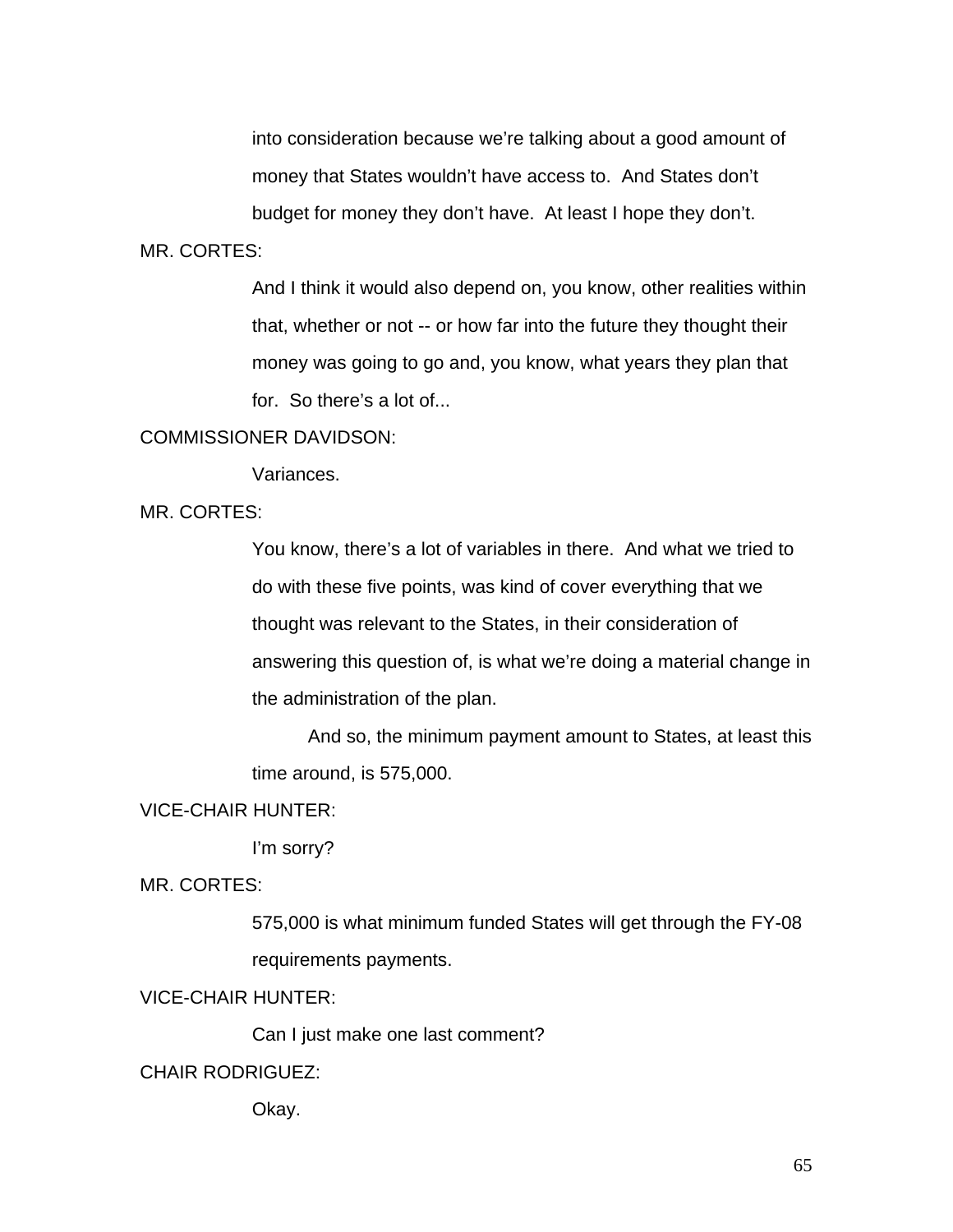into consideration because we're talking about a good amount of money that States wouldn't have access to. And States don't budget for money they don't have. At least I hope they don't.

#### MR. CORTES:

And I think it would also depend on, you know, other realities within that, whether or not -- or how far into the future they thought their money was going to go and, you know, what years they plan that for. So there's a lot of...

### COMMISSIONER DAVIDSON:

Variances.

### MR. CORTES:

You know, there's a lot of variables in there. And what we tried to do with these five points, was kind of cover everything that we thought was relevant to the States, in their consideration of answering this question of, is what we're doing a material change in the administration of the plan.

And so, the minimum payment amount to States, at least this time around, is 575,000.

#### VICE-CHAIR HUNTER:

I'm sorry?

MR. CORTES:

575,000 is what minimum funded States will get through the FY-08 requirements payments.

# VICE-CHAIR HUNTER:

Can I just make one last comment?

# CHAIR RODRIGUEZ:

Okay.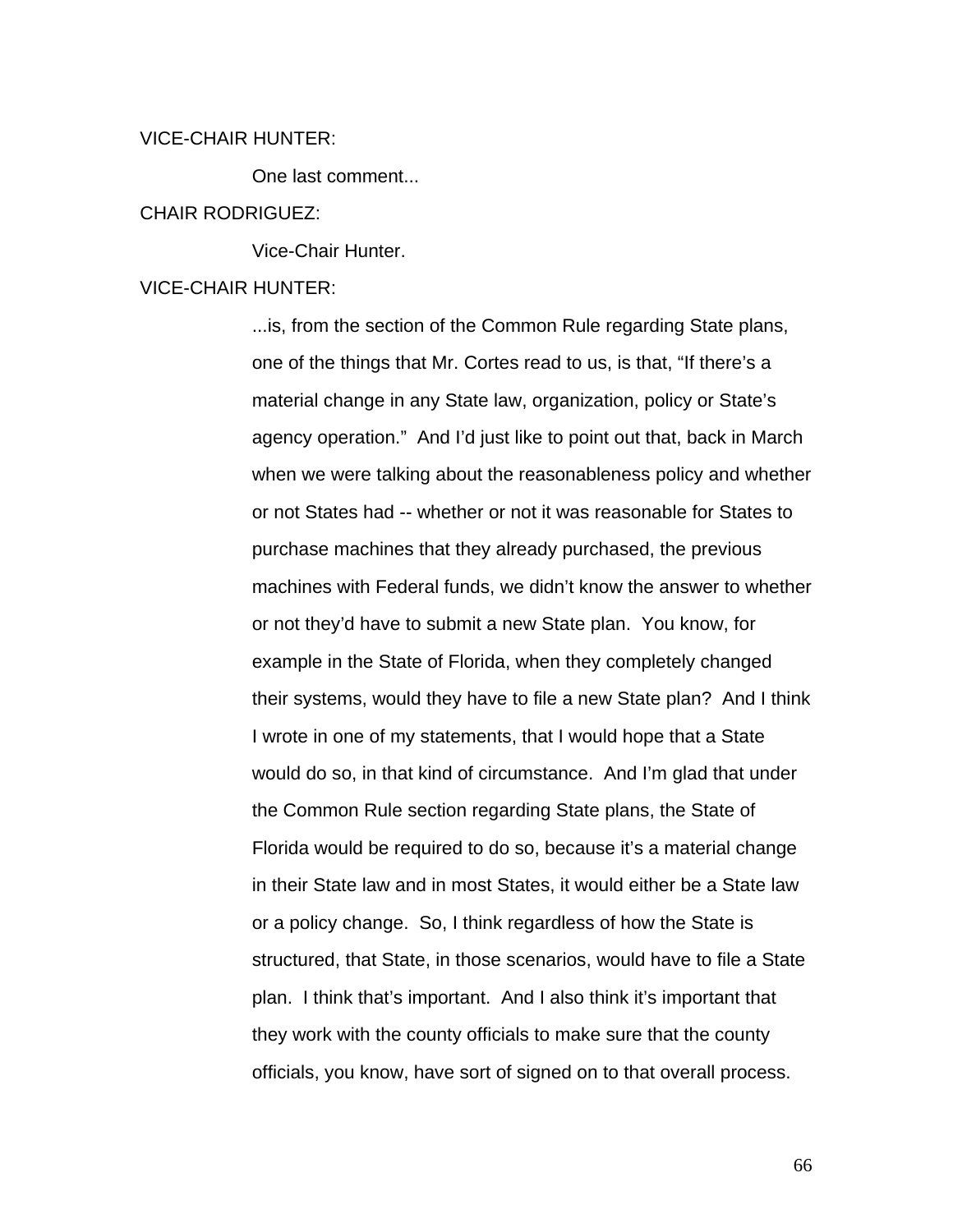### VICE-CHAIR HUNTER:

One last comment...

#### CHAIR RODRIGUEZ:

Vice-Chair Hunter.

### VICE-CHAIR HUNTER:

...is, from the section of the Common Rule regarding State plans, one of the things that Mr. Cortes read to us, is that, "If there's a material change in any State law, organization, policy or State's agency operation." And I'd just like to point out that, back in March when we were talking about the reasonableness policy and whether or not States had -- whether or not it was reasonable for States to purchase machines that they already purchased, the previous machines with Federal funds, we didn't know the answer to whether or not they'd have to submit a new State plan. You know, for example in the State of Florida, when they completely changed their systems, would they have to file a new State plan? And I think I wrote in one of my statements, that I would hope that a State would do so, in that kind of circumstance. And I'm glad that under the Common Rule section regarding State plans, the State of Florida would be required to do so, because it's a material change in their State law and in most States, it would either be a State law or a policy change. So, I think regardless of how the State is structured, that State, in those scenarios, would have to file a State plan. I think that's important. And I also think it's important that they work with the county officials to make sure that the county officials, you know, have sort of signed on to that overall process.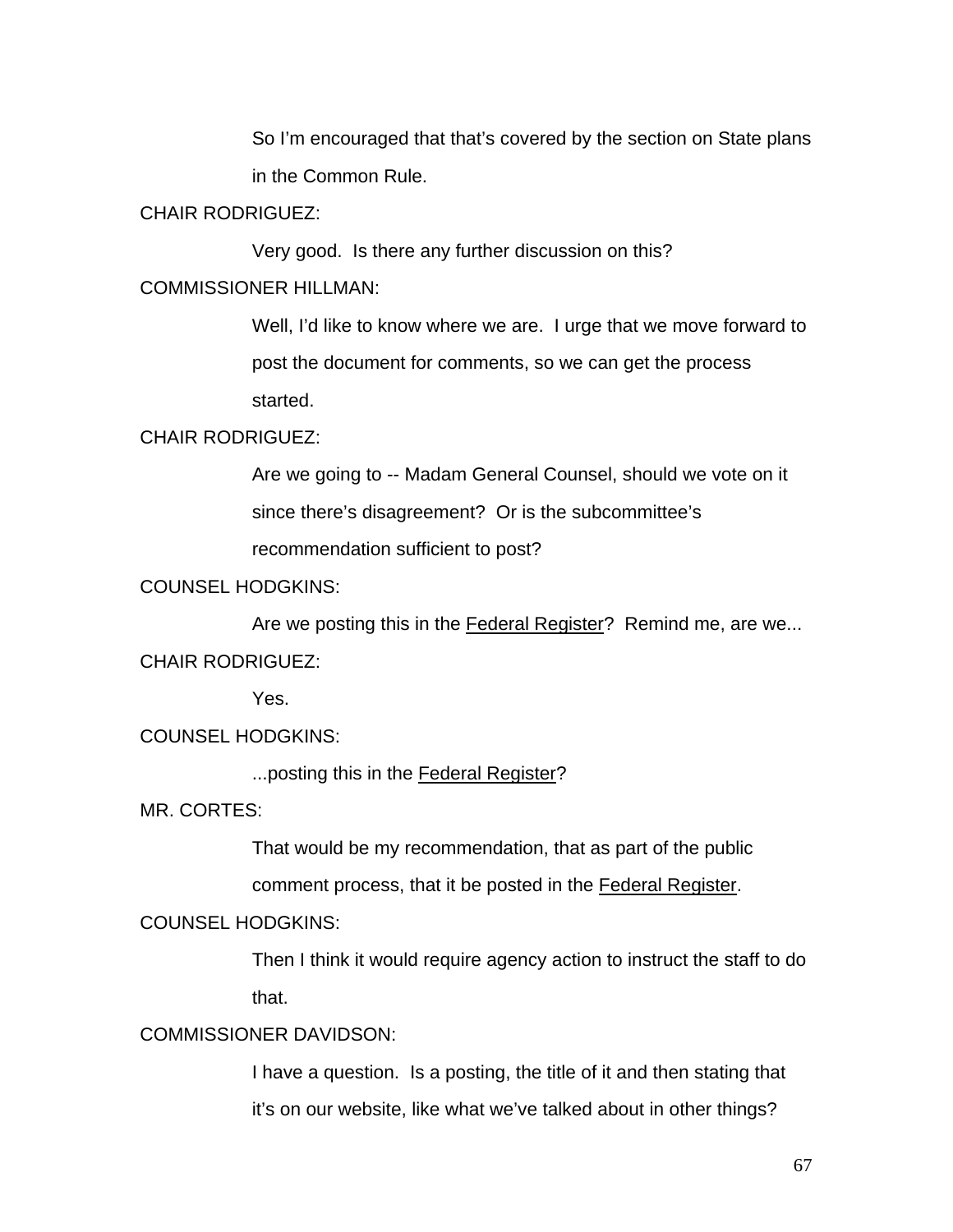So I'm encouraged that that's covered by the section on State plans in the Common Rule.

### CHAIR RODRIGUEZ:

Very good. Is there any further discussion on this?

### COMMISSIONER HILLMAN:

Well, I'd like to know where we are. I urge that we move forward to post the document for comments, so we can get the process started.

### CHAIR RODRIGUEZ:

Are we going to -- Madam General Counsel, should we vote on it since there's disagreement? Or is the subcommittee's recommendation sufficient to post?

### COUNSEL HODGKINS:

Are we posting this in the Federal Register? Remind me, are we... CHAIR RODRIGUEZ:

Yes.

### COUNSEL HODGKINS:

...posting this in the Federal Register?

MR. CORTES:

That would be my recommendation, that as part of the public comment process, that it be posted in the Federal Register.

### COUNSEL HODGKINS:

Then I think it would require agency action to instruct the staff to do that.

# COMMISSIONER DAVIDSON:

I have a question. Is a posting, the title of it and then stating that it's on our website, like what we've talked about in other things?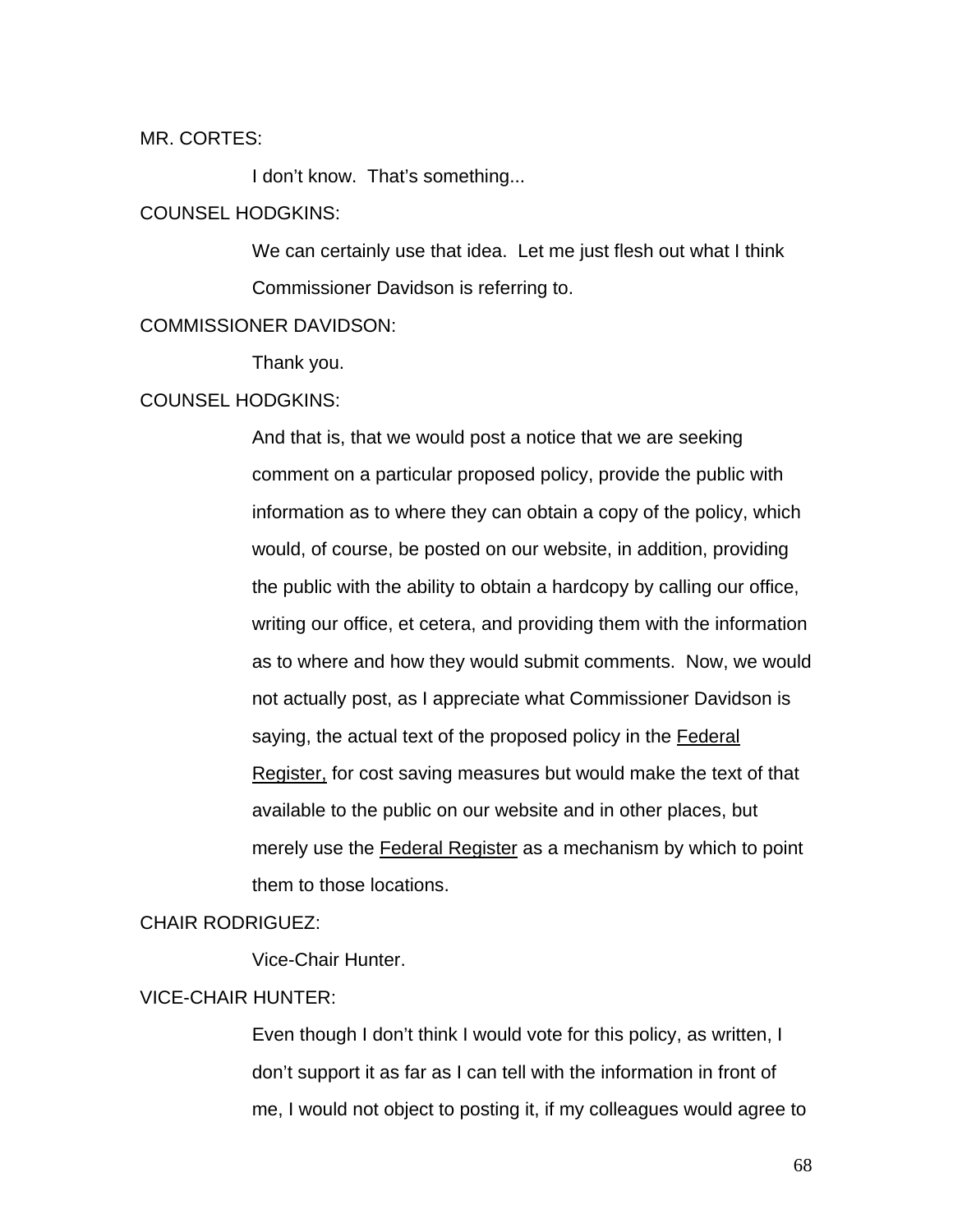MR. CORTES:

I don't know. That's something...

### COUNSEL HODGKINS:

We can certainly use that idea. Let me just flesh out what I think Commissioner Davidson is referring to.

### COMMISSIONER DAVIDSON:

Thank you.

#### COUNSEL HODGKINS:

And that is, that we would post a notice that we are seeking comment on a particular proposed policy, provide the public with information as to where they can obtain a copy of the policy, which would, of course, be posted on our website, in addition, providing the public with the ability to obtain a hardcopy by calling our office, writing our office, et cetera, and providing them with the information as to where and how they would submit comments. Now, we would not actually post, as I appreciate what Commissioner Davidson is saying, the actual text of the proposed policy in the Federal Register, for cost saving measures but would make the text of that available to the public on our website and in other places, but merely use the Federal Register as a mechanism by which to point them to those locations.

#### CHAIR RODRIGUEZ:

Vice-Chair Hunter.

### VICE-CHAIR HUNTER:

Even though I don't think I would vote for this policy, as written, I don't support it as far as I can tell with the information in front of me, I would not object to posting it, if my colleagues would agree to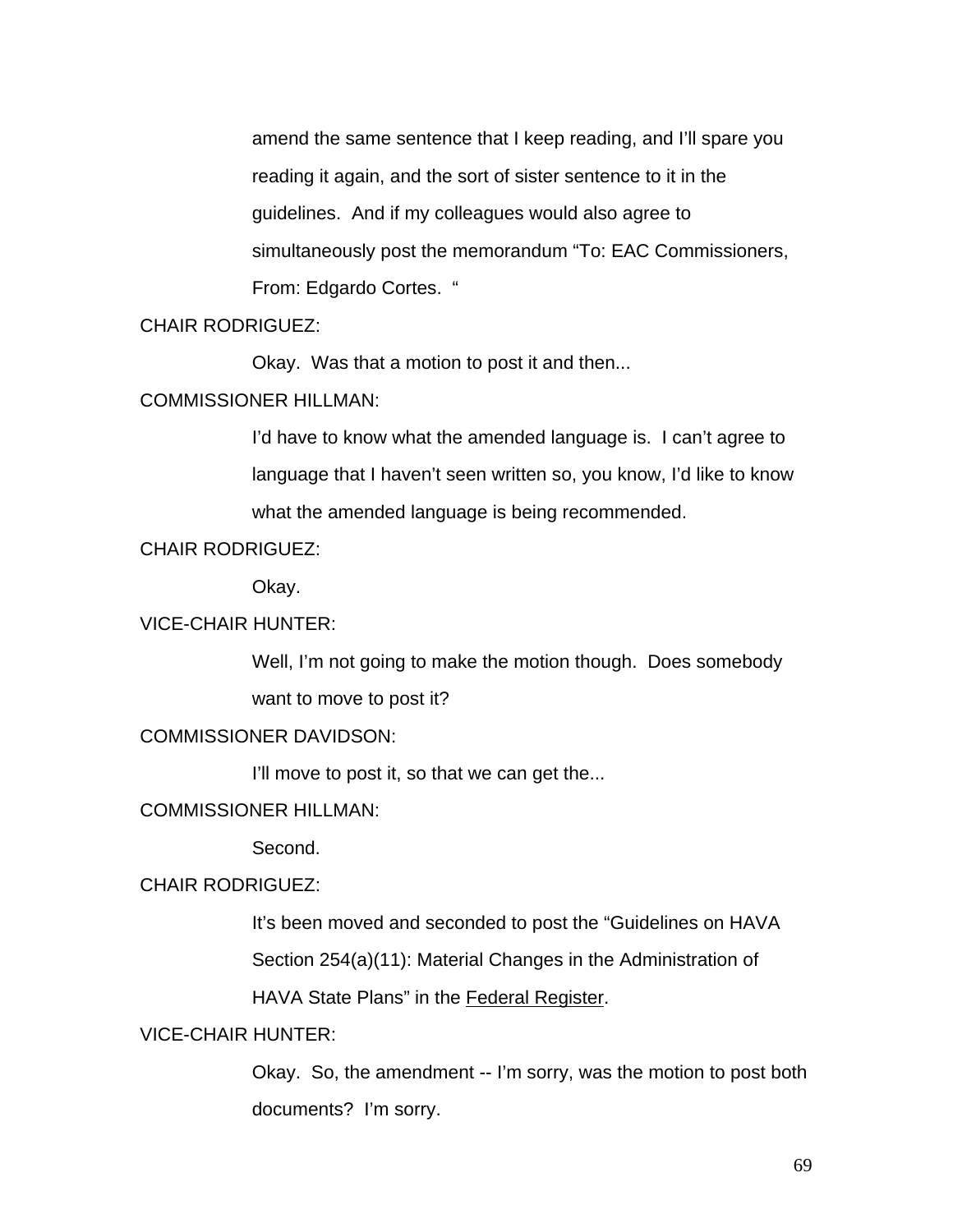amend the same sentence that I keep reading, and I'll spare you reading it again, and the sort of sister sentence to it in the guidelines. And if my colleagues would also agree to simultaneously post the memorandum "To: EAC Commissioners, From: Edgardo Cortes. "

# CHAIR RODRIGUEZ:

Okay. Was that a motion to post it and then...

### COMMISSIONER HILLMAN:

I'd have to know what the amended language is. I can't agree to language that I haven't seen written so, you know, I'd like to know what the amended language is being recommended.

### CHAIR RODRIGUEZ:

Okay.

# VICE-CHAIR HUNTER:

Well, I'm not going to make the motion though. Does somebody want to move to post it?

### COMMISSIONER DAVIDSON:

I'll move to post it, so that we can get the...

### COMMISSIONER HILLMAN:

Second.

### CHAIR RODRIGUEZ:

It's been moved and seconded to post the "Guidelines on HAVA

Section 254(a)(11): Material Changes in the Administration of

HAVA State Plans" in the Federal Register.

### VICE-CHAIR HUNTER:

Okay. So, the amendment -- I'm sorry, was the motion to post both documents? I'm sorry.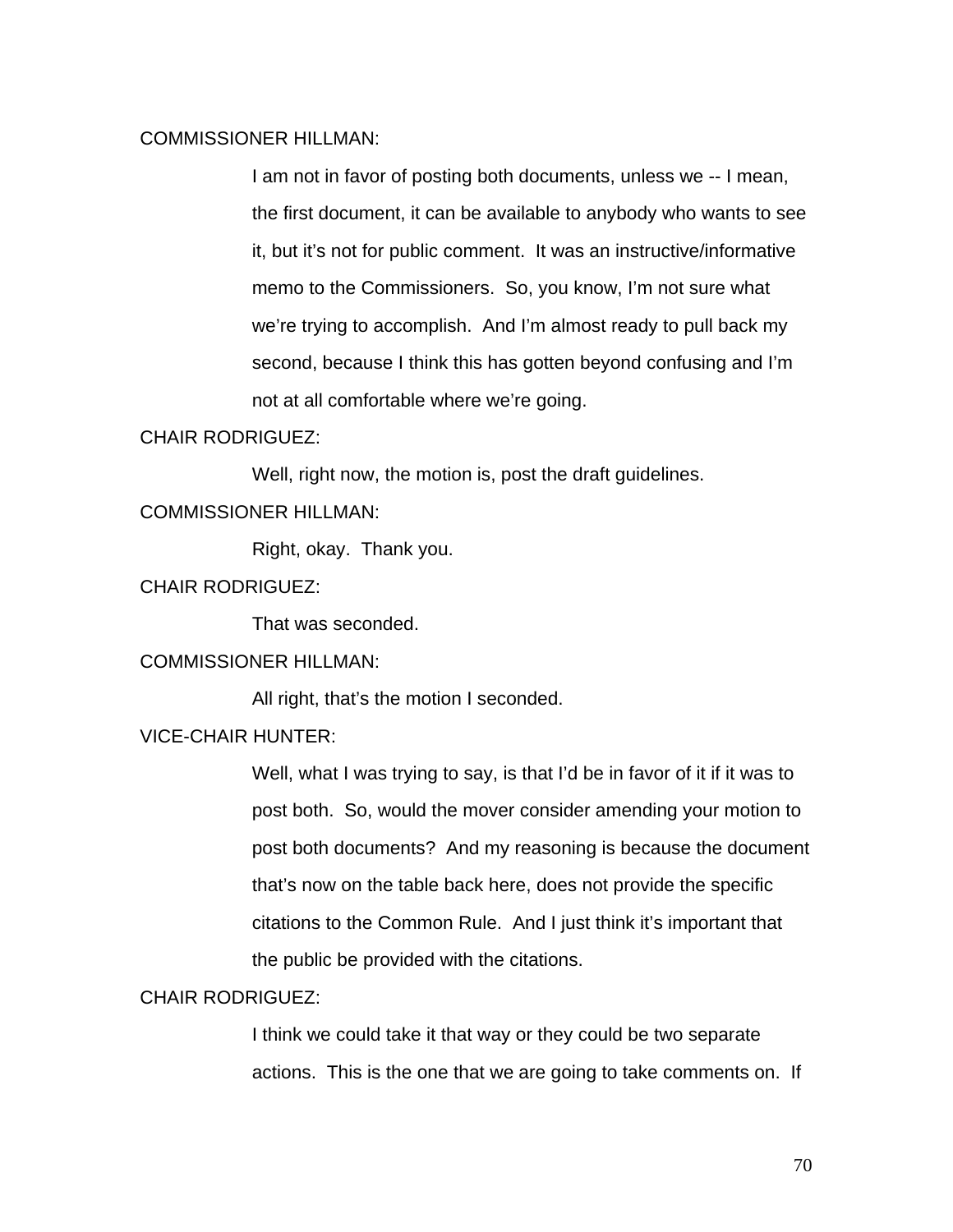### COMMISSIONER HILLMAN:

I am not in favor of posting both documents, unless we -- I mean, the first document, it can be available to anybody who wants to see it, but it's not for public comment. It was an instructive/informative memo to the Commissioners. So, you know, I'm not sure what we're trying to accomplish. And I'm almost ready to pull back my second, because I think this has gotten beyond confusing and I'm not at all comfortable where we're going.

### CHAIR RODRIGUEZ:

Well, right now, the motion is, post the draft guidelines.

# COMMISSIONER HILLMAN:

Right, okay. Thank you.

# CHAIR RODRIGUEZ:

That was seconded.

### COMMISSIONER HILLMAN:

All right, that's the motion I seconded.

### VICE-CHAIR HUNTER:

Well, what I was trying to say, is that I'd be in favor of it if it was to post both. So, would the mover consider amending your motion to post both documents? And my reasoning is because the document that's now on the table back here, does not provide the specific citations to the Common Rule. And I just think it's important that the public be provided with the citations.

### CHAIR RODRIGUEZ:

I think we could take it that way or they could be two separate actions. This is the one that we are going to take comments on. If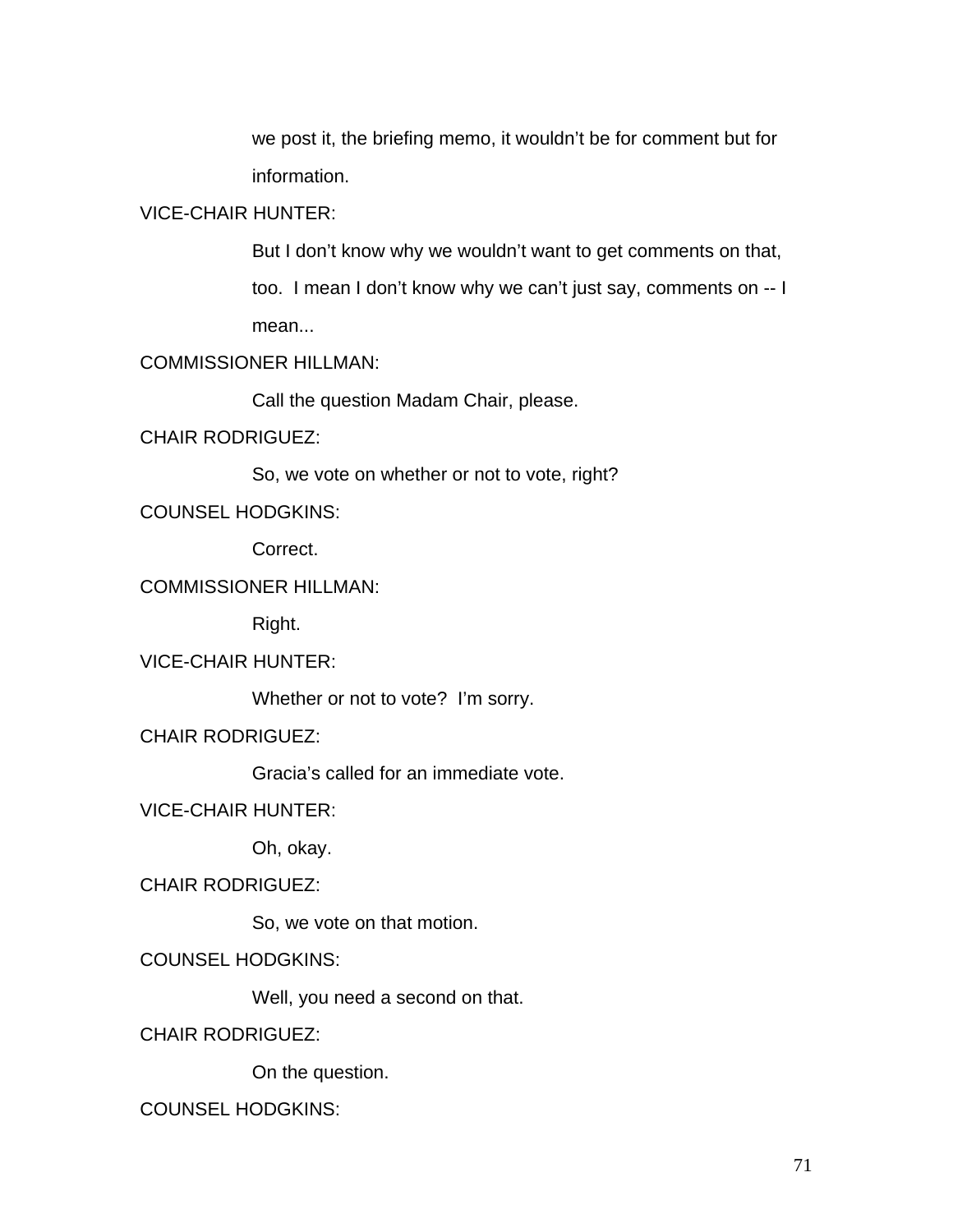we post it, the briefing memo, it wouldn't be for comment but for information.

# VICE-CHAIR HUNTER:

But I don't know why we wouldn't want to get comments on that, too. I mean I don't know why we can't just say, comments on -- I mean...

# COMMISSIONER HILLMAN:

Call the question Madam Chair, please.

# CHAIR RODRIGUEZ:

So, we vote on whether or not to vote, right?

COUNSEL HODGKINS:

Correct.

# COMMISSIONER HILLMAN:

Right.

# VICE-CHAIR HUNTER:

Whether or not to vote? I'm sorry.

CHAIR RODRIGUEZ:

Gracia's called for an immediate vote.

### VICE-CHAIR HUNTER:

Oh, okay.

# CHAIR RODRIGUEZ:

So, we vote on that motion.

# COUNSEL HODGKINS:

Well, you need a second on that.

CHAIR RODRIGUEZ:

On the question.

# COUNSEL HODGKINS: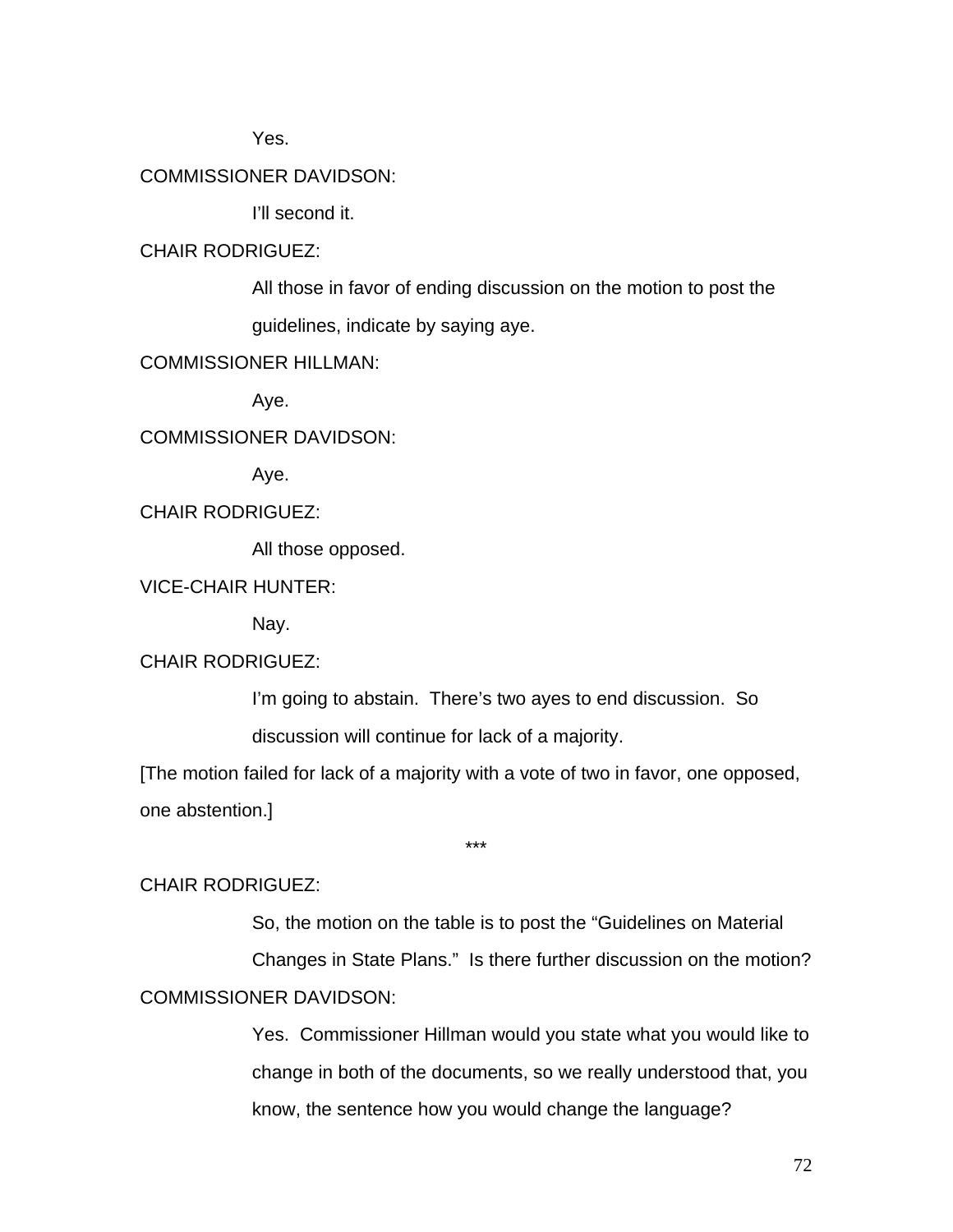Yes.

# COMMISSIONER DAVIDSON:

I'll second it.

# CHAIR RODRIGUEZ:

All those in favor of ending discussion on the motion to post the guidelines, indicate by saying aye.

# COMMISSIONER HILLMAN:

Aye.

COMMISSIONER DAVIDSON:

Aye.

CHAIR RODRIGUEZ:

All those opposed.

### VICE-CHAIR HUNTER:

Nay.

### CHAIR RODRIGUEZ:

I'm going to abstain. There's two ayes to end discussion. So

discussion will continue for lack of a majority.

[The motion failed for lack of a majority with a vote of two in favor, one opposed, one abstention.]

\*\*\*

#### CHAIR RODRIGUEZ:

So, the motion on the table is to post the "Guidelines on Material

Changes in State Plans." Is there further discussion on the motion? COMMISSIONER DAVIDSON:

> Yes. Commissioner Hillman would you state what you would like to change in both of the documents, so we really understood that, you know, the sentence how you would change the language?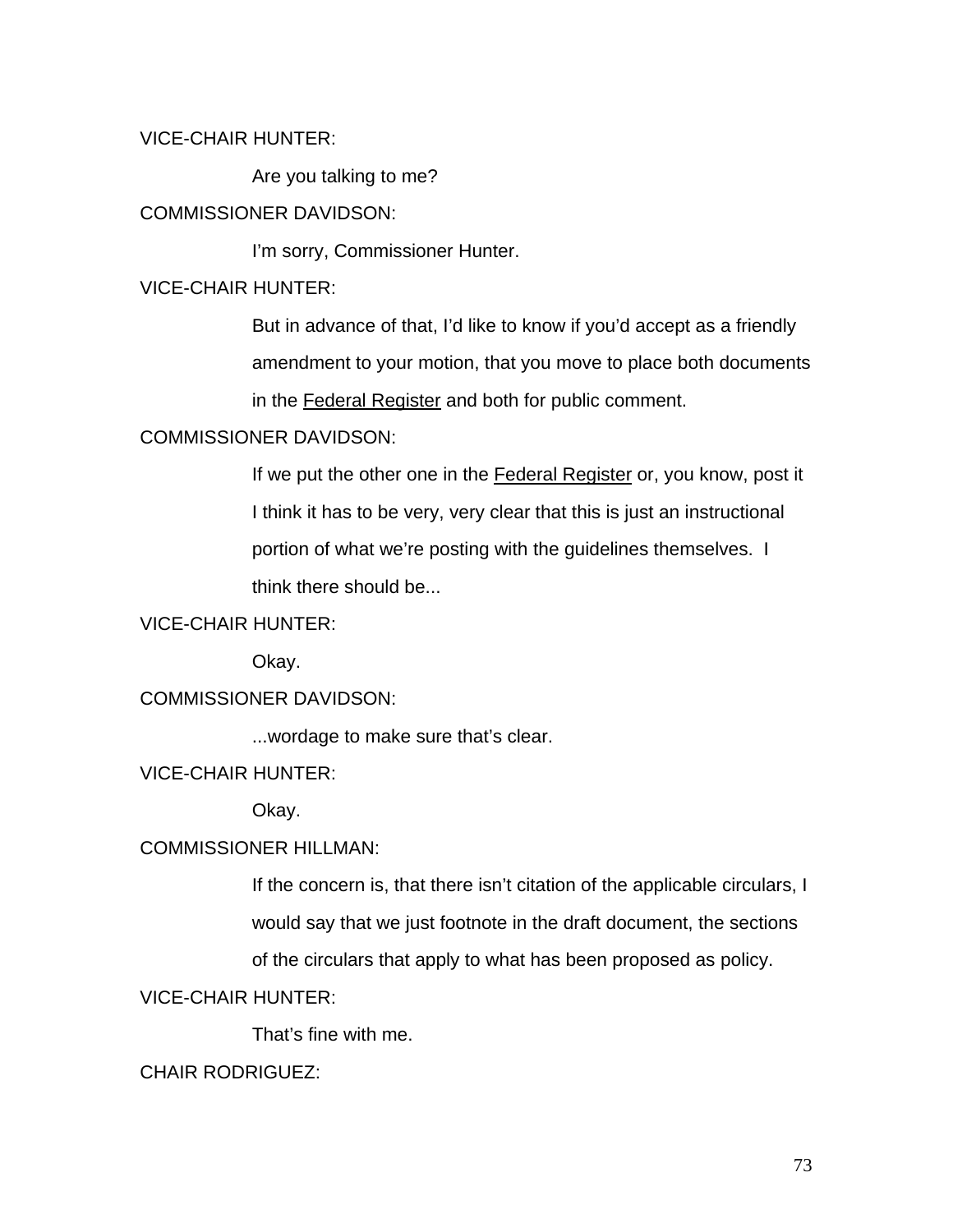# VICE-CHAIR HUNTER:

Are you talking to me?

# COMMISSIONER DAVIDSON:

I'm sorry, Commissioner Hunter.

# VICE-CHAIR HUNTER:

But in advance of that, I'd like to know if you'd accept as a friendly amendment to your motion, that you move to place both documents in the Federal Register and both for public comment.

# COMMISSIONER DAVIDSON:

If we put the other one in the Federal Register or, you know, post it I think it has to be very, very clear that this is just an instructional portion of what we're posting with the guidelines themselves. I think there should be...

# VICE-CHAIR HUNTER:

Okay.

# COMMISSIONER DAVIDSON:

...wordage to make sure that's clear.

# VICE-CHAIR HUNTER:

Okay.

## COMMISSIONER HILLMAN:

If the concern is, that there isn't citation of the applicable circulars, I would say that we just footnote in the draft document, the sections

of the circulars that apply to what has been proposed as policy.

# VICE-CHAIR HUNTER:

That's fine with me.

# CHAIR RODRIGUEZ: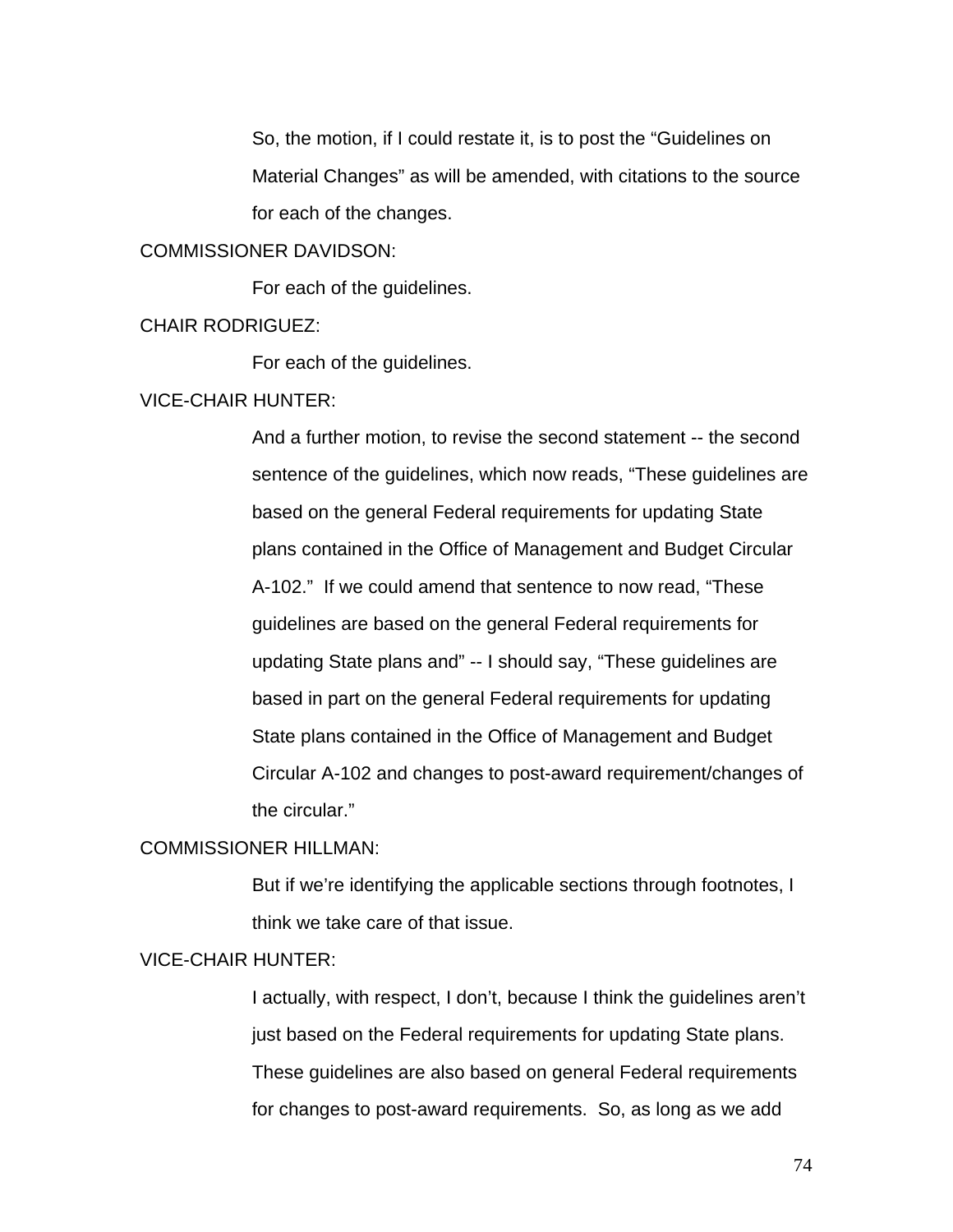So, the motion, if I could restate it, is to post the "Guidelines on Material Changes" as will be amended, with citations to the source for each of the changes.

### COMMISSIONER DAVIDSON:

For each of the guidelines.

### CHAIR RODRIGUEZ:

For each of the guidelines.

#### VICE-CHAIR HUNTER:

And a further motion, to revise the second statement -- the second sentence of the guidelines, which now reads, "These guidelines are based on the general Federal requirements for updating State plans contained in the Office of Management and Budget Circular A-102." If we could amend that sentence to now read, "These guidelines are based on the general Federal requirements for updating State plans and" -- I should say, "These guidelines are based in part on the general Federal requirements for updating State plans contained in the Office of Management and Budget Circular A-102 and changes to post-award requirement/changes of the circular."

#### COMMISSIONER HILLMAN:

But if we're identifying the applicable sections through footnotes, I think we take care of that issue.

# VICE-CHAIR HUNTER:

I actually, with respect, I don't, because I think the guidelines aren't just based on the Federal requirements for updating State plans. These guidelines are also based on general Federal requirements for changes to post-award requirements. So, as long as we add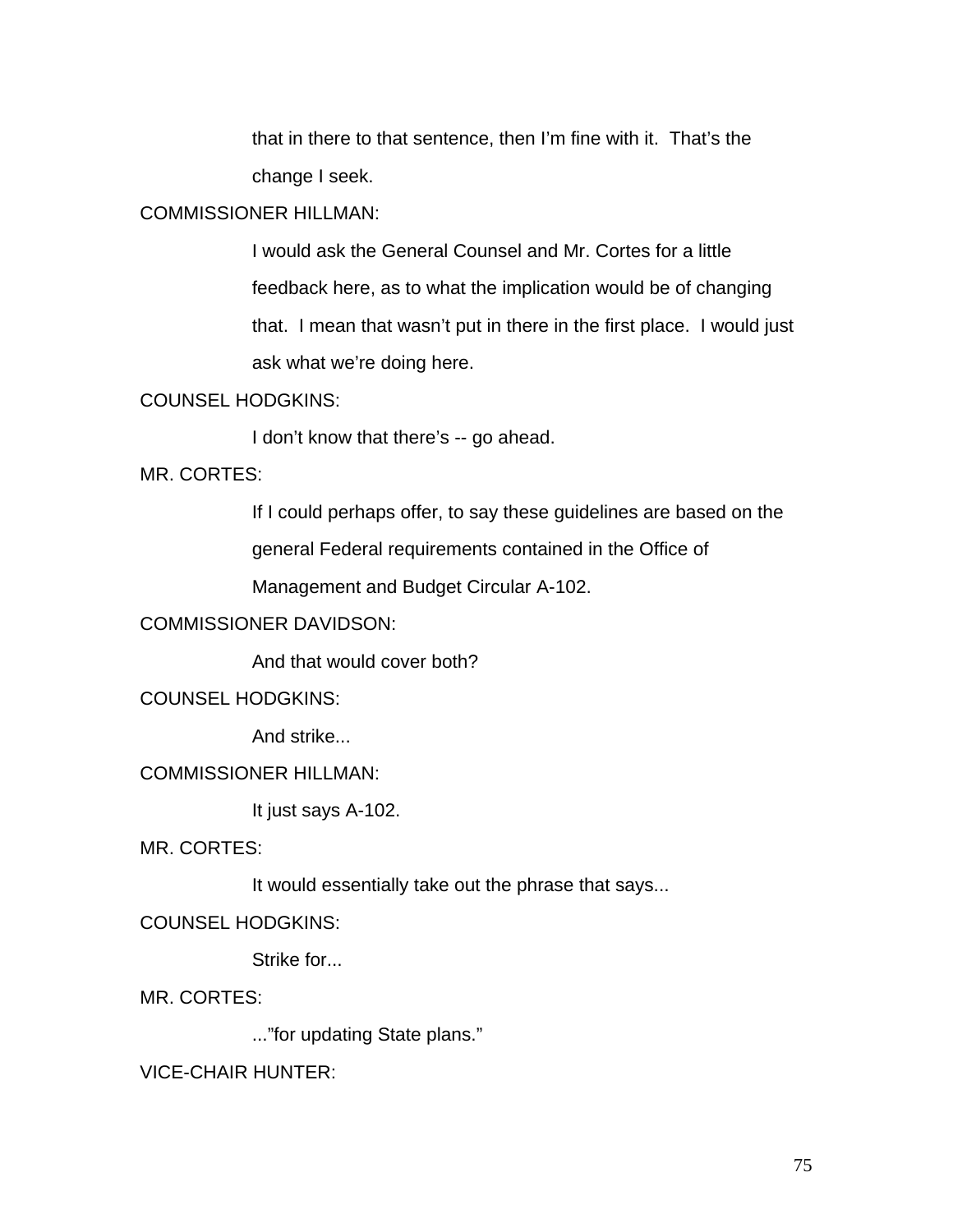that in there to that sentence, then I'm fine with it. That's the change I seek.

## COMMISSIONER HILLMAN:

I would ask the General Counsel and Mr. Cortes for a little feedback here, as to what the implication would be of changing that. I mean that wasn't put in there in the first place. I would just ask what we're doing here.

#### COUNSEL HODGKINS:

I don't know that there's -- go ahead.

## MR. CORTES:

If I could perhaps offer, to say these guidelines are based on the

general Federal requirements contained in the Office of

Management and Budget Circular A-102.

# COMMISSIONER DAVIDSON:

And that would cover both?

# COUNSEL HODGKINS:

And strike...

# COMMISSIONER HILLMAN:

It just says A-102.

MR. CORTES:

It would essentially take out the phrase that says...

# COUNSEL HODGKINS:

Strike for...

MR. CORTES:

..."for updating State plans."

VICE-CHAIR HUNTER: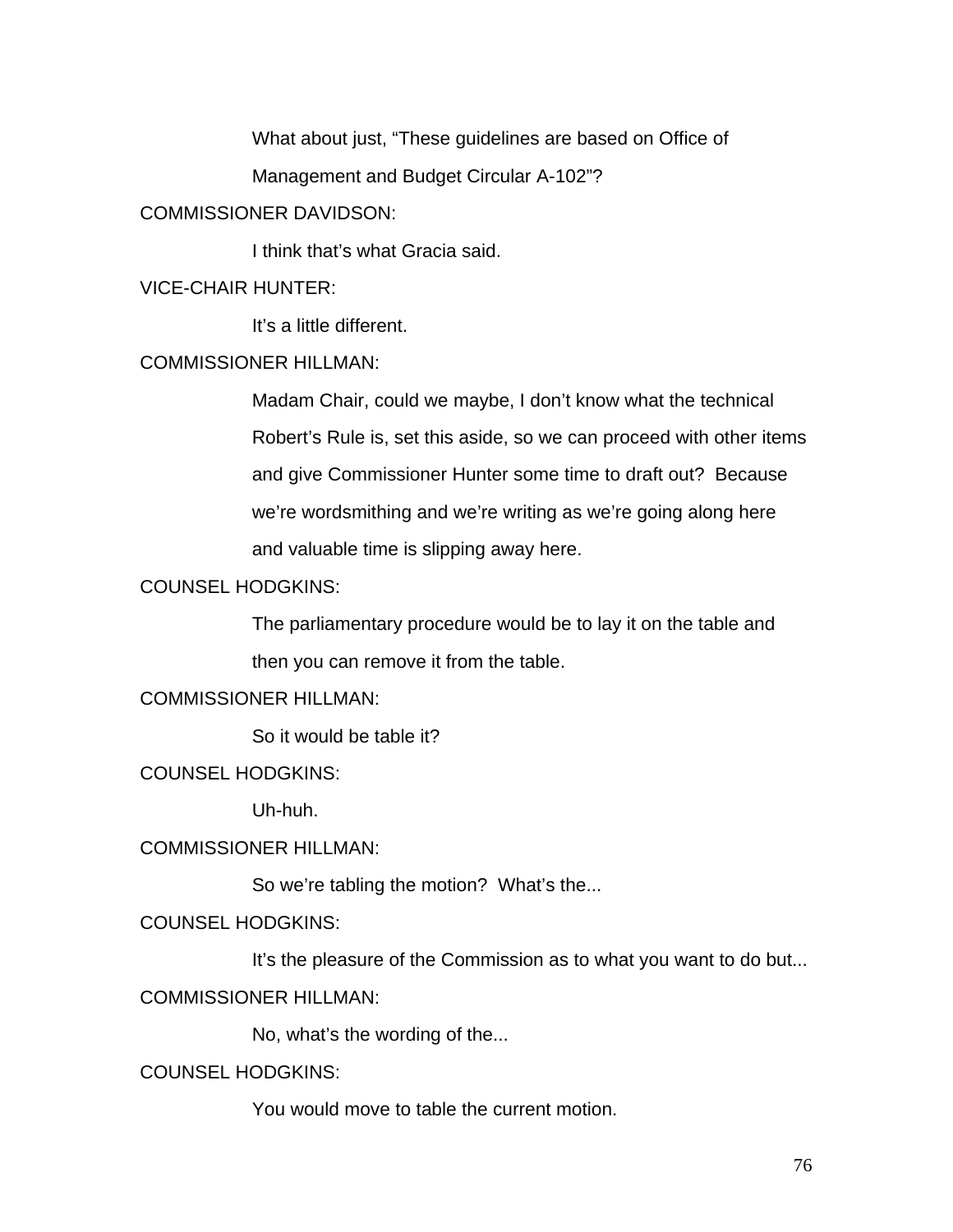What about just, "These guidelines are based on Office of

Management and Budget Circular A-102"?

# COMMISSIONER DAVIDSON:

I think that's what Gracia said.

VICE-CHAIR HUNTER:

It's a little different.

# COMMISSIONER HILLMAN:

Madam Chair, could we maybe, I don't know what the technical Robert's Rule is, set this aside, so we can proceed with other items and give Commissioner Hunter some time to draft out? Because we're wordsmithing and we're writing as we're going along here and valuable time is slipping away here.

# COUNSEL HODGKINS:

The parliamentary procedure would be to lay it on the table and then you can remove it from the table.

# COMMISSIONER HILLMAN:

So it would be table it?

COUNSEL HODGKINS:

Uh-huh.

# COMMISSIONER HILLMAN:

So we're tabling the motion? What's the...

# COUNSEL HODGKINS:

It's the pleasure of the Commission as to what you want to do but...

# COMMISSIONER HILLMAN:

No, what's the wording of the...

# COUNSEL HODGKINS:

You would move to table the current motion.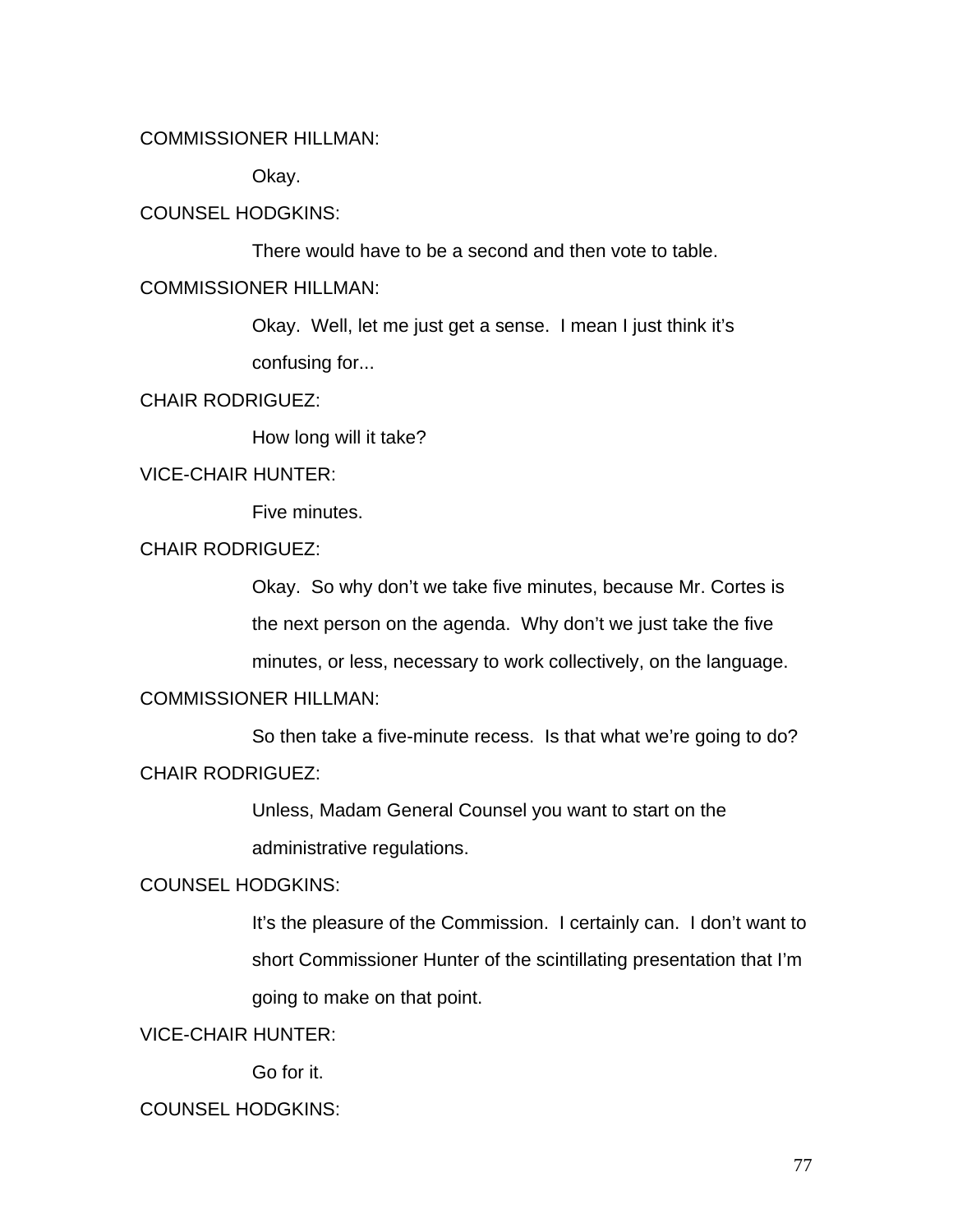# COMMISSIONER HILLMAN:

Okay.

## COUNSEL HODGKINS:

There would have to be a second and then vote to table.

## COMMISSIONER HILLMAN:

Okay. Well, let me just get a sense. I mean I just think it's confusing for...

#### CHAIR RODRIGUEZ:

How long will it take?

#### VICE-CHAIR HUNTER:

Five minutes.

# CHAIR RODRIGUEZ:

Okay. So why don't we take five minutes, because Mr. Cortes is the next person on the agenda. Why don't we just take the five minutes, or less, necessary to work collectively, on the language.

# COMMISSIONER HILLMAN:

 So then take a five-minute recess. Is that what we're going to do? CHAIR RODRIGUEZ:

> Unless, Madam General Counsel you want to start on the administrative regulations.

#### COUNSEL HODGKINS:

It's the pleasure of the Commission. I certainly can. I don't want to short Commissioner Hunter of the scintillating presentation that I'm going to make on that point.

# VICE-CHAIR HUNTER:

Go for it.

# COUNSEL HODGKINS: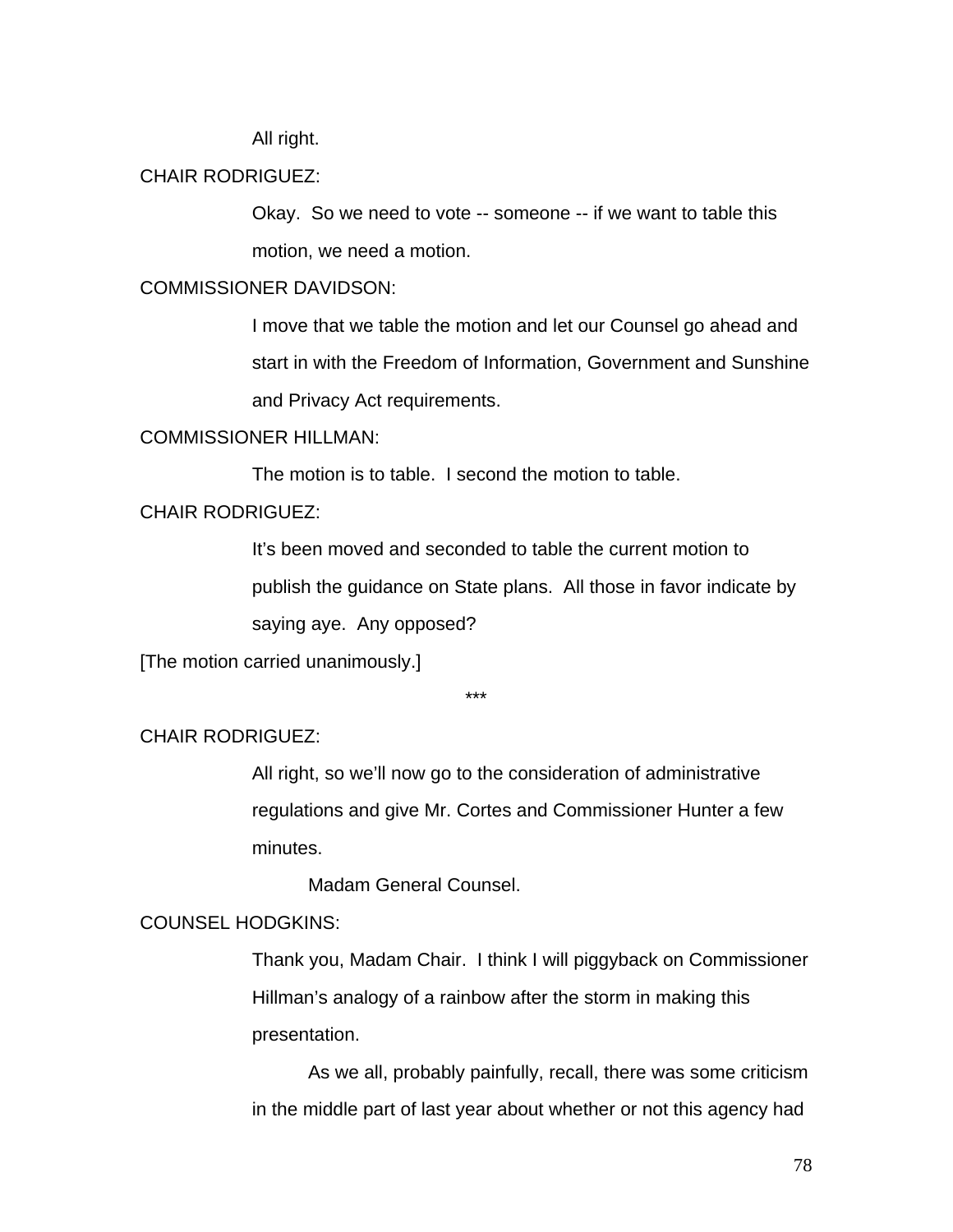All right.

### CHAIR RODRIGUEZ:

Okay. So we need to vote -- someone -- if we want to table this motion, we need a motion.

# COMMISSIONER DAVIDSON:

I move that we table the motion and let our Counsel go ahead and start in with the Freedom of Information, Government and Sunshine and Privacy Act requirements.

#### COMMISSIONER HILLMAN:

The motion is to table. I second the motion to table.

# CHAIR RODRIGUEZ:

It's been moved and seconded to table the current motion to publish the guidance on State plans. All those in favor indicate by saying aye. Any opposed?

[The motion carried unanimously.]

\*\*\*

## CHAIR RODRIGUEZ:

All right, so we'll now go to the consideration of administrative regulations and give Mr. Cortes and Commissioner Hunter a few minutes.

Madam General Counsel.

### COUNSEL HODGKINS:

Thank you, Madam Chair. I think I will piggyback on Commissioner Hillman's analogy of a rainbow after the storm in making this presentation.

 As we all, probably painfully, recall, there was some criticism in the middle part of last year about whether or not this agency had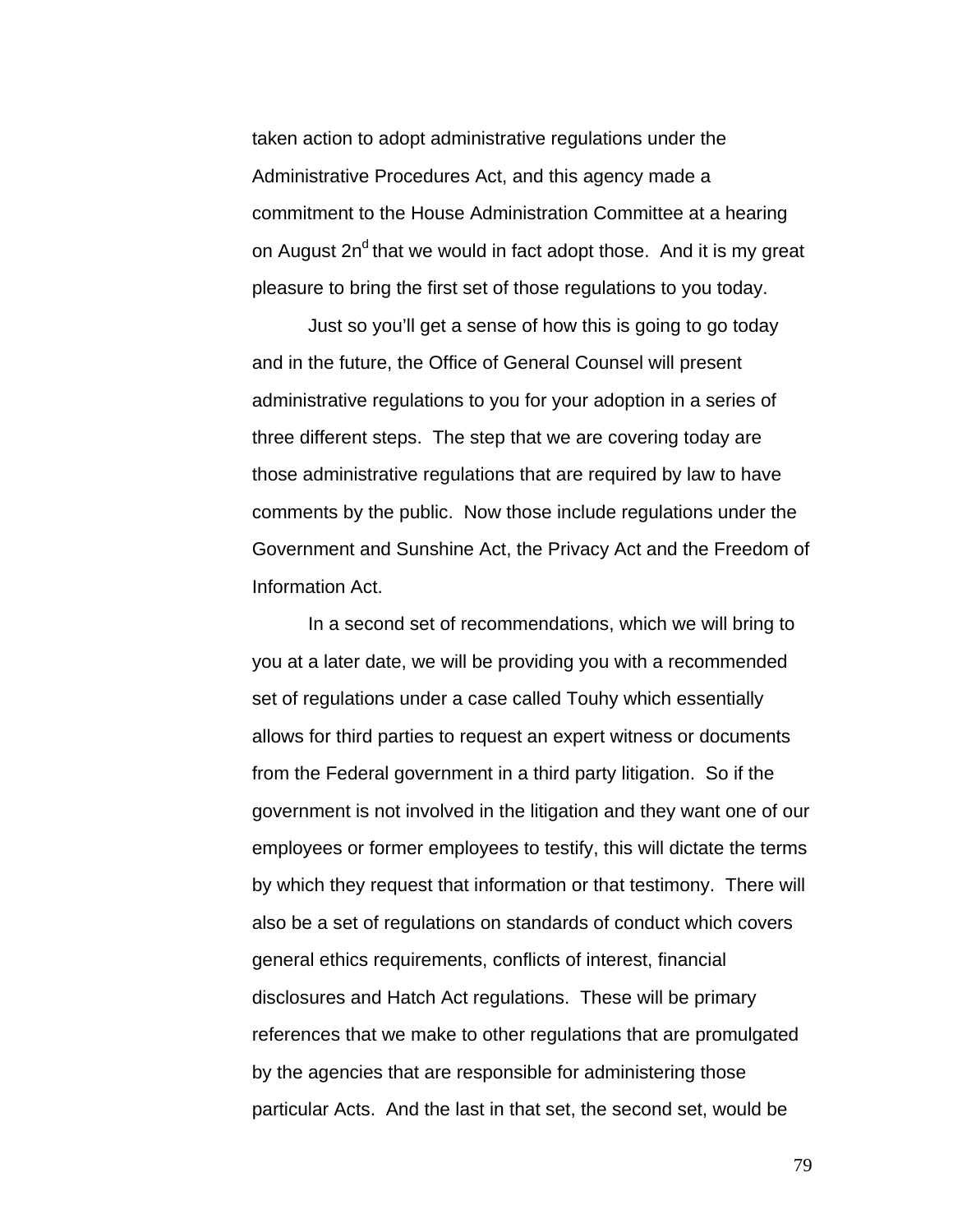taken action to adopt administrative regulations under the Administrative Procedures Act, and this agency made a commitment to the House Administration Committee at a hearing on August  $2n<sup>d</sup>$  that we would in fact adopt those. And it is my great pleasure to bring the first set of those regulations to you today.

 Just so you'll get a sense of how this is going to go today and in the future, the Office of General Counsel will present administrative regulations to you for your adoption in a series of three different steps. The step that we are covering today are those administrative regulations that are required by law to have comments by the public. Now those include regulations under the Government and Sunshine Act, the Privacy Act and the Freedom of Information Act.

 In a second set of recommendations, which we will bring to you at a later date, we will be providing you with a recommended set of regulations under a case called Touhy which essentially allows for third parties to request an expert witness or documents from the Federal government in a third party litigation. So if the government is not involved in the litigation and they want one of our employees or former employees to testify, this will dictate the terms by which they request that information or that testimony. There will also be a set of regulations on standards of conduct which covers general ethics requirements, conflicts of interest, financial disclosures and Hatch Act regulations. These will be primary references that we make to other regulations that are promulgated by the agencies that are responsible for administering those particular Acts. And the last in that set, the second set, would be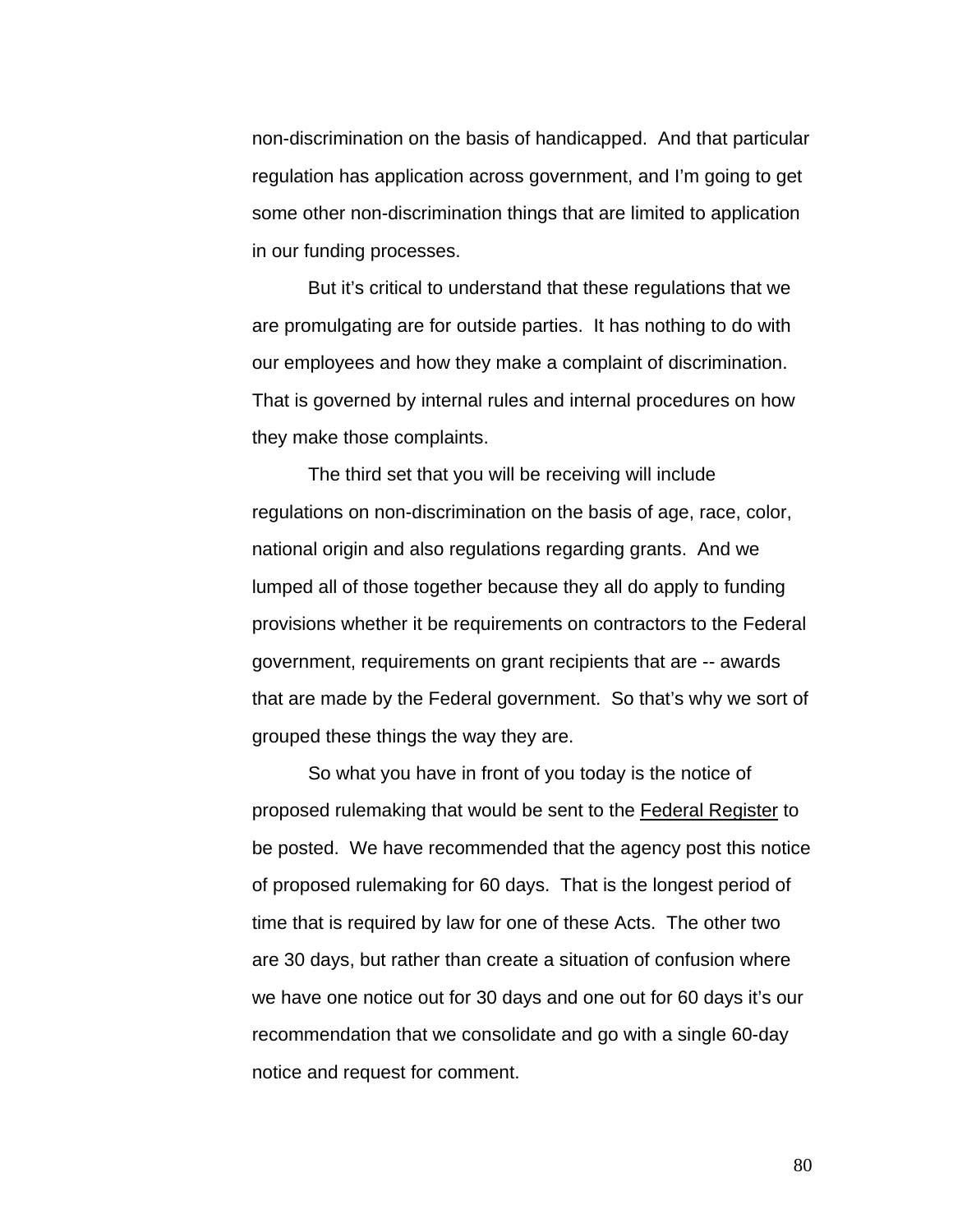non-discrimination on the basis of handicapped. And that particular regulation has application across government, and I'm going to get some other non-discrimination things that are limited to application in our funding processes.

But it's critical to understand that these regulations that we are promulgating are for outside parties. It has nothing to do with our employees and how they make a complaint of discrimination. That is governed by internal rules and internal procedures on how they make those complaints.

 The third set that you will be receiving will include regulations on non-discrimination on the basis of age, race, color, national origin and also regulations regarding grants. And we lumped all of those together because they all do apply to funding provisions whether it be requirements on contractors to the Federal government, requirements on grant recipients that are -- awards that are made by the Federal government. So that's why we sort of grouped these things the way they are.

 So what you have in front of you today is the notice of proposed rulemaking that would be sent to the Federal Register to be posted. We have recommended that the agency post this notice of proposed rulemaking for 60 days. That is the longest period of time that is required by law for one of these Acts. The other two are 30 days, but rather than create a situation of confusion where we have one notice out for 30 days and one out for 60 days it's our recommendation that we consolidate and go with a single 60-day notice and request for comment.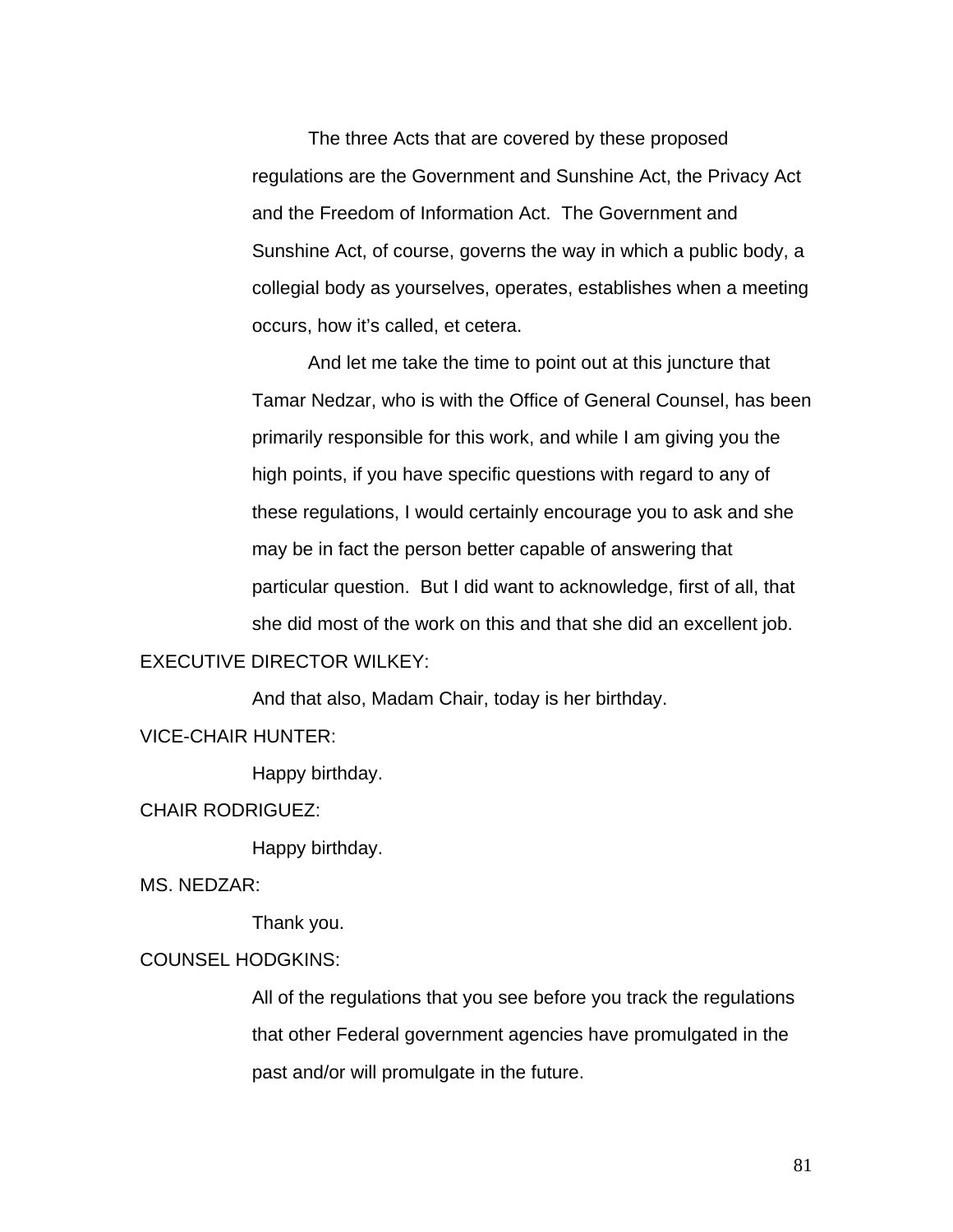The three Acts that are covered by these proposed regulations are the Government and Sunshine Act, the Privacy Act and the Freedom of Information Act. The Government and Sunshine Act, of course, governs the way in which a public body, a collegial body as yourselves, operates, establishes when a meeting occurs, how it's called, et cetera.

And let me take the time to point out at this juncture that Tamar Nedzar, who is with the Office of General Counsel, has been primarily responsible for this work, and while I am giving you the high points, if you have specific questions with regard to any of these regulations, I would certainly encourage you to ask and she may be in fact the person better capable of answering that particular question. But I did want to acknowledge, first of all, that she did most of the work on this and that she did an excellent job.

## EXECUTIVE DIRECTOR WILKEY:

And that also, Madam Chair, today is her birthday.

#### VICE-CHAIR HUNTER:

Happy birthday.

#### CHAIR RODRIGUEZ:

Happy birthday.

MS. NEDZAR:

Thank you.

### COUNSEL HODGKINS:

All of the regulations that you see before you track the regulations that other Federal government agencies have promulgated in the past and/or will promulgate in the future.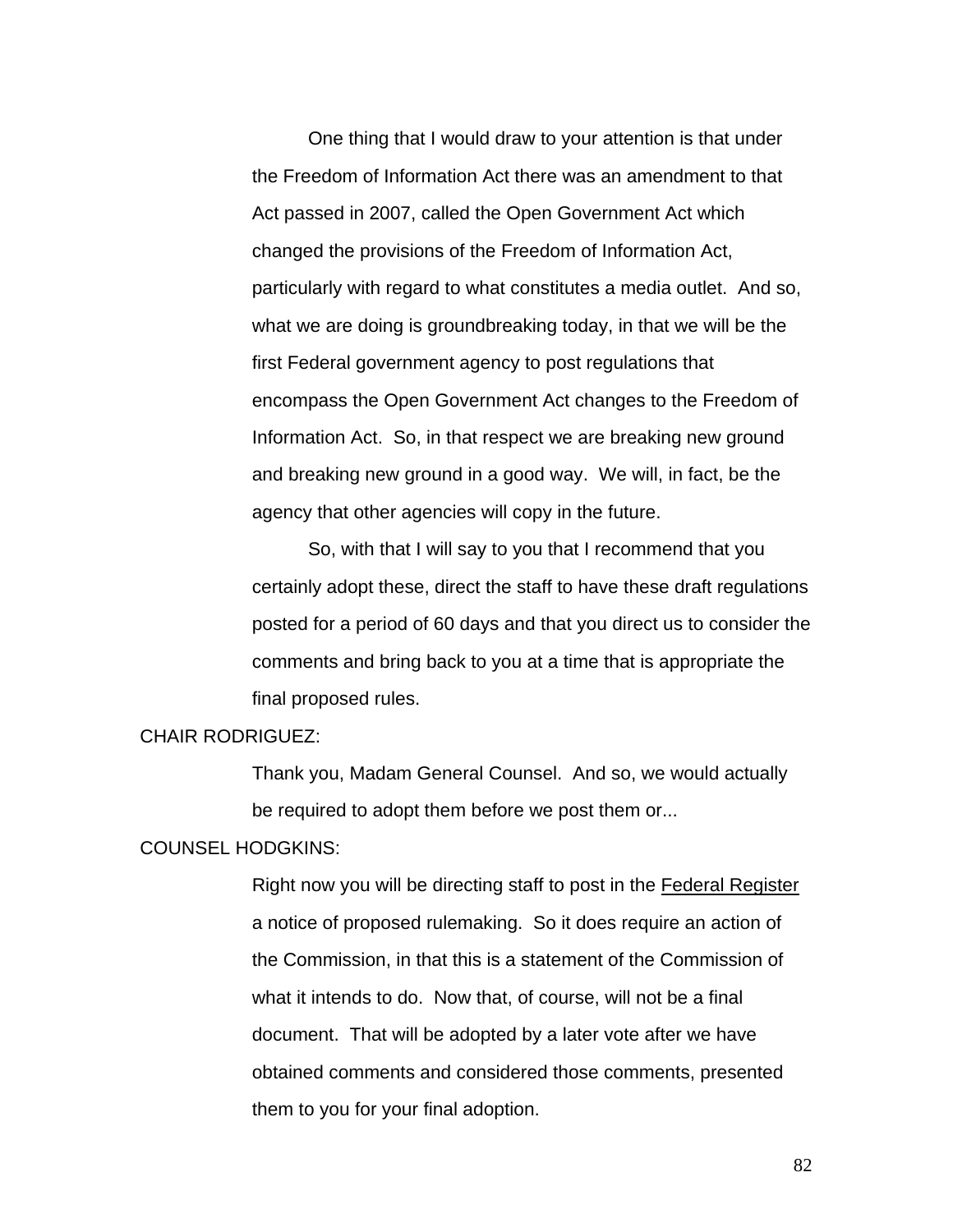One thing that I would draw to your attention is that under the Freedom of Information Act there was an amendment to that Act passed in 2007, called the Open Government Act which changed the provisions of the Freedom of Information Act, particularly with regard to what constitutes a media outlet. And so, what we are doing is groundbreaking today, in that we will be the first Federal government agency to post regulations that encompass the Open Government Act changes to the Freedom of Information Act. So, in that respect we are breaking new ground and breaking new ground in a good way. We will, in fact, be the agency that other agencies will copy in the future.

So, with that I will say to you that I recommend that you certainly adopt these, direct the staff to have these draft regulations posted for a period of 60 days and that you direct us to consider the comments and bring back to you at a time that is appropriate the final proposed rules.

#### CHAIR RODRIGUEZ:

Thank you, Madam General Counsel. And so, we would actually be required to adopt them before we post them or...

#### COUNSEL HODGKINS:

Right now you will be directing staff to post in the Federal Register a notice of proposed rulemaking. So it does require an action of the Commission, in that this is a statement of the Commission of what it intends to do. Now that, of course, will not be a final document. That will be adopted by a later vote after we have obtained comments and considered those comments, presented them to you for your final adoption.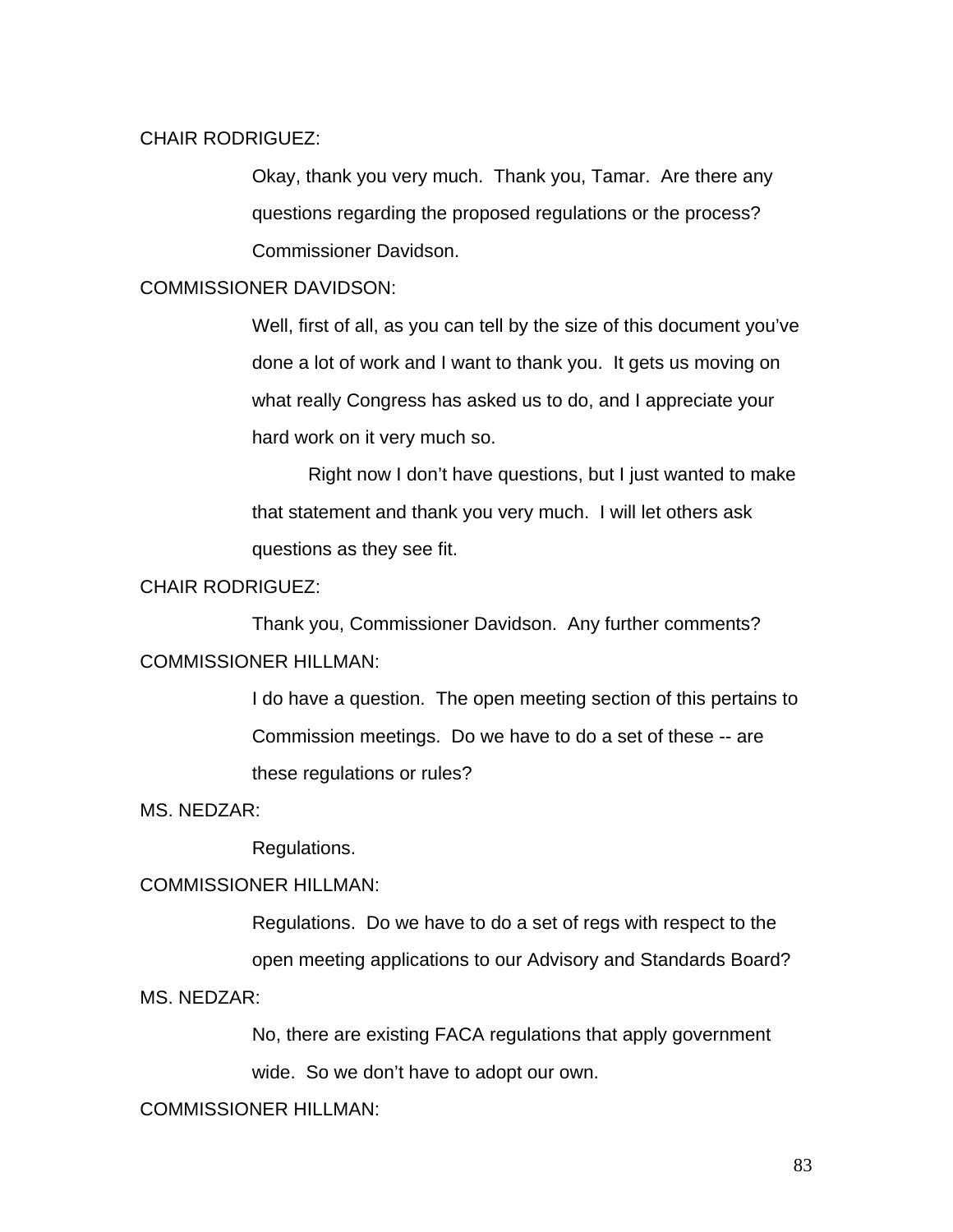## CHAIR RODRIGUEZ:

Okay, thank you very much. Thank you, Tamar. Are there any questions regarding the proposed regulations or the process? Commissioner Davidson.

# COMMISSIONER DAVIDSON:

Well, first of all, as you can tell by the size of this document you've done a lot of work and I want to thank you. It gets us moving on what really Congress has asked us to do, and I appreciate your hard work on it very much so.

 Right now I don't have questions, but I just wanted to make that statement and thank you very much. I will let others ask questions as they see fit.

## CHAIR RODRIGUEZ:

 Thank you, Commissioner Davidson. Any further comments? COMMISSIONER HILLMAN:

> I do have a question. The open meeting section of this pertains to Commission meetings. Do we have to do a set of these -- are these regulations or rules?

#### MS. NEDZAR:

Regulations.

# COMMISSIONER HILLMAN:

Regulations. Do we have to do a set of regs with respect to the open meeting applications to our Advisory and Standards Board?

# MS. NEDZAR:

No, there are existing FACA regulations that apply government wide. So we don't have to adopt our own.

#### COMMISSIONER HILLMAN: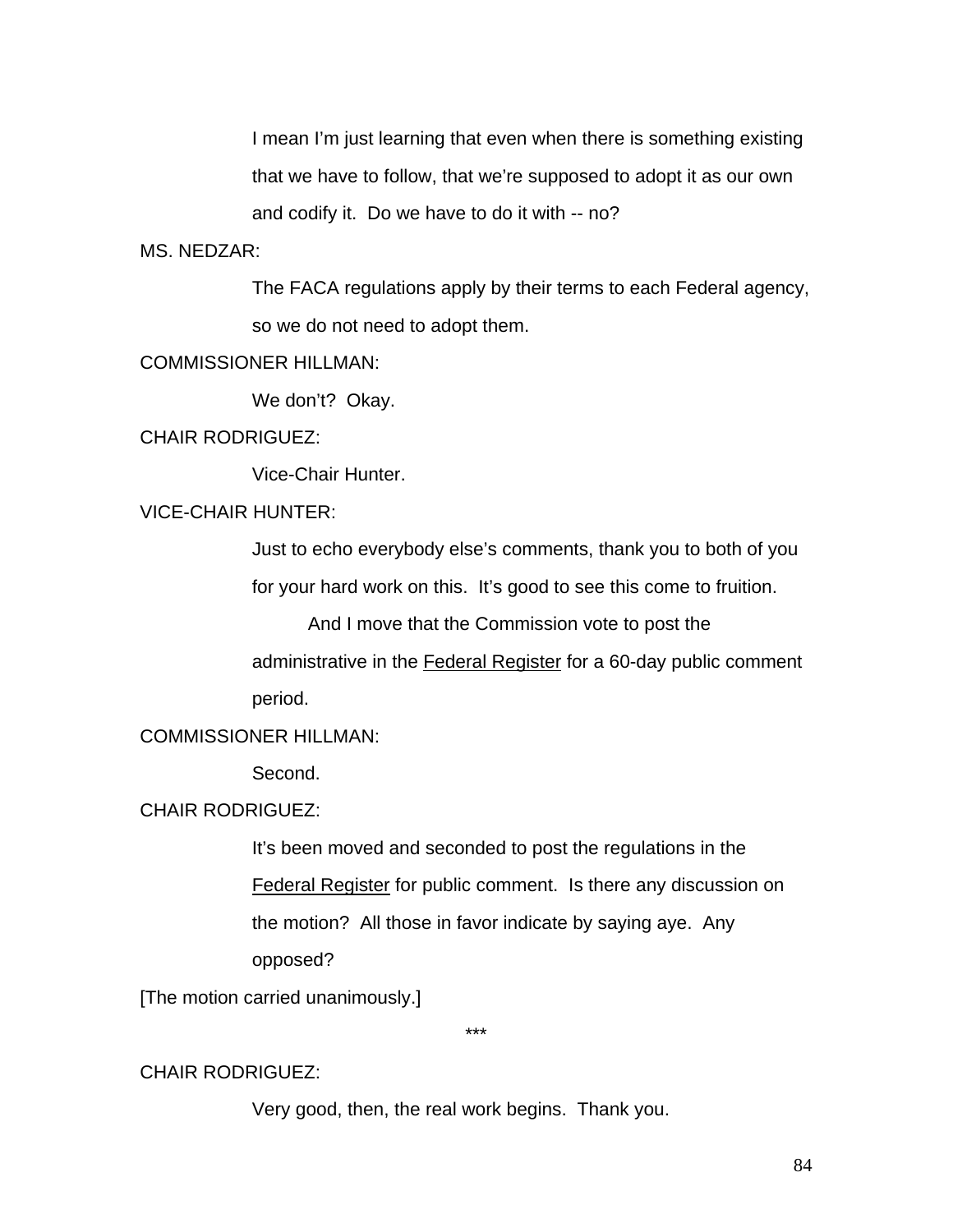I mean I'm just learning that even when there is something existing that we have to follow, that we're supposed to adopt it as our own and codify it. Do we have to do it with -- no?

# MS. NEDZAR:

The FACA regulations apply by their terms to each Federal agency, so we do not need to adopt them.

# COMMISSIONER HILLMAN:

We don't? Okay.

## CHAIR RODRIGUEZ:

Vice-Chair Hunter.

# VICE-CHAIR HUNTER:

Just to echo everybody else's comments, thank you to both of you

for your hard work on this. It's good to see this come to fruition.

And I move that the Commission vote to post the

administrative in the Federal Register for a 60-day public comment period.

#### COMMISSIONER HILLMAN:

Second.

#### CHAIR RODRIGUEZ:

It's been moved and seconded to post the regulations in the Federal Register for public comment. Is there any discussion on the motion? All those in favor indicate by saying aye. Any opposed?

[The motion carried unanimously.]

\*\*\*

#### CHAIR RODRIGUEZ:

Very good, then, the real work begins. Thank you.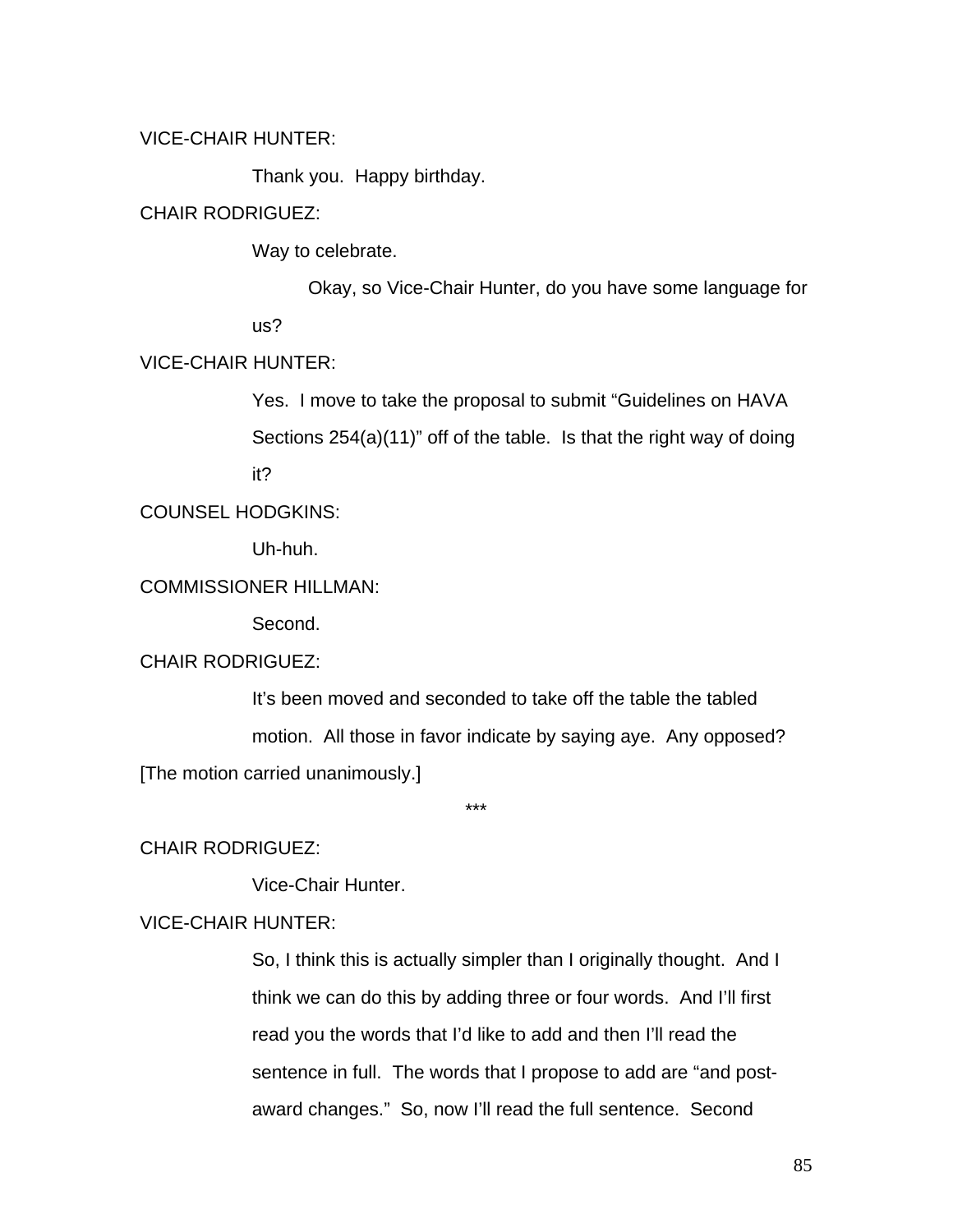# VICE-CHAIR HUNTER:

Thank you. Happy birthday.

## CHAIR RODRIGUEZ:

Way to celebrate.

Okay, so Vice-Chair Hunter, do you have some language for us?

# VICE-CHAIR HUNTER:

Yes. I move to take the proposal to submit "Guidelines on HAVA Sections 254(a)(11)" off of the table. Is that the right way of doing it?

COUNSEL HODGKINS:

Uh-huh.

# COMMISSIONER HILLMAN:

Second.

# CHAIR RODRIGUEZ:

It's been moved and seconded to take off the table the tabled motion. All those in favor indicate by saying aye. Any opposed? [The motion carried unanimously.]

\*\*\*

# CHAIR RODRIGUEZ:

Vice-Chair Hunter.

## VICE-CHAIR HUNTER:

So, I think this is actually simpler than I originally thought. And I think we can do this by adding three or four words. And I'll first read you the words that I'd like to add and then I'll read the sentence in full. The words that I propose to add are "and postaward changes." So, now I'll read the full sentence. Second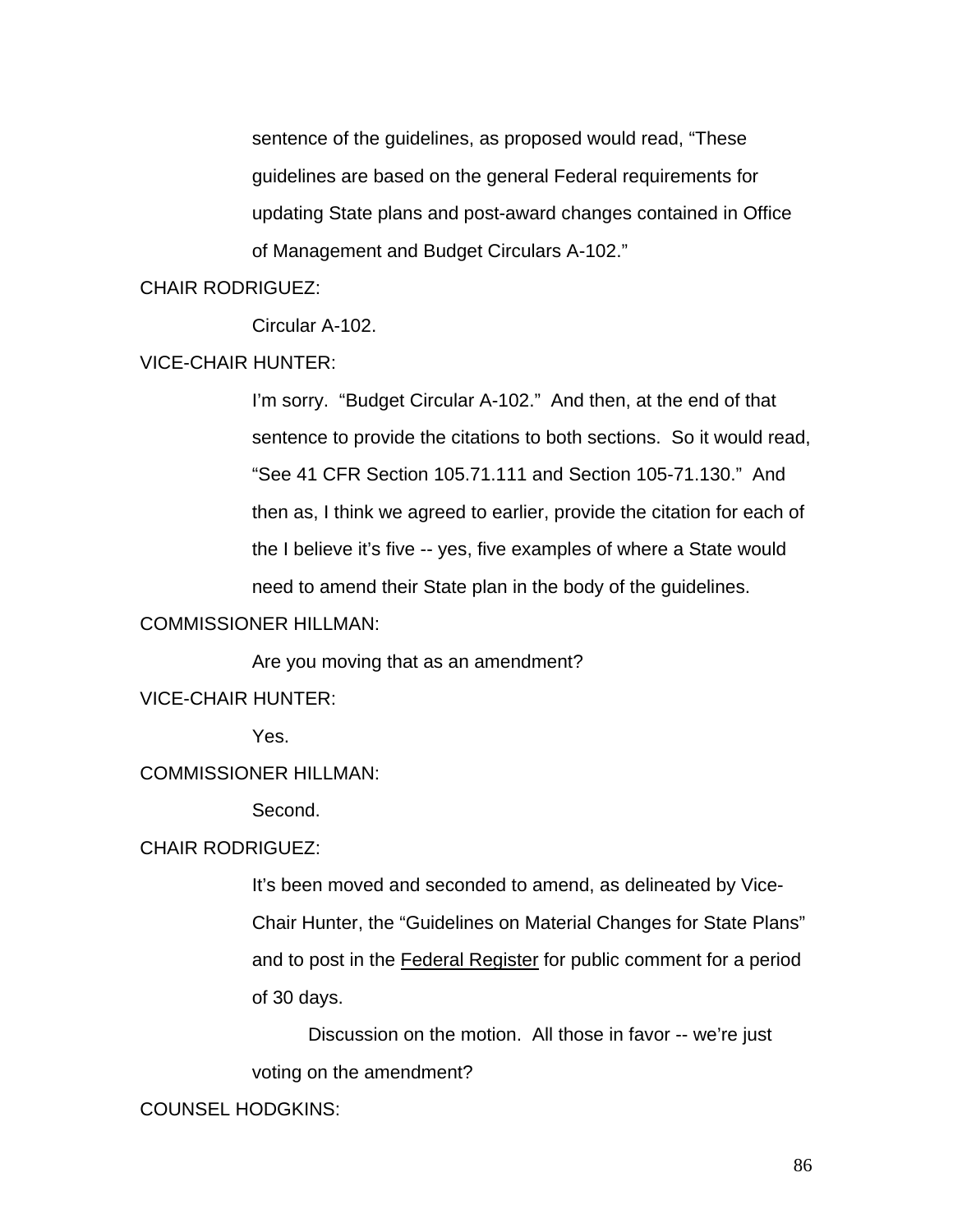sentence of the guidelines, as proposed would read, "These guidelines are based on the general Federal requirements for updating State plans and post-award changes contained in Office of Management and Budget Circulars A-102."

# CHAIR RODRIGUEZ:

Circular A-102.

# VICE-CHAIR HUNTER:

I'm sorry. "Budget Circular A-102." And then, at the end of that sentence to provide the citations to both sections. So it would read, "See 41 CFR Section 105.71.111 and Section 105-71.130." And then as, I think we agreed to earlier, provide the citation for each of the I believe it's five -- yes, five examples of where a State would need to amend their State plan in the body of the guidelines.

## COMMISSIONER HILLMAN:

Are you moving that as an amendment?

# VICE-CHAIR HUNTER:

Yes.

# COMMISSIONER HILLMAN:

Second.

### CHAIR RODRIGUEZ:

It's been moved and seconded to amend, as delineated by Vice-Chair Hunter, the "Guidelines on Material Changes for State Plans" and to post in the Federal Register for public comment for a period of 30 days.

Discussion on the motion. All those in favor -- we're just voting on the amendment?

#### COUNSEL HODGKINS: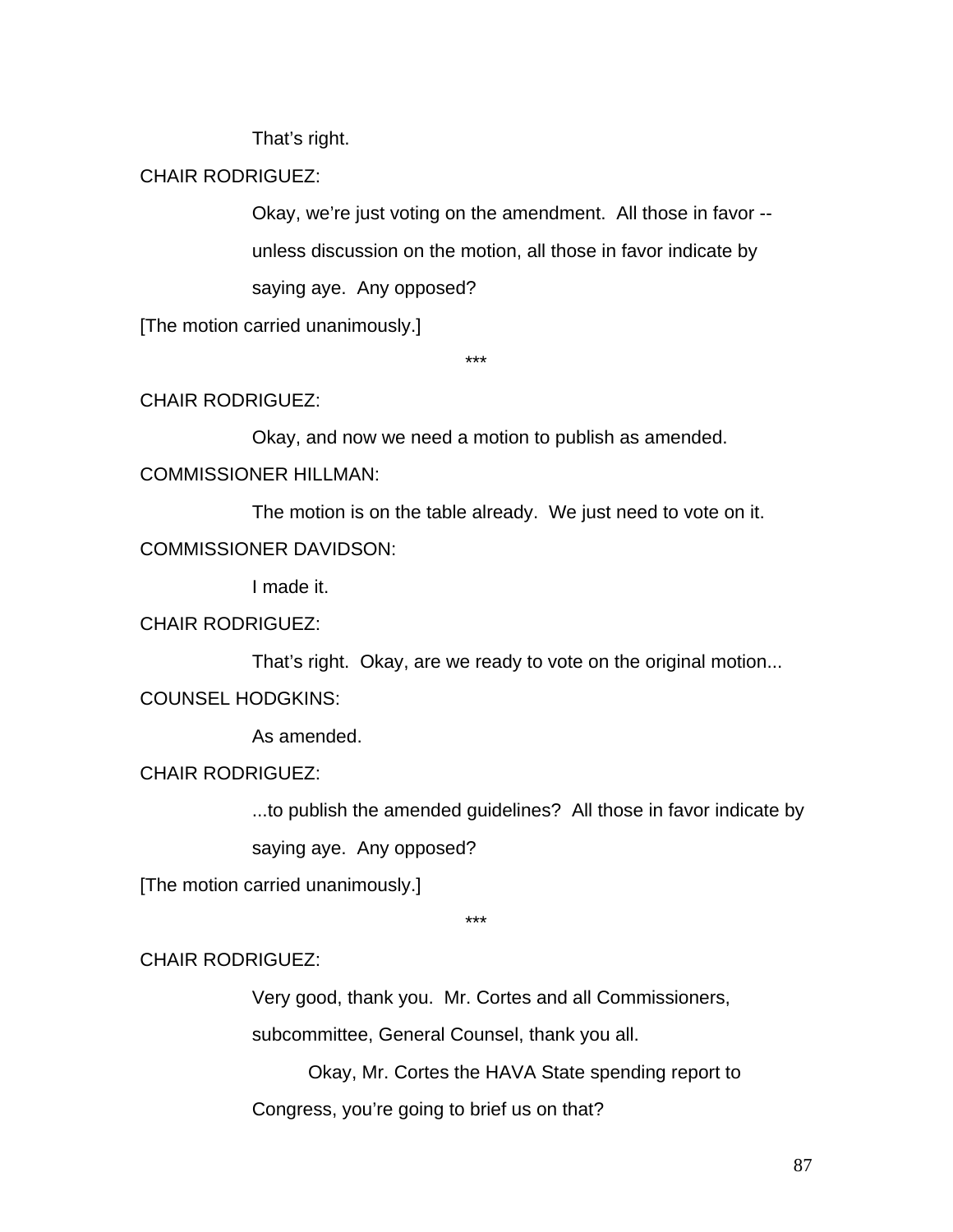That's right.

# CHAIR RODRIGUEZ:

Okay, we're just voting on the amendment. All those in favor - unless discussion on the motion, all those in favor indicate by saying aye. Any opposed?

[The motion carried unanimously.]

\*\*\*

# CHAIR RODRIGUEZ:

Okay, and now we need a motion to publish as amended.

## COMMISSIONER HILLMAN:

 The motion is on the table already. We just need to vote on it. COMMISSIONER DAVIDSON:

I made it.

# CHAIR RODRIGUEZ:

That's right. Okay, are we ready to vote on the original motion...

COUNSEL HODGKINS:

As amended.

# CHAIR RODRIGUEZ:

...to publish the amended guidelines? All those in favor indicate by

saying aye. Any opposed?

[The motion carried unanimously.]

\*\*\*

# CHAIR RODRIGUEZ:

Very good, thank you. Mr. Cortes and all Commissioners,

subcommittee, General Counsel, thank you all.

Okay, Mr. Cortes the HAVA State spending report to

Congress, you're going to brief us on that?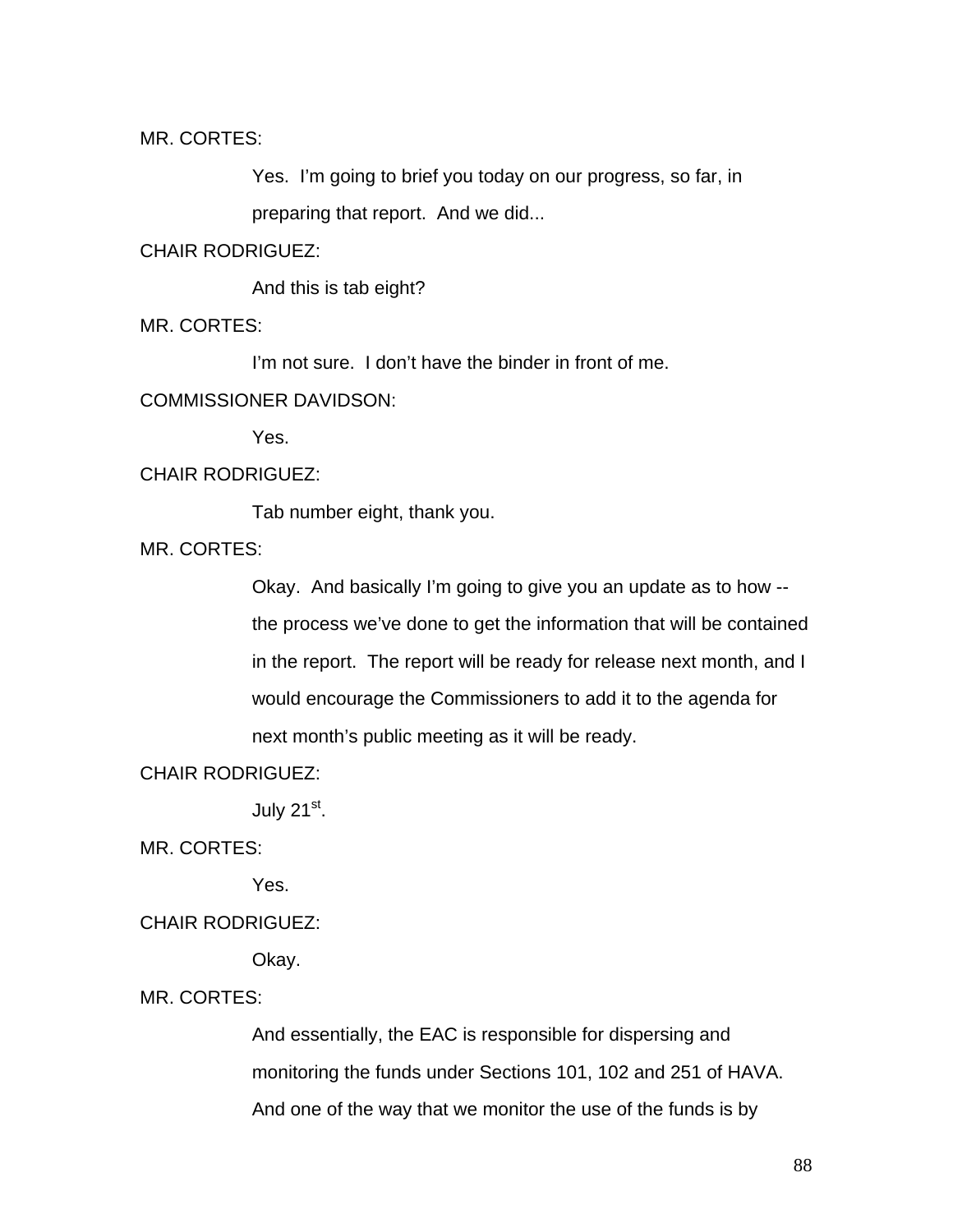MR. CORTES:

Yes. I'm going to brief you today on our progress, so far, in preparing that report. And we did...

CHAIR RODRIGUEZ:

And this is tab eight?

MR. CORTES:

I'm not sure. I don't have the binder in front of me.

#### COMMISSIONER DAVIDSON:

Yes.

## CHAIR RODRIGUEZ:

Tab number eight, thank you.

MR. CORTES:

Okay. And basically I'm going to give you an update as to how - the process we've done to get the information that will be contained in the report. The report will be ready for release next month, and I would encourage the Commissioners to add it to the agenda for next month's public meeting as it will be ready.

CHAIR RODRIGUEZ:

July 21<sup>st</sup>.

MR. CORTES:

Yes.

### CHAIR RODRIGUEZ:

Okay.

MR. CORTES:

And essentially, the EAC is responsible for dispersing and monitoring the funds under Sections 101, 102 and 251 of HAVA. And one of the way that we monitor the use of the funds is by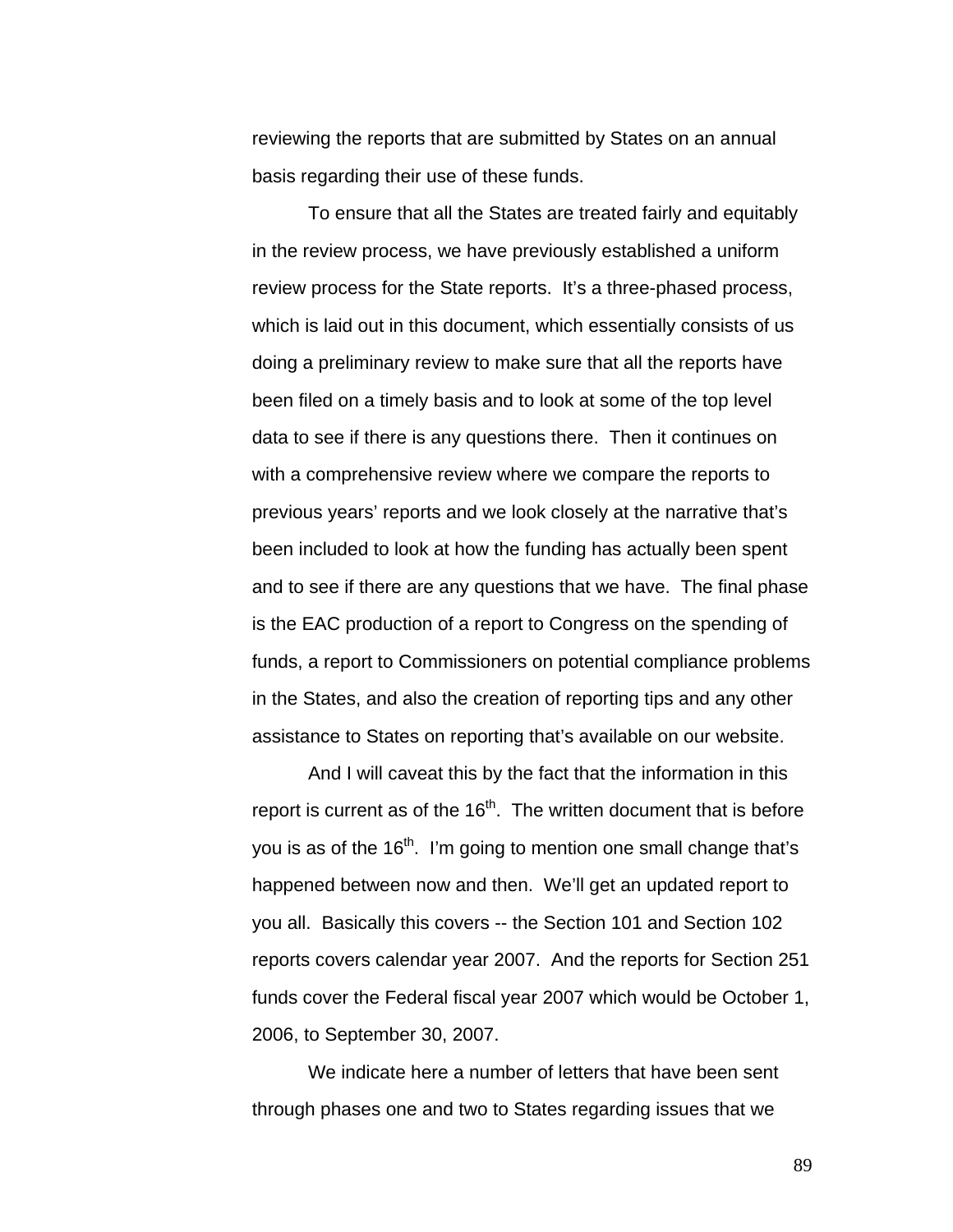reviewing the reports that are submitted by States on an annual basis regarding their use of these funds.

To ensure that all the States are treated fairly and equitably in the review process, we have previously established a uniform review process for the State reports. It's a three-phased process, which is laid out in this document, which essentially consists of us doing a preliminary review to make sure that all the reports have been filed on a timely basis and to look at some of the top level data to see if there is any questions there. Then it continues on with a comprehensive review where we compare the reports to previous years' reports and we look closely at the narrative that's been included to look at how the funding has actually been spent and to see if there are any questions that we have. The final phase is the EAC production of a report to Congress on the spending of funds, a report to Commissioners on potential compliance problems in the States, and also the creation of reporting tips and any other assistance to States on reporting that's available on our website.

 And I will caveat this by the fact that the information in this report is current as of the  $16<sup>th</sup>$ . The written document that is before you is as of the  $16<sup>th</sup>$ . I'm going to mention one small change that's happened between now and then. We'll get an updated report to you all. Basically this covers -- the Section 101 and Section 102 reports covers calendar year 2007. And the reports for Section 251 funds cover the Federal fiscal year 2007 which would be October 1, 2006, to September 30, 2007.

We indicate here a number of letters that have been sent through phases one and two to States regarding issues that we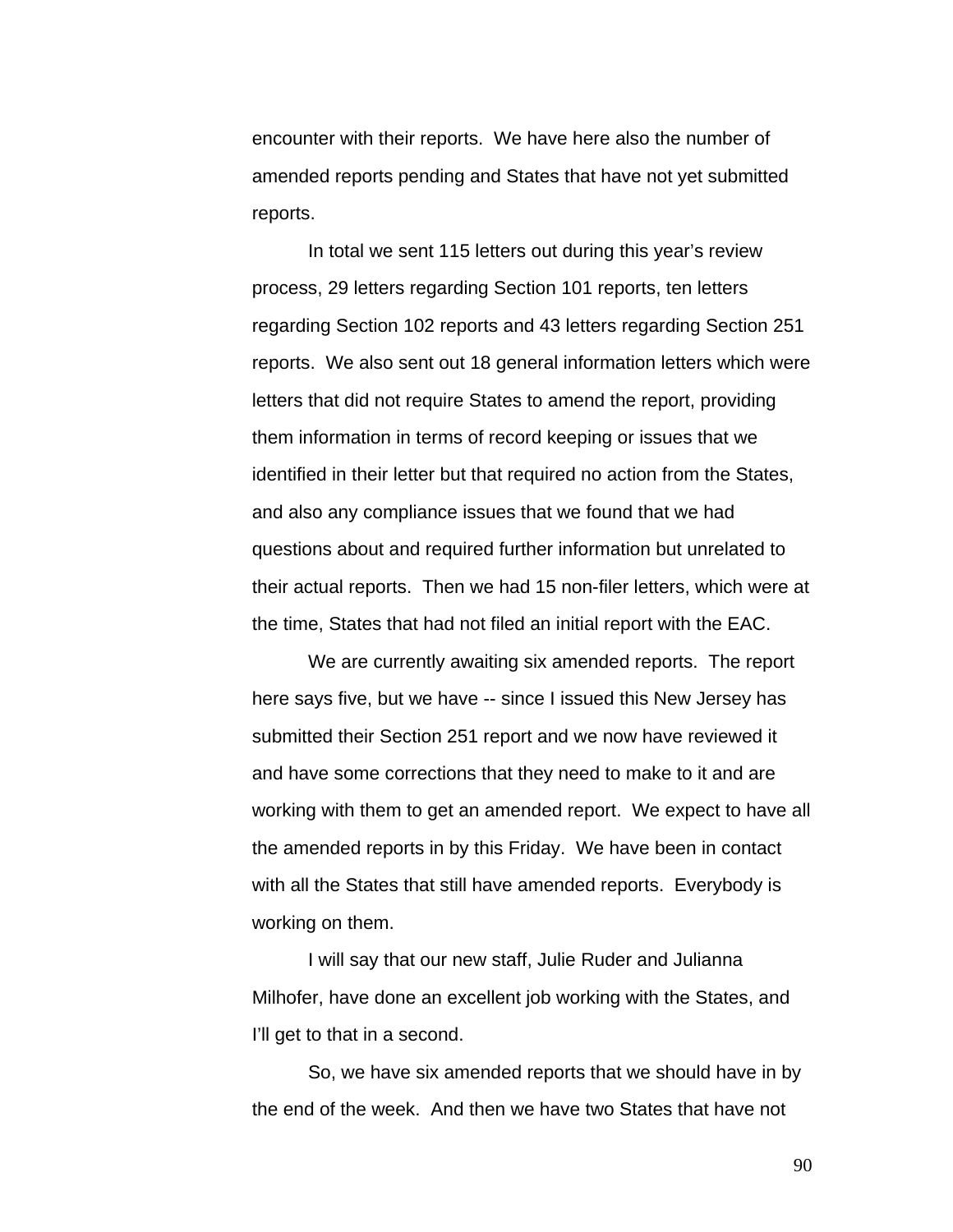encounter with their reports. We have here also the number of amended reports pending and States that have not yet submitted reports.

In total we sent 115 letters out during this year's review process, 29 letters regarding Section 101 reports, ten letters regarding Section 102 reports and 43 letters regarding Section 251 reports. We also sent out 18 general information letters which were letters that did not require States to amend the report, providing them information in terms of record keeping or issues that we identified in their letter but that required no action from the States, and also any compliance issues that we found that we had questions about and required further information but unrelated to their actual reports. Then we had 15 non-filer letters, which were at the time, States that had not filed an initial report with the EAC.

We are currently awaiting six amended reports. The report here says five, but we have -- since I issued this New Jersey has submitted their Section 251 report and we now have reviewed it and have some corrections that they need to make to it and are working with them to get an amended report. We expect to have all the amended reports in by this Friday. We have been in contact with all the States that still have amended reports. Everybody is working on them.

I will say that our new staff, Julie Ruder and Julianna Milhofer, have done an excellent job working with the States, and I'll get to that in a second.

So, we have six amended reports that we should have in by the end of the week. And then we have two States that have not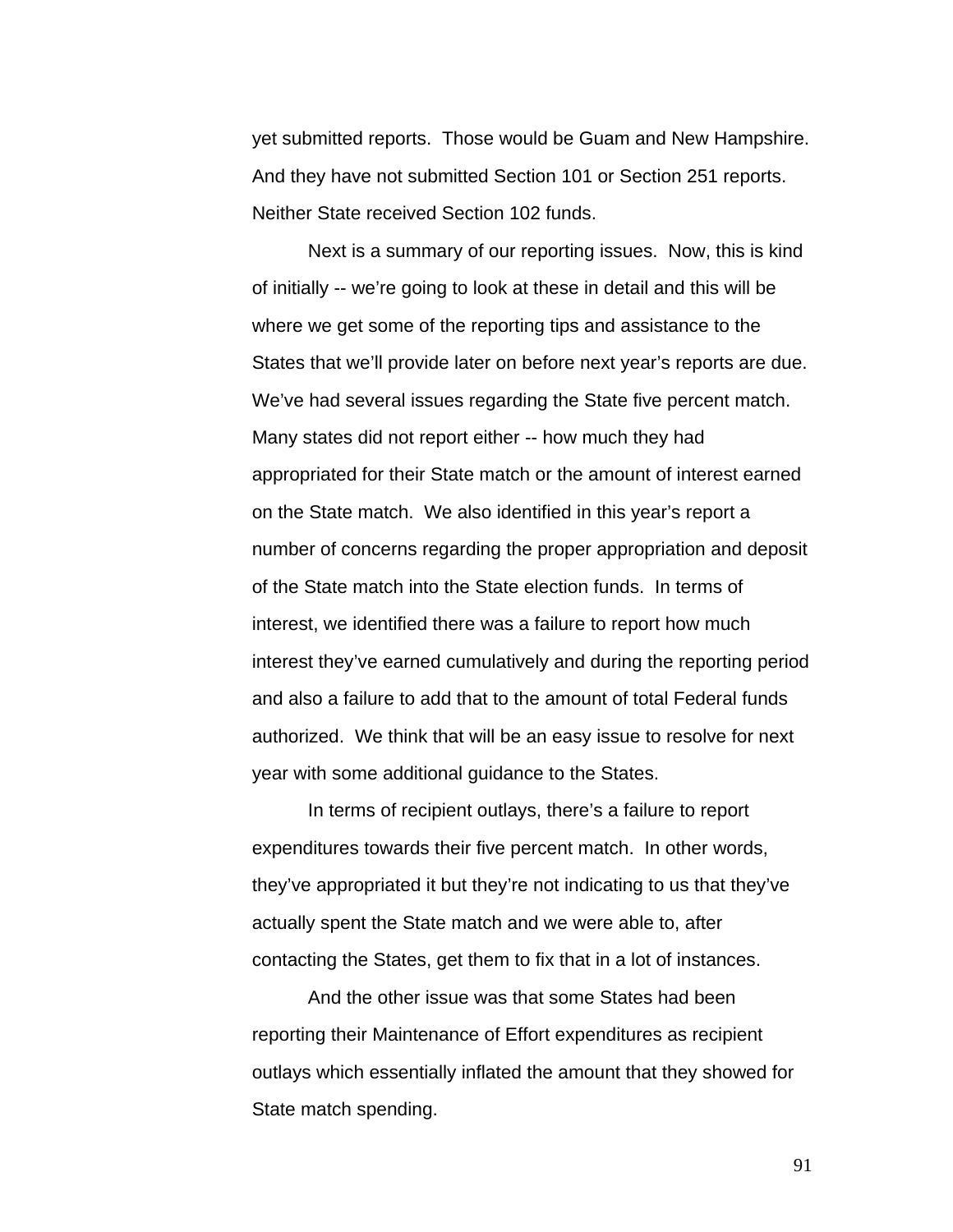yet submitted reports. Those would be Guam and New Hampshire. And they have not submitted Section 101 or Section 251 reports. Neither State received Section 102 funds.

Next is a summary of our reporting issues. Now, this is kind of initially -- we're going to look at these in detail and this will be where we get some of the reporting tips and assistance to the States that we'll provide later on before next year's reports are due. We've had several issues regarding the State five percent match. Many states did not report either -- how much they had appropriated for their State match or the amount of interest earned on the State match. We also identified in this year's report a number of concerns regarding the proper appropriation and deposit of the State match into the State election funds. In terms of interest, we identified there was a failure to report how much interest they've earned cumulatively and during the reporting period and also a failure to add that to the amount of total Federal funds authorized. We think that will be an easy issue to resolve for next year with some additional guidance to the States.

In terms of recipient outlays, there's a failure to report expenditures towards their five percent match. In other words, they've appropriated it but they're not indicating to us that they've actually spent the State match and we were able to, after contacting the States, get them to fix that in a lot of instances.

And the other issue was that some States had been reporting their Maintenance of Effort expenditures as recipient outlays which essentially inflated the amount that they showed for State match spending.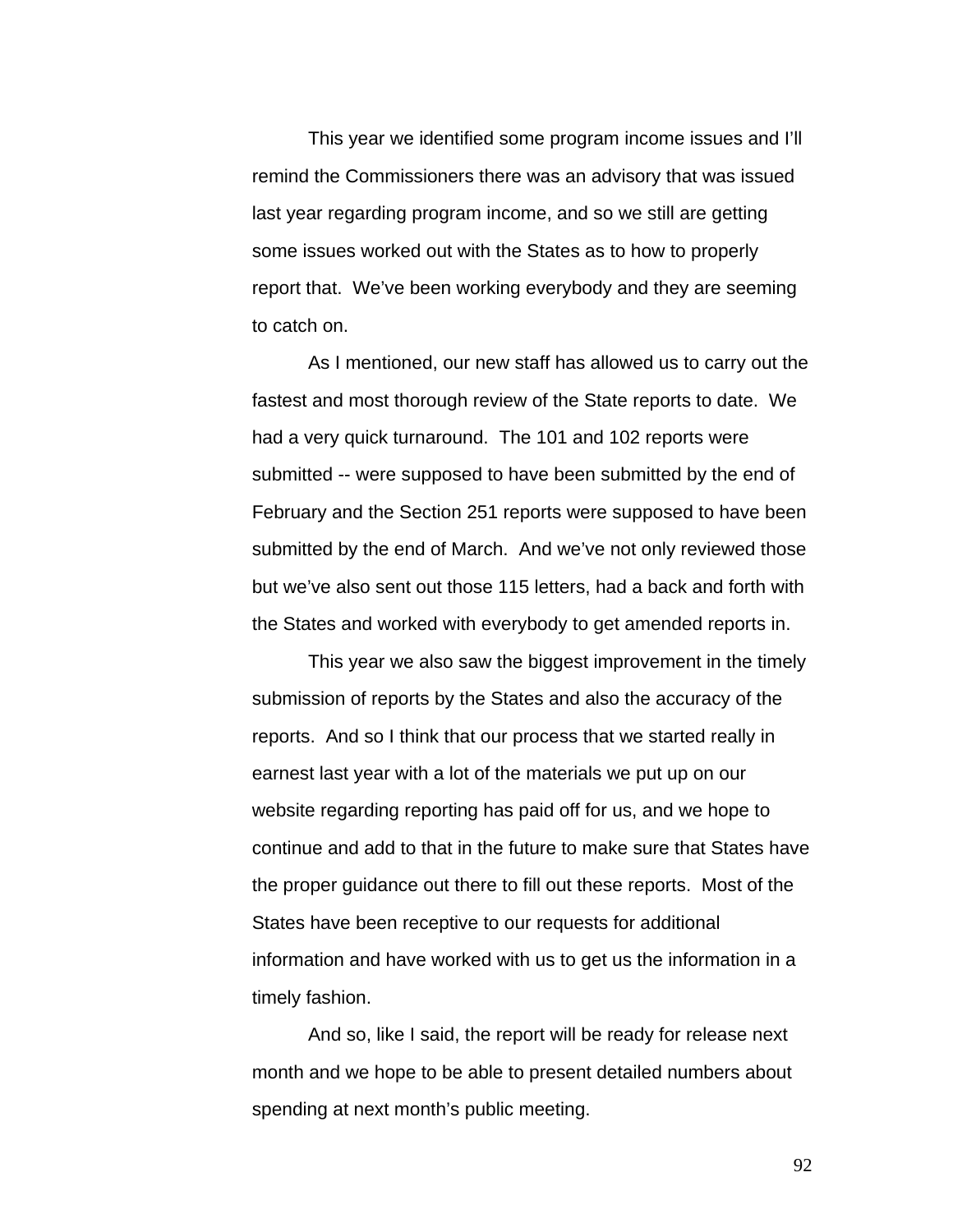This year we identified some program income issues and I'll remind the Commissioners there was an advisory that was issued last year regarding program income, and so we still are getting some issues worked out with the States as to how to properly report that. We've been working everybody and they are seeming to catch on.

As I mentioned, our new staff has allowed us to carry out the fastest and most thorough review of the State reports to date. We had a very quick turnaround. The 101 and 102 reports were submitted -- were supposed to have been submitted by the end of February and the Section 251 reports were supposed to have been submitted by the end of March. And we've not only reviewed those but we've also sent out those 115 letters, had a back and forth with the States and worked with everybody to get amended reports in.

This year we also saw the biggest improvement in the timely submission of reports by the States and also the accuracy of the reports. And so I think that our process that we started really in earnest last year with a lot of the materials we put up on our website regarding reporting has paid off for us, and we hope to continue and add to that in the future to make sure that States have the proper guidance out there to fill out these reports. Most of the States have been receptive to our requests for additional information and have worked with us to get us the information in a timely fashion.

And so, like I said, the report will be ready for release next month and we hope to be able to present detailed numbers about spending at next month's public meeting.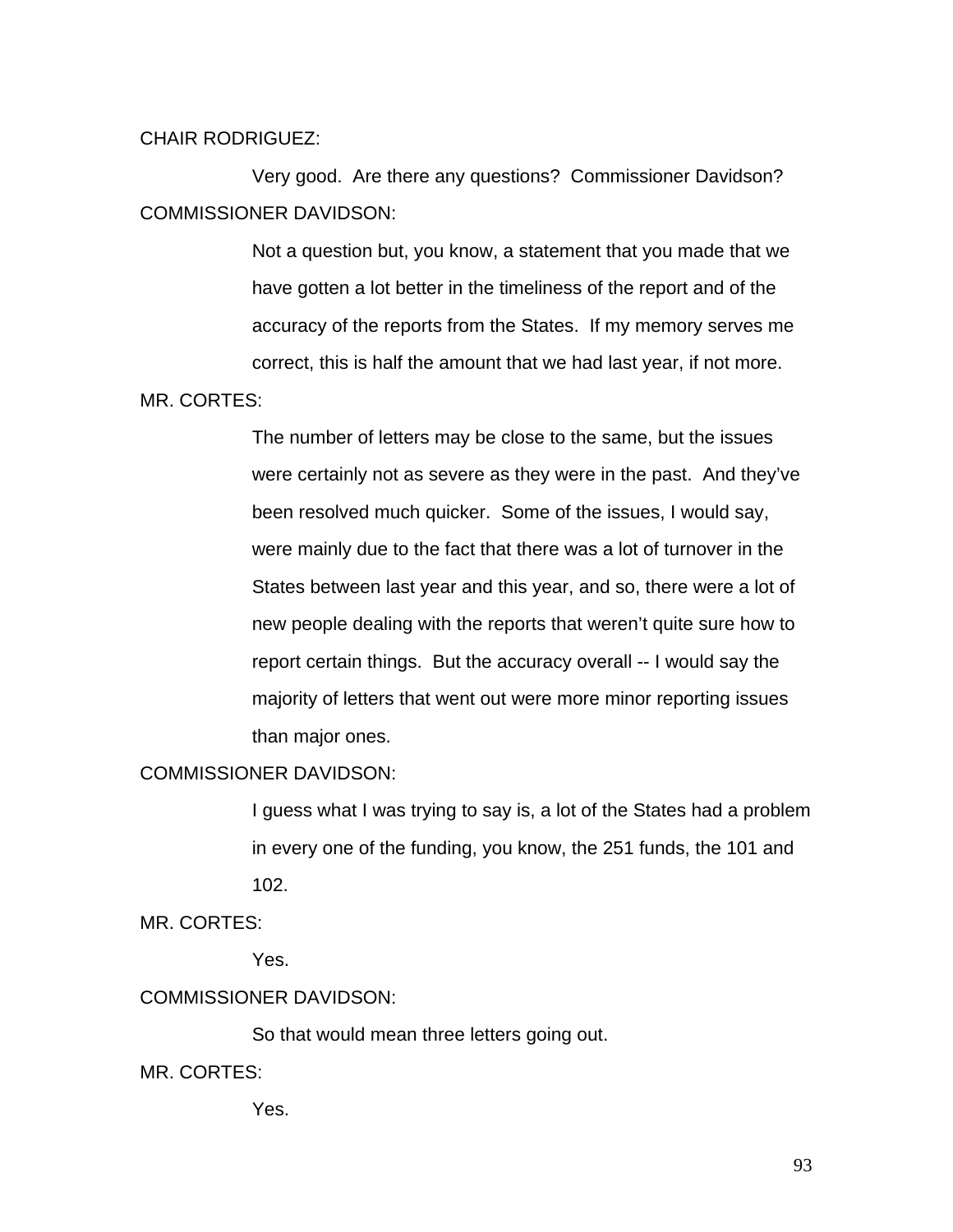#### CHAIR RODRIGUEZ:

 Very good. Are there any questions? Commissioner Davidson? COMMISSIONER DAVIDSON:

> Not a question but, you know, a statement that you made that we have gotten a lot better in the timeliness of the report and of the accuracy of the reports from the States. If my memory serves me correct, this is half the amount that we had last year, if not more.

#### MR. CORTES:

The number of letters may be close to the same, but the issues were certainly not as severe as they were in the past. And they've been resolved much quicker. Some of the issues, I would say, were mainly due to the fact that there was a lot of turnover in the States between last year and this year, and so, there were a lot of new people dealing with the reports that weren't quite sure how to report certain things. But the accuracy overall -- I would say the majority of letters that went out were more minor reporting issues than major ones.

## COMMISSIONER DAVIDSON:

I guess what I was trying to say is, a lot of the States had a problem in every one of the funding, you know, the 251 funds, the 101 and 102.

MR. CORTES:

Yes.

# COMMISSIONER DAVIDSON:

So that would mean three letters going out.

MR. CORTES:

Yes.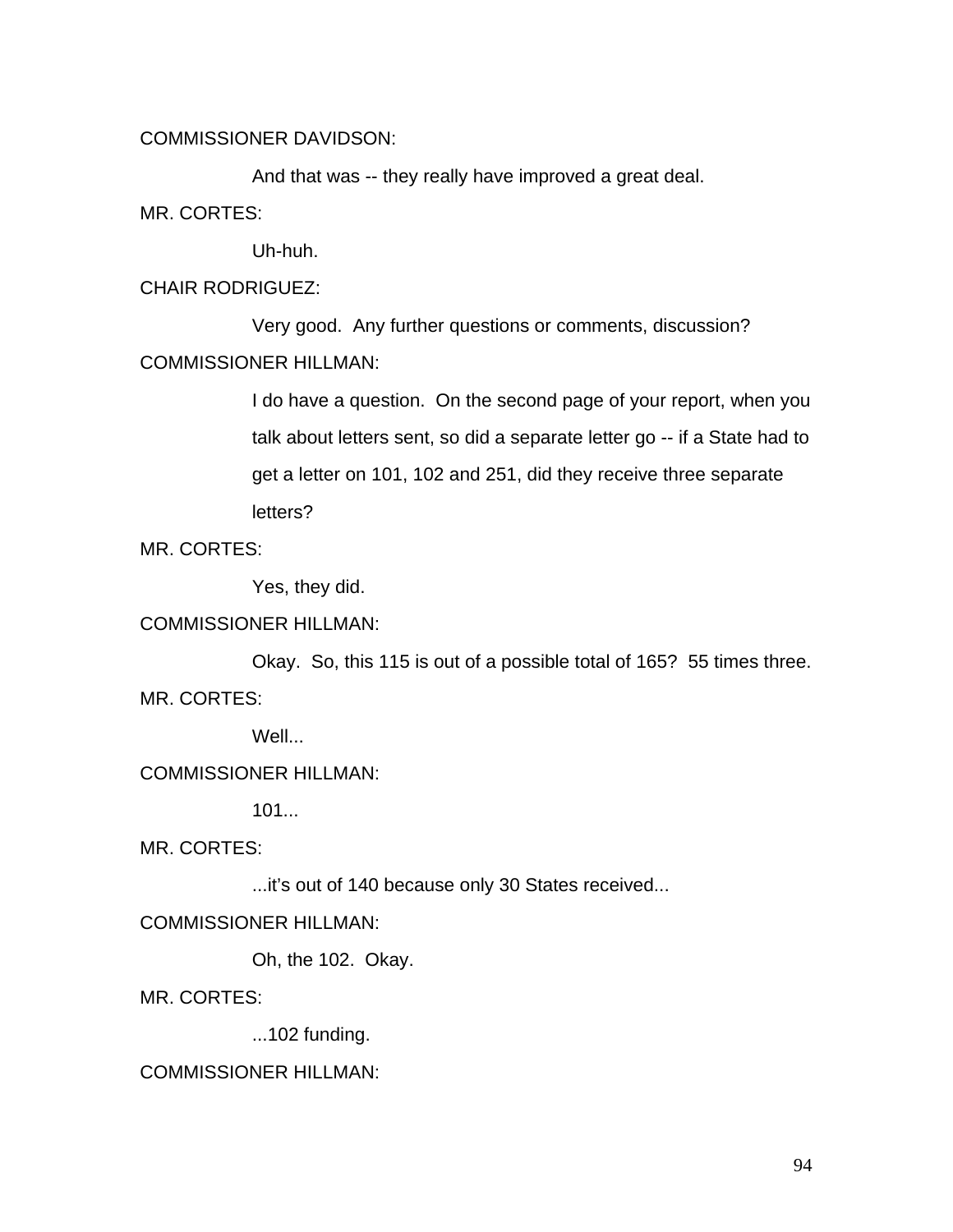COMMISSIONER DAVIDSON:

 And that was -- they really have improved a great deal. MR. CORTES:

Uh-huh.

CHAIR RODRIGUEZ:

 Very good. Any further questions or comments, discussion? COMMISSIONER HILLMAN:

> I do have a question. On the second page of your report, when you talk about letters sent, so did a separate letter go -- if a State had to get a letter on 101, 102 and 251, did they receive three separate letters?

MR. CORTES:

Yes, they did.

# COMMISSIONER HILLMAN:

 Okay. So, this 115 is out of a possible total of 165? 55 times three. MR. CORTES:

Well...

COMMISSIONER HILLMAN:

101...

MR. CORTES:

...it's out of 140 because only 30 States received...

COMMISSIONER HILLMAN:

Oh, the 102. Okay.

MR. CORTES:

...102 funding.

COMMISSIONER HILLMAN: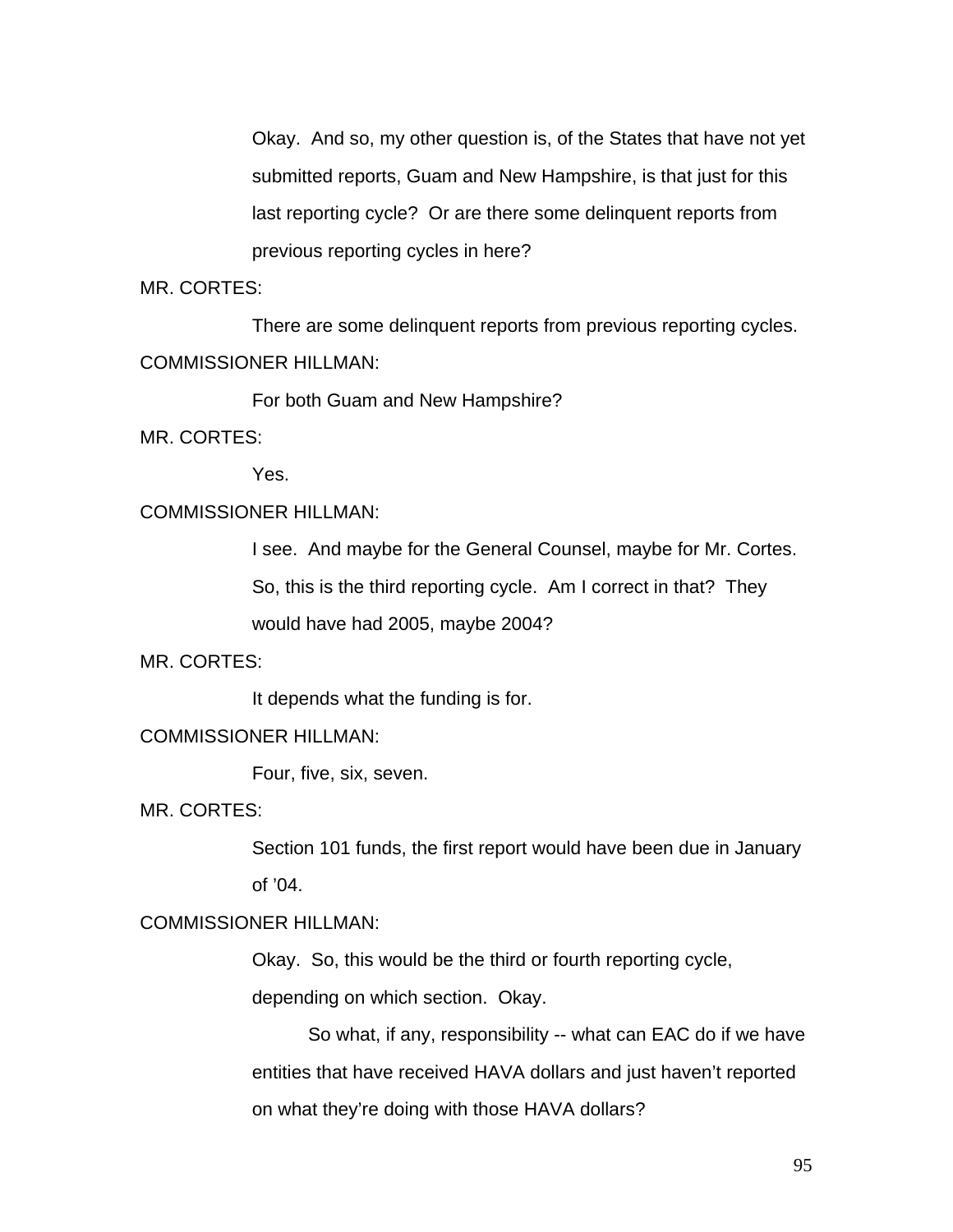Okay. And so, my other question is, of the States that have not yet submitted reports, Guam and New Hampshire, is that just for this last reporting cycle? Or are there some delinquent reports from previous reporting cycles in here?

MR. CORTES:

 There are some delinquent reports from previous reporting cycles. COMMISSIONER HILLMAN:

For both Guam and New Hampshire?

MR. CORTES:

Yes.

# COMMISSIONER HILLMAN:

I see. And maybe for the General Counsel, maybe for Mr. Cortes. So, this is the third reporting cycle. Am I correct in that? They would have had 2005, maybe 2004?

MR. CORTES:

It depends what the funding is for.

## COMMISSIONER HILLMAN:

Four, five, six, seven.

MR. CORTES:

Section 101 funds, the first report would have been due in January of '04.

# COMMISSIONER HILLMAN:

Okay. So, this would be the third or fourth reporting cycle,

depending on which section. Okay.

 So what, if any, responsibility -- what can EAC do if we have entities that have received HAVA dollars and just haven't reported on what they're doing with those HAVA dollars?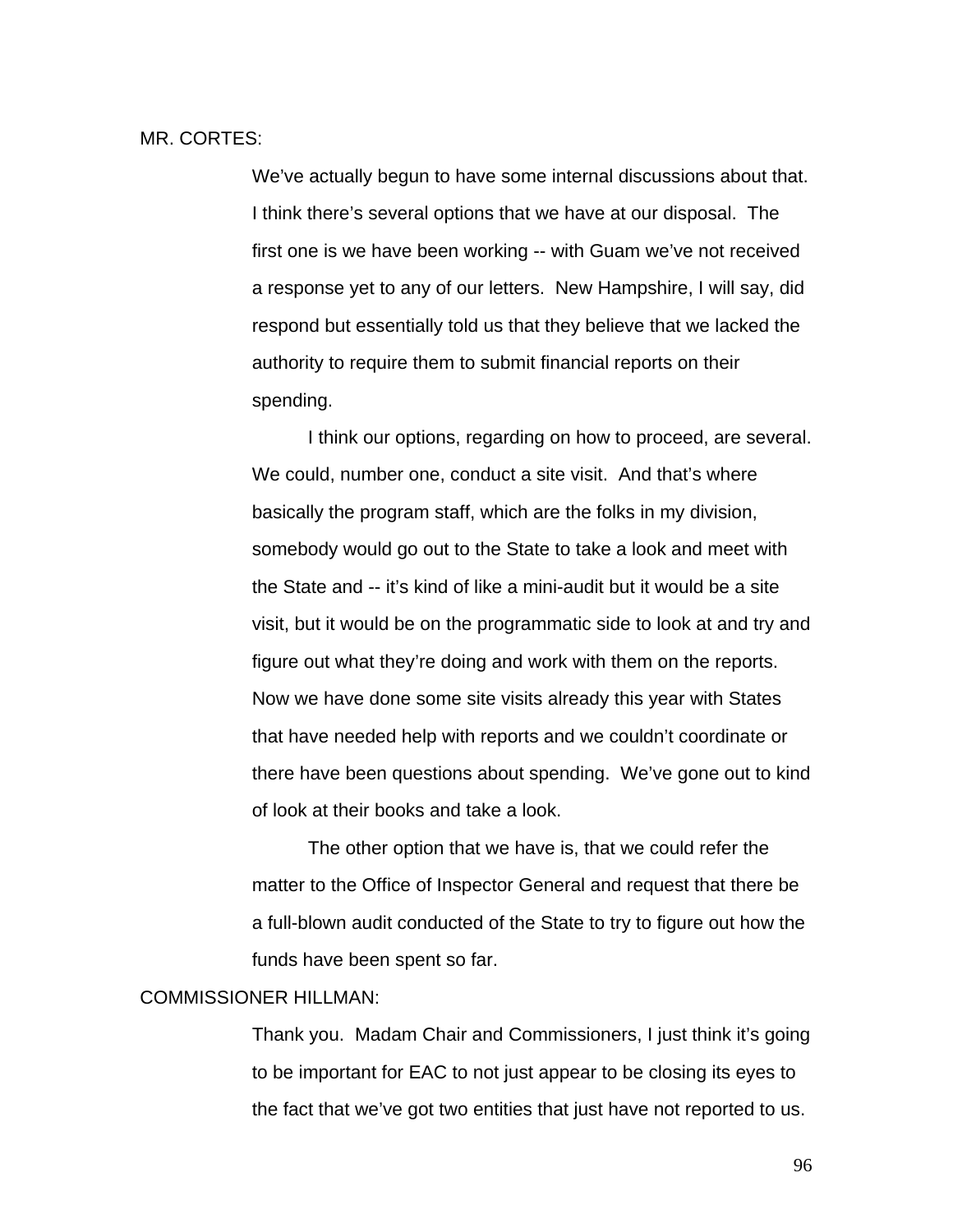#### MR. CORTES:

We've actually begun to have some internal discussions about that. I think there's several options that we have at our disposal. The first one is we have been working -- with Guam we've not received a response yet to any of our letters. New Hampshire, I will say, did respond but essentially told us that they believe that we lacked the authority to require them to submit financial reports on their spending.

I think our options, regarding on how to proceed, are several. We could, number one, conduct a site visit. And that's where basically the program staff, which are the folks in my division, somebody would go out to the State to take a look and meet with the State and -- it's kind of like a mini-audit but it would be a site visit, but it would be on the programmatic side to look at and try and figure out what they're doing and work with them on the reports. Now we have done some site visits already this year with States that have needed help with reports and we couldn't coordinate or there have been questions about spending. We've gone out to kind of look at their books and take a look.

The other option that we have is, that we could refer the matter to the Office of Inspector General and request that there be a full-blown audit conducted of the State to try to figure out how the funds have been spent so far.

#### COMMISSIONER HILLMAN:

Thank you. Madam Chair and Commissioners, I just think it's going to be important for EAC to not just appear to be closing its eyes to the fact that we've got two entities that just have not reported to us.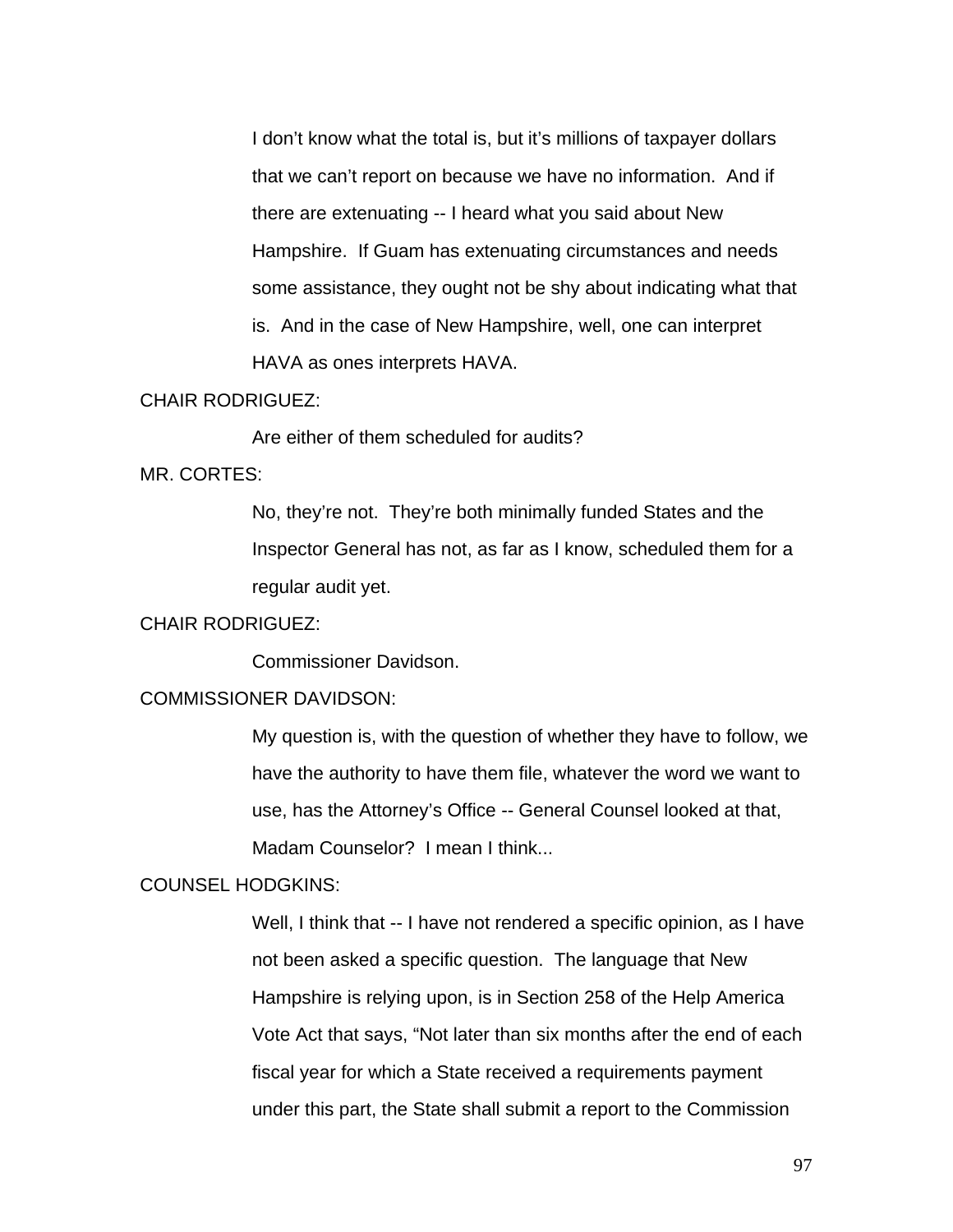I don't know what the total is, but it's millions of taxpayer dollars that we can't report on because we have no information. And if there are extenuating -- I heard what you said about New Hampshire. If Guam has extenuating circumstances and needs some assistance, they ought not be shy about indicating what that is. And in the case of New Hampshire, well, one can interpret HAVA as ones interprets HAVA.

# CHAIR RODRIGUEZ:

Are either of them scheduled for audits?

#### MR. CORTES:

No, they're not. They're both minimally funded States and the Inspector General has not, as far as I know, scheduled them for a regular audit yet.

## CHAIR RODRIGUEZ:

Commissioner Davidson.

## COMMISSIONER DAVIDSON:

My question is, with the question of whether they have to follow, we have the authority to have them file, whatever the word we want to use, has the Attorney's Office -- General Counsel looked at that, Madam Counselor? I mean I think...

### COUNSEL HODGKINS:

Well, I think that -- I have not rendered a specific opinion, as I have not been asked a specific question. The language that New Hampshire is relying upon, is in Section 258 of the Help America Vote Act that says, "Not later than six months after the end of each fiscal year for which a State received a requirements payment under this part, the State shall submit a report to the Commission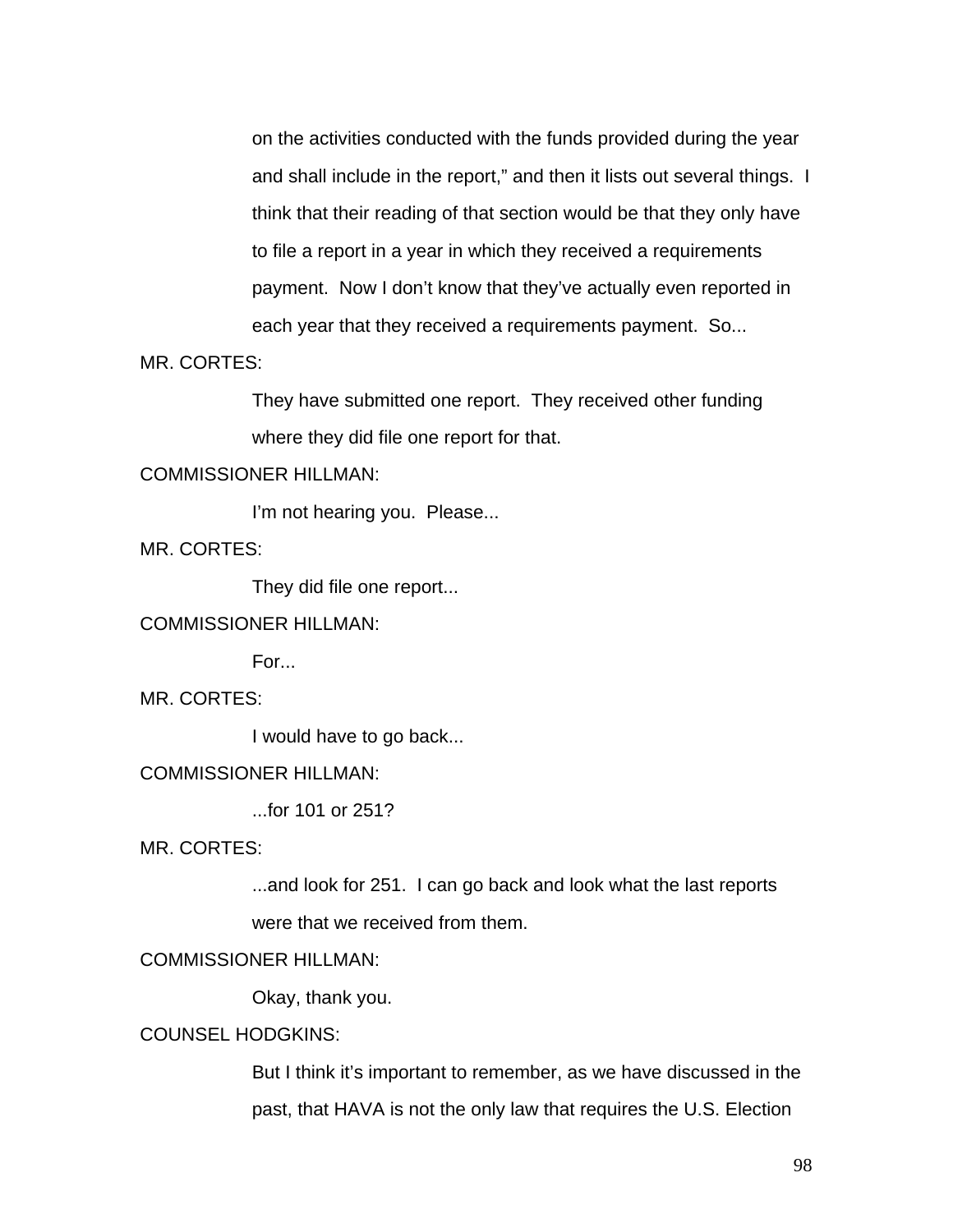on the activities conducted with the funds provided during the year and shall include in the report," and then it lists out several things. I think that their reading of that section would be that they only have to file a report in a year in which they received a requirements payment. Now I don't know that they've actually even reported in each year that they received a requirements payment. So...

MR. CORTES:

They have submitted one report. They received other funding where they did file one report for that.

#### COMMISSIONER HILLMAN:

I'm not hearing you. Please...

MR. CORTES:

They did file one report...

COMMISSIONER HILLMAN:

For...

MR. CORTES:

I would have to go back...

## COMMISSIONER HILLMAN:

...for 101 or 251?

MR. CORTES:

...and look for 251. I can go back and look what the last reports were that we received from them.

# COMMISSIONER HILLMAN:

Okay, thank you.

# COUNSEL HODGKINS:

But I think it's important to remember, as we have discussed in the past, that HAVA is not the only law that requires the U.S. Election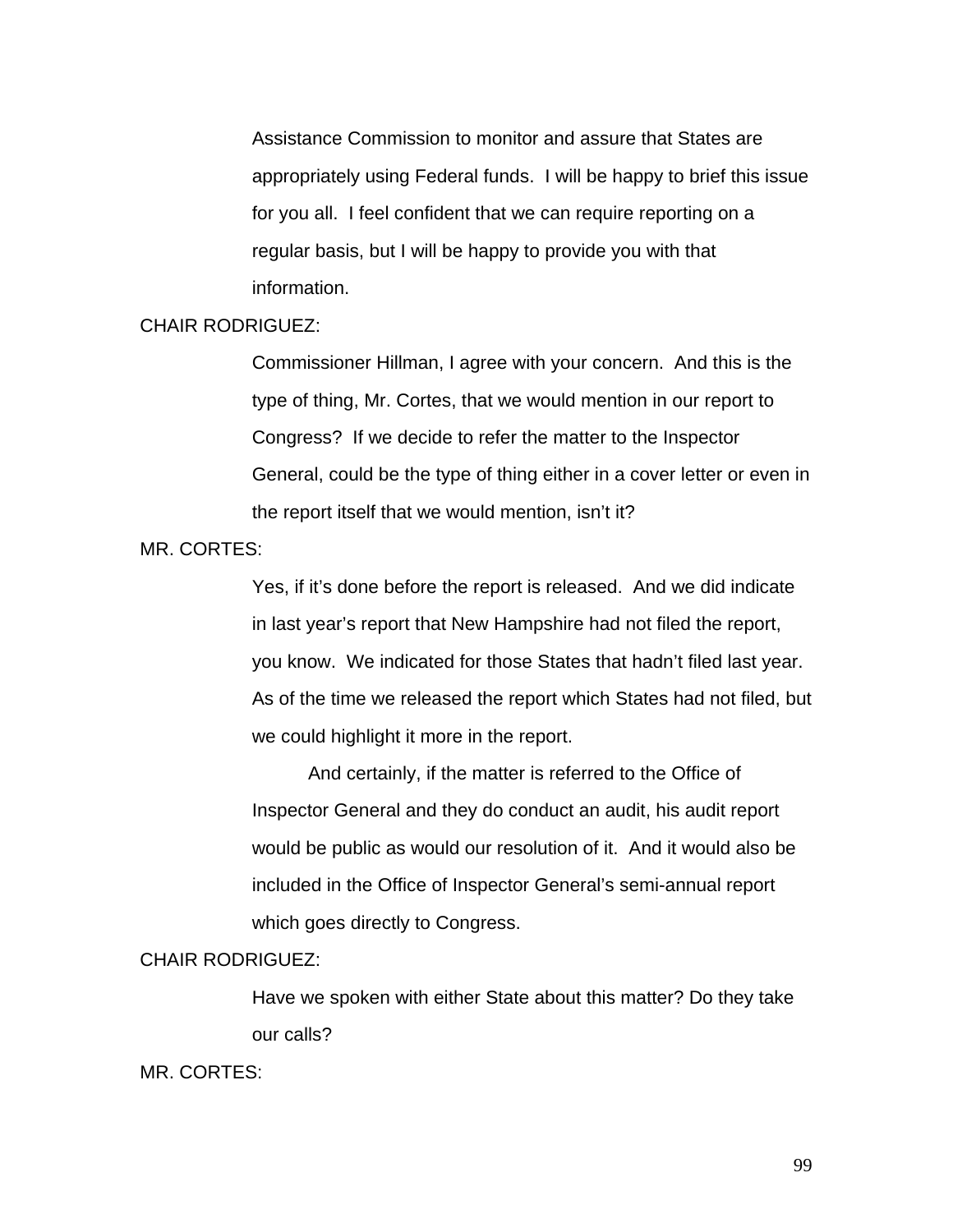Assistance Commission to monitor and assure that States are appropriately using Federal funds. I will be happy to brief this issue for you all. I feel confident that we can require reporting on a regular basis, but I will be happy to provide you with that information.

## CHAIR RODRIGUEZ:

Commissioner Hillman, I agree with your concern. And this is the type of thing, Mr. Cortes, that we would mention in our report to Congress? If we decide to refer the matter to the Inspector General, could be the type of thing either in a cover letter or even in the report itself that we would mention, isn't it?

## MR. CORTES:

Yes, if it's done before the report is released. And we did indicate in last year's report that New Hampshire had not filed the report, you know. We indicated for those States that hadn't filed last year. As of the time we released the report which States had not filed, but we could highlight it more in the report.

And certainly, if the matter is referred to the Office of Inspector General and they do conduct an audit, his audit report would be public as would our resolution of it. And it would also be included in the Office of Inspector General's semi-annual report which goes directly to Congress.

#### CHAIR RODRIGUEZ:

Have we spoken with either State about this matter? Do they take our calls?

MR. CORTES: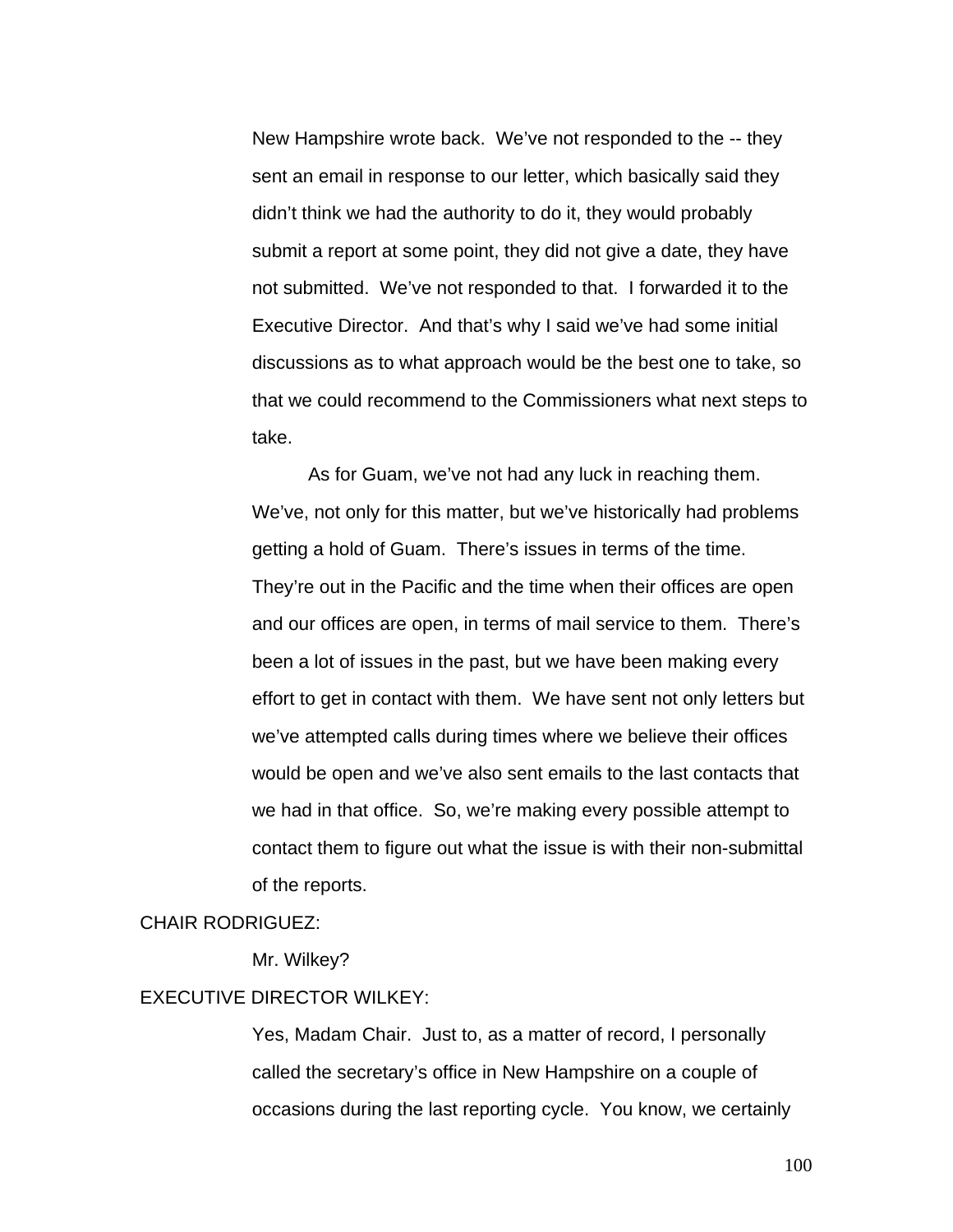New Hampshire wrote back. We've not responded to the -- they sent an email in response to our letter, which basically said they didn't think we had the authority to do it, they would probably submit a report at some point, they did not give a date, they have not submitted. We've not responded to that. I forwarded it to the Executive Director. And that's why I said we've had some initial discussions as to what approach would be the best one to take, so that we could recommend to the Commissioners what next steps to take.

 As for Guam, we've not had any luck in reaching them. We've, not only for this matter, but we've historically had problems getting a hold of Guam. There's issues in terms of the time. They're out in the Pacific and the time when their offices are open and our offices are open, in terms of mail service to them. There's been a lot of issues in the past, but we have been making every effort to get in contact with them. We have sent not only letters but we've attempted calls during times where we believe their offices would be open and we've also sent emails to the last contacts that we had in that office. So, we're making every possible attempt to contact them to figure out what the issue is with their non-submittal of the reports.

#### CHAIR RODRIGUEZ:

Mr. Wilkey?

# EXECUTIVE DIRECTOR WILKEY:

Yes, Madam Chair. Just to, as a matter of record, I personally called the secretary's office in New Hampshire on a couple of occasions during the last reporting cycle. You know, we certainly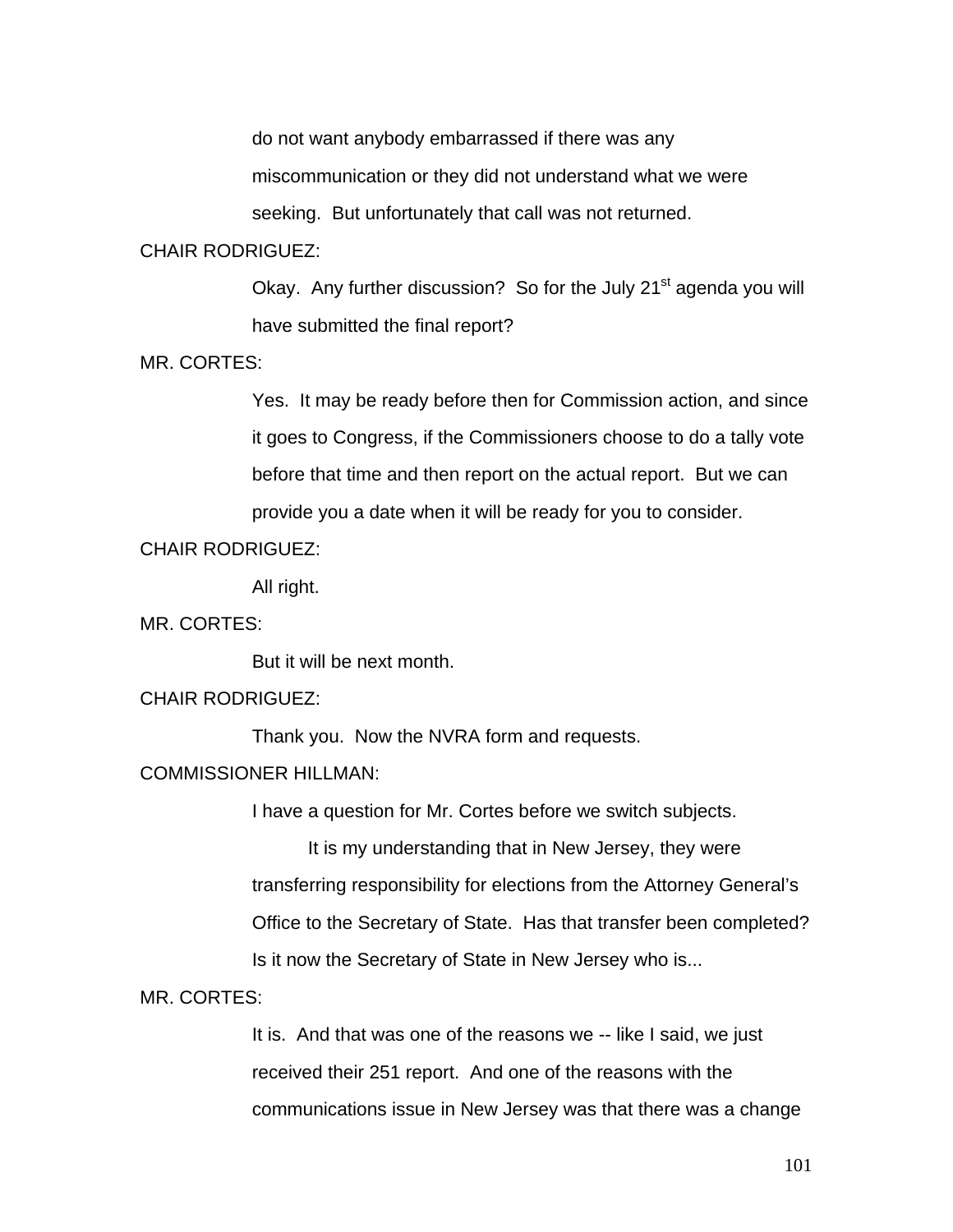do not want anybody embarrassed if there was any

miscommunication or they did not understand what we were

seeking. But unfortunately that call was not returned.

# CHAIR RODRIGUEZ:

Okay. Any further discussion? So for the July 21<sup>st</sup> agenda you will have submitted the final report?

## MR. CORTES:

Yes. It may be ready before then for Commission action, and since it goes to Congress, if the Commissioners choose to do a tally vote before that time and then report on the actual report. But we can provide you a date when it will be ready for you to consider.

### CHAIR RODRIGUEZ:

All right.

MR. CORTES:

But it will be next month.

## CHAIR RODRIGUEZ:

Thank you. Now the NVRA form and requests.

# COMMISSIONER HILLMAN:

I have a question for Mr. Cortes before we switch subjects.

It is my understanding that in New Jersey, they were transferring responsibility for elections from the Attorney General's Office to the Secretary of State. Has that transfer been completed? Is it now the Secretary of State in New Jersey who is...

MR. CORTES:

It is. And that was one of the reasons we -- like I said, we just received their 251 report. And one of the reasons with the communications issue in New Jersey was that there was a change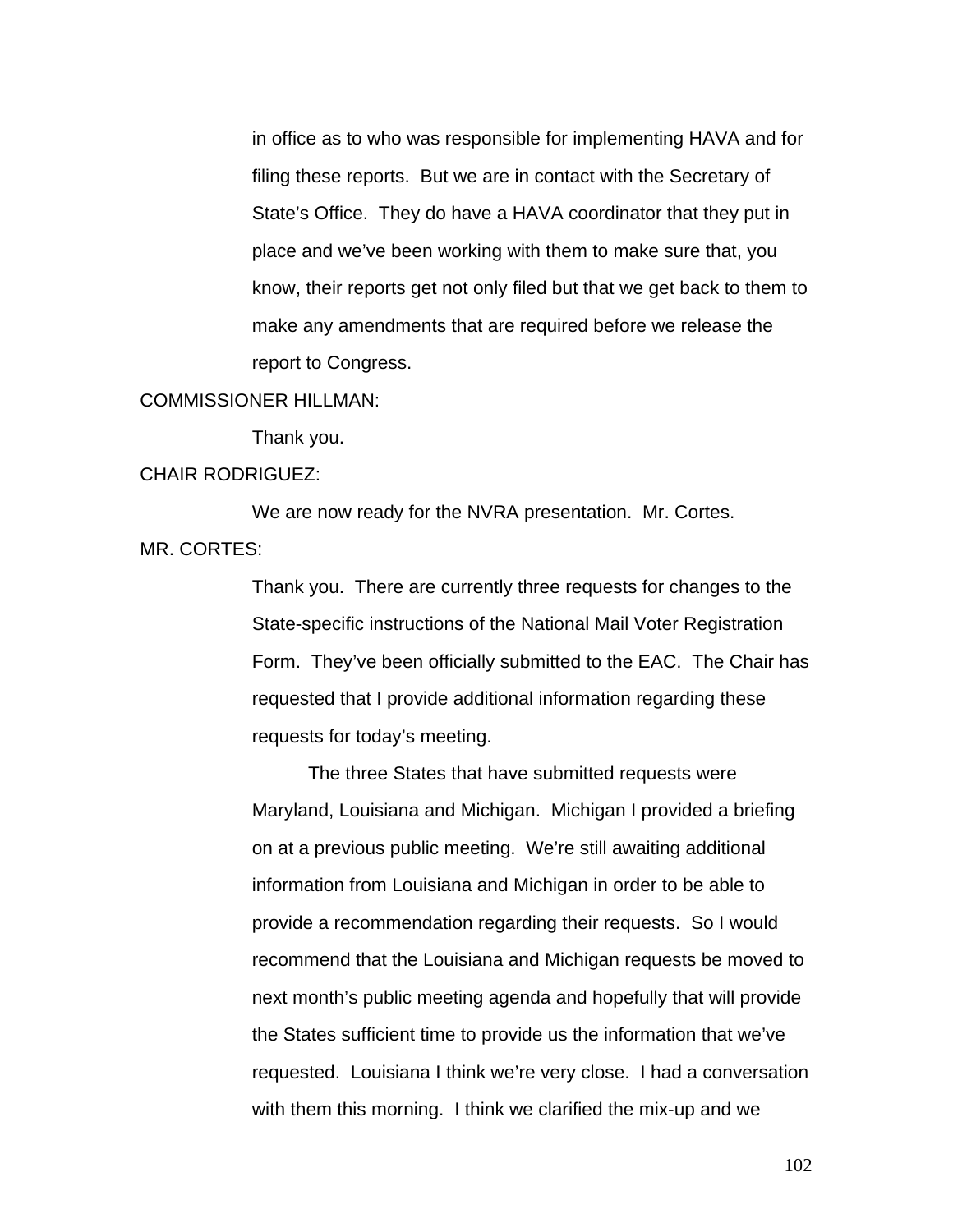in office as to who was responsible for implementing HAVA and for filing these reports. But we are in contact with the Secretary of State's Office. They do have a HAVA coordinator that they put in place and we've been working with them to make sure that, you know, their reports get not only filed but that we get back to them to make any amendments that are required before we release the report to Congress.

#### COMMISSIONER HILLMAN:

Thank you.

#### CHAIR RODRIGUEZ:

 We are now ready for the NVRA presentation. Mr. Cortes. MR. CORTES:

> Thank you. There are currently three requests for changes to the State-specific instructions of the National Mail Voter Registration Form. They've been officially submitted to the EAC. The Chair has requested that I provide additional information regarding these requests for today's meeting.

> The three States that have submitted requests were Maryland, Louisiana and Michigan. Michigan I provided a briefing on at a previous public meeting. We're still awaiting additional information from Louisiana and Michigan in order to be able to provide a recommendation regarding their requests. So I would recommend that the Louisiana and Michigan requests be moved to next month's public meeting agenda and hopefully that will provide the States sufficient time to provide us the information that we've requested. Louisiana I think we're very close. I had a conversation with them this morning. I think we clarified the mix-up and we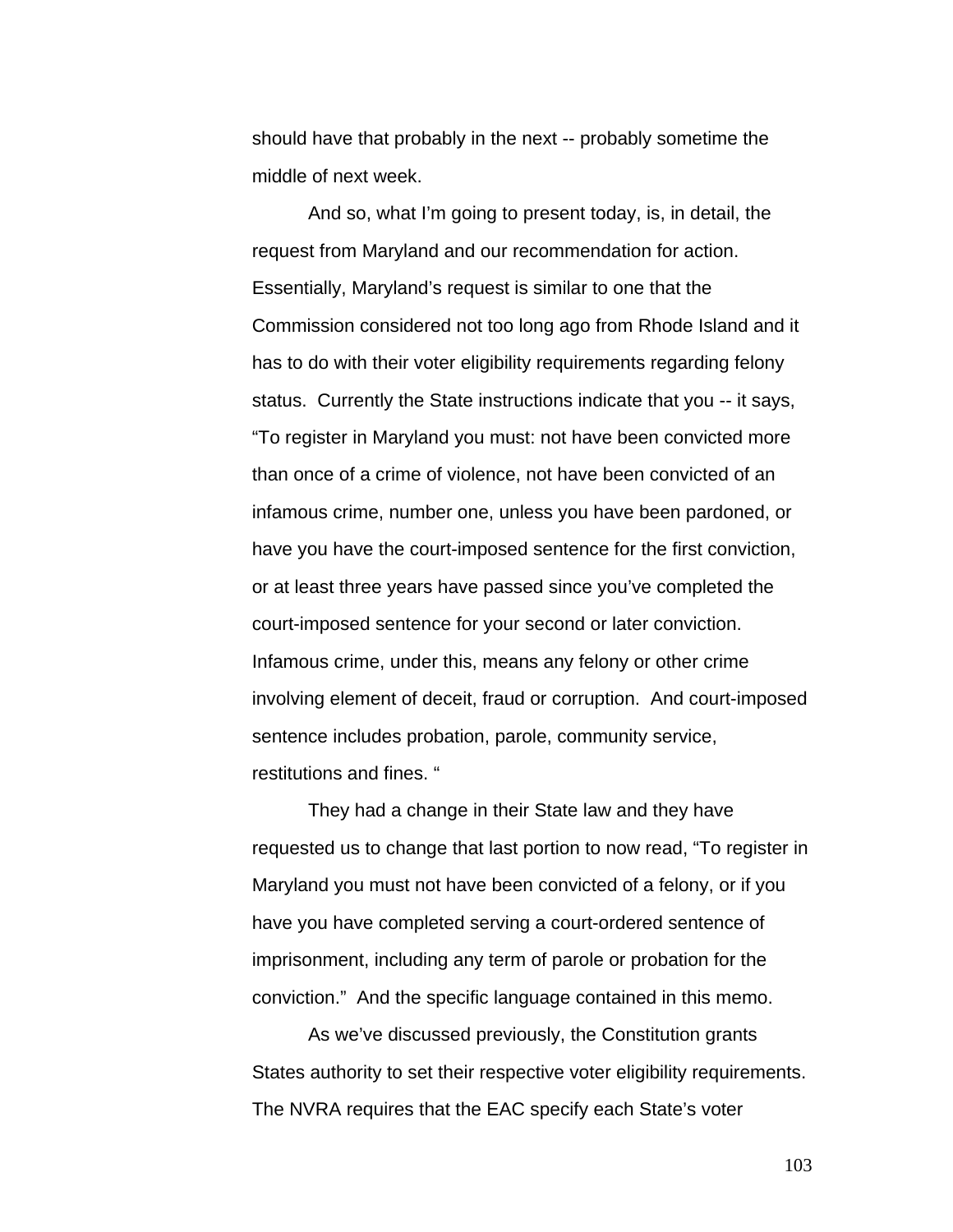should have that probably in the next -- probably sometime the middle of next week.

 And so, what I'm going to present today, is, in detail, the request from Maryland and our recommendation for action. Essentially, Maryland's request is similar to one that the Commission considered not too long ago from Rhode Island and it has to do with their voter eligibility requirements regarding felony status. Currently the State instructions indicate that you -- it says, "To register in Maryland you must: not have been convicted more than once of a crime of violence, not have been convicted of an infamous crime, number one, unless you have been pardoned, or have you have the court-imposed sentence for the first conviction, or at least three years have passed since you've completed the court-imposed sentence for your second or later conviction. Infamous crime, under this, means any felony or other crime involving element of deceit, fraud or corruption. And court-imposed sentence includes probation, parole, community service, restitutions and fines. "

 They had a change in their State law and they have requested us to change that last portion to now read, "To register in Maryland you must not have been convicted of a felony, or if you have you have completed serving a court-ordered sentence of imprisonment, including any term of parole or probation for the conviction." And the specific language contained in this memo.

As we've discussed previously, the Constitution grants States authority to set their respective voter eligibility requirements. The NVRA requires that the EAC specify each State's voter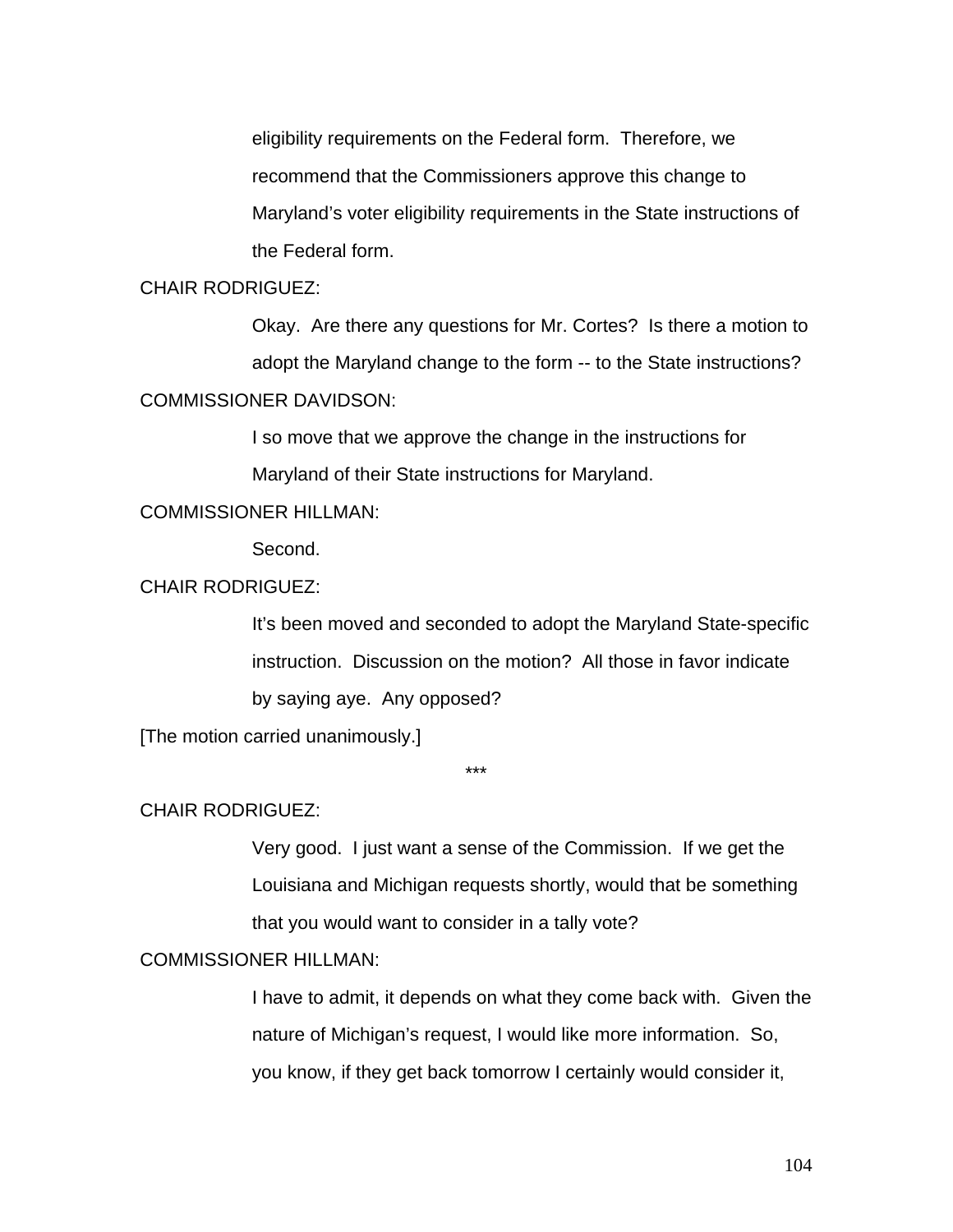eligibility requirements on the Federal form. Therefore, we recommend that the Commissioners approve this change to Maryland's voter eligibility requirements in the State instructions of the Federal form.

# CHAIR RODRIGUEZ:

Okay. Are there any questions for Mr. Cortes? Is there a motion to adopt the Maryland change to the form -- to the State instructions? COMMISSIONER DAVIDSON:

> I so move that we approve the change in the instructions for Maryland of their State instructions for Maryland.

## COMMISSIONER HILLMAN:

Second.

# CHAIR RODRIGUEZ:

It's been moved and seconded to adopt the Maryland State-specific instruction. Discussion on the motion? All those in favor indicate by saying aye. Any opposed?

[The motion carried unanimously.]

\*\*\*

#### CHAIR RODRIGUEZ:

Very good. I just want a sense of the Commission. If we get the Louisiana and Michigan requests shortly, would that be something that you would want to consider in a tally vote?

# COMMISSIONER HILLMAN:

I have to admit, it depends on what they come back with. Given the nature of Michigan's request, I would like more information. So, you know, if they get back tomorrow I certainly would consider it,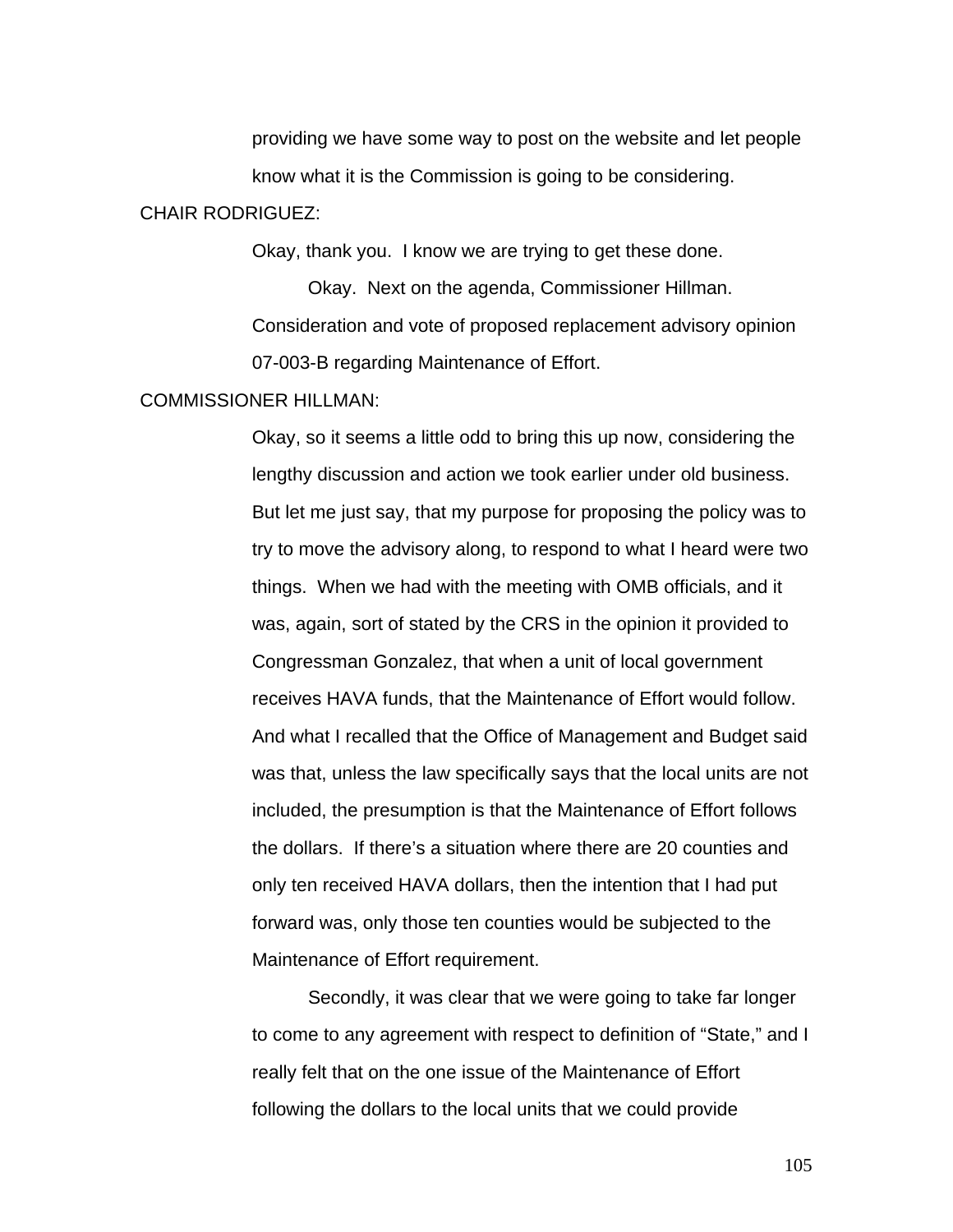providing we have some way to post on the website and let people know what it is the Commission is going to be considering.

#### CHAIR RODRIGUEZ:

Okay, thank you. I know we are trying to get these done.

Okay. Next on the agenda, Commissioner Hillman. Consideration and vote of proposed replacement advisory opinion 07-003-B regarding Maintenance of Effort.

#### COMMISSIONER HILLMAN:

Okay, so it seems a little odd to bring this up now, considering the lengthy discussion and action we took earlier under old business. But let me just say, that my purpose for proposing the policy was to try to move the advisory along, to respond to what I heard were two things. When we had with the meeting with OMB officials, and it was, again, sort of stated by the CRS in the opinion it provided to Congressman Gonzalez, that when a unit of local government receives HAVA funds, that the Maintenance of Effort would follow. And what I recalled that the Office of Management and Budget said was that, unless the law specifically says that the local units are not included, the presumption is that the Maintenance of Effort follows the dollars. If there's a situation where there are 20 counties and only ten received HAVA dollars, then the intention that I had put forward was, only those ten counties would be subjected to the Maintenance of Effort requirement.

 Secondly, it was clear that we were going to take far longer to come to any agreement with respect to definition of "State," and I really felt that on the one issue of the Maintenance of Effort following the dollars to the local units that we could provide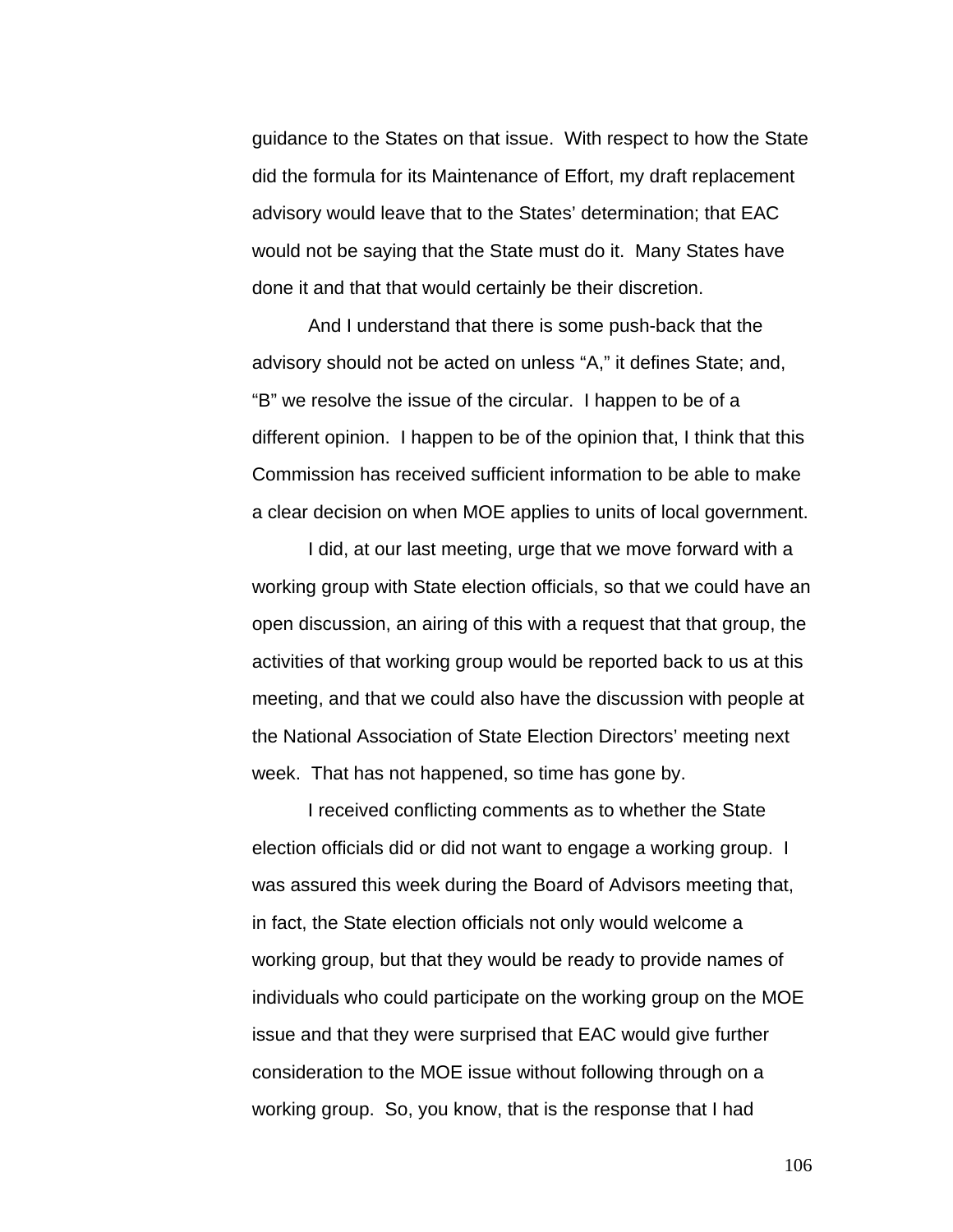guidance to the States on that issue. With respect to how the State did the formula for its Maintenance of Effort, my draft replacement advisory would leave that to the States' determination; that EAC would not be saying that the State must do it. Many States have done it and that that would certainly be their discretion.

And I understand that there is some push-back that the advisory should not be acted on unless "A," it defines State; and, "B" we resolve the issue of the circular. I happen to be of a different opinion. I happen to be of the opinion that, I think that this Commission has received sufficient information to be able to make a clear decision on when MOE applies to units of local government.

 I did, at our last meeting, urge that we move forward with a working group with State election officials, so that we could have an open discussion, an airing of this with a request that that group, the activities of that working group would be reported back to us at this meeting, and that we could also have the discussion with people at the National Association of State Election Directors' meeting next week. That has not happened, so time has gone by.

I received conflicting comments as to whether the State election officials did or did not want to engage a working group. I was assured this week during the Board of Advisors meeting that, in fact, the State election officials not only would welcome a working group, but that they would be ready to provide names of individuals who could participate on the working group on the MOE issue and that they were surprised that EAC would give further consideration to the MOE issue without following through on a working group. So, you know, that is the response that I had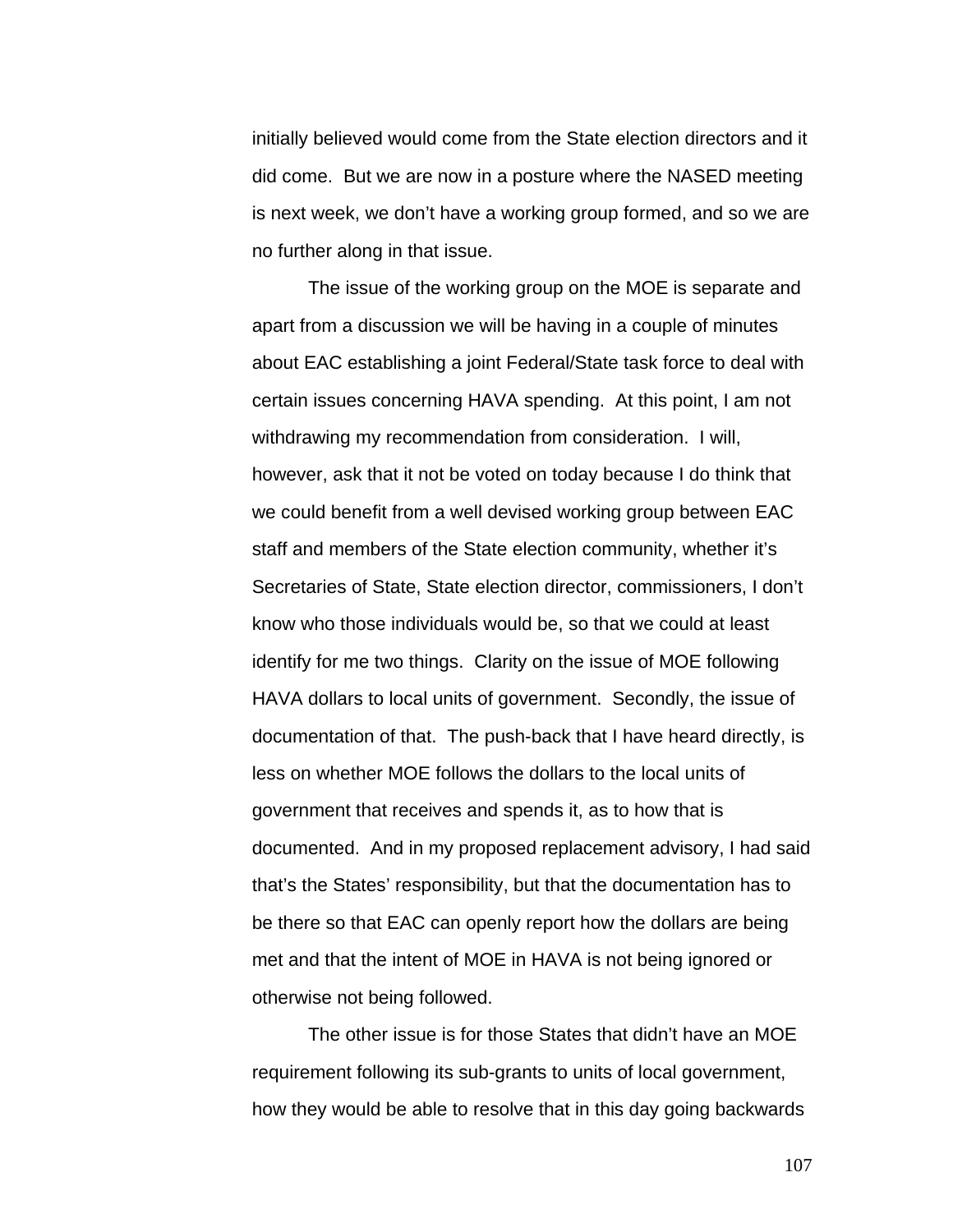initially believed would come from the State election directors and it did come. But we are now in a posture where the NASED meeting is next week, we don't have a working group formed, and so we are no further along in that issue.

 The issue of the working group on the MOE is separate and apart from a discussion we will be having in a couple of minutes about EAC establishing a joint Federal/State task force to deal with certain issues concerning HAVA spending. At this point, I am not withdrawing my recommendation from consideration. I will, however, ask that it not be voted on today because I do think that we could benefit from a well devised working group between EAC staff and members of the State election community, whether it's Secretaries of State, State election director, commissioners, I don't know who those individuals would be, so that we could at least identify for me two things. Clarity on the issue of MOE following HAVA dollars to local units of government. Secondly, the issue of documentation of that. The push-back that I have heard directly, is less on whether MOE follows the dollars to the local units of government that receives and spends it, as to how that is documented. And in my proposed replacement advisory, I had said that's the States' responsibility, but that the documentation has to be there so that EAC can openly report how the dollars are being met and that the intent of MOE in HAVA is not being ignored or otherwise not being followed.

 The other issue is for those States that didn't have an MOE requirement following its sub-grants to units of local government, how they would be able to resolve that in this day going backwards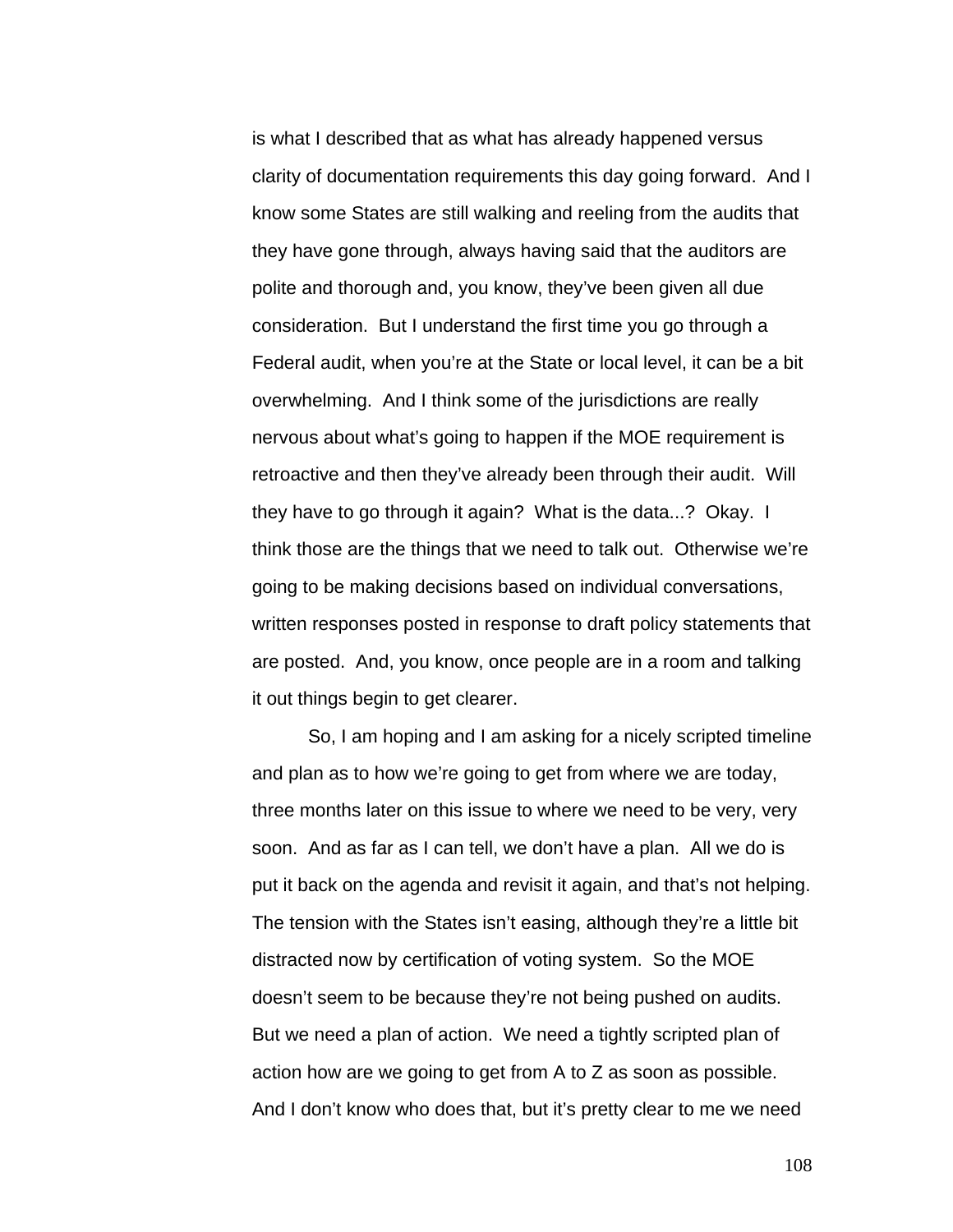is what I described that as what has already happened versus clarity of documentation requirements this day going forward. And I know some States are still walking and reeling from the audits that they have gone through, always having said that the auditors are polite and thorough and, you know, they've been given all due consideration. But I understand the first time you go through a Federal audit, when you're at the State or local level, it can be a bit overwhelming. And I think some of the jurisdictions are really nervous about what's going to happen if the MOE requirement is retroactive and then they've already been through their audit. Will they have to go through it again? What is the data...? Okay. I think those are the things that we need to talk out. Otherwise we're going to be making decisions based on individual conversations, written responses posted in response to draft policy statements that are posted. And, you know, once people are in a room and talking it out things begin to get clearer.

So, I am hoping and I am asking for a nicely scripted timeline and plan as to how we're going to get from where we are today, three months later on this issue to where we need to be very, very soon. And as far as I can tell, we don't have a plan. All we do is put it back on the agenda and revisit it again, and that's not helping. The tension with the States isn't easing, although they're a little bit distracted now by certification of voting system. So the MOE doesn't seem to be because they're not being pushed on audits. But we need a plan of action. We need a tightly scripted plan of action how are we going to get from A to Z as soon as possible. And I don't know who does that, but it's pretty clear to me we need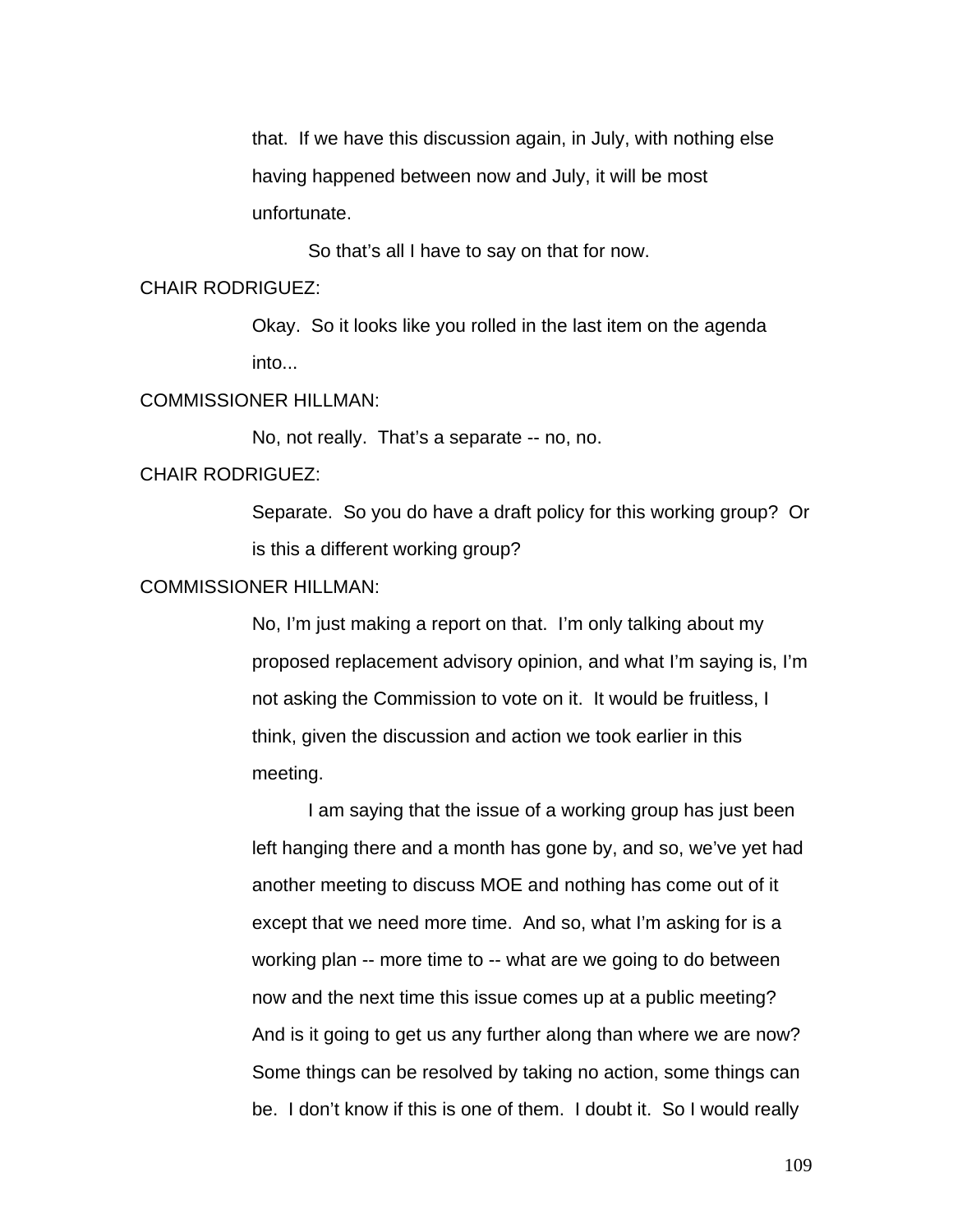that. If we have this discussion again, in July, with nothing else having happened between now and July, it will be most unfortunate.

So that's all I have to say on that for now.

#### CHAIR RODRIGUEZ:

Okay. So it looks like you rolled in the last item on the agenda into...

#### COMMISSIONER HILLMAN:

No, not really. That's a separate -- no, no.

### CHAIR RODRIGUEZ:

Separate. So you do have a draft policy for this working group? Or is this a different working group?

### COMMISSIONER HILLMAN:

No, I'm just making a report on that. I'm only talking about my proposed replacement advisory opinion, and what I'm saying is, I'm not asking the Commission to vote on it. It would be fruitless, I think, given the discussion and action we took earlier in this meeting.

 I am saying that the issue of a working group has just been left hanging there and a month has gone by, and so, we've yet had another meeting to discuss MOE and nothing has come out of it except that we need more time. And so, what I'm asking for is a working plan -- more time to -- what are we going to do between now and the next time this issue comes up at a public meeting? And is it going to get us any further along than where we are now? Some things can be resolved by taking no action, some things can be. I don't know if this is one of them. I doubt it. So I would really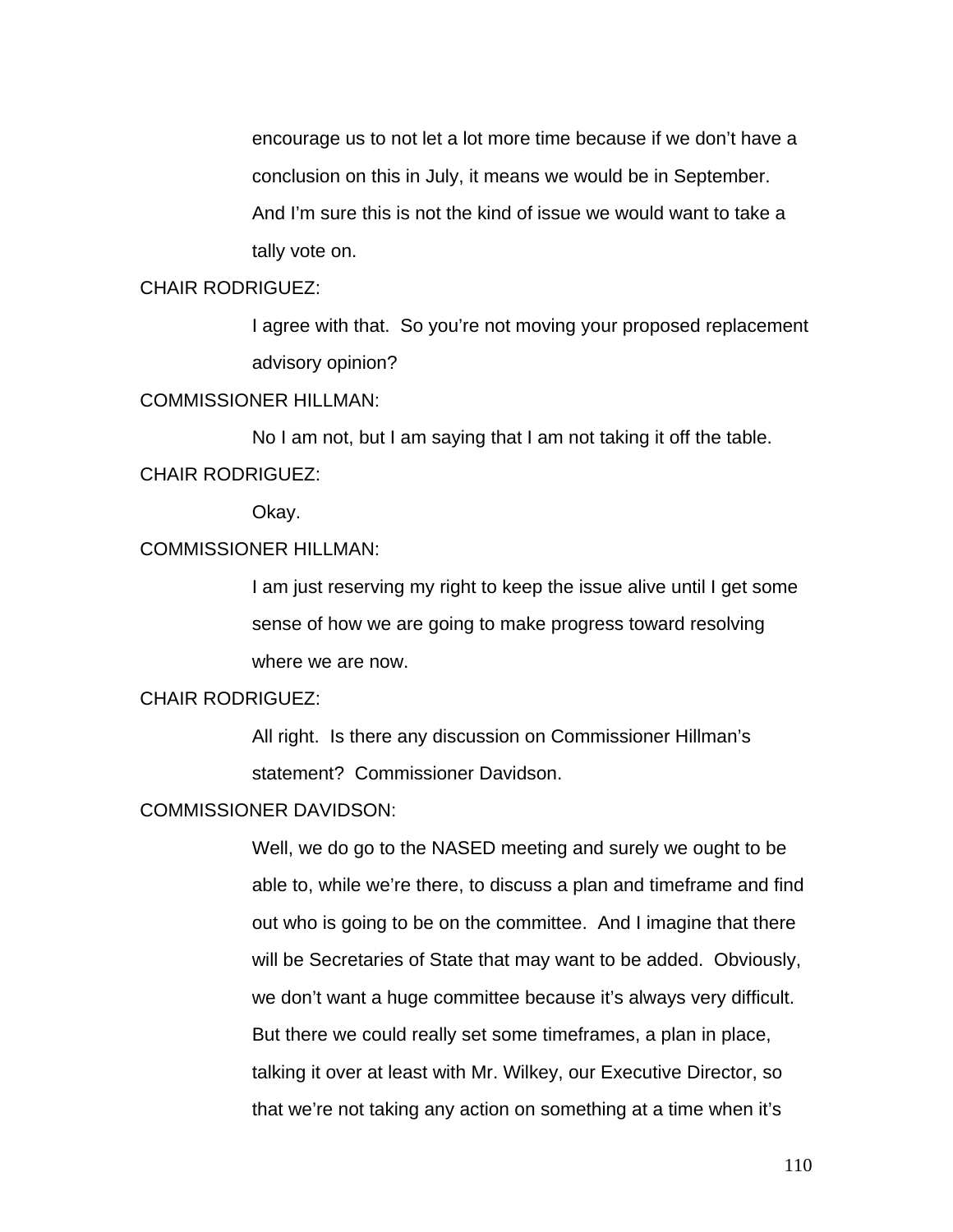encourage us to not let a lot more time because if we don't have a conclusion on this in July, it means we would be in September. And I'm sure this is not the kind of issue we would want to take a tally vote on.

## CHAIR RODRIGUEZ:

I agree with that. So you're not moving your proposed replacement advisory opinion?

### COMMISSIONER HILLMAN:

 No I am not, but I am saying that I am not taking it off the table. CHAIR RODRIGUEZ:

Okay.

## COMMISSIONER HILLMAN:

I am just reserving my right to keep the issue alive until I get some sense of how we are going to make progress toward resolving where we are now.

## CHAIR RODRIGUEZ:

All right. Is there any discussion on Commissioner Hillman's statement? Commissioner Davidson.

#### COMMISSIONER DAVIDSON:

Well, we do go to the NASED meeting and surely we ought to be able to, while we're there, to discuss a plan and timeframe and find out who is going to be on the committee. And I imagine that there will be Secretaries of State that may want to be added. Obviously, we don't want a huge committee because it's always very difficult. But there we could really set some timeframes, a plan in place, talking it over at least with Mr. Wilkey, our Executive Director, so that we're not taking any action on something at a time when it's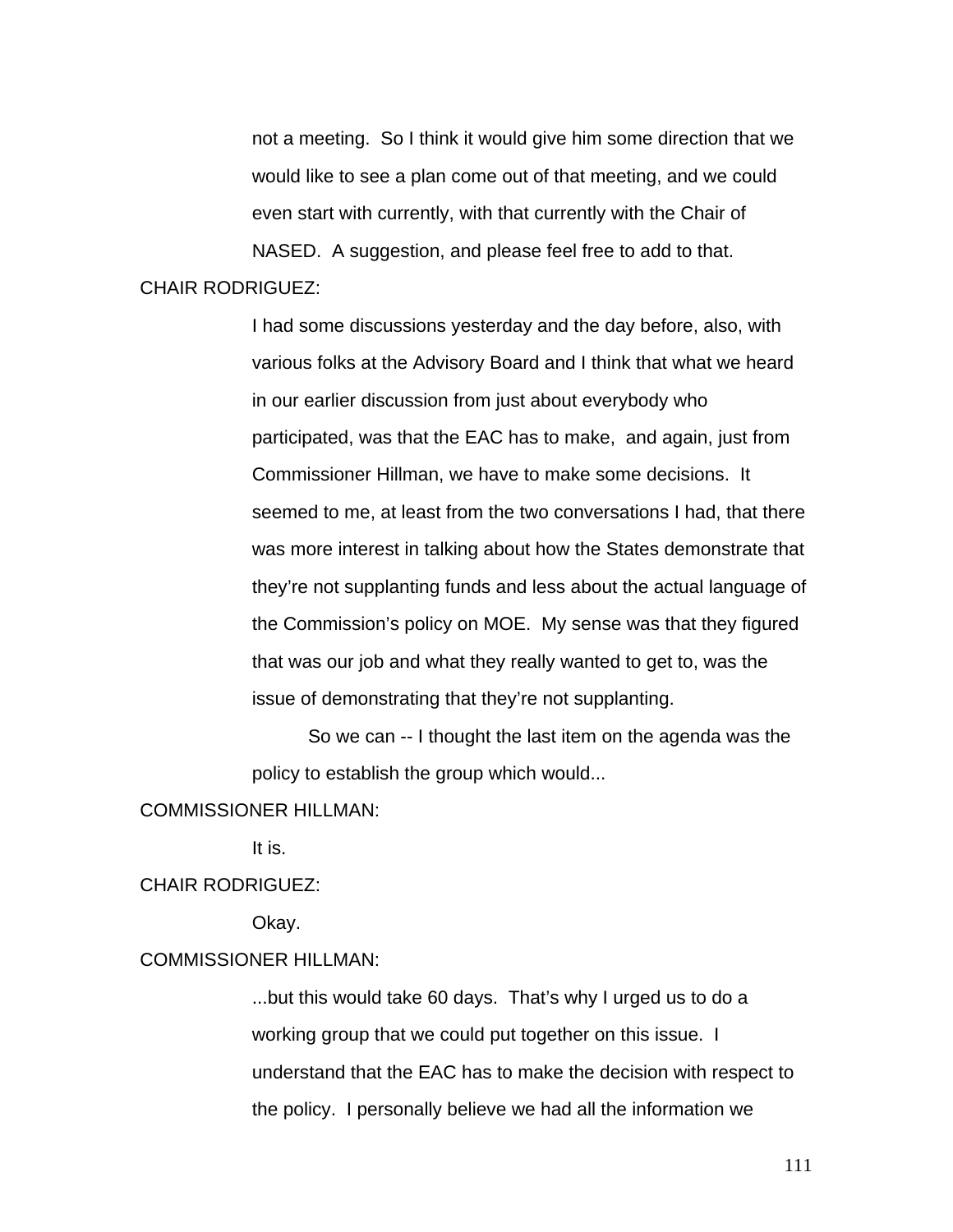not a meeting. So I think it would give him some direction that we would like to see a plan come out of that meeting, and we could even start with currently, with that currently with the Chair of NASED. A suggestion, and please feel free to add to that.

## CHAIR RODRIGUEZ:

I had some discussions yesterday and the day before, also, with various folks at the Advisory Board and I think that what we heard in our earlier discussion from just about everybody who participated, was that the EAC has to make, and again, just from Commissioner Hillman, we have to make some decisions. It seemed to me, at least from the two conversations I had, that there was more interest in talking about how the States demonstrate that they're not supplanting funds and less about the actual language of the Commission's policy on MOE. My sense was that they figured that was our job and what they really wanted to get to, was the issue of demonstrating that they're not supplanting.

 So we can -- I thought the last item on the agenda was the policy to establish the group which would...

#### COMMISSIONER HILLMAN:

It is.

### CHAIR RODRIGUEZ:

Okay.

# COMMISSIONER HILLMAN:

...but this would take 60 days. That's why I urged us to do a working group that we could put together on this issue. I understand that the EAC has to make the decision with respect to the policy. I personally believe we had all the information we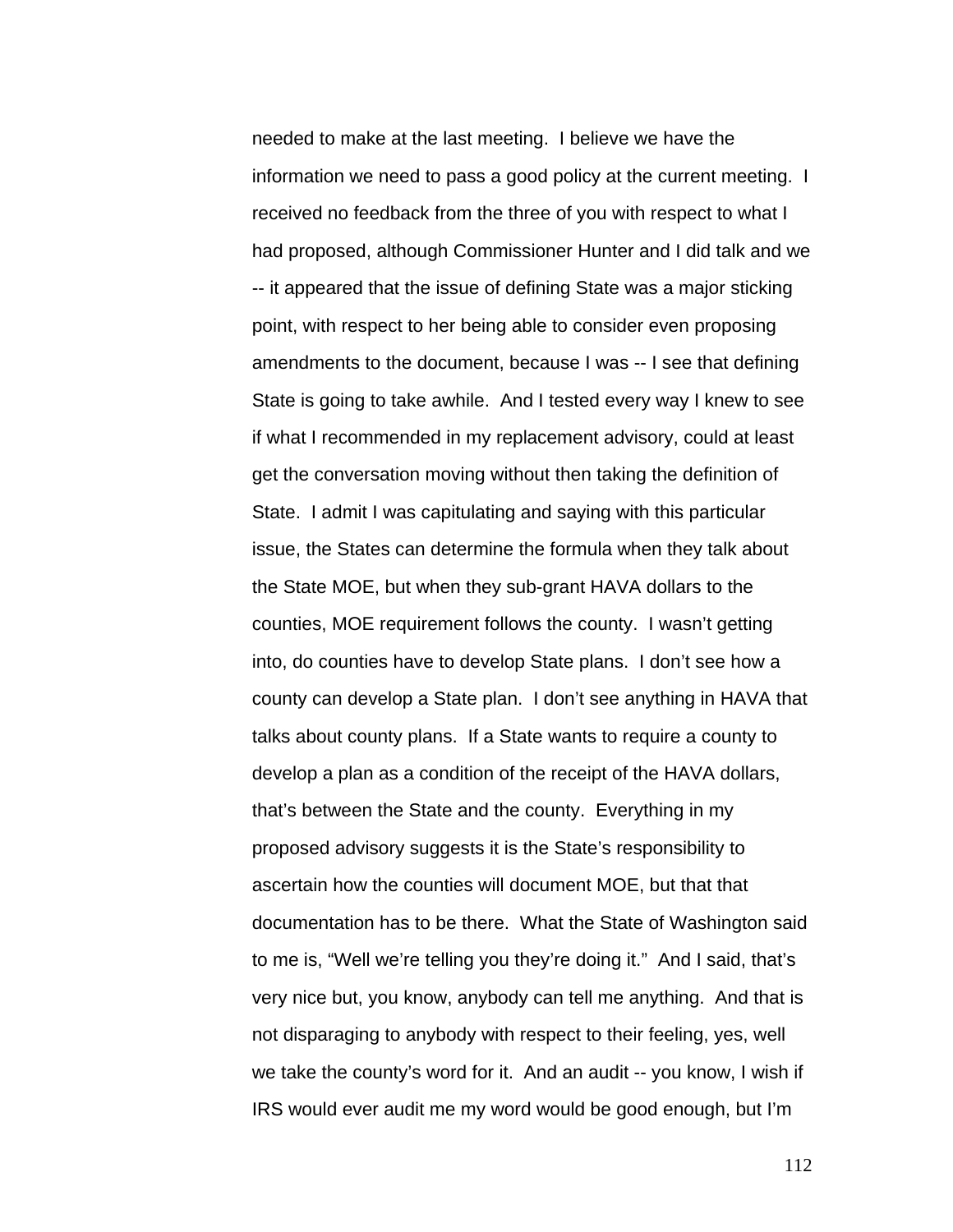needed to make at the last meeting. I believe we have the information we need to pass a good policy at the current meeting. I received no feedback from the three of you with respect to what I had proposed, although Commissioner Hunter and I did talk and we -- it appeared that the issue of defining State was a major sticking point, with respect to her being able to consider even proposing amendments to the document, because I was -- I see that defining State is going to take awhile. And I tested every way I knew to see if what I recommended in my replacement advisory, could at least get the conversation moving without then taking the definition of State. I admit I was capitulating and saying with this particular issue, the States can determine the formula when they talk about the State MOE, but when they sub-grant HAVA dollars to the counties, MOE requirement follows the county. I wasn't getting into, do counties have to develop State plans. I don't see how a county can develop a State plan. I don't see anything in HAVA that talks about county plans. If a State wants to require a county to develop a plan as a condition of the receipt of the HAVA dollars, that's between the State and the county. Everything in my proposed advisory suggests it is the State's responsibility to ascertain how the counties will document MOE, but that that documentation has to be there. What the State of Washington said to me is, "Well we're telling you they're doing it." And I said, that's very nice but, you know, anybody can tell me anything. And that is not disparaging to anybody with respect to their feeling, yes, well we take the county's word for it. And an audit -- you know, I wish if IRS would ever audit me my word would be good enough, but I'm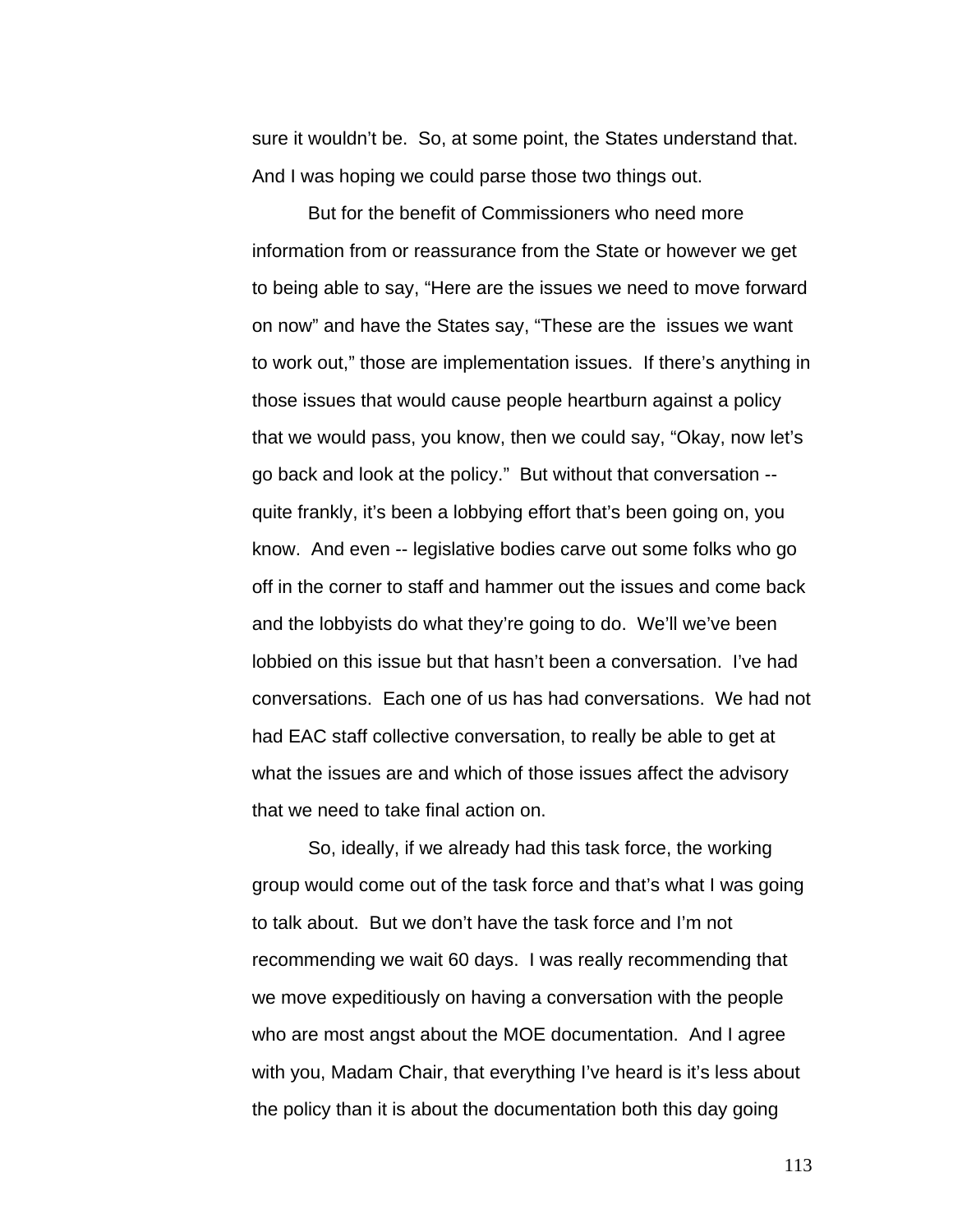sure it wouldn't be. So, at some point, the States understand that. And I was hoping we could parse those two things out.

But for the benefit of Commissioners who need more information from or reassurance from the State or however we get to being able to say, "Here are the issues we need to move forward on now" and have the States say, "These are the issues we want to work out," those are implementation issues. If there's anything in those issues that would cause people heartburn against a policy that we would pass, you know, then we could say, "Okay, now let's go back and look at the policy." But without that conversation - quite frankly, it's been a lobbying effort that's been going on, you know. And even -- legislative bodies carve out some folks who go off in the corner to staff and hammer out the issues and come back and the lobbyists do what they're going to do. We'll we've been lobbied on this issue but that hasn't been a conversation. I've had conversations. Each one of us has had conversations. We had not had EAC staff collective conversation, to really be able to get at what the issues are and which of those issues affect the advisory that we need to take final action on.

 So, ideally, if we already had this task force, the working group would come out of the task force and that's what I was going to talk about. But we don't have the task force and I'm not recommending we wait 60 days. I was really recommending that we move expeditiously on having a conversation with the people who are most angst about the MOE documentation. And I agree with you, Madam Chair, that everything I've heard is it's less about the policy than it is about the documentation both this day going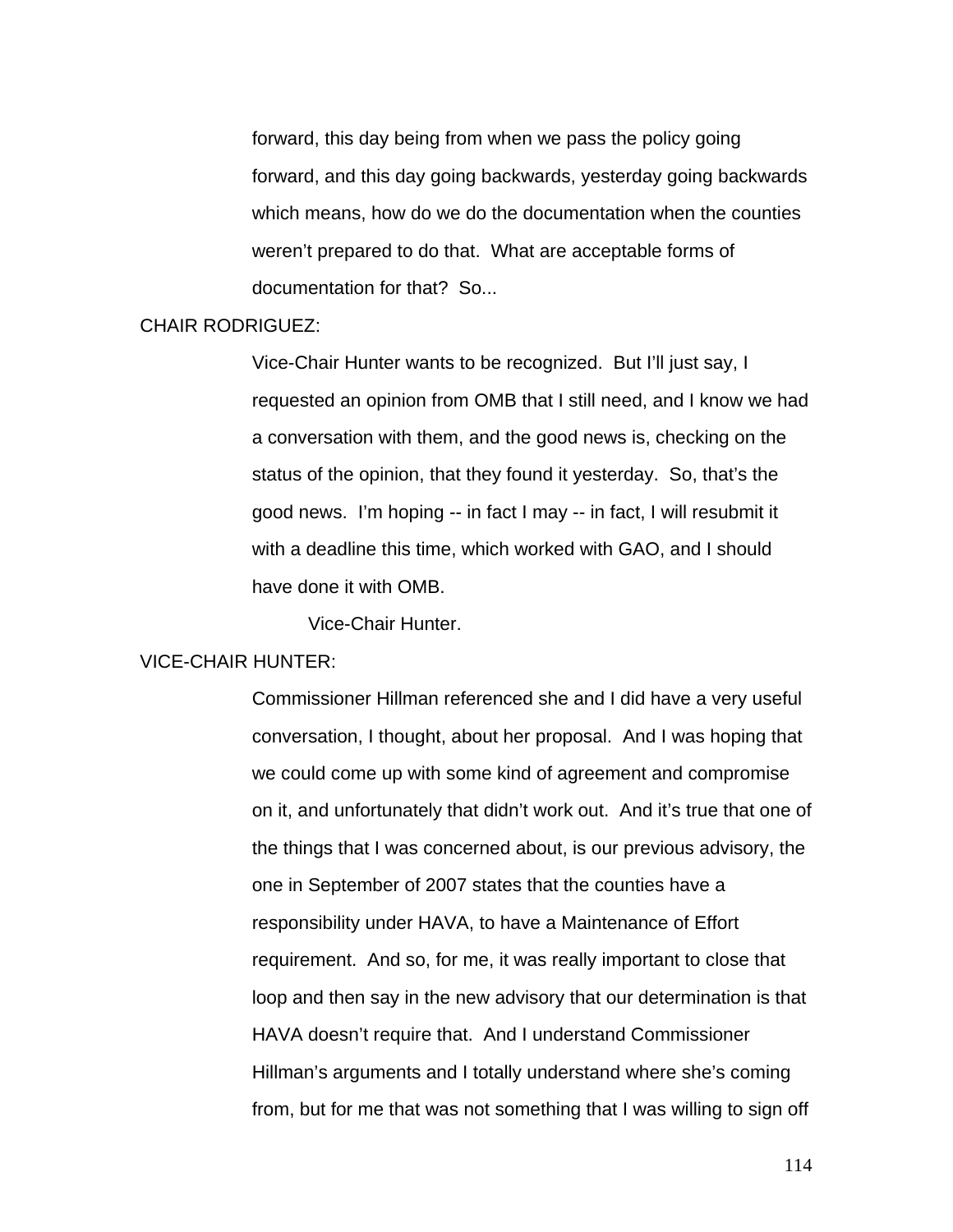forward, this day being from when we pass the policy going forward, and this day going backwards, yesterday going backwards which means, how do we do the documentation when the counties weren't prepared to do that. What are acceptable forms of documentation for that? So...

## CHAIR RODRIGUEZ:

Vice-Chair Hunter wants to be recognized. But I'll just say, I requested an opinion from OMB that I still need, and I know we had a conversation with them, and the good news is, checking on the status of the opinion, that they found it yesterday. So, that's the good news. I'm hoping -- in fact I may -- in fact, I will resubmit it with a deadline this time, which worked with GAO, and I should have done it with OMB.

Vice-Chair Hunter.

## VICE-CHAIR HUNTER:

Commissioner Hillman referenced she and I did have a very useful conversation, I thought, about her proposal. And I was hoping that we could come up with some kind of agreement and compromise on it, and unfortunately that didn't work out. And it's true that one of the things that I was concerned about, is our previous advisory, the one in September of 2007 states that the counties have a responsibility under HAVA, to have a Maintenance of Effort requirement. And so, for me, it was really important to close that loop and then say in the new advisory that our determination is that HAVA doesn't require that. And I understand Commissioner Hillman's arguments and I totally understand where she's coming from, but for me that was not something that I was willing to sign off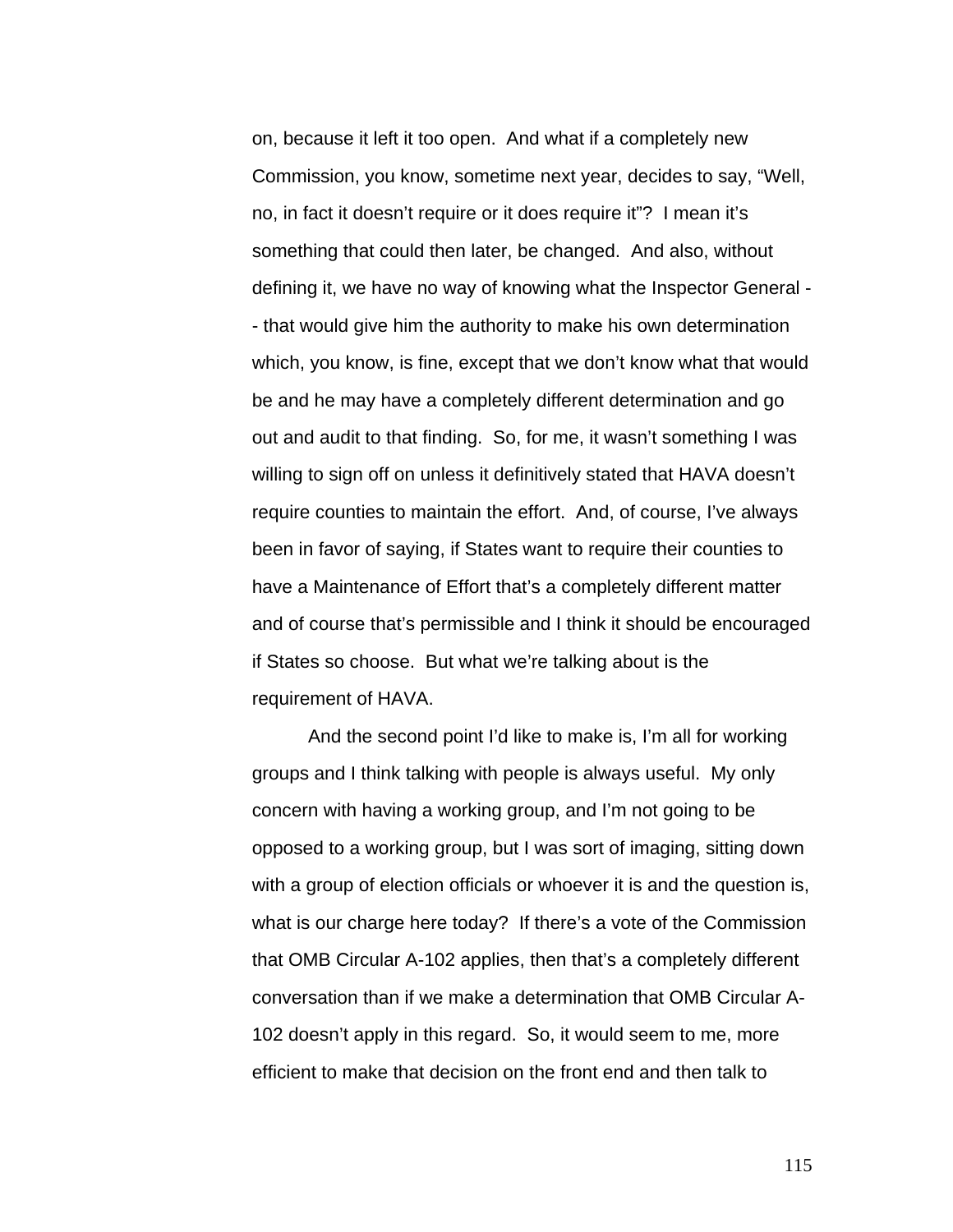on, because it left it too open. And what if a completely new Commission, you know, sometime next year, decides to say, "Well, no, in fact it doesn't require or it does require it"? I mean it's something that could then later, be changed. And also, without defining it, we have no way of knowing what the Inspector General - - that would give him the authority to make his own determination which, you know, is fine, except that we don't know what that would be and he may have a completely different determination and go out and audit to that finding. So, for me, it wasn't something I was willing to sign off on unless it definitively stated that HAVA doesn't require counties to maintain the effort. And, of course, I've always been in favor of saying, if States want to require their counties to have a Maintenance of Effort that's a completely different matter and of course that's permissible and I think it should be encouraged if States so choose. But what we're talking about is the requirement of HAVA.

 And the second point I'd like to make is, I'm all for working groups and I think talking with people is always useful. My only concern with having a working group, and I'm not going to be opposed to a working group, but I was sort of imaging, sitting down with a group of election officials or whoever it is and the question is, what is our charge here today? If there's a vote of the Commission that OMB Circular A-102 applies, then that's a completely different conversation than if we make a determination that OMB Circular A-102 doesn't apply in this regard. So, it would seem to me, more efficient to make that decision on the front end and then talk to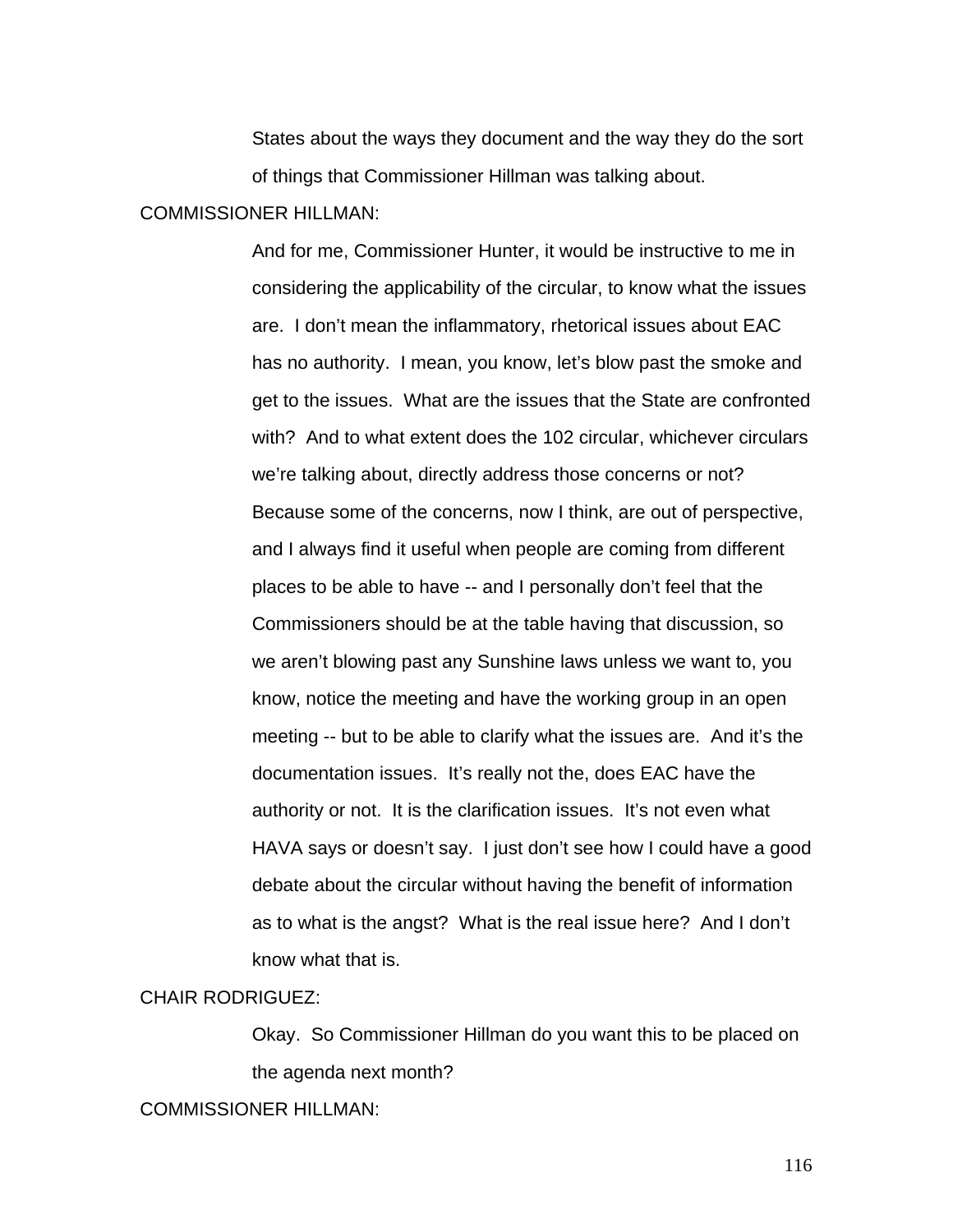States about the ways they document and the way they do the sort of things that Commissioner Hillman was talking about.

## COMMISSIONER HILLMAN:

And for me, Commissioner Hunter, it would be instructive to me in considering the applicability of the circular, to know what the issues are. I don't mean the inflammatory, rhetorical issues about EAC has no authority. I mean, you know, let's blow past the smoke and get to the issues. What are the issues that the State are confronted with? And to what extent does the 102 circular, whichever circulars we're talking about, directly address those concerns or not? Because some of the concerns, now I think, are out of perspective, and I always find it useful when people are coming from different places to be able to have -- and I personally don't feel that the Commissioners should be at the table having that discussion, so we aren't blowing past any Sunshine laws unless we want to, you know, notice the meeting and have the working group in an open meeting -- but to be able to clarify what the issues are. And it's the documentation issues. It's really not the, does EAC have the authority or not. It is the clarification issues. It's not even what HAVA says or doesn't say. I just don't see how I could have a good debate about the circular without having the benefit of information as to what is the angst? What is the real issue here? And I don't know what that is.

## CHAIR RODRIGUEZ:

Okay. So Commissioner Hillman do you want this to be placed on the agenda next month?

COMMISSIONER HILLMAN: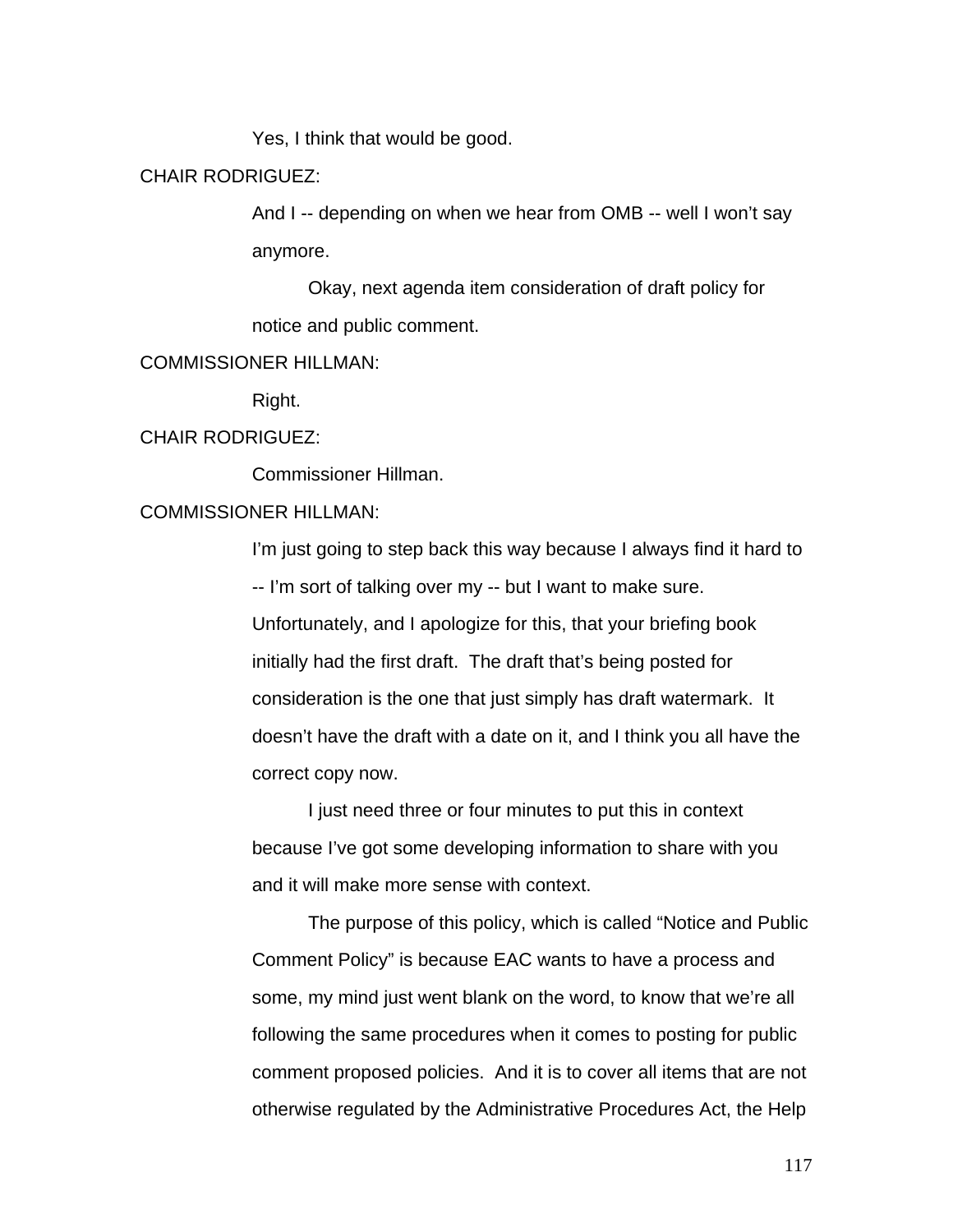Yes, I think that would be good.

CHAIR RODRIGUEZ:

And I -- depending on when we hear from OMB -- well I won't say anymore.

 Okay, next agenda item consideration of draft policy for notice and public comment.

### COMMISSIONER HILLMAN:

Right.

#### CHAIR RODRIGUEZ:

Commissioner Hillman.

COMMISSIONER HILLMAN:

I'm just going to step back this way because I always find it hard to -- I'm sort of talking over my -- but I want to make sure. Unfortunately, and I apologize for this, that your briefing book initially had the first draft. The draft that's being posted for consideration is the one that just simply has draft watermark. It doesn't have the draft with a date on it, and I think you all have the correct copy now.

 I just need three or four minutes to put this in context because I've got some developing information to share with you and it will make more sense with context.

 The purpose of this policy, which is called "Notice and Public Comment Policy" is because EAC wants to have a process and some, my mind just went blank on the word, to know that we're all following the same procedures when it comes to posting for public comment proposed policies. And it is to cover all items that are not otherwise regulated by the Administrative Procedures Act, the Help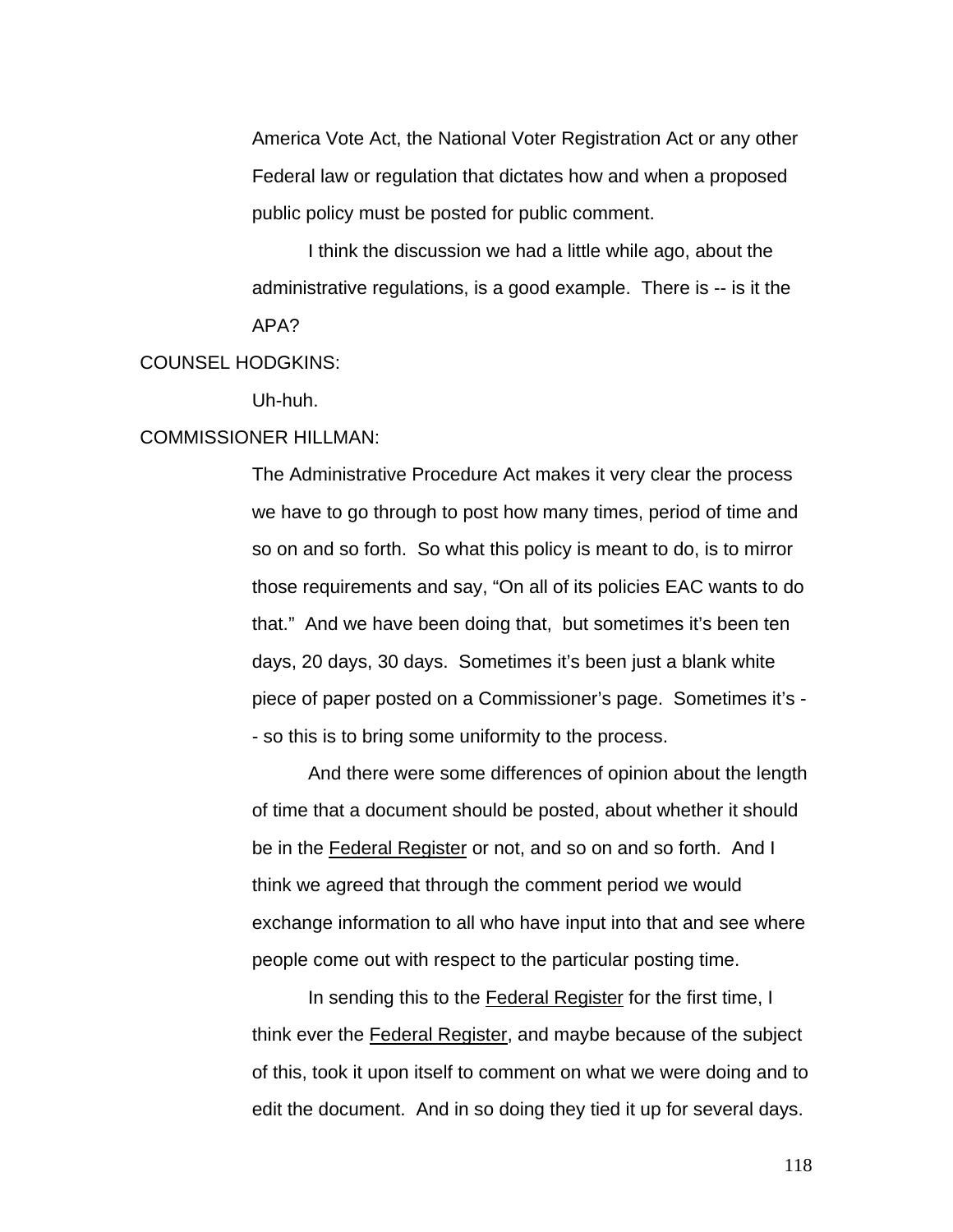America Vote Act, the National Voter Registration Act or any other Federal law or regulation that dictates how and when a proposed public policy must be posted for public comment.

 I think the discussion we had a little while ago, about the administrative regulations, is a good example. There is -- is it the APA?

## COUNSEL HODGKINS:

Uh-huh.

## COMMISSIONER HILLMAN:

The Administrative Procedure Act makes it very clear the process we have to go through to post how many times, period of time and so on and so forth. So what this policy is meant to do, is to mirror those requirements and say, "On all of its policies EAC wants to do that." And we have been doing that, but sometimes it's been ten days, 20 days, 30 days. Sometimes it's been just a blank white piece of paper posted on a Commissioner's page. Sometimes it's - - so this is to bring some uniformity to the process.

 And there were some differences of opinion about the length of time that a document should be posted, about whether it should be in the Federal Register or not, and so on and so forth. And I think we agreed that through the comment period we would exchange information to all who have input into that and see where people come out with respect to the particular posting time.

 In sending this to the Federal Register for the first time, I think ever the Federal Register, and maybe because of the subject of this, took it upon itself to comment on what we were doing and to edit the document. And in so doing they tied it up for several days.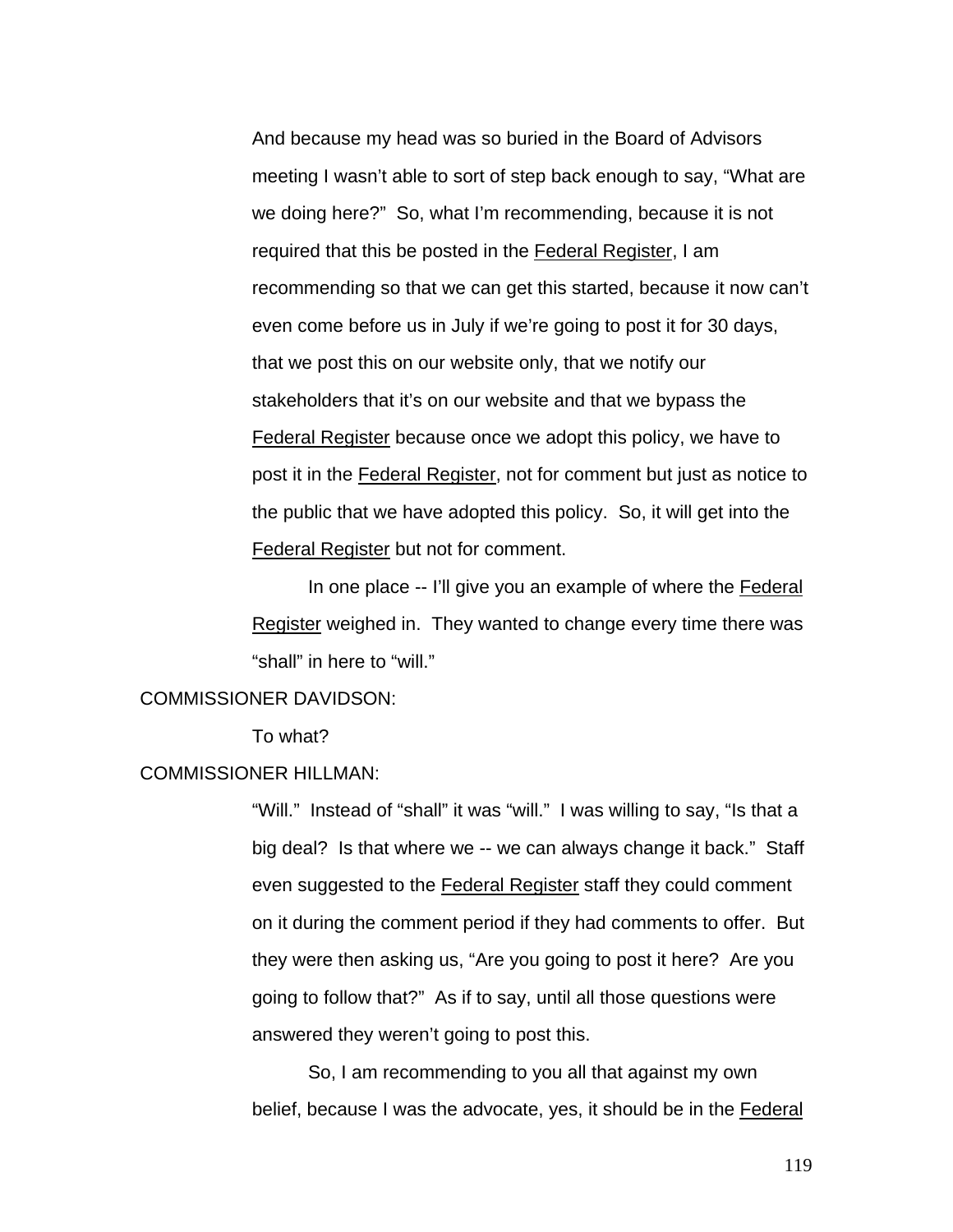And because my head was so buried in the Board of Advisors meeting I wasn't able to sort of step back enough to say, "What are we doing here?" So, what I'm recommending, because it is not required that this be posted in the Federal Register, I am recommending so that we can get this started, because it now can't even come before us in July if we're going to post it for 30 days, that we post this on our website only, that we notify our stakeholders that it's on our website and that we bypass the Federal Register because once we adopt this policy, we have to post it in the Federal Register, not for comment but just as notice to the public that we have adopted this policy. So, it will get into the Federal Register but not for comment.

In one place -- I'll give you an example of where the Federal Register weighed in. They wanted to change every time there was "shall" in here to "will."

#### COMMISSIONER DAVIDSON:

To what?

#### COMMISSIONER HILLMAN:

"Will." Instead of "shall" it was "will." I was willing to say, "Is that a big deal? Is that where we -- we can always change it back." Staff even suggested to the Federal Register staff they could comment on it during the comment period if they had comments to offer. But they were then asking us, "Are you going to post it here? Are you going to follow that?" As if to say, until all those questions were answered they weren't going to post this.

 So, I am recommending to you all that against my own belief, because I was the advocate, yes, it should be in the Federal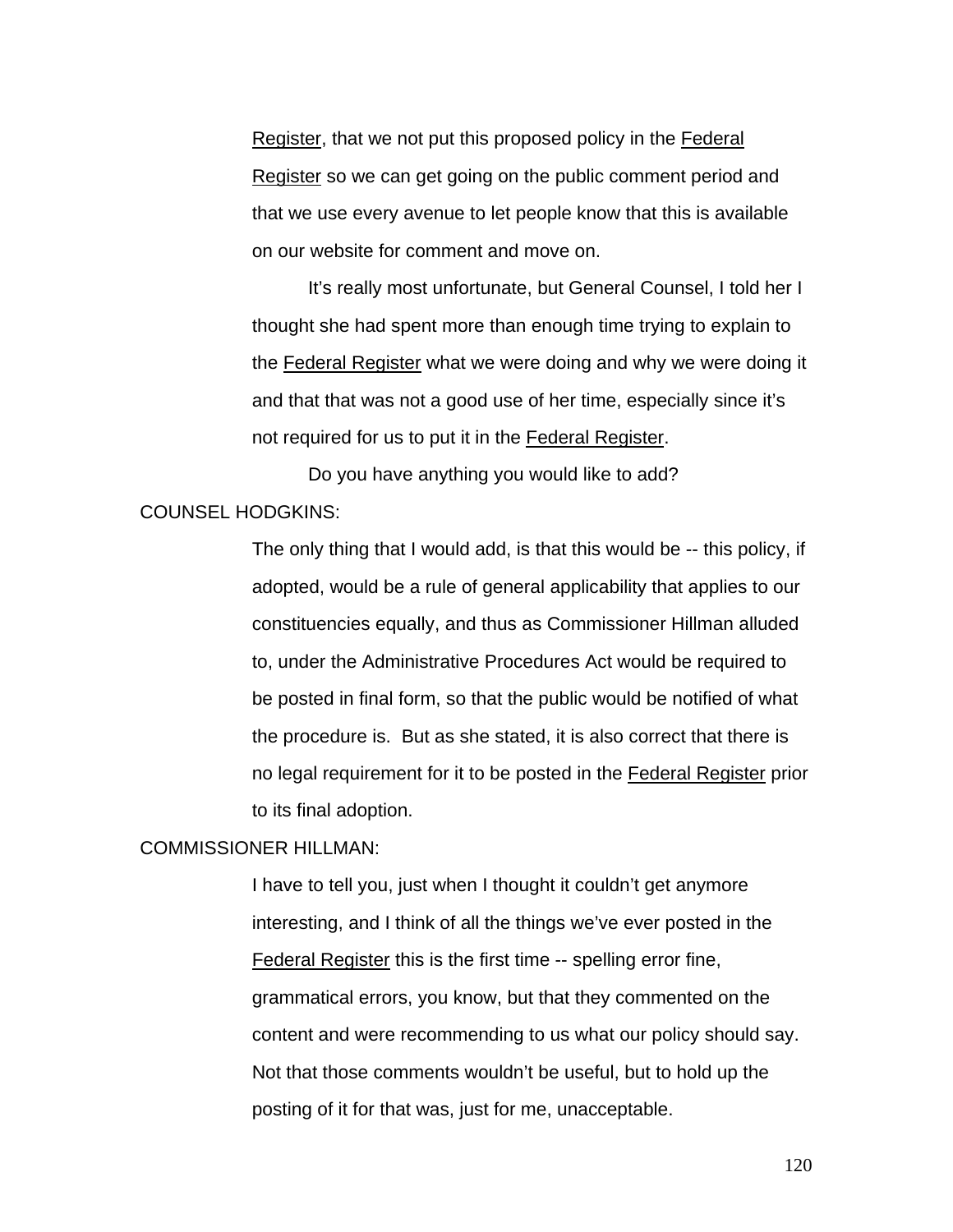Register, that we not put this proposed policy in the Federal Register so we can get going on the public comment period and that we use every avenue to let people know that this is available on our website for comment and move on.

 It's really most unfortunate, but General Counsel, I told her I thought she had spent more than enough time trying to explain to the Federal Register what we were doing and why we were doing it and that that was not a good use of her time, especially since it's not required for us to put it in the Federal Register.

 Do you have anything you would like to add? COUNSEL HODGKINS:

> The only thing that I would add, is that this would be -- this policy, if adopted, would be a rule of general applicability that applies to our constituencies equally, and thus as Commissioner Hillman alluded to, under the Administrative Procedures Act would be required to be posted in final form, so that the public would be notified of what the procedure is. But as she stated, it is also correct that there is no legal requirement for it to be posted in the Federal Register prior to its final adoption.

### COMMISSIONER HILLMAN:

I have to tell you, just when I thought it couldn't get anymore interesting, and I think of all the things we've ever posted in the Federal Register this is the first time -- spelling error fine, grammatical errors, you know, but that they commented on the content and were recommending to us what our policy should say. Not that those comments wouldn't be useful, but to hold up the posting of it for that was, just for me, unacceptable.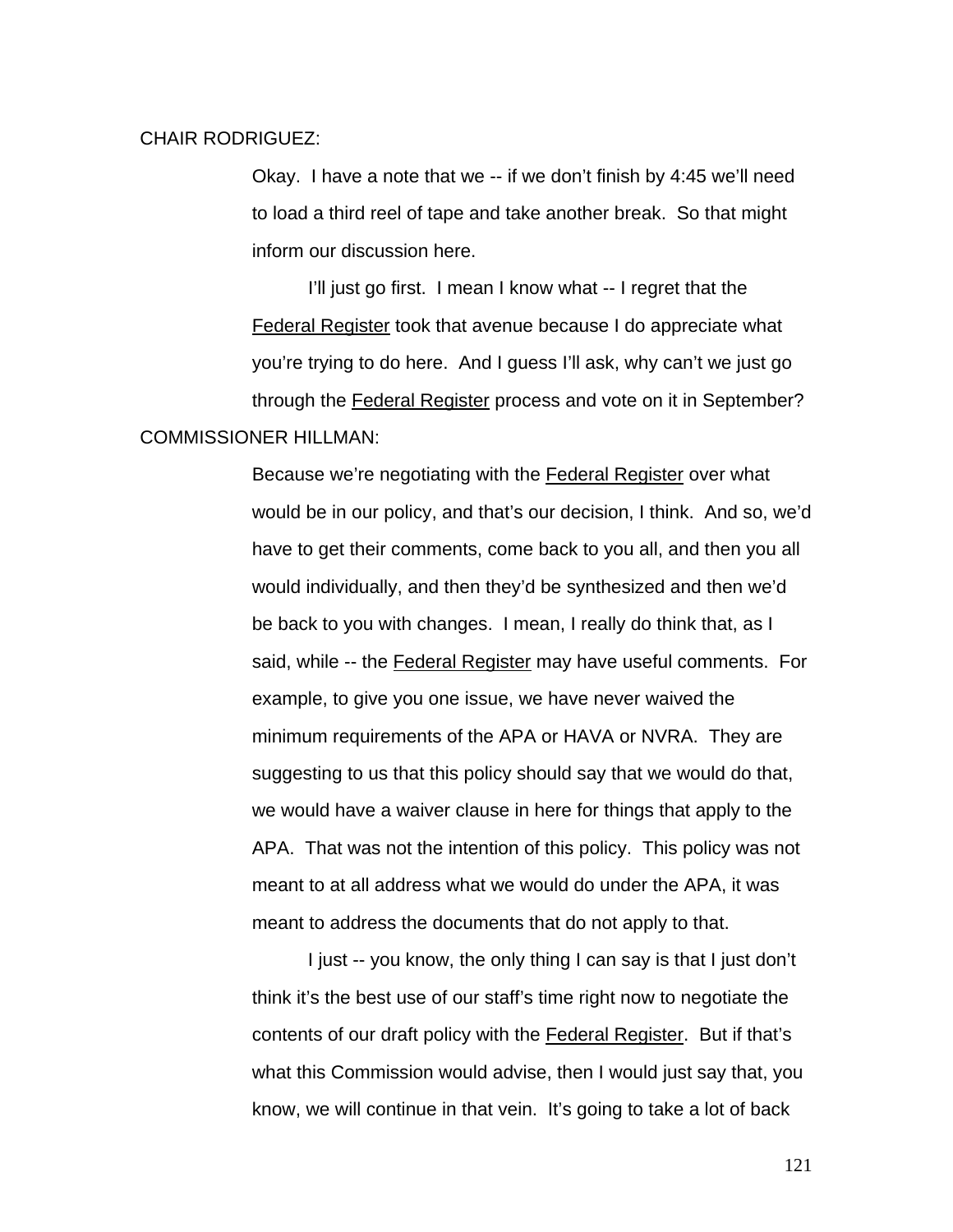### CHAIR RODRIGUEZ:

Okay. I have a note that we -- if we don't finish by 4:45 we'll need to load a third reel of tape and take another break. So that might inform our discussion here.

 I'll just go first. I mean I know what -- I regret that the Federal Register took that avenue because I do appreciate what you're trying to do here. And I guess I'll ask, why can't we just go through the Federal Register process and vote on it in September? COMMISSIONER HILLMAN:

> Because we're negotiating with the Federal Register over what would be in our policy, and that's our decision, I think. And so, we'd have to get their comments, come back to you all, and then you all would individually, and then they'd be synthesized and then we'd be back to you with changes. I mean, I really do think that, as I said, while -- the Federal Register may have useful comments. For example, to give you one issue, we have never waived the minimum requirements of the APA or HAVA or NVRA. They are suggesting to us that this policy should say that we would do that, we would have a waiver clause in here for things that apply to the APA. That was not the intention of this policy. This policy was not meant to at all address what we would do under the APA, it was meant to address the documents that do not apply to that.

I just -- you know, the only thing I can say is that I just don't think it's the best use of our staff's time right now to negotiate the contents of our draft policy with the Federal Register. But if that's what this Commission would advise, then I would just say that, you know, we will continue in that vein. It's going to take a lot of back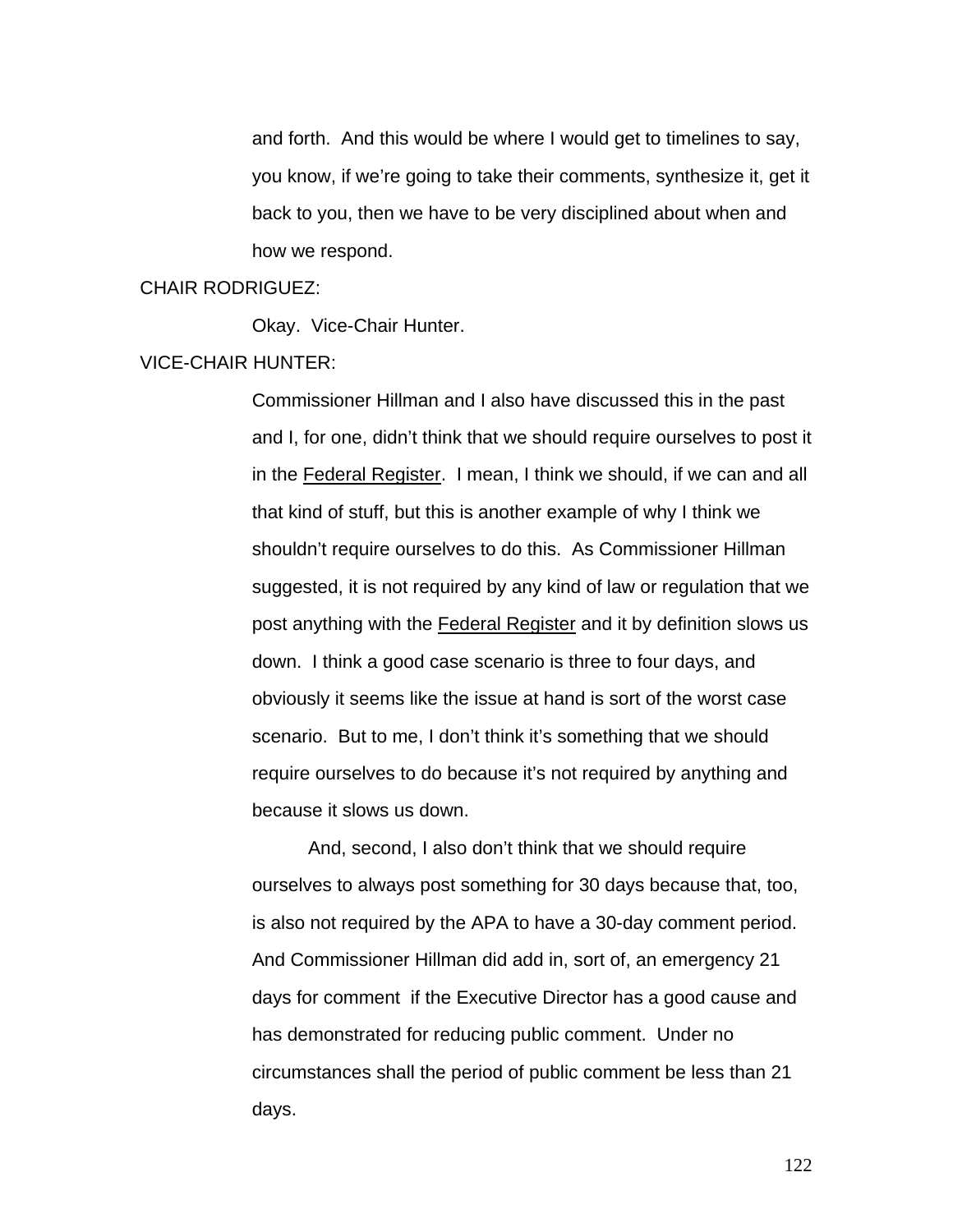and forth. And this would be where I would get to timelines to say, you know, if we're going to take their comments, synthesize it, get it back to you, then we have to be very disciplined about when and how we respond.

#### CHAIR RODRIGUEZ:

Okay. Vice-Chair Hunter.

## VICE-CHAIR HUNTER:

Commissioner Hillman and I also have discussed this in the past and I, for one, didn't think that we should require ourselves to post it in the Federal Register. I mean, I think we should, if we can and all that kind of stuff, but this is another example of why I think we shouldn't require ourselves to do this. As Commissioner Hillman suggested, it is not required by any kind of law or regulation that we post anything with the Federal Register and it by definition slows us down. I think a good case scenario is three to four days, and obviously it seems like the issue at hand is sort of the worst case scenario. But to me, I don't think it's something that we should require ourselves to do because it's not required by anything and because it slows us down.

 And, second, I also don't think that we should require ourselves to always post something for 30 days because that, too, is also not required by the APA to have a 30-day comment period. And Commissioner Hillman did add in, sort of, an emergency 21 days for comment if the Executive Director has a good cause and has demonstrated for reducing public comment. Under no circumstances shall the period of public comment be less than 21 days.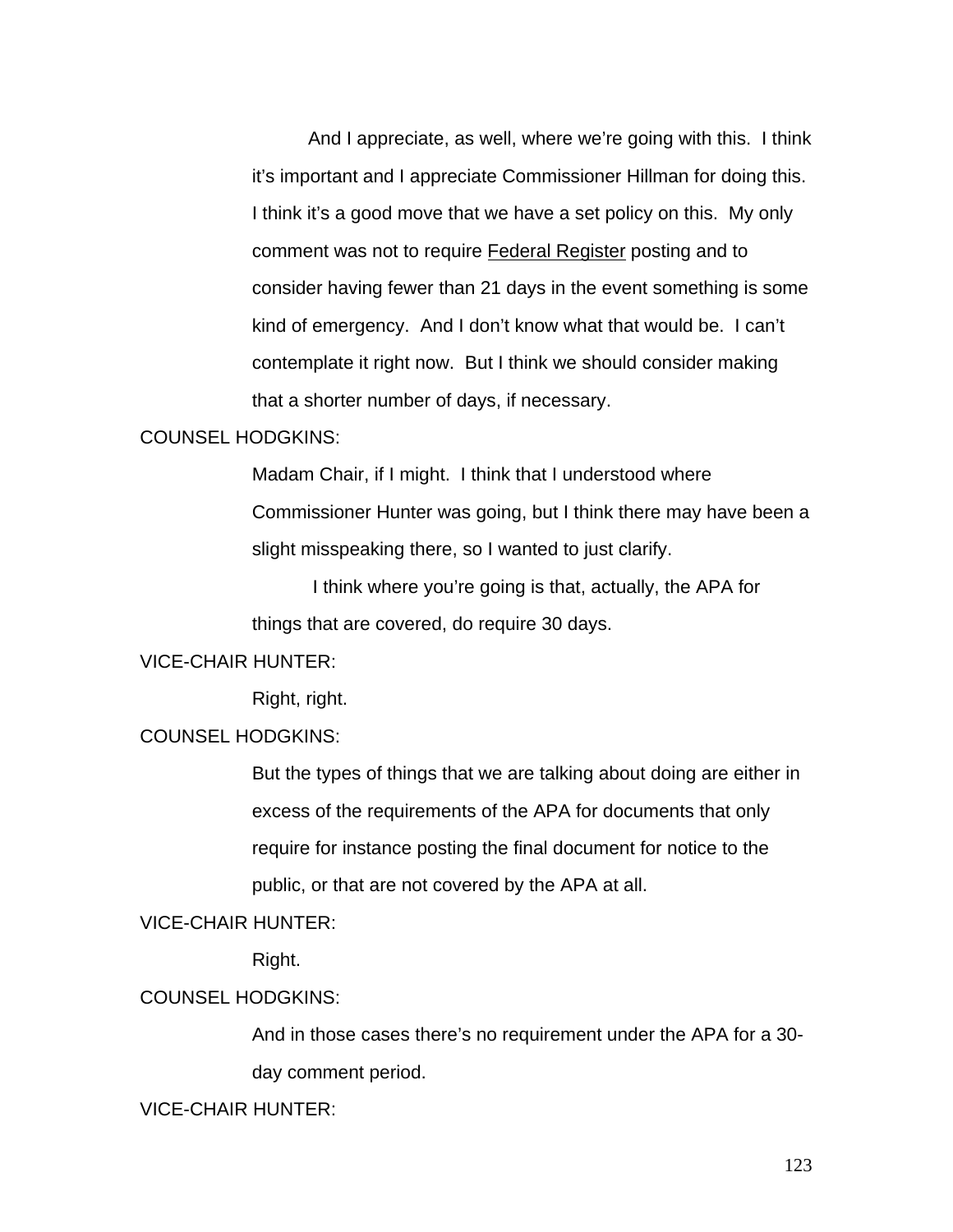And I appreciate, as well, where we're going with this. I think it's important and I appreciate Commissioner Hillman for doing this. I think it's a good move that we have a set policy on this. My only comment was not to require Federal Register posting and to consider having fewer than 21 days in the event something is some kind of emergency. And I don't know what that would be. I can't contemplate it right now. But I think we should consider making that a shorter number of days, if necessary.

### COUNSEL HODGKINS:

Madam Chair, if I might. I think that I understood where Commissioner Hunter was going, but I think there may have been a slight misspeaking there, so I wanted to just clarify.

I think where you're going is that, actually, the APA for things that are covered, do require 30 days.

### VICE-CHAIR HUNTER:

Right, right.

## COUNSEL HODGKINS:

But the types of things that we are talking about doing are either in excess of the requirements of the APA for documents that only require for instance posting the final document for notice to the public, or that are not covered by the APA at all.

### VICE-CHAIR HUNTER:

Right.

## COUNSEL HODGKINS:

And in those cases there's no requirement under the APA for a 30 day comment period.

VICE-CHAIR HUNTER: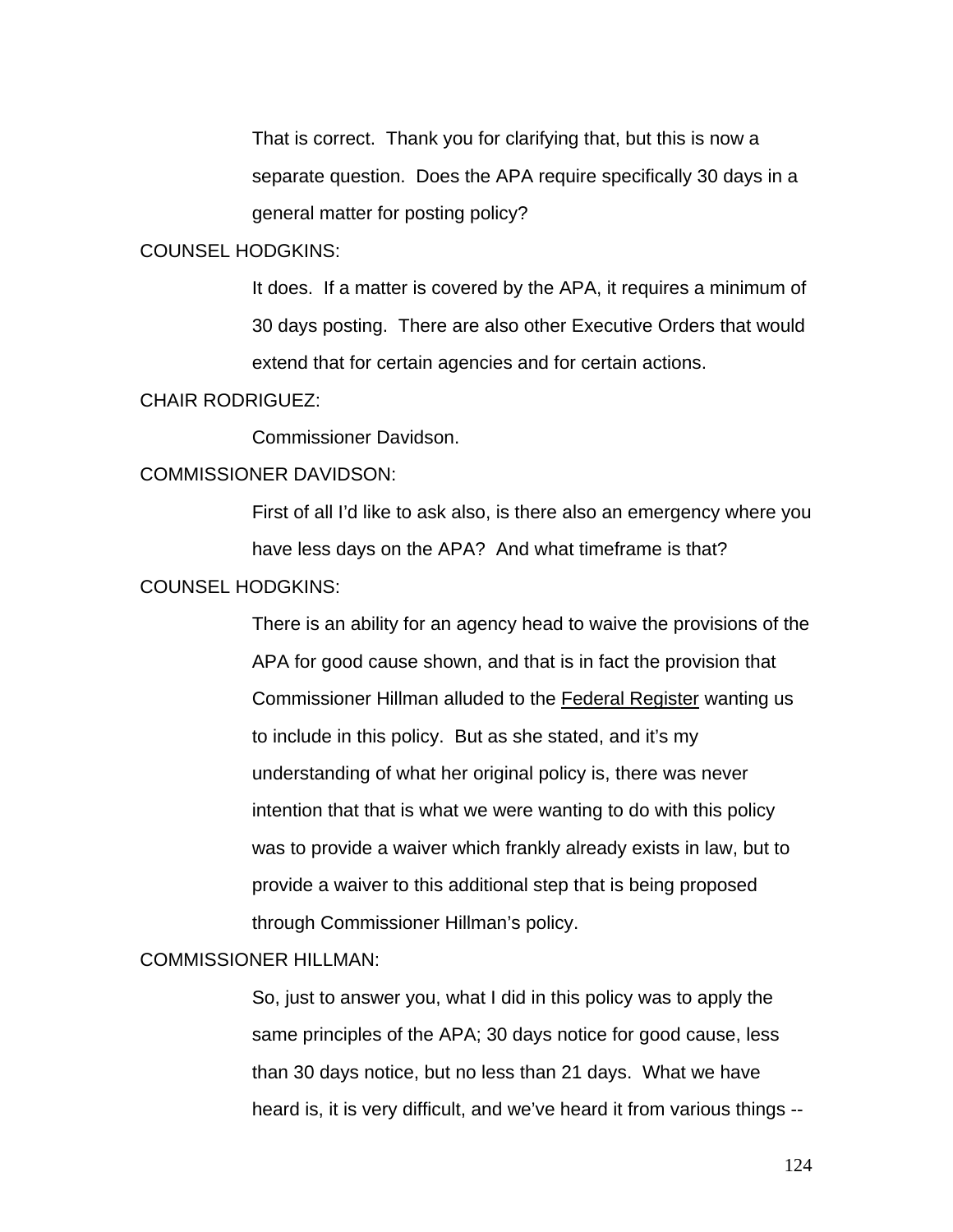That is correct. Thank you for clarifying that, but this is now a separate question. Does the APA require specifically 30 days in a general matter for posting policy?

### COUNSEL HODGKINS:

It does. If a matter is covered by the APA, it requires a minimum of 30 days posting. There are also other Executive Orders that would extend that for certain agencies and for certain actions.

#### CHAIR RODRIGUEZ:

Commissioner Davidson.

### COMMISSIONER DAVIDSON:

First of all I'd like to ask also, is there also an emergency where you have less days on the APA? And what timeframe is that?

## COUNSEL HODGKINS:

There is an ability for an agency head to waive the provisions of the APA for good cause shown, and that is in fact the provision that Commissioner Hillman alluded to the Federal Register wanting us to include in this policy. But as she stated, and it's my understanding of what her original policy is, there was never intention that that is what we were wanting to do with this policy was to provide a waiver which frankly already exists in law, but to provide a waiver to this additional step that is being proposed through Commissioner Hillman's policy.

## COMMISSIONER HILLMAN:

So, just to answer you, what I did in this policy was to apply the same principles of the APA; 30 days notice for good cause, less than 30 days notice, but no less than 21 days. What we have heard is, it is very difficult, and we've heard it from various things --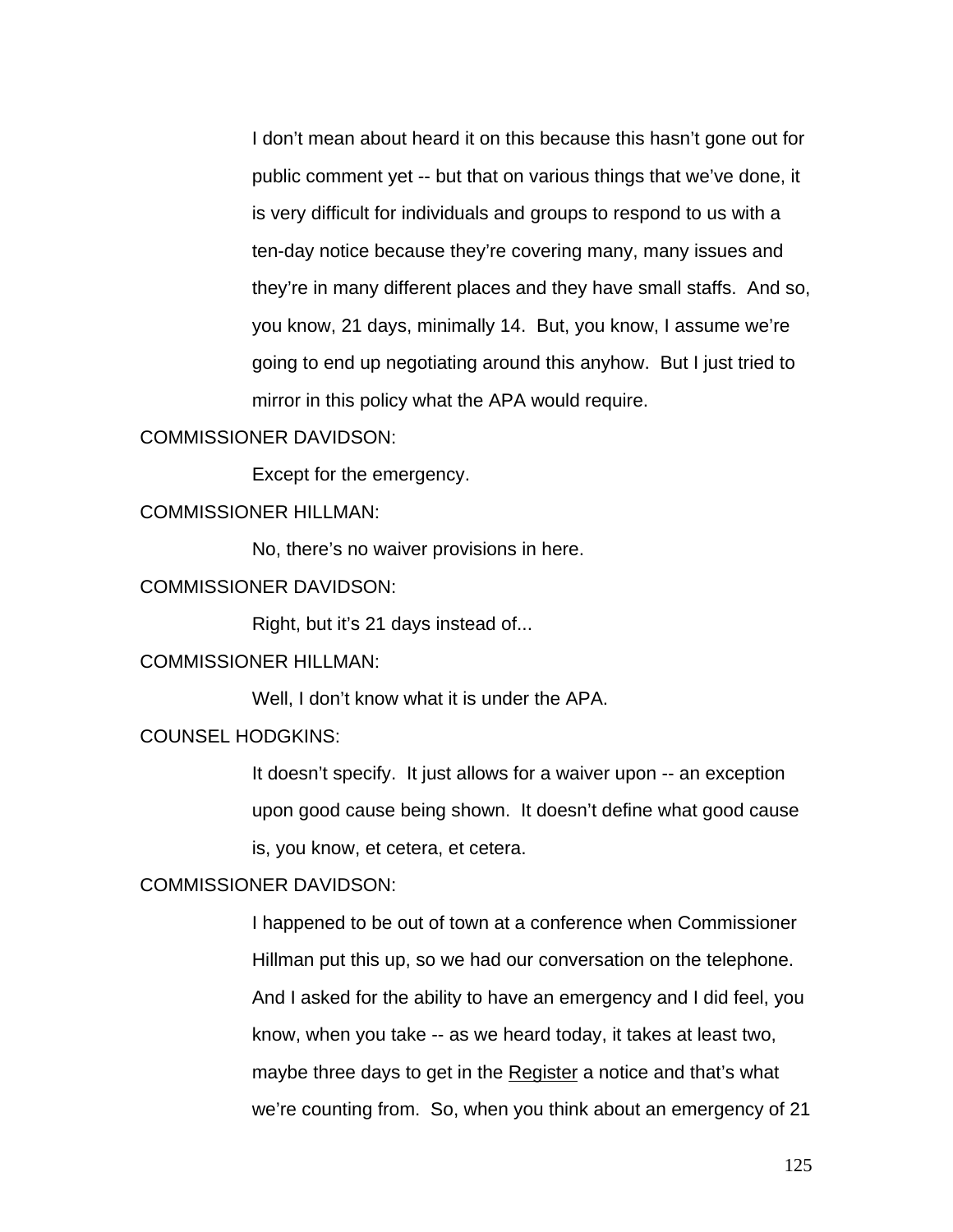I don't mean about heard it on this because this hasn't gone out for public comment yet -- but that on various things that we've done, it is very difficult for individuals and groups to respond to us with a ten-day notice because they're covering many, many issues and they're in many different places and they have small staffs. And so, you know, 21 days, minimally 14. But, you know, I assume we're going to end up negotiating around this anyhow. But I just tried to mirror in this policy what the APA would require.

## COMMISSIONER DAVIDSON:

Except for the emergency.

### COMMISSIONER HILLMAN:

No, there's no waiver provisions in here.

## COMMISSIONER DAVIDSON:

Right, but it's 21 days instead of...

## COMMISSIONER HILLMAN:

Well, I don't know what it is under the APA.

## COUNSEL HODGKINS:

It doesn't specify. It just allows for a waiver upon -- an exception upon good cause being shown. It doesn't define what good cause is, you know, et cetera, et cetera.

### COMMISSIONER DAVIDSON:

I happened to be out of town at a conference when Commissioner Hillman put this up, so we had our conversation on the telephone. And I asked for the ability to have an emergency and I did feel, you know, when you take -- as we heard today, it takes at least two, maybe three days to get in the Register a notice and that's what we're counting from. So, when you think about an emergency of 21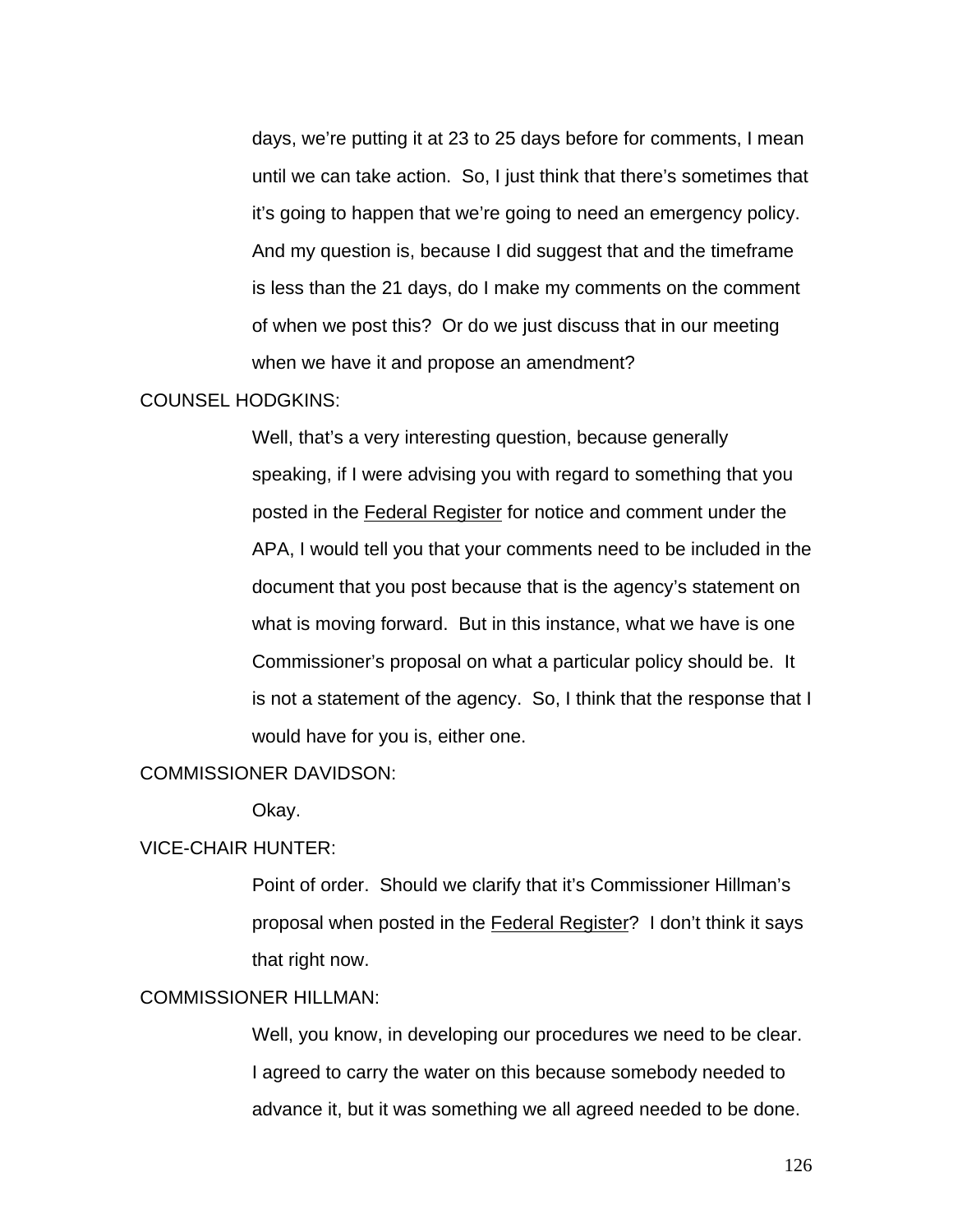days, we're putting it at 23 to 25 days before for comments, I mean until we can take action. So, I just think that there's sometimes that it's going to happen that we're going to need an emergency policy. And my question is, because I did suggest that and the timeframe is less than the 21 days, do I make my comments on the comment of when we post this? Or do we just discuss that in our meeting when we have it and propose an amendment?

#### COUNSEL HODGKINS:

Well, that's a very interesting question, because generally speaking, if I were advising you with regard to something that you posted in the Federal Register for notice and comment under the APA, I would tell you that your comments need to be included in the document that you post because that is the agency's statement on what is moving forward. But in this instance, what we have is one Commissioner's proposal on what a particular policy should be. It is not a statement of the agency. So, I think that the response that I would have for you is, either one.

## COMMISSIONER DAVIDSON:

Okay.

### VICE-CHAIR HUNTER:

Point of order. Should we clarify that it's Commissioner Hillman's proposal when posted in the Federal Register? I don't think it says that right now.

### COMMISSIONER HILLMAN:

Well, you know, in developing our procedures we need to be clear. I agreed to carry the water on this because somebody needed to advance it, but it was something we all agreed needed to be done.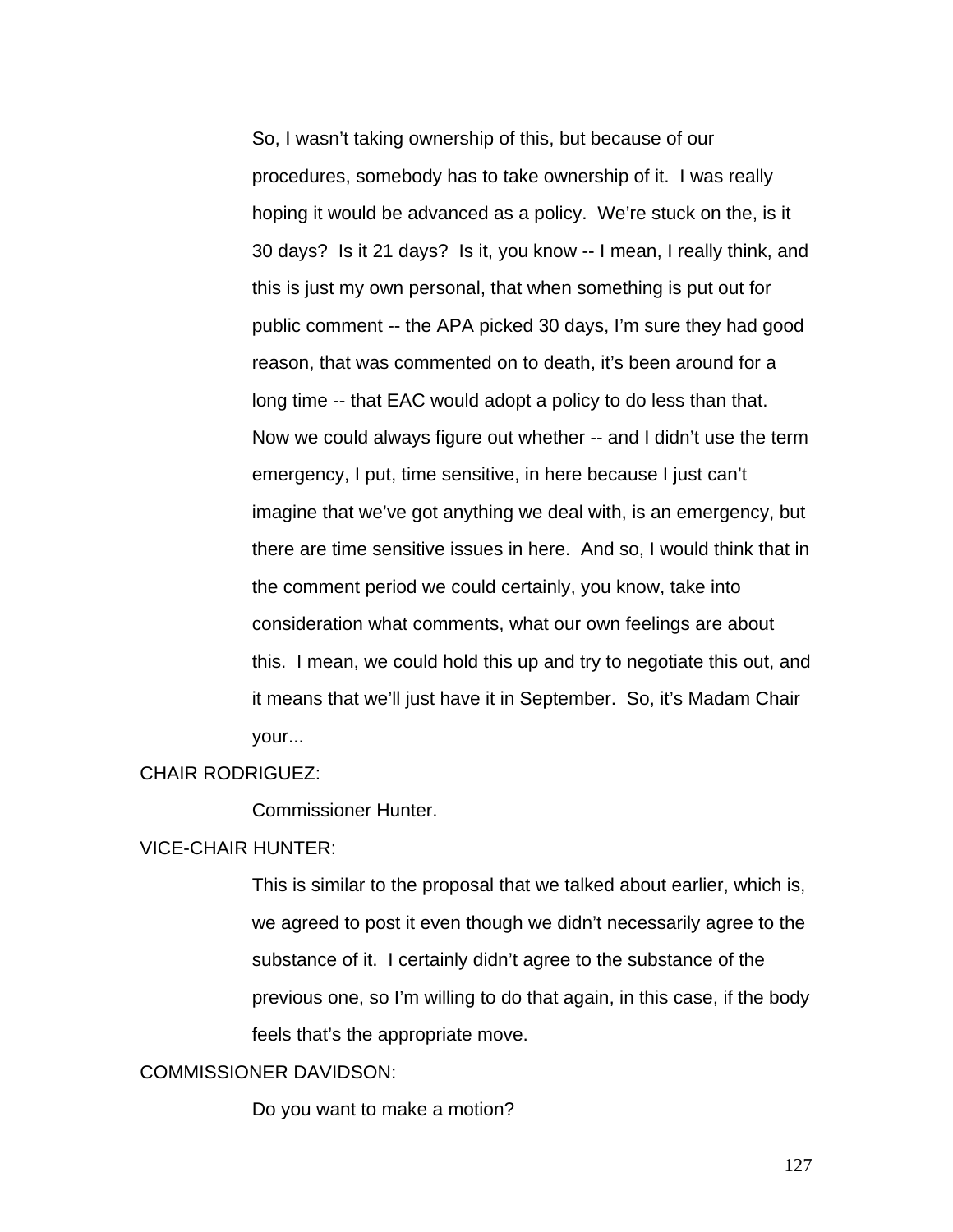So, I wasn't taking ownership of this, but because of our procedures, somebody has to take ownership of it. I was really hoping it would be advanced as a policy. We're stuck on the, is it 30 days? Is it 21 days? Is it, you know -- I mean, I really think, and this is just my own personal, that when something is put out for public comment -- the APA picked 30 days, I'm sure they had good reason, that was commented on to death, it's been around for a long time -- that EAC would adopt a policy to do less than that. Now we could always figure out whether -- and I didn't use the term emergency, I put, time sensitive, in here because I just can't imagine that we've got anything we deal with, is an emergency, but there are time sensitive issues in here. And so, I would think that in the comment period we could certainly, you know, take into consideration what comments, what our own feelings are about this. I mean, we could hold this up and try to negotiate this out, and it means that we'll just have it in September. So, it's Madam Chair your...

### CHAIR RODRIGUEZ:

Commissioner Hunter.

## VICE-CHAIR HUNTER:

This is similar to the proposal that we talked about earlier, which is, we agreed to post it even though we didn't necessarily agree to the substance of it. I certainly didn't agree to the substance of the previous one, so I'm willing to do that again, in this case, if the body feels that's the appropriate move.

## COMMISSIONER DAVIDSON:

Do you want to make a motion?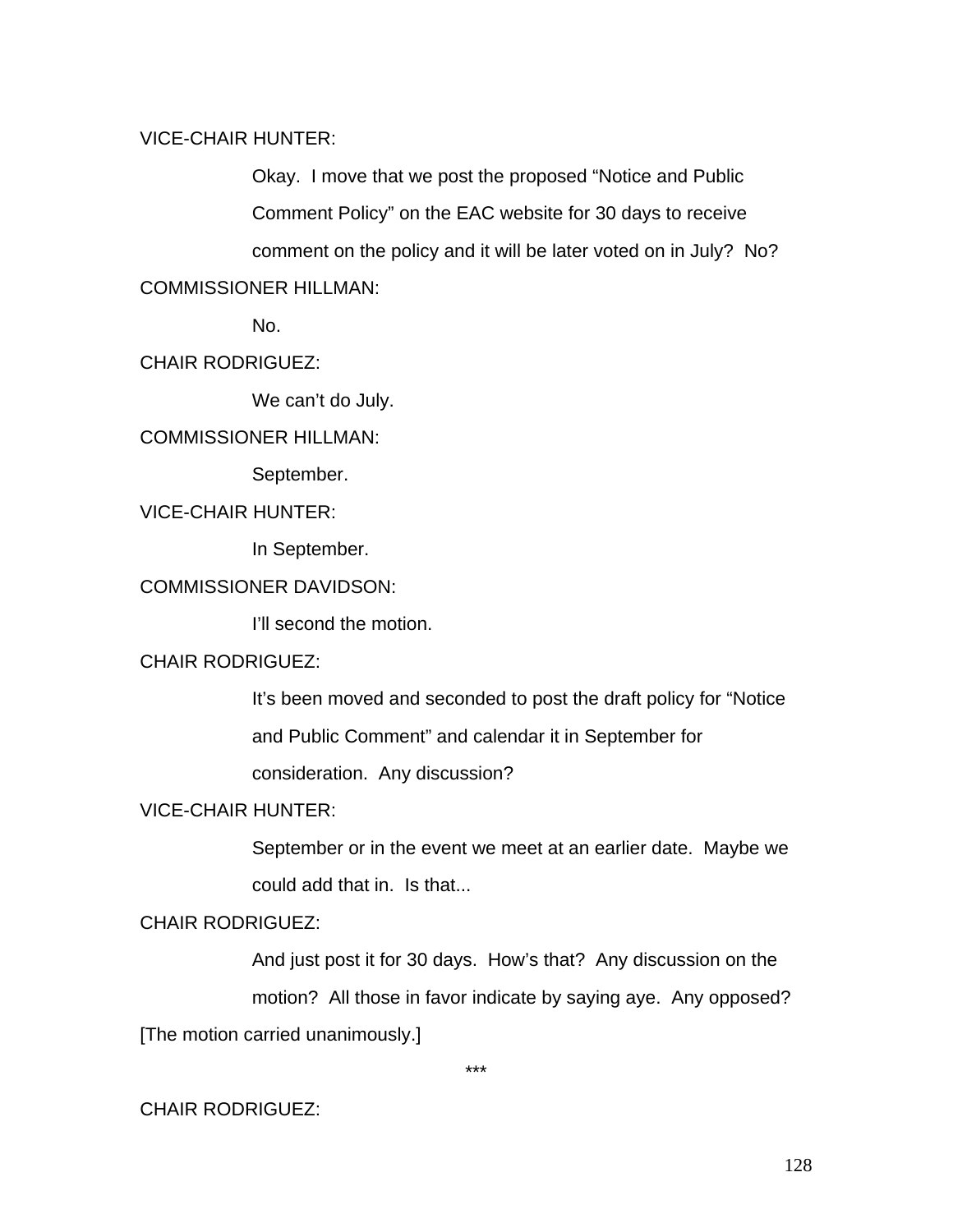## VICE-CHAIR HUNTER:

Okay. I move that we post the proposed "Notice and Public Comment Policy" on the EAC website for 30 days to receive comment on the policy and it will be later voted on in July? No?

# COMMISSIONER HILLMAN:

No.

# CHAIR RODRIGUEZ:

We can't do July.

## COMMISSIONER HILLMAN:

September.

## VICE-CHAIR HUNTER:

In September.

## COMMISSIONER DAVIDSON:

I'll second the motion.

## CHAIR RODRIGUEZ:

It's been moved and seconded to post the draft policy for "Notice and Public Comment" and calendar it in September for

consideration. Any discussion?

## VICE-CHAIR HUNTER:

September or in the event we meet at an earlier date. Maybe we could add that in. Is that...

# CHAIR RODRIGUEZ:

And just post it for 30 days. How's that? Any discussion on the motion? All those in favor indicate by saying aye. Any opposed? [The motion carried unanimously.]

\*\*\*

# CHAIR RODRIGUEZ: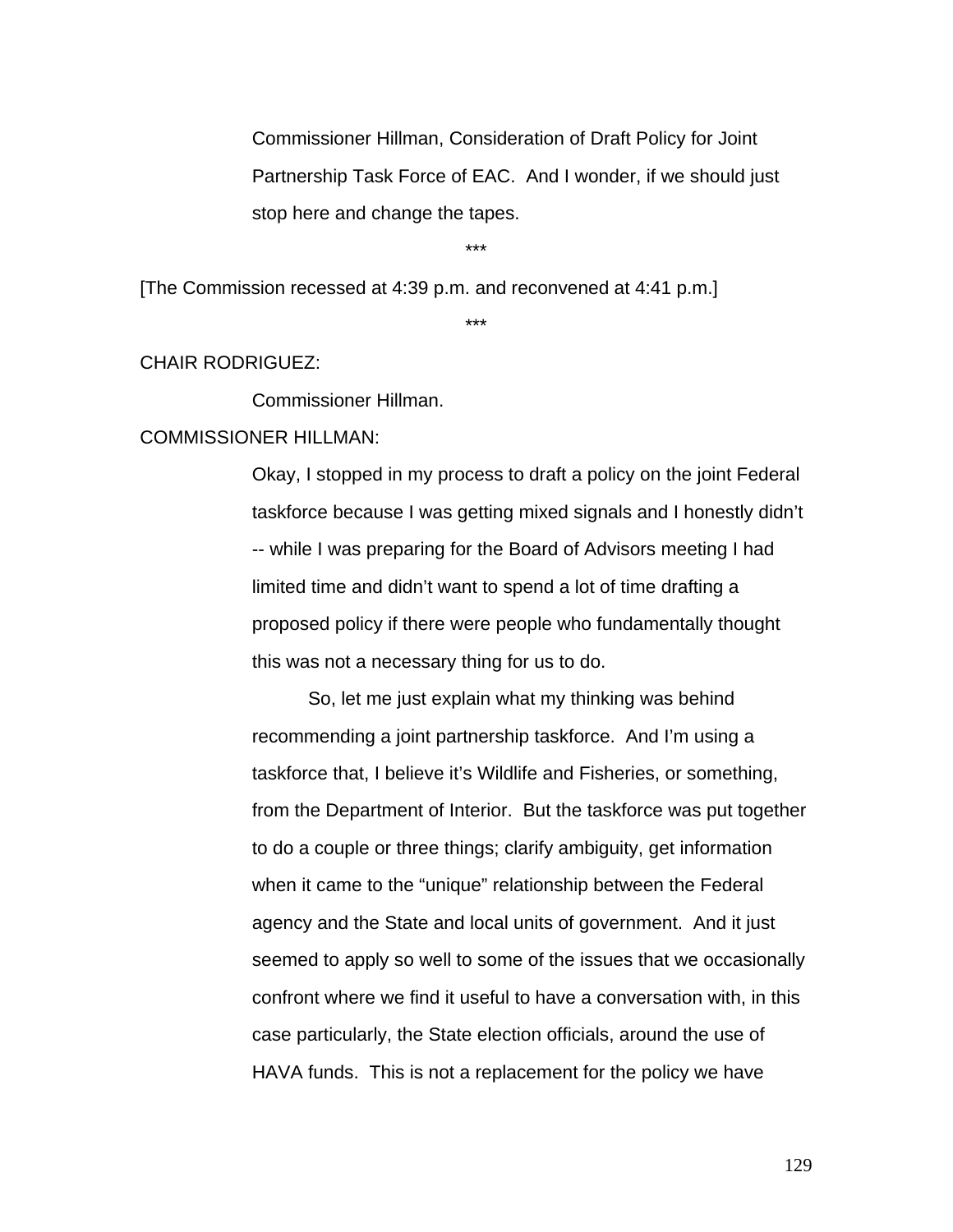Commissioner Hillman, Consideration of Draft Policy for Joint Partnership Task Force of EAC. And I wonder, if we should just stop here and change the tapes.

\*\*\*

[The Commission recessed at 4:39 p.m. and reconvened at 4:41 p.m.]

\*\*\*

#### CHAIR RODRIGUEZ:

Commissioner Hillman.

## COMMISSIONER HILLMAN:

Okay, I stopped in my process to draft a policy on the joint Federal taskforce because I was getting mixed signals and I honestly didn't -- while I was preparing for the Board of Advisors meeting I had limited time and didn't want to spend a lot of time drafting a proposed policy if there were people who fundamentally thought this was not a necessary thing for us to do.

So, let me just explain what my thinking was behind recommending a joint partnership taskforce. And I'm using a taskforce that, I believe it's Wildlife and Fisheries, or something, from the Department of Interior. But the taskforce was put together to do a couple or three things; clarify ambiguity, get information when it came to the "unique" relationship between the Federal agency and the State and local units of government. And it just seemed to apply so well to some of the issues that we occasionally confront where we find it useful to have a conversation with, in this case particularly, the State election officials, around the use of HAVA funds. This is not a replacement for the policy we have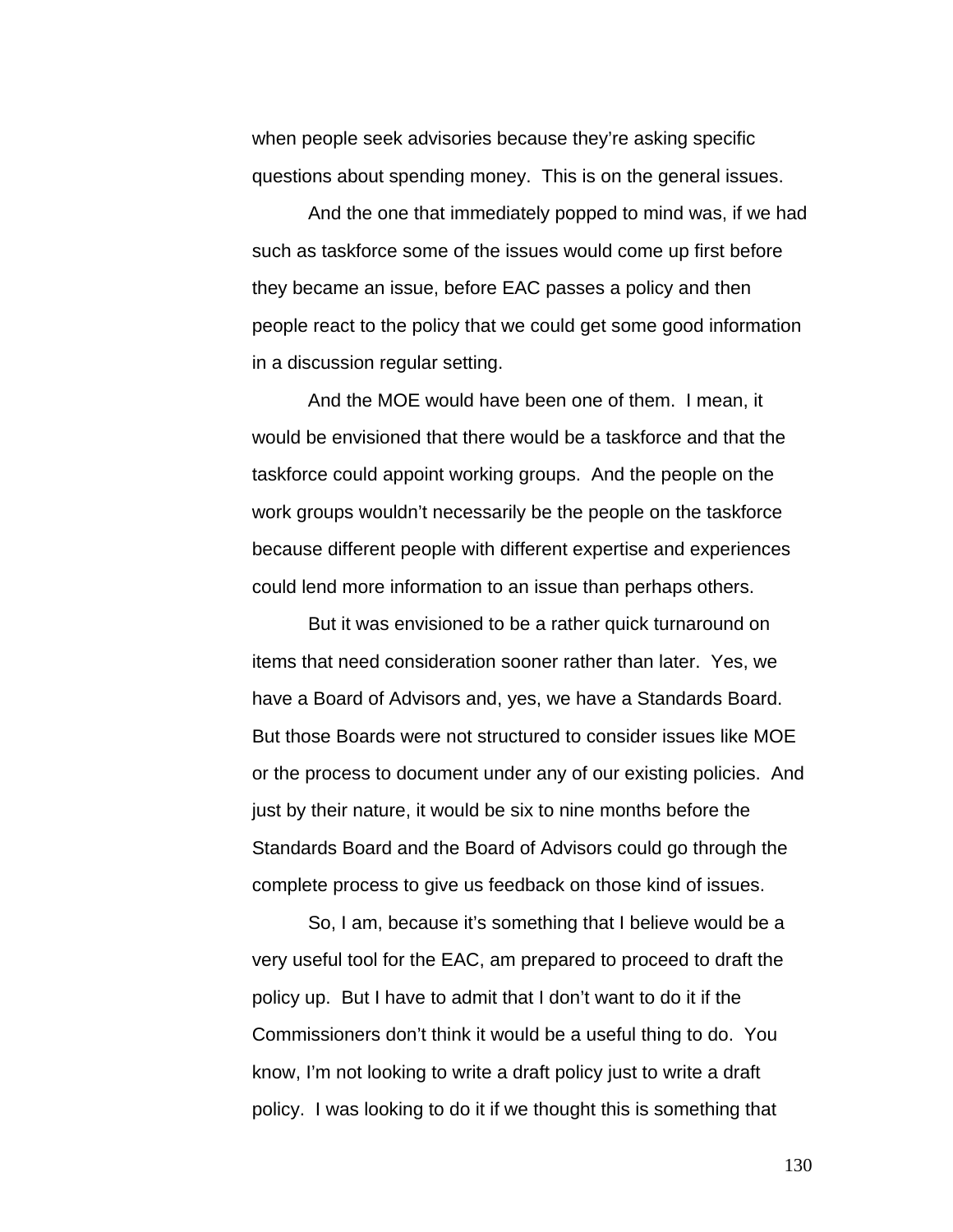when people seek advisories because they're asking specific questions about spending money. This is on the general issues.

And the one that immediately popped to mind was, if we had such as taskforce some of the issues would come up first before they became an issue, before EAC passes a policy and then people react to the policy that we could get some good information in a discussion regular setting.

And the MOE would have been one of them. I mean, it would be envisioned that there would be a taskforce and that the taskforce could appoint working groups. And the people on the work groups wouldn't necessarily be the people on the taskforce because different people with different expertise and experiences could lend more information to an issue than perhaps others.

But it was envisioned to be a rather quick turnaround on items that need consideration sooner rather than later. Yes, we have a Board of Advisors and, yes, we have a Standards Board. But those Boards were not structured to consider issues like MOE or the process to document under any of our existing policies. And just by their nature, it would be six to nine months before the Standards Board and the Board of Advisors could go through the complete process to give us feedback on those kind of issues.

So, I am, because it's something that I believe would be a very useful tool for the EAC, am prepared to proceed to draft the policy up. But I have to admit that I don't want to do it if the Commissioners don't think it would be a useful thing to do. You know, I'm not looking to write a draft policy just to write a draft policy. I was looking to do it if we thought this is something that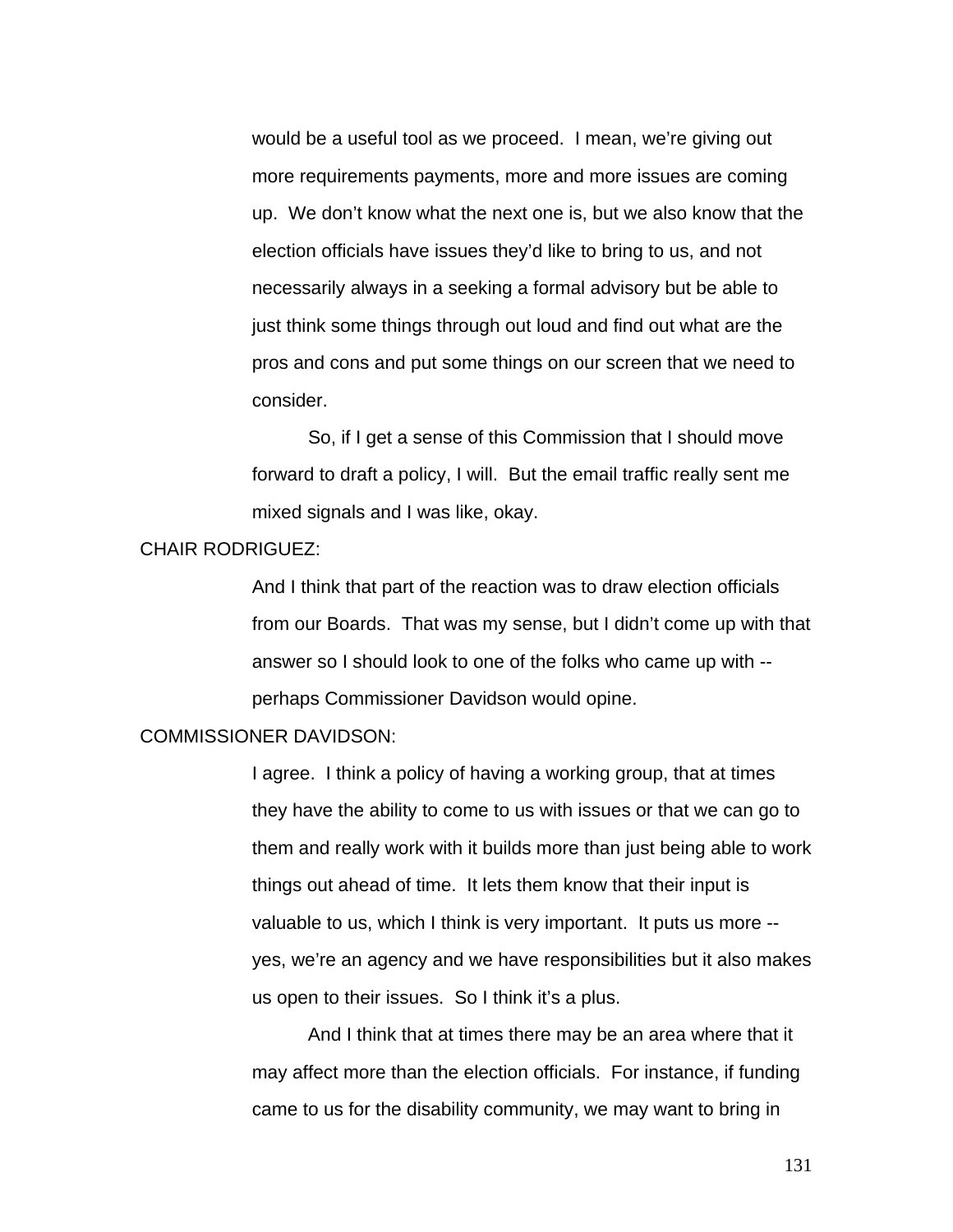would be a useful tool as we proceed. I mean, we're giving out more requirements payments, more and more issues are coming up. We don't know what the next one is, but we also know that the election officials have issues they'd like to bring to us, and not necessarily always in a seeking a formal advisory but be able to just think some things through out loud and find out what are the pros and cons and put some things on our screen that we need to consider.

 So, if I get a sense of this Commission that I should move forward to draft a policy, I will. But the email traffic really sent me mixed signals and I was like, okay.

## CHAIR RODRIGUEZ:

And I think that part of the reaction was to draw election officials from our Boards. That was my sense, but I didn't come up with that answer so I should look to one of the folks who came up with - perhaps Commissioner Davidson would opine.

#### COMMISSIONER DAVIDSON:

I agree. I think a policy of having a working group, that at times they have the ability to come to us with issues or that we can go to them and really work with it builds more than just being able to work things out ahead of time. It lets them know that their input is valuable to us, which I think is very important. It puts us more - yes, we're an agency and we have responsibilities but it also makes us open to their issues. So I think it's a plus.

And I think that at times there may be an area where that it may affect more than the election officials. For instance, if funding came to us for the disability community, we may want to bring in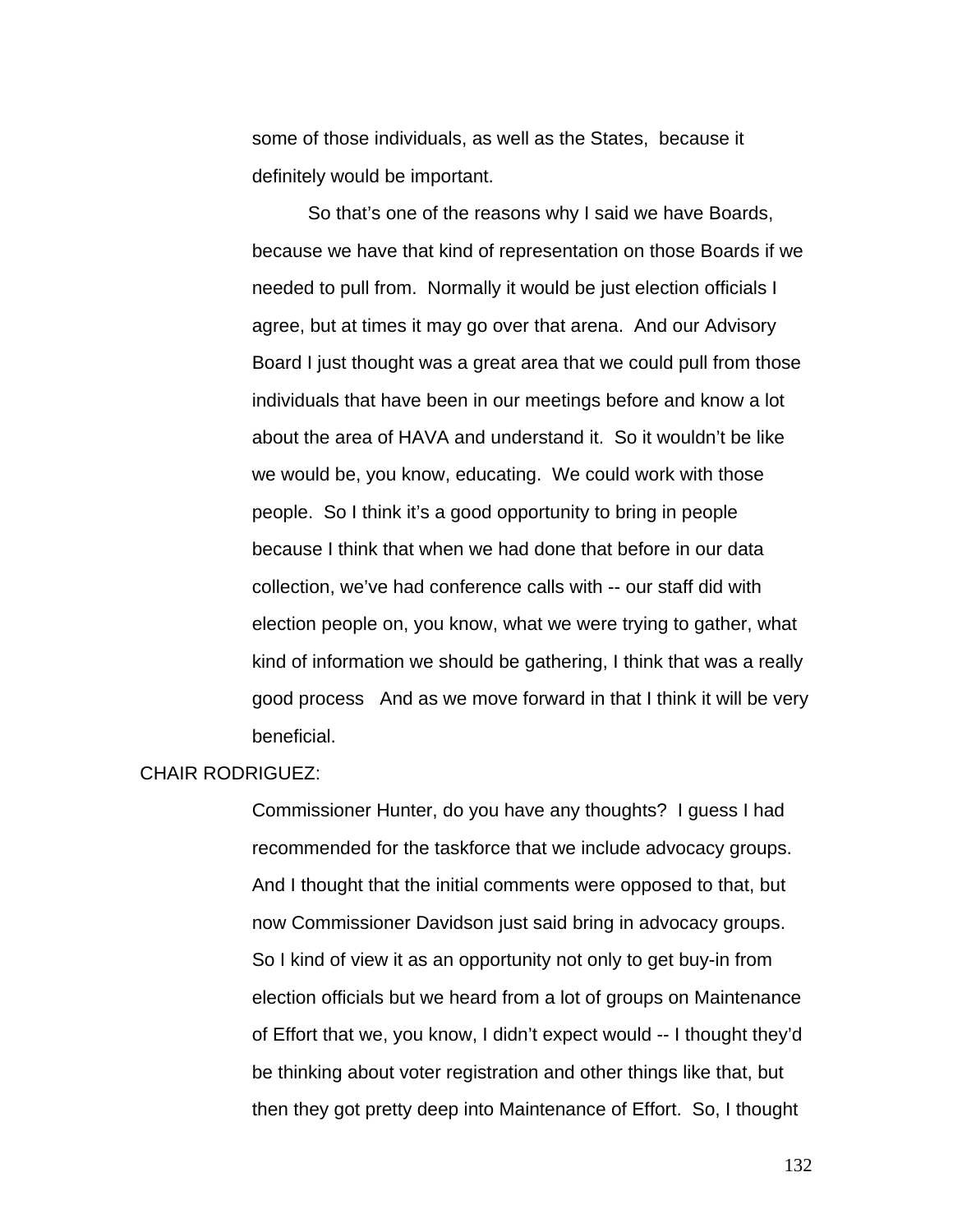some of those individuals, as well as the States, because it definitely would be important.

So that's one of the reasons why I said we have Boards, because we have that kind of representation on those Boards if we needed to pull from. Normally it would be just election officials I agree, but at times it may go over that arena. And our Advisory Board I just thought was a great area that we could pull from those individuals that have been in our meetings before and know a lot about the area of HAVA and understand it. So it wouldn't be like we would be, you know, educating. We could work with those people. So I think it's a good opportunity to bring in people because I think that when we had done that before in our data collection, we've had conference calls with -- our staff did with election people on, you know, what we were trying to gather, what kind of information we should be gathering, I think that was a really good process And as we move forward in that I think it will be very beneficial.

## CHAIR RODRIGUEZ:

Commissioner Hunter, do you have any thoughts? I guess I had recommended for the taskforce that we include advocacy groups. And I thought that the initial comments were opposed to that, but now Commissioner Davidson just said bring in advocacy groups. So I kind of view it as an opportunity not only to get buy-in from election officials but we heard from a lot of groups on Maintenance of Effort that we, you know, I didn't expect would -- I thought they'd be thinking about voter registration and other things like that, but then they got pretty deep into Maintenance of Effort. So, I thought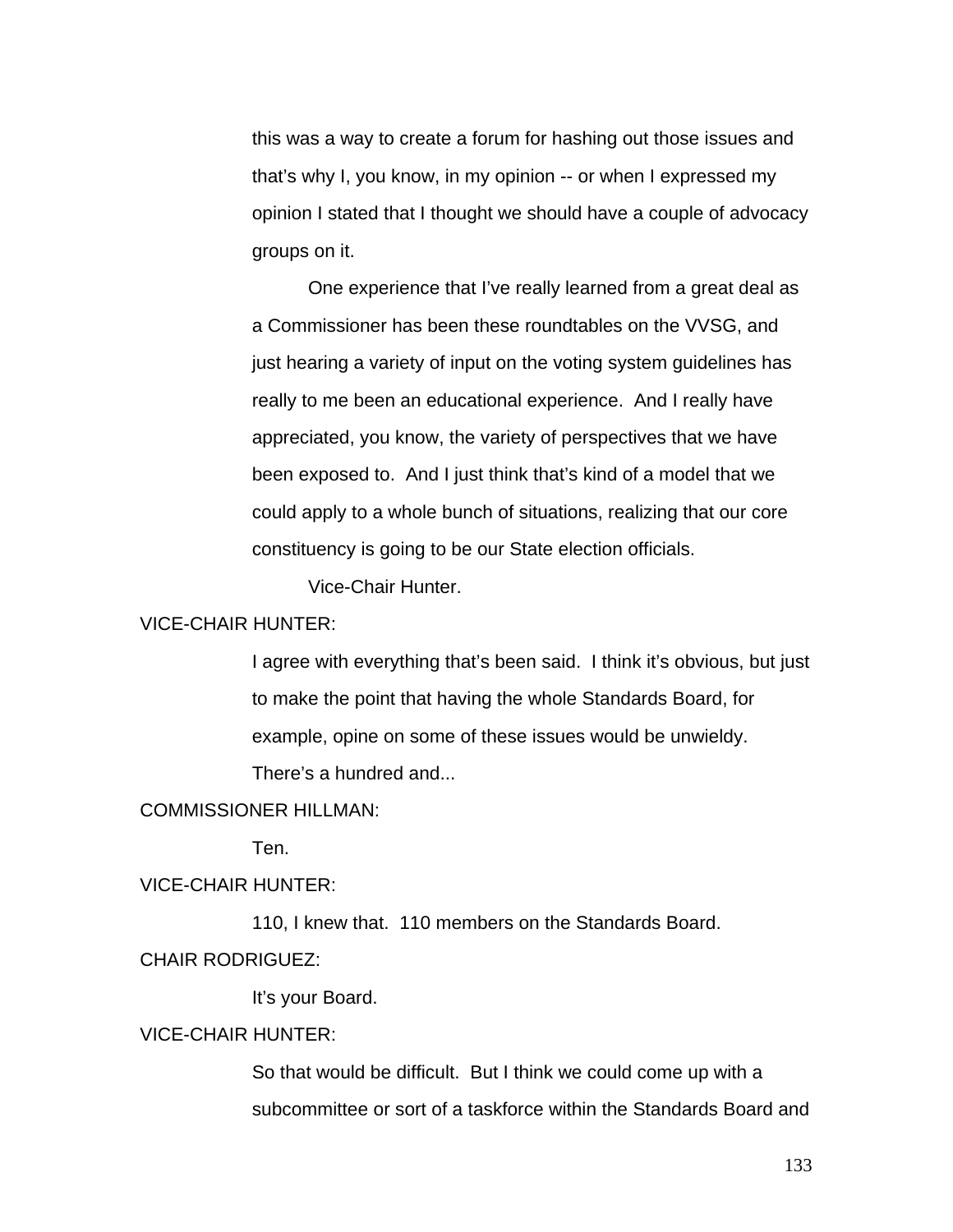this was a way to create a forum for hashing out those issues and that's why I, you know, in my opinion -- or when I expressed my opinion I stated that I thought we should have a couple of advocacy groups on it.

 One experience that I've really learned from a great deal as a Commissioner has been these roundtables on the VVSG, and just hearing a variety of input on the voting system guidelines has really to me been an educational experience. And I really have appreciated, you know, the variety of perspectives that we have been exposed to. And I just think that's kind of a model that we could apply to a whole bunch of situations, realizing that our core constituency is going to be our State election officials.

Vice-Chair Hunter.

## VICE-CHAIR HUNTER:

I agree with everything that's been said. I think it's obvious, but just to make the point that having the whole Standards Board, for example, opine on some of these issues would be unwieldy. There's a hundred and...

#### COMMISSIONER HILLMAN:

Ten.

### VICE-CHAIR HUNTER:

110, I knew that. 110 members on the Standards Board.

## CHAIR RODRIGUEZ:

It's your Board.

## VICE-CHAIR HUNTER:

So that would be difficult. But I think we could come up with a subcommittee or sort of a taskforce within the Standards Board and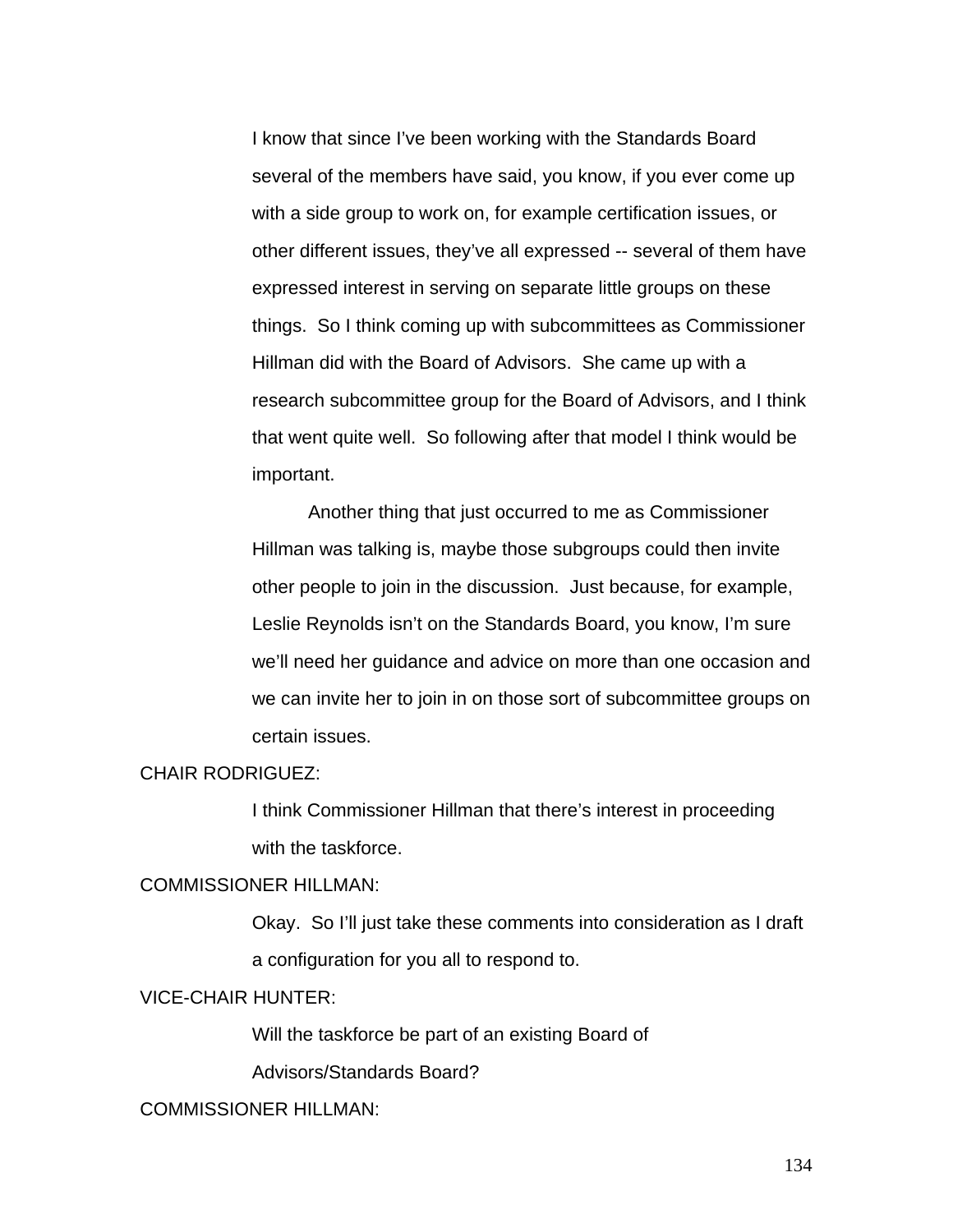I know that since I've been working with the Standards Board several of the members have said, you know, if you ever come up with a side group to work on, for example certification issues, or other different issues, they've all expressed -- several of them have expressed interest in serving on separate little groups on these things. So I think coming up with subcommittees as Commissioner Hillman did with the Board of Advisors. She came up with a research subcommittee group for the Board of Advisors, and I think that went quite well. So following after that model I think would be important.

 Another thing that just occurred to me as Commissioner Hillman was talking is, maybe those subgroups could then invite other people to join in the discussion. Just because, for example, Leslie Reynolds isn't on the Standards Board, you know, I'm sure we'll need her guidance and advice on more than one occasion and we can invite her to join in on those sort of subcommittee groups on certain issues.

## CHAIR RODRIGUEZ:

I think Commissioner Hillman that there's interest in proceeding with the taskforce.

### COMMISSIONER HILLMAN:

Okay. So I'll just take these comments into consideration as I draft a configuration for you all to respond to.

### VICE-CHAIR HUNTER:

Will the taskforce be part of an existing Board of

Advisors/Standards Board?

## COMMISSIONER HILLMAN: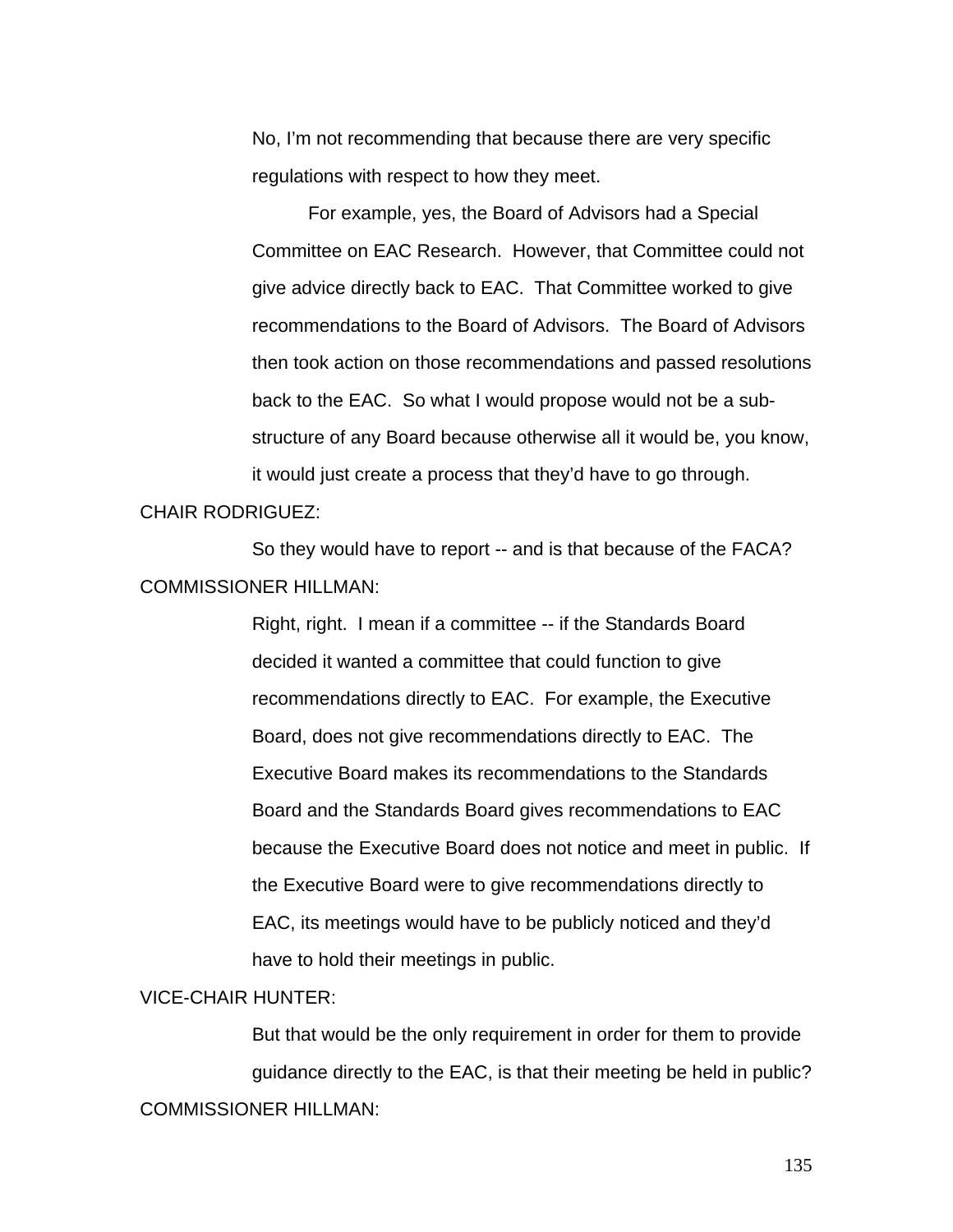No, I'm not recommending that because there are very specific regulations with respect to how they meet.

 For example, yes, the Board of Advisors had a Special Committee on EAC Research. However, that Committee could not give advice directly back to EAC. That Committee worked to give recommendations to the Board of Advisors. The Board of Advisors then took action on those recommendations and passed resolutions back to the EAC. So what I would propose would not be a substructure of any Board because otherwise all it would be, you know, it would just create a process that they'd have to go through.

#### CHAIR RODRIGUEZ:

 So they would have to report -- and is that because of the FACA? COMMISSIONER HILLMAN:

> Right, right. I mean if a committee -- if the Standards Board decided it wanted a committee that could function to give recommendations directly to EAC. For example, the Executive Board, does not give recommendations directly to EAC. The Executive Board makes its recommendations to the Standards Board and the Standards Board gives recommendations to EAC because the Executive Board does not notice and meet in public. If the Executive Board were to give recommendations directly to EAC, its meetings would have to be publicly noticed and they'd have to hold their meetings in public.

### VICE-CHAIR HUNTER:

But that would be the only requirement in order for them to provide guidance directly to the EAC, is that their meeting be held in public? COMMISSIONER HILLMAN: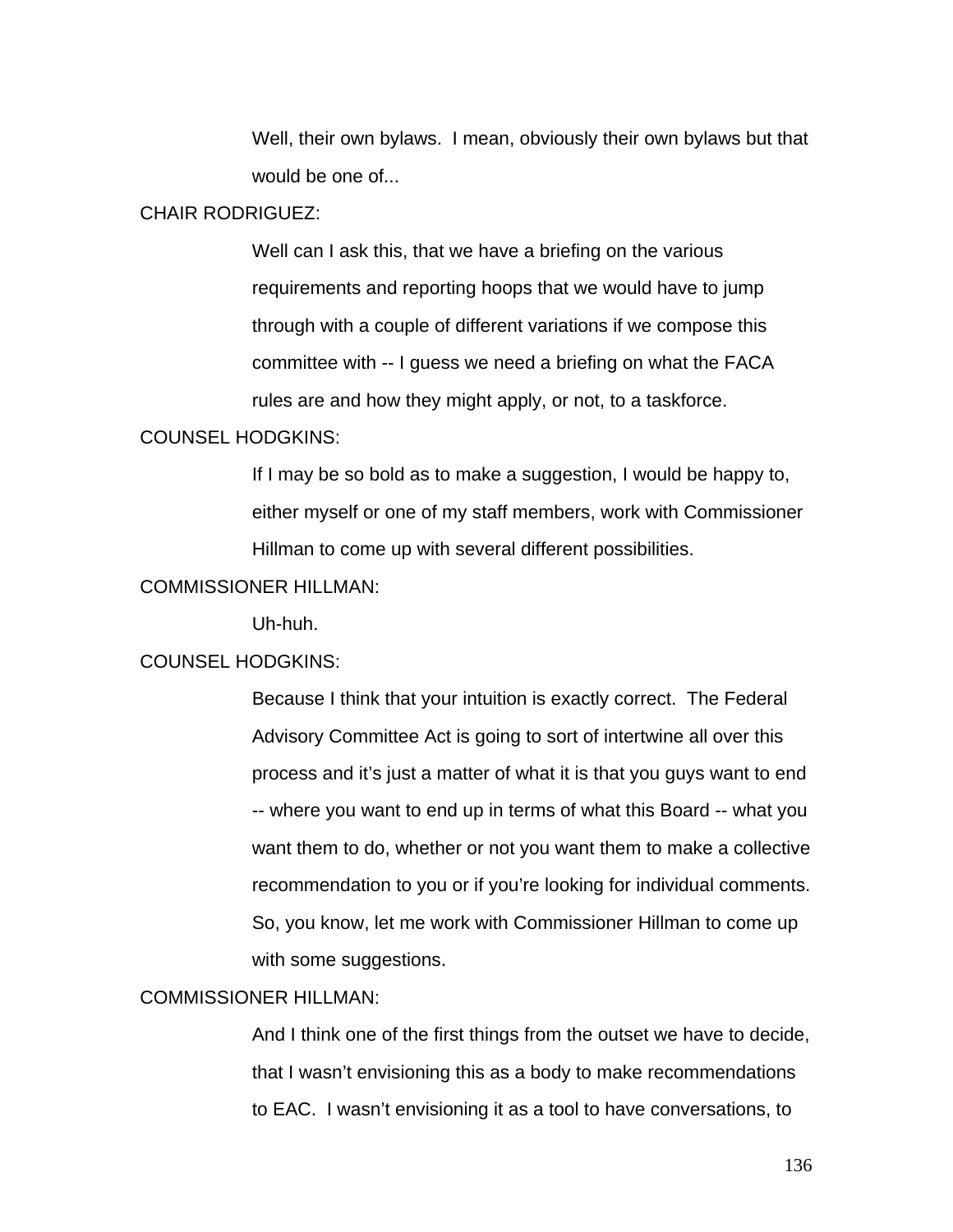Well, their own bylaws. I mean, obviously their own bylaws but that would be one of...

#### CHAIR RODRIGUEZ:

Well can I ask this, that we have a briefing on the various requirements and reporting hoops that we would have to jump through with a couple of different variations if we compose this committee with -- I guess we need a briefing on what the FACA rules are and how they might apply, or not, to a taskforce.

### COUNSEL HODGKINS:

If I may be so bold as to make a suggestion, I would be happy to, either myself or one of my staff members, work with Commissioner Hillman to come up with several different possibilities.

### COMMISSIONER HILLMAN:

Uh-huh.

### COUNSEL HODGKINS:

Because I think that your intuition is exactly correct. The Federal Advisory Committee Act is going to sort of intertwine all over this process and it's just a matter of what it is that you guys want to end -- where you want to end up in terms of what this Board -- what you want them to do, whether or not you want them to make a collective recommendation to you or if you're looking for individual comments. So, you know, let me work with Commissioner Hillman to come up with some suggestions.

## COMMISSIONER HILLMAN:

And I think one of the first things from the outset we have to decide, that I wasn't envisioning this as a body to make recommendations to EAC. I wasn't envisioning it as a tool to have conversations, to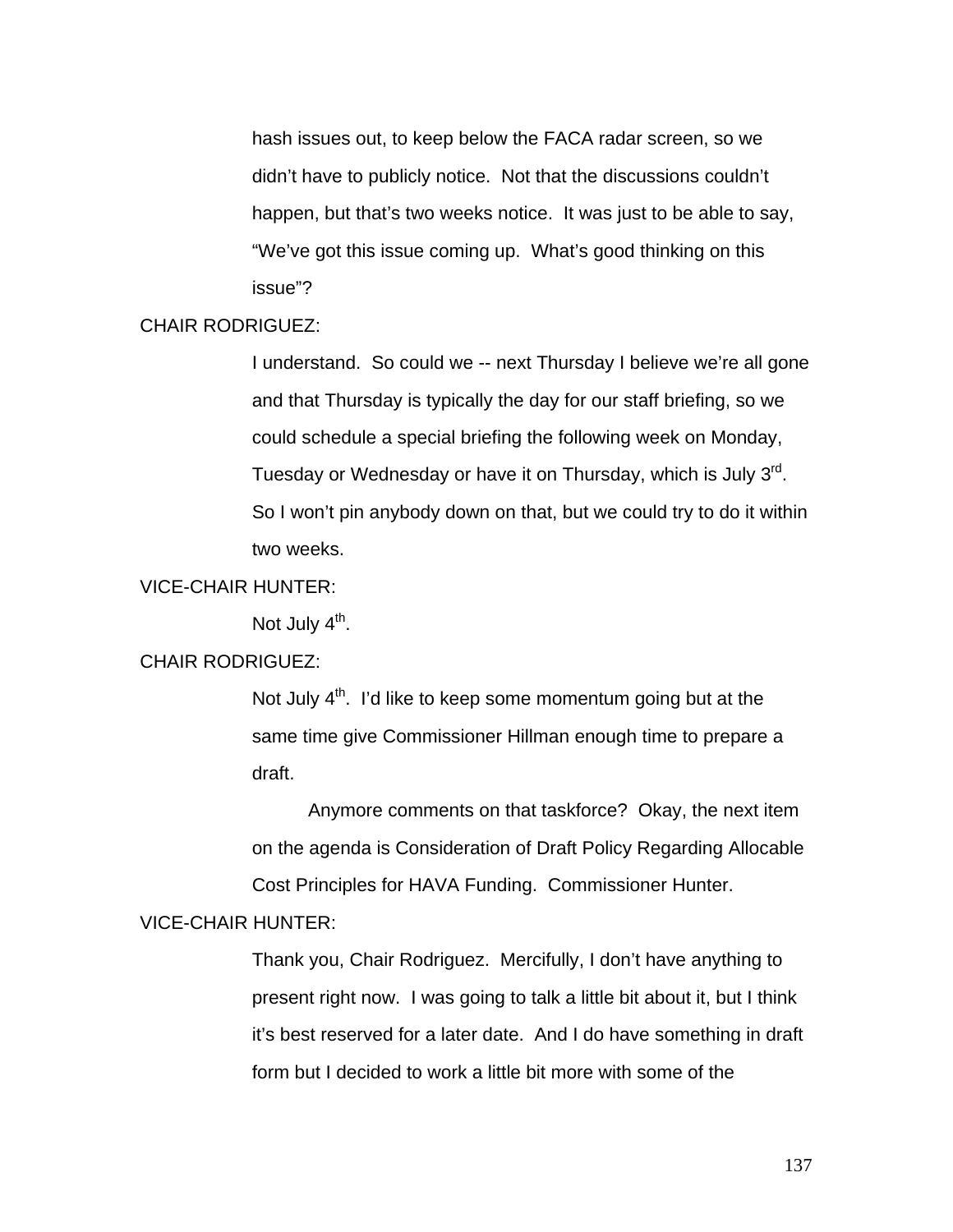hash issues out, to keep below the FACA radar screen, so we didn't have to publicly notice. Not that the discussions couldn't happen, but that's two weeks notice. It was just to be able to say, "We've got this issue coming up. What's good thinking on this issue"?

## CHAIR RODRIGUEZ:

I understand. So could we -- next Thursday I believe we're all gone and that Thursday is typically the day for our staff briefing, so we could schedule a special briefing the following week on Monday, Tuesday or Wednesday or have it on Thursday, which is July 3<sup>rd</sup>. So I won't pin anybody down on that, but we could try to do it within two weeks.

### VICE-CHAIR HUNTER:

Not July  $4<sup>th</sup>$ .

## CHAIR RODRIGUEZ:

Not July  $4<sup>th</sup>$ . I'd like to keep some momentum going but at the same time give Commissioner Hillman enough time to prepare a draft.

 Anymore comments on that taskforce? Okay, the next item on the agenda is Consideration of Draft Policy Regarding Allocable Cost Principles for HAVA Funding. Commissioner Hunter.

### VICE-CHAIR HUNTER:

Thank you, Chair Rodriguez. Mercifully, I don't have anything to present right now. I was going to talk a little bit about it, but I think it's best reserved for a later date. And I do have something in draft form but I decided to work a little bit more with some of the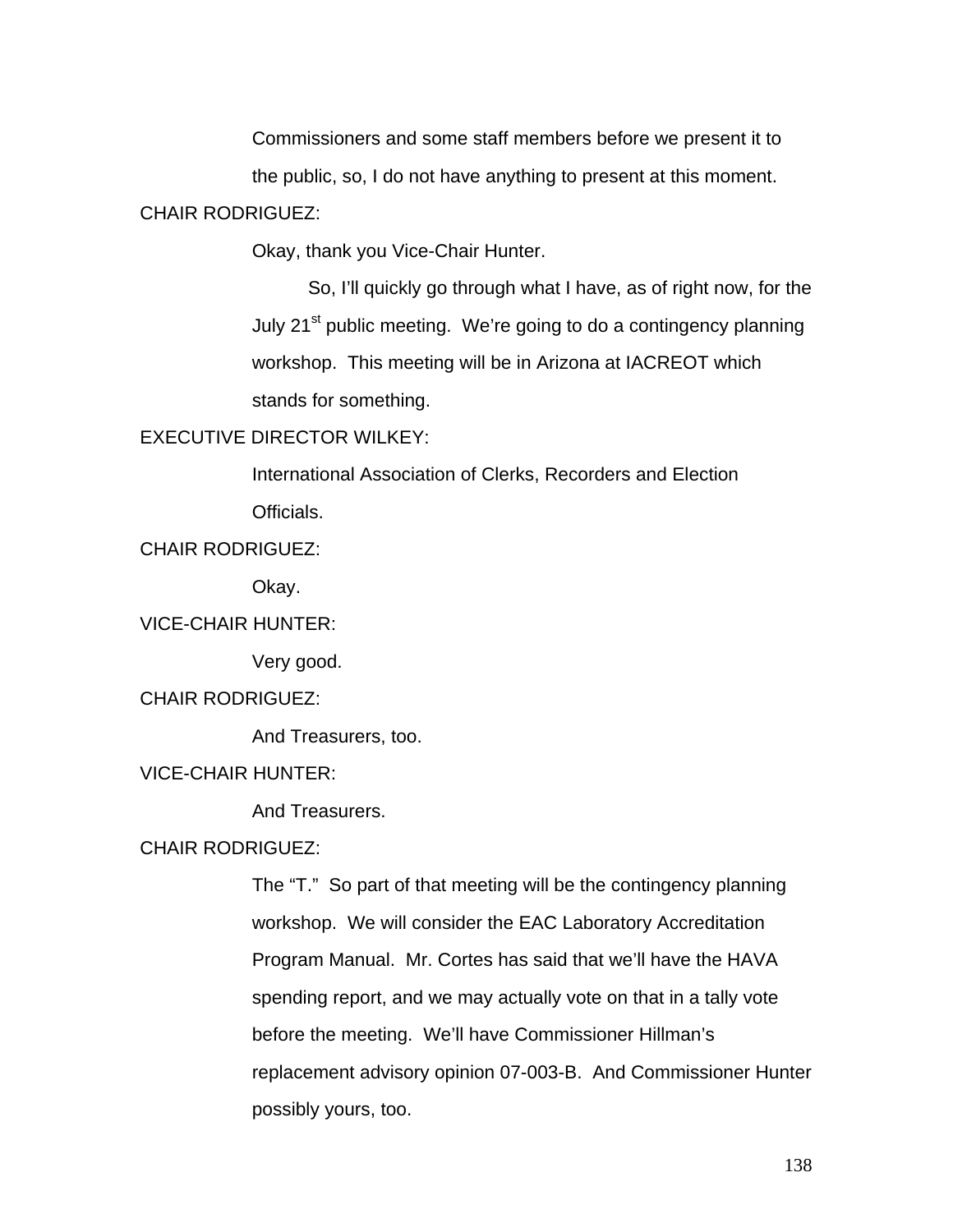Commissioners and some staff members before we present it to

the public, so, I do not have anything to present at this moment.

### CHAIR RODRIGUEZ:

Okay, thank you Vice-Chair Hunter.

So, I'll quickly go through what I have, as of right now, for the July 21<sup>st</sup> public meeting. We're going to do a contingency planning workshop. This meeting will be in Arizona at IACREOT which stands for something.

## EXECUTIVE DIRECTOR WILKEY:

International Association of Clerks, Recorders and Election Officials.

# CHAIR RODRIGUEZ:

Okay.

# VICE-CHAIR HUNTER:

Very good.

# CHAIR RODRIGUEZ:

And Treasurers, too.

# VICE-CHAIR HUNTER:

And Treasurers.

## CHAIR RODRIGUEZ:

The "T." So part of that meeting will be the contingency planning workshop. We will consider the EAC Laboratory Accreditation Program Manual. Mr. Cortes has said that we'll have the HAVA spending report, and we may actually vote on that in a tally vote before the meeting. We'll have Commissioner Hillman's replacement advisory opinion 07-003-B. And Commissioner Hunter possibly yours, too.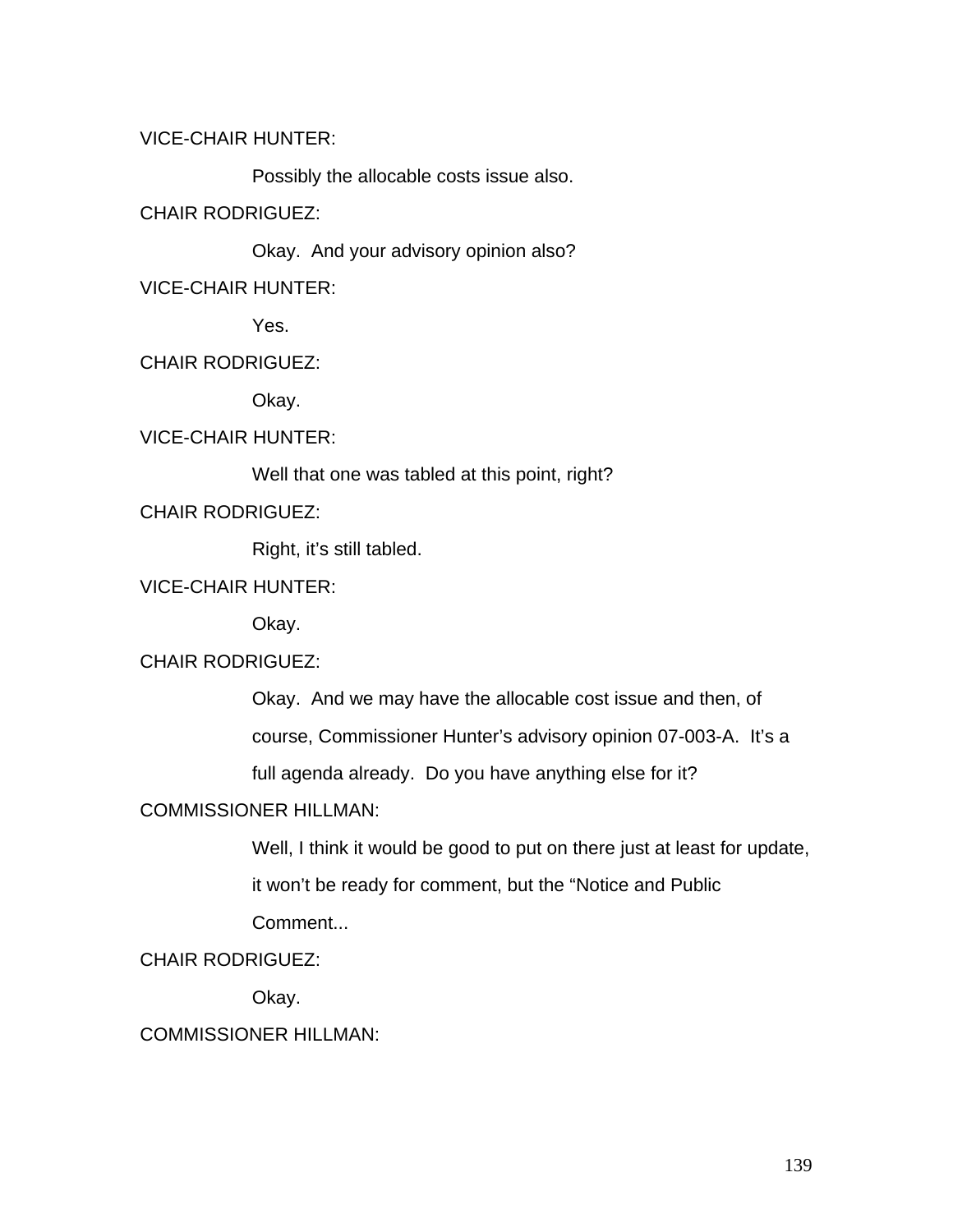## VICE-CHAIR HUNTER:

Possibly the allocable costs issue also.

## CHAIR RODRIGUEZ:

Okay. And your advisory opinion also?

VICE-CHAIR HUNTER:

Yes.

# CHAIR RODRIGUEZ:

Okay.

# VICE-CHAIR HUNTER:

Well that one was tabled at this point, right?

CHAIR RODRIGUEZ:

Right, it's still tabled.

# VICE-CHAIR HUNTER:

Okay.

# CHAIR RODRIGUEZ:

Okay. And we may have the allocable cost issue and then, of

course, Commissioner Hunter's advisory opinion 07-003-A. It's a

full agenda already. Do you have anything else for it?

# COMMISSIONER HILLMAN:

Well, I think it would be good to put on there just at least for update,

it won't be ready for comment, but the "Notice and Public

Comment...

# CHAIR RODRIGUEZ:

Okay.

# COMMISSIONER HILLMAN: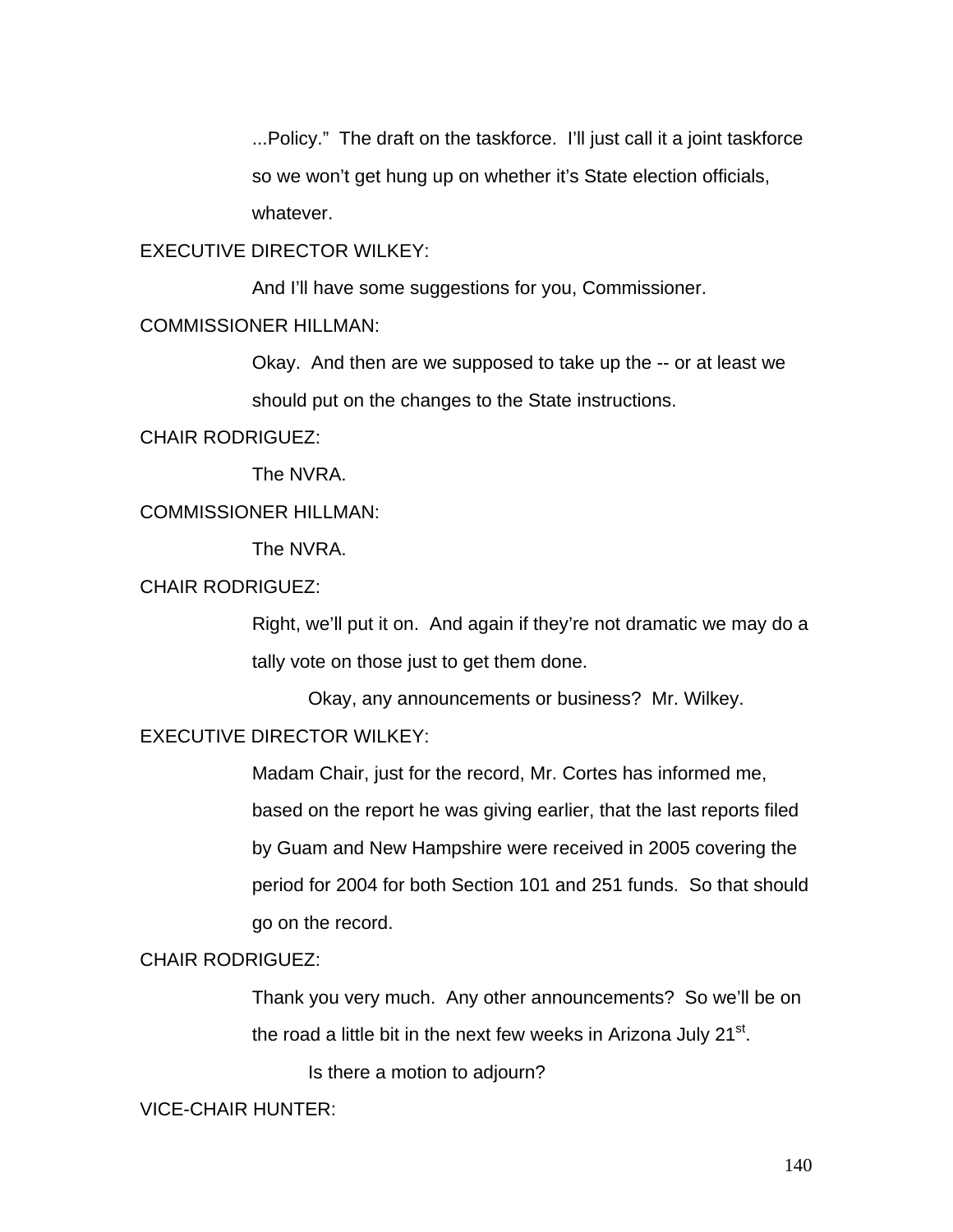...Policy." The draft on the taskforce. I'll just call it a joint taskforce so we won't get hung up on whether it's State election officials, whatever.

## EXECUTIVE DIRECTOR WILKEY:

And I'll have some suggestions for you, Commissioner.

### COMMISSIONER HILLMAN:

Okay. And then are we supposed to take up the -- or at least we should put on the changes to the State instructions.

### CHAIR RODRIGUEZ:

The NVRA.

## COMMISSIONER HILLMAN:

The NVRA.

## CHAIR RODRIGUEZ:

Right, we'll put it on. And again if they're not dramatic we may do a tally vote on those just to get them done.

Okay, any announcements or business? Mr. Wilkey.

## EXECUTIVE DIRECTOR WILKEY:

Madam Chair, just for the record, Mr. Cortes has informed me, based on the report he was giving earlier, that the last reports filed by Guam and New Hampshire were received in 2005 covering the period for 2004 for both Section 101 and 251 funds. So that should go on the record.

# CHAIR RODRIGUEZ:

Thank you very much. Any other announcements? So we'll be on the road a little bit in the next few weeks in Arizona July  $21<sup>st</sup>$ .

Is there a motion to adjourn?

### VICE-CHAIR HUNTER: